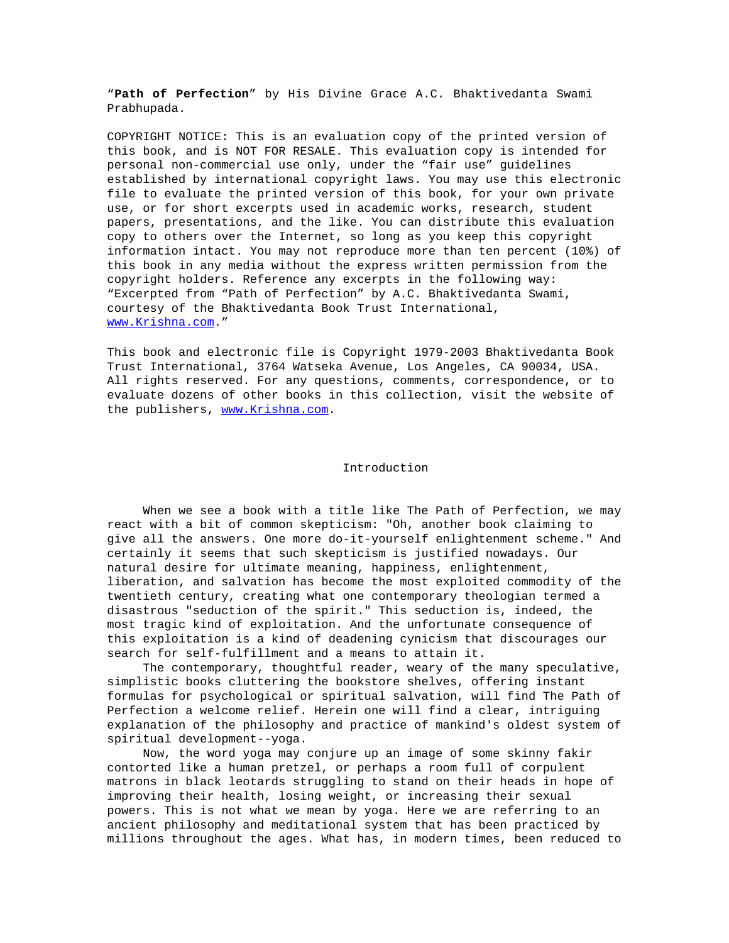"**Path of Perfection**" by His Divine Grace A.C. Bhaktivedanta Swami Prabhupada.

COPYRIGHT NOTICE: This is an evaluation copy of the printed version of this book, and is NOT FOR RESALE. This evaluation copy is intended for personal non-commercial use only, under the "fair use" guidelines established by international copyright laws. You may use this electronic file to evaluate the printed version of this book, for your own private use, or for short excerpts used in academic works, research, student papers, presentations, and the like. You can distribute this evaluation copy to others over the Internet, so long as you keep this copyright information intact. You may not reproduce more than ten percent (10%) of this book in any media without the express written permission from the copyright holders. Reference any excerpts in the following way: "Excerpted from "Path of Perfection" by A.C. Bhaktivedanta Swami, courtesy of the Bhaktivedanta Book Trust International, www.Krishna.com ."

This book and electronic file is Copyright 1979-2003 Bhaktivedanta Book Trust International, 3764 Watseka Avenue, Los Angeles, CA 90034, USA. All rights reserved. For any questions, comments, correspondence, or to evaluate dozens of other books in this collection, visit the website of the publishers, www.Krishna.com.

## Introduction

 When we see a book with a title like The Path of Perfection, we may react with a bit of common skepticism: "Oh, another book claiming to give all the answers. One more do-it-yourself enlightenment scheme." And certainly it seems that such skepticism is justified nowadays. Our natural desire for ultimate meaning, happiness, enlightenment, liberation, and salvation has become the most exploited commodity of the twentieth century, creating what one contemporary theologian termed a disastrous "seduction of the spirit." This seduction is, indeed, the most tragic kind of exploitation. And the unfortunate consequence of this exploitation is a kind of deadening cynicism that discourages our search for self-fulfillment and a means to attain it.

 The contemporary, thoughtful reader, weary of the many speculative, simplistic books cluttering the bookstore shelves, offering instant formulas for psychological or spiritual salvation, will find The Path of Perfection a welcome relief. Herein one will find a clear, intriguing explanation of the philosophy and practice of mankind's oldest system of spiritual development--yoga.

 Now, the word yoga may conjure up an image of some skinny fakir contorted like a human pretzel, or perhaps a room full of corpulent matrons in black leotards struggling to stand on their heads in hope of improving their health, losing weight, or increasing their sexual powers. This is not what we mean by yoga. Here we are referring to an ancient philosophy and meditational system that has been practiced by millions throughout the ages. What has, in modern times, been reduced to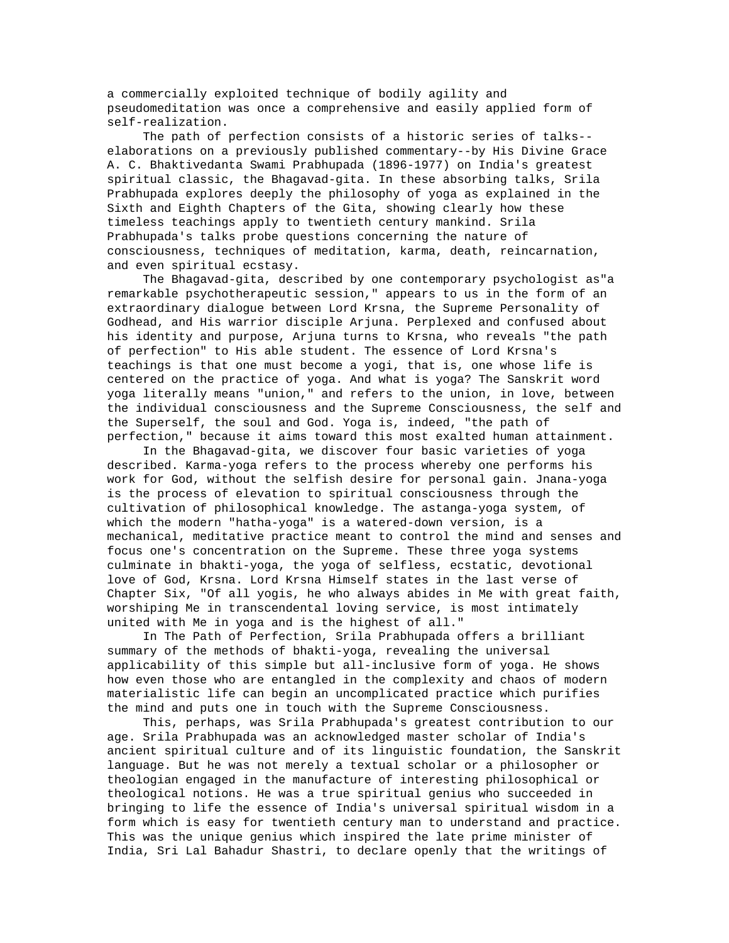a commercially exploited technique of bodily agility and pseudomeditation was once a comprehensive and easily applied form of self-realization.

 The path of perfection consists of a historic series of talks- elaborations on a previously published commentary--by His Divine Grace A. C. Bhaktivedanta Swami Prabhupada (1896-1977) on India's greatest spiritual classic, the Bhagavad-gita. In these absorbing talks, Srila Prabhupada explores deeply the philosophy of yoga as explained in the Sixth and Eighth Chapters of the Gita, showing clearly how these timeless teachings apply to twentieth century mankind. Srila Prabhupada's talks probe questions concerning the nature of consciousness, techniques of meditation, karma, death, reincarnation, and even spiritual ecstasy.

 The Bhagavad-gita, described by one contemporary psychologist as"a remarkable psychotherapeutic session," appears to us in the form of an extraordinary dialogue between Lord Krsna, the Supreme Personality of Godhead, and His warrior disciple Arjuna. Perplexed and confused about his identity and purpose, Arjuna turns to Krsna, who reveals "the path of perfection" to His able student. The essence of Lord Krsna's teachings is that one must become a yogi, that is, one whose life is centered on the practice of yoga. And what is yoga? The Sanskrit word yoga literally means "union," and refers to the union, in love, between the individual consciousness and the Supreme Consciousness, the self and the Superself, the soul and God. Yoga is, indeed, "the path of perfection," because it aims toward this most exalted human attainment.

 In the Bhagavad-gita, we discover four basic varieties of yoga described. Karma-yoga refers to the process whereby one performs his work for God, without the selfish desire for personal gain. Jnana-yoga is the process of elevation to spiritual consciousness through the cultivation of philosophical knowledge. The astanga-yoga system, of which the modern "hatha-yoga" is a watered-down version, is a mechanical, meditative practice meant to control the mind and senses and focus one's concentration on the Supreme. These three yoga systems culminate in bhakti-yoga, the yoga of selfless, ecstatic, devotional love of God, Krsna. Lord Krsna Himself states in the last verse of Chapter Six, "Of all yogis, he who always abides in Me with great faith, worshiping Me in transcendental loving service, is most intimately united with Me in yoga and is the highest of all."

 In The Path of Perfection, Srila Prabhupada offers a brilliant summary of the methods of bhakti-yoga, revealing the universal applicability of this simple but all-inclusive form of yoga. He shows how even those who are entangled in the complexity and chaos of modern materialistic life can begin an uncomplicated practice which purifies the mind and puts one in touch with the Supreme Consciousness.

 This, perhaps, was Srila Prabhupada's greatest contribution to our age. Srila Prabhupada was an acknowledged master scholar of India's ancient spiritual culture and of its linguistic foundation, the Sanskrit language. But he was not merely a textual scholar or a philosopher or theologian engaged in the manufacture of interesting philosophical or theological notions. He was a true spiritual genius who succeeded in bringing to life the essence of India's universal spiritual wisdom in a form which is easy for twentieth century man to understand and practice. This was the unique genius which inspired the late prime minister of India, Sri Lal Bahadur Shastri, to declare openly that the writings of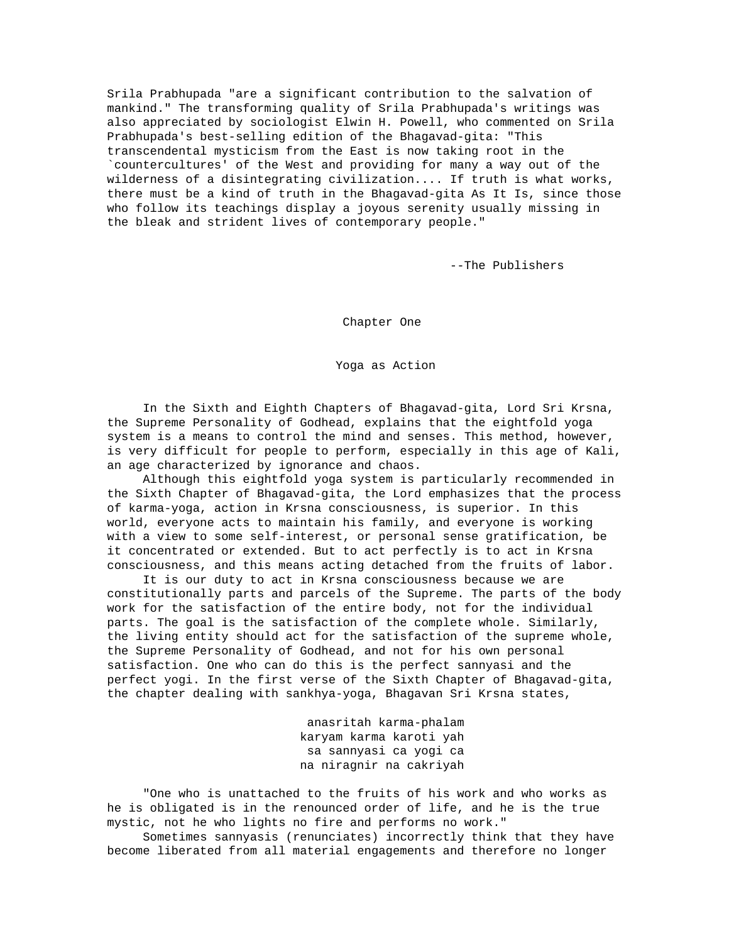Srila Prabhupada "are a significant contribution to the salvation of mankind." The transforming quality of Srila Prabhupada's writings was also appreciated by sociologist Elwin H. Powell, who commented on Srila Prabhupada's best-selling edition of the Bhagavad-gita: "This transcendental mysticism from the East is now taking root in the `countercultures' of the West and providing for many a way out of the wilderness of a disintegrating civilization.... If truth is what works, there must be a kind of truth in the Bhagavad-gita As It Is, since those who follow its teachings display a joyous serenity usually missing in the bleak and strident lives of contemporary people."

--The Publishers

Chapter One

Yoga as Action

 In the Sixth and Eighth Chapters of Bhagavad-gita, Lord Sri Krsna, the Supreme Personality of Godhead, explains that the eightfold yoga system is a means to control the mind and senses. This method, however, is very difficult for people to perform, especially in this age of Kali, an age characterized by ignorance and chaos.

 Although this eightfold yoga system is particularly recommended in the Sixth Chapter of Bhagavad-gita, the Lord emphasizes that the process of karma-yoga, action in Krsna consciousness, is superior. In this world, everyone acts to maintain his family, and everyone is working with a view to some self-interest, or personal sense gratification, be it concentrated or extended. But to act perfectly is to act in Krsna consciousness, and this means acting detached from the fruits of labor.

 It is our duty to act in Krsna consciousness because we are constitutionally parts and parcels of the Supreme. The parts of the body work for the satisfaction of the entire body, not for the individual parts. The goal is the satisfaction of the complete whole. Similarly, the living entity should act for the satisfaction of the supreme whole, the Supreme Personality of Godhead, and not for his own personal satisfaction. One who can do this is the perfect sannyasi and the perfect yogi. In the first verse of the Sixth Chapter of Bhagavad-gita, the chapter dealing with sankhya-yoga, Bhagavan Sri Krsna states,

> anasritah karma-phalam karyam karma karoti yah sa sannyasi ca yogi ca na niragnir na cakriyah

 "One who is unattached to the fruits of his work and who works as he is obligated is in the renounced order of life, and he is the true mystic, not he who lights no fire and performs no work."

 Sometimes sannyasis (renunciates) incorrectly think that they have become liberated from all material engagements and therefore no longer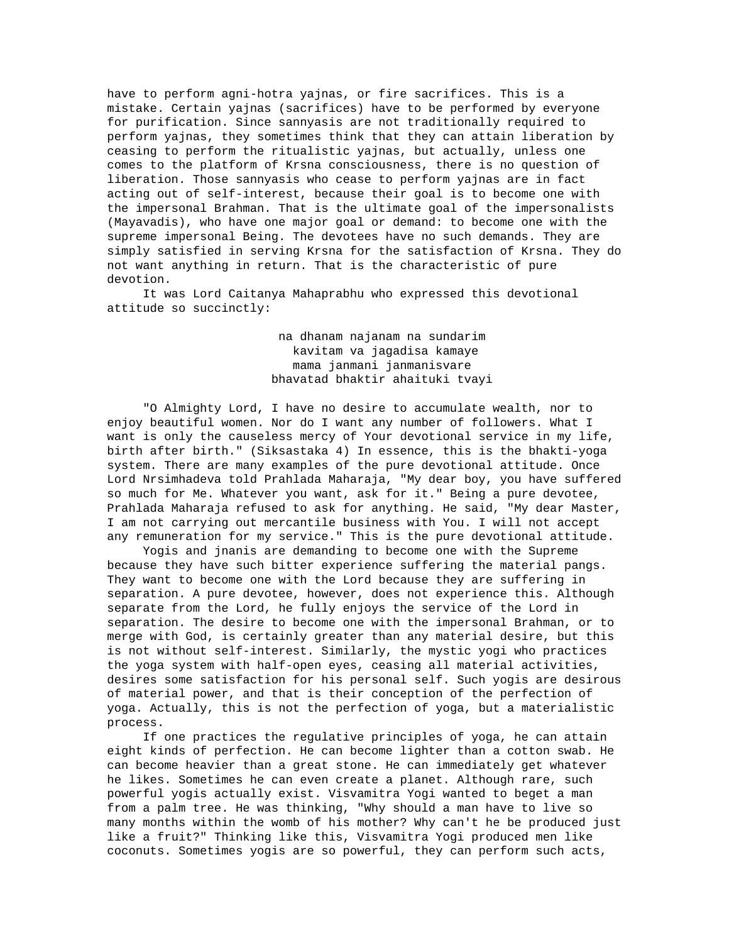have to perform agni-hotra yajnas, or fire sacrifices. This is a mistake. Certain yajnas (sacrifices) have to be performed by everyone for purification. Since sannyasis are not traditionally required to perform yajnas, they sometimes think that they can attain liberation by ceasing to perform the ritualistic yajnas, but actually, unless one comes to the platform of Krsna consciousness, there is no question of liberation. Those sannyasis who cease to perform yajnas are in fact acting out of self-interest, because their goal is to become one with the impersonal Brahman. That is the ultimate goal of the impersonalists (Mayavadis), who have one major goal or demand: to become one with the supreme impersonal Being. The devotees have no such demands. They are simply satisfied in serving Krsna for the satisfaction of Krsna. They do not want anything in return. That is the characteristic of pure devotion.

 It was Lord Caitanya Mahaprabhu who expressed this devotional attitude so succinctly:

> na dhanam najanam na sundarim kavitam va jagadisa kamaye mama janmani janmanisvare bhavatad bhaktir ahaituki tvayi

 "O Almighty Lord, I have no desire to accumulate wealth, nor to enjoy beautiful women. Nor do I want any number of followers. What I want is only the causeless mercy of Your devotional service in my life, birth after birth." (Siksastaka 4) In essence, this is the bhakti-yoga system. There are many examples of the pure devotional attitude. Once Lord Nrsimhadeva told Prahlada Maharaja, "My dear boy, you have suffered so much for Me. Whatever you want, ask for it." Being a pure devotee, Prahlada Maharaja refused to ask for anything. He said, "My dear Master, I am not carrying out mercantile business with You. I will not accept any remuneration for my service." This is the pure devotional attitude.

 Yogis and jnanis are demanding to become one with the Supreme because they have such bitter experience suffering the material pangs. They want to become one with the Lord because they are suffering in separation. A pure devotee, however, does not experience this. Although separate from the Lord, he fully enjoys the service of the Lord in separation. The desire to become one with the impersonal Brahman, or to merge with God, is certainly greater than any material desire, but this is not without self-interest. Similarly, the mystic yogi who practices the yoga system with half-open eyes, ceasing all material activities, desires some satisfaction for his personal self. Such yogis are desirous of material power, and that is their conception of the perfection of yoga. Actually, this is not the perfection of yoga, but a materialistic process.

 If one practices the regulative principles of yoga, he can attain eight kinds of perfection. He can become lighter than a cotton swab. He can become heavier than a great stone. He can immediately get whatever he likes. Sometimes he can even create a planet. Although rare, such powerful yogis actually exist. Visvamitra Yogi wanted to beget a man from a palm tree. He was thinking, "Why should a man have to live so many months within the womb of his mother? Why can't he be produced just like a fruit?" Thinking like this, Visvamitra Yogi produced men like coconuts. Sometimes yogis are so powerful, they can perform such acts,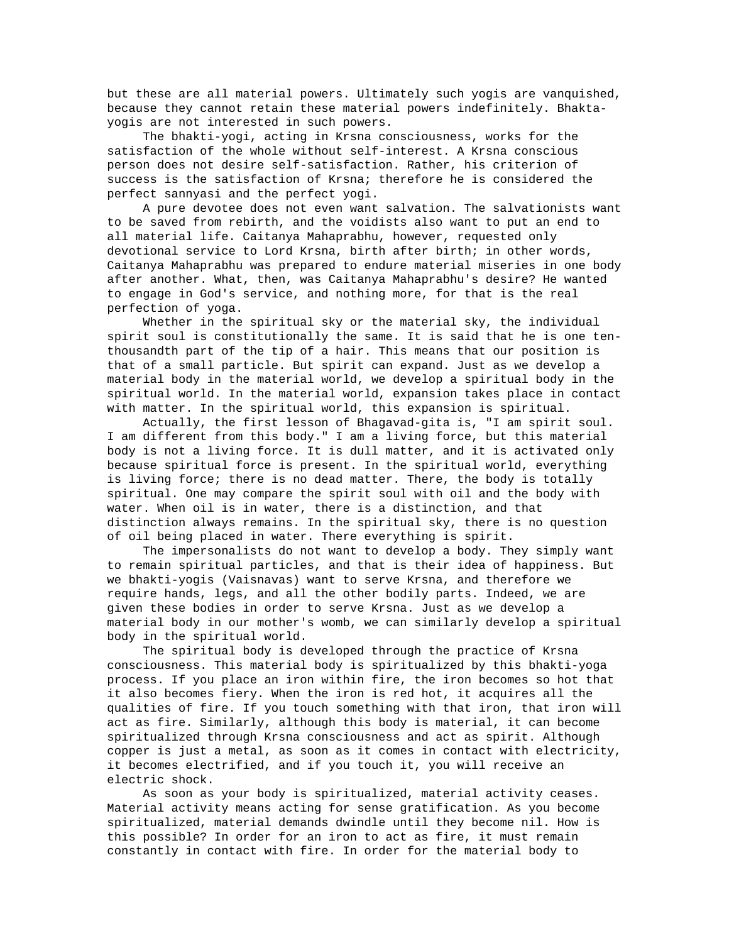but these are all material powers. Ultimately such yogis are vanquished, because they cannot retain these material powers indefinitely. Bhaktayogis are not interested in such powers.

 The bhakti-yogi, acting in Krsna consciousness, works for the satisfaction of the whole without self-interest. A Krsna conscious person does not desire self-satisfaction. Rather, his criterion of success is the satisfaction of Krsna; therefore he is considered the perfect sannyasi and the perfect yogi.

 A pure devotee does not even want salvation. The salvationists want to be saved from rebirth, and the voidists also want to put an end to all material life. Caitanya Mahaprabhu, however, requested only devotional service to Lord Krsna, birth after birth; in other words, Caitanya Mahaprabhu was prepared to endure material miseries in one body after another. What, then, was Caitanya Mahaprabhu's desire? He wanted to engage in God's service, and nothing more, for that is the real perfection of yoga.

 Whether in the spiritual sky or the material sky, the individual spirit soul is constitutionally the same. It is said that he is one tenthousandth part of the tip of a hair. This means that our position is that of a small particle. But spirit can expand. Just as we develop a material body in the material world, we develop a spiritual body in the spiritual world. In the material world, expansion takes place in contact with matter. In the spiritual world, this expansion is spiritual.

 Actually, the first lesson of Bhagavad-gita is, "I am spirit soul. I am different from this body." I am a living force, but this material body is not a living force. It is dull matter, and it is activated only because spiritual force is present. In the spiritual world, everything is living force; there is no dead matter. There, the body is totally spiritual. One may compare the spirit soul with oil and the body with water. When oil is in water, there is a distinction, and that distinction always remains. In the spiritual sky, there is no question of oil being placed in water. There everything is spirit.

 The impersonalists do not want to develop a body. They simply want to remain spiritual particles, and that is their idea of happiness. But we bhakti-yogis (Vaisnavas) want to serve Krsna, and therefore we require hands, legs, and all the other bodily parts. Indeed, we are given these bodies in order to serve Krsna. Just as we develop a material body in our mother's womb, we can similarly develop a spiritual body in the spiritual world.

 The spiritual body is developed through the practice of Krsna consciousness. This material body is spiritualized by this bhakti-yoga process. If you place an iron within fire, the iron becomes so hot that it also becomes fiery. When the iron is red hot, it acquires all the qualities of fire. If you touch something with that iron, that iron will act as fire. Similarly, although this body is material, it can become spiritualized through Krsna consciousness and act as spirit. Although copper is just a metal, as soon as it comes in contact with electricity, it becomes electrified, and if you touch it, you will receive an electric shock.

 As soon as your body is spiritualized, material activity ceases. Material activity means acting for sense gratification. As you become spiritualized, material demands dwindle until they become nil. How is this possible? In order for an iron to act as fire, it must remain constantly in contact with fire. In order for the material body to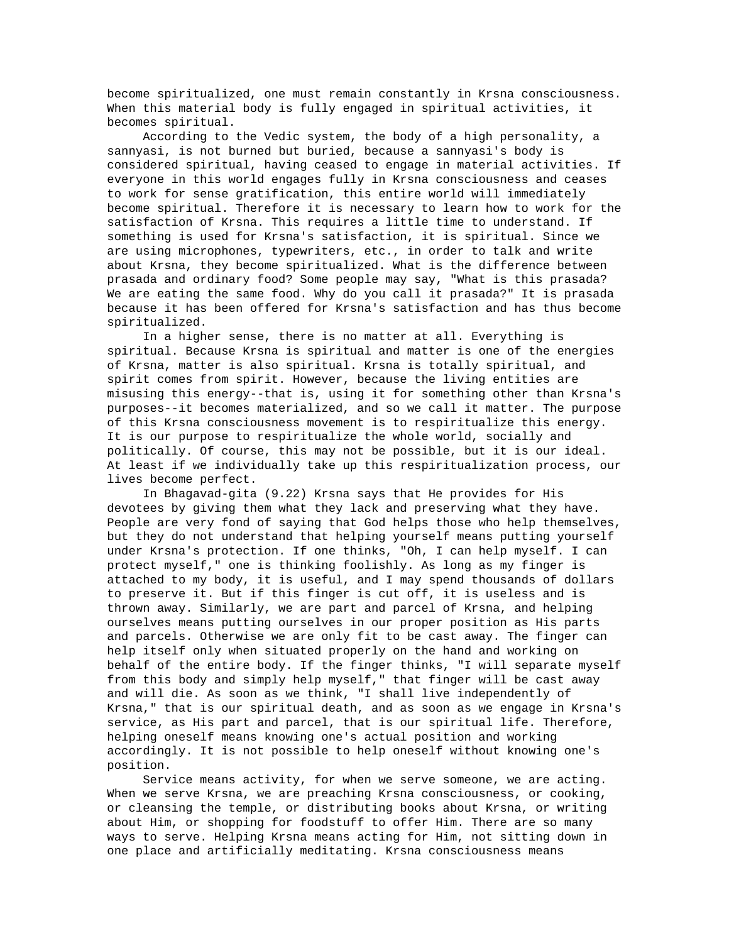become spiritualized, one must remain constantly in Krsna consciousness. When this material body is fully engaged in spiritual activities, it becomes spiritual.

 According to the Vedic system, the body of a high personality, a sannyasi, is not burned but buried, because a sannyasi's body is considered spiritual, having ceased to engage in material activities. If everyone in this world engages fully in Krsna consciousness and ceases to work for sense gratification, this entire world will immediately become spiritual. Therefore it is necessary to learn how to work for the satisfaction of Krsna. This requires a little time to understand. If something is used for Krsna's satisfaction, it is spiritual. Since we are using microphones, typewriters, etc., in order to talk and write about Krsna, they become spiritualized. What is the difference between prasada and ordinary food? Some people may say, "What is this prasada? We are eating the same food. Why do you call it prasada?" It is prasada because it has been offered for Krsna's satisfaction and has thus become spiritualized.

 In a higher sense, there is no matter at all. Everything is spiritual. Because Krsna is spiritual and matter is one of the energies of Krsna, matter is also spiritual. Krsna is totally spiritual, and spirit comes from spirit. However, because the living entities are misusing this energy--that is, using it for something other than Krsna's purposes--it becomes materialized, and so we call it matter. The purpose of this Krsna consciousness movement is to respiritualize this energy. It is our purpose to respiritualize the whole world, socially and politically. Of course, this may not be possible, but it is our ideal. At least if we individually take up this respiritualization process, our lives become perfect.

 In Bhagavad-gita (9.22) Krsna says that He provides for His devotees by giving them what they lack and preserving what they have. People are very fond of saying that God helps those who help themselves, but they do not understand that helping yourself means putting yourself under Krsna's protection. If one thinks, "Oh, I can help myself. I can protect myself," one is thinking foolishly. As long as my finger is attached to my body, it is useful, and I may spend thousands of dollars to preserve it. But if this finger is cut off, it is useless and is thrown away. Similarly, we are part and parcel of Krsna, and helping ourselves means putting ourselves in our proper position as His parts and parcels. Otherwise we are only fit to be cast away. The finger can help itself only when situated properly on the hand and working on behalf of the entire body. If the finger thinks, "I will separate myself from this body and simply help myself," that finger will be cast away and will die. As soon as we think, "I shall live independently of Krsna," that is our spiritual death, and as soon as we engage in Krsna's service, as His part and parcel, that is our spiritual life. Therefore, helping oneself means knowing one's actual position and working accordingly. It is not possible to help oneself without knowing one's position.

 Service means activity, for when we serve someone, we are acting. When we serve Krsna, we are preaching Krsna consciousness, or cooking, or cleansing the temple, or distributing books about Krsna, or writing about Him, or shopping for foodstuff to offer Him. There are so many ways to serve. Helping Krsna means acting for Him, not sitting down in one place and artificially meditating. Krsna consciousness means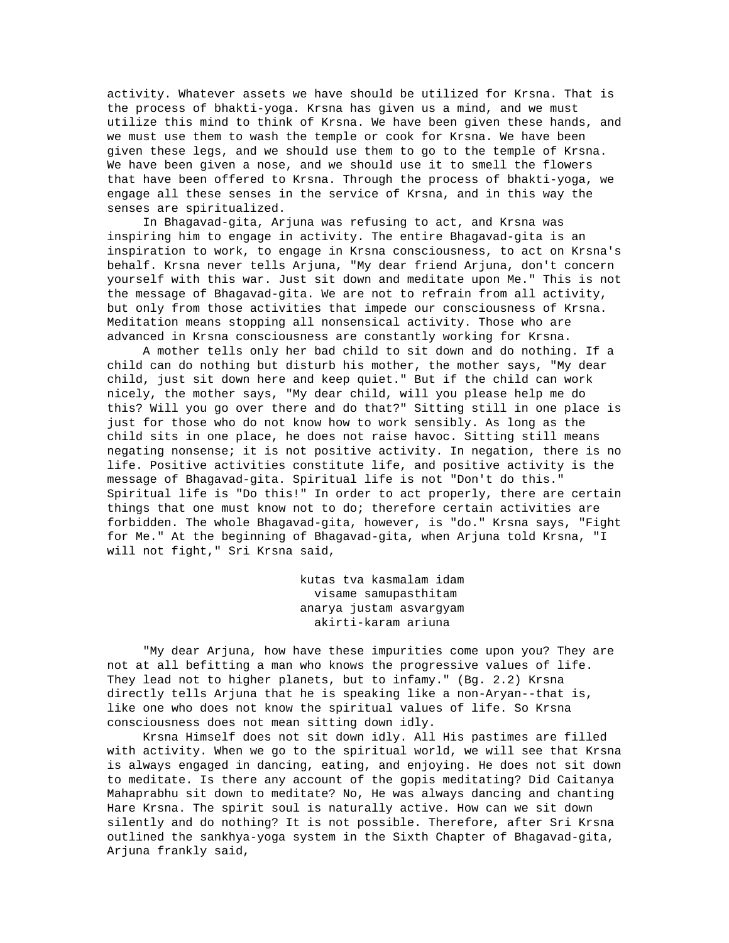activity. Whatever assets we have should be utilized for Krsna. That is the process of bhakti-yoga. Krsna has given us a mind, and we must utilize this mind to think of Krsna. We have been given these hands, and we must use them to wash the temple or cook for Krsna. We have been given these legs, and we should use them to go to the temple of Krsna. We have been given a nose, and we should use it to smell the flowers that have been offered to Krsna. Through the process of bhakti-yoga, we engage all these senses in the service of Krsna, and in this way the senses are spiritualized.

 In Bhagavad-gita, Arjuna was refusing to act, and Krsna was inspiring him to engage in activity. The entire Bhagavad-gita is an inspiration to work, to engage in Krsna consciousness, to act on Krsna's behalf. Krsna never tells Arjuna, "My dear friend Arjuna, don't concern yourself with this war. Just sit down and meditate upon Me." This is not the message of Bhagavad-gita. We are not to refrain from all activity, but only from those activities that impede our consciousness of Krsna. Meditation means stopping all nonsensical activity. Those who are advanced in Krsna consciousness are constantly working for Krsna.

 A mother tells only her bad child to sit down and do nothing. If a child can do nothing but disturb his mother, the mother says, "My dear child, just sit down here and keep quiet." But if the child can work nicely, the mother says, "My dear child, will you please help me do this? Will you go over there and do that?" Sitting still in one place is just for those who do not know how to work sensibly. As long as the child sits in one place, he does not raise havoc. Sitting still means negating nonsense; it is not positive activity. In negation, there is no life. Positive activities constitute life, and positive activity is the message of Bhagavad-gita. Spiritual life is not "Don't do this." Spiritual life is "Do this!" In order to act properly, there are certain things that one must know not to do; therefore certain activities are forbidden. The whole Bhagavad-gita, however, is "do." Krsna says, "Fight for Me." At the beginning of Bhagavad-gita, when Arjuna told Krsna, "I will not fight," Sri Krsna said,

> kutas tva kasmalam idam visame samupasthitam anarya justam asvargyam akirti-karam ariuna

 "My dear Arjuna, how have these impurities come upon you? They are not at all befitting a man who knows the progressive values of life. They lead not to higher planets, but to infamy." (Bg. 2.2) Krsna directly tells Arjuna that he is speaking like a non-Aryan--that is, like one who does not know the spiritual values of life. So Krsna consciousness does not mean sitting down idly.

 Krsna Himself does not sit down idly. All His pastimes are filled with activity. When we go to the spiritual world, we will see that Krsna is always engaged in dancing, eating, and enjoying. He does not sit down to meditate. Is there any account of the gopis meditating? Did Caitanya Mahaprabhu sit down to meditate? No, He was always dancing and chanting Hare Krsna. The spirit soul is naturally active. How can we sit down silently and do nothing? It is not possible. Therefore, after Sri Krsna outlined the sankhya-yoga system in the Sixth Chapter of Bhagavad-gita, Arjuna frankly said,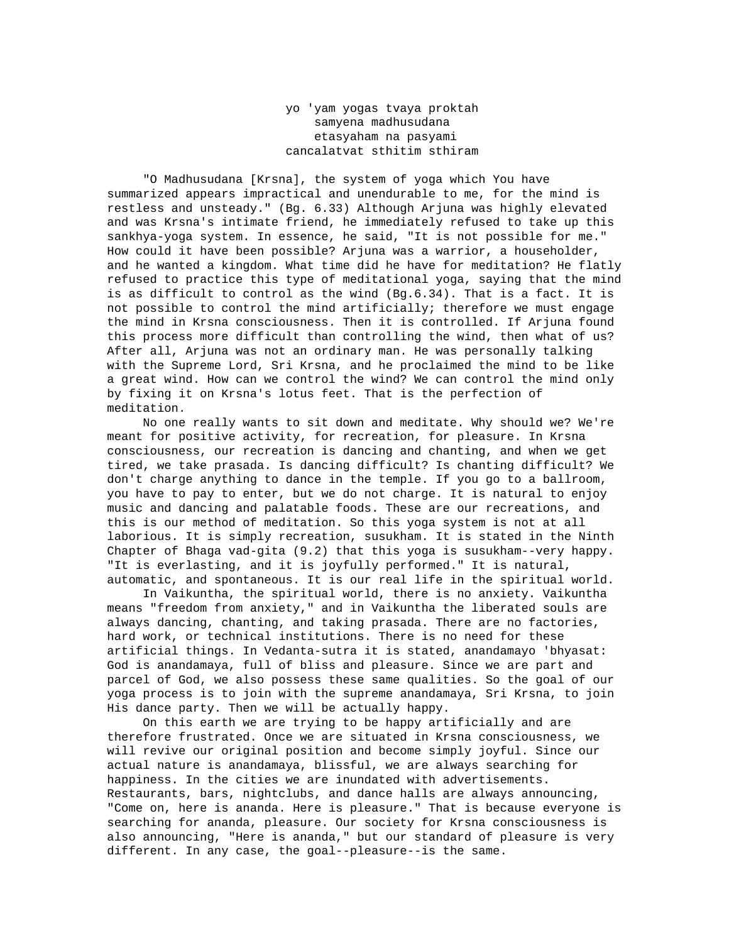yo 'yam yogas tvaya proktah samyena madhusudana etasyaham na pasyami cancalatvat sthitim sthiram

 "O Madhusudana [Krsna], the system of yoga which You have summarized appears impractical and unendurable to me, for the mind is restless and unsteady." (Bg. 6.33) Although Arjuna was highly elevated and was Krsna's intimate friend, he immediately refused to take up this sankhya-yoga system. In essence, he said, "It is not possible for me." How could it have been possible? Arjuna was a warrior, a householder, and he wanted a kingdom. What time did he have for meditation? He flatly refused to practice this type of meditational yoga, saying that the mind is as difficult to control as the wind (Bg.6.34). That is a fact. It is not possible to control the mind artificially; therefore we must engage the mind in Krsna consciousness. Then it is controlled. If Arjuna found this process more difficult than controlling the wind, then what of us? After all, Arjuna was not an ordinary man. He was personally talking with the Supreme Lord, Sri Krsna, and he proclaimed the mind to be like a great wind. How can we control the wind? We can control the mind only by fixing it on Krsna's lotus feet. That is the perfection of meditation.

 No one really wants to sit down and meditate. Why should we? We're meant for positive activity, for recreation, for pleasure. In Krsna consciousness, our recreation is dancing and chanting, and when we get tired, we take prasada. Is dancing difficult? Is chanting difficult? We don't charge anything to dance in the temple. If you go to a ballroom, you have to pay to enter, but we do not charge. It is natural to enjoy music and dancing and palatable foods. These are our recreations, and this is our method of meditation. So this yoga system is not at all laborious. It is simply recreation, susukham. It is stated in the Ninth Chapter of Bhaga vad-gita (9.2) that this yoga is susukham--very happy. "It is everlasting, and it is joyfully performed." It is natural, automatic, and spontaneous. It is our real life in the spiritual world.

 In Vaikuntha, the spiritual world, there is no anxiety. Vaikuntha means "freedom from anxiety," and in Vaikuntha the liberated souls are always dancing, chanting, and taking prasada. There are no factories, hard work, or technical institutions. There is no need for these artificial things. In Vedanta-sutra it is stated, anandamayo 'bhyasat: God is anandamaya, full of bliss and pleasure. Since we are part and parcel of God, we also possess these same qualities. So the goal of our yoga process is to join with the supreme anandamaya, Sri Krsna, to join His dance party. Then we will be actually happy.

 On this earth we are trying to be happy artificially and are therefore frustrated. Once we are situated in Krsna consciousness, we will revive our original position and become simply joyful. Since our actual nature is anandamaya, blissful, we are always searching for happiness. In the cities we are inundated with advertisements. Restaurants, bars, nightclubs, and dance halls are always announcing, "Come on, here is ananda. Here is pleasure." That is because everyone is searching for ananda, pleasure. Our society for Krsna consciousness is also announcing, "Here is ananda," but our standard of pleasure is very different. In any case, the goal--pleasure--is the same.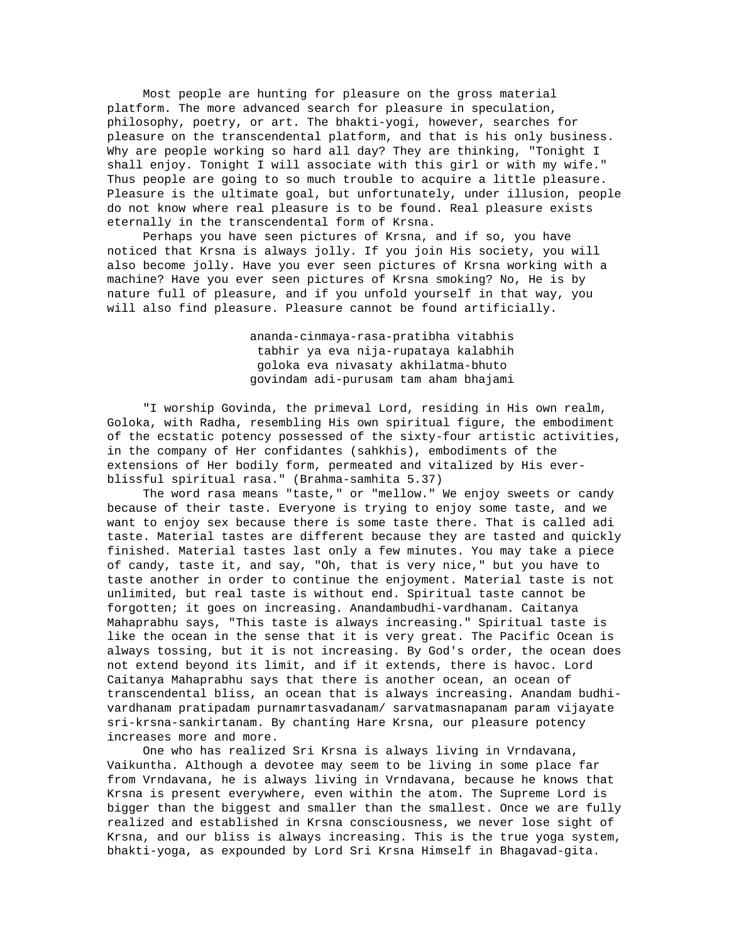Most people are hunting for pleasure on the gross material platform. The more advanced search for pleasure in speculation, philosophy, poetry, or art. The bhakti-yogi, however, searches for pleasure on the transcendental platform, and that is his only business. Why are people working so hard all day? They are thinking, "Tonight I shall enjoy. Tonight I will associate with this girl or with my wife." Thus people are going to so much trouble to acquire a little pleasure. Pleasure is the ultimate goal, but unfortunately, under illusion, people do not know where real pleasure is to be found. Real pleasure exists eternally in the transcendental form of Krsna.

 Perhaps you have seen pictures of Krsna, and if so, you have noticed that Krsna is always jolly. If you join His society, you will also become jolly. Have you ever seen pictures of Krsna working with a machine? Have you ever seen pictures of Krsna smoking? No, He is by nature full of pleasure, and if you unfold yourself in that way, you will also find pleasure. Pleasure cannot be found artificially.

> ananda-cinmaya-rasa-pratibha vitabhis tabhir ya eva nija-rupataya kalabhih goloka eva nivasaty akhilatma-bhuto govindam adi-purusam tam aham bhajami

 "I worship Govinda, the primeval Lord, residing in His own realm, Goloka, with Radha, resembling His own spiritual figure, the embodiment of the ecstatic potency possessed of the sixty-four artistic activities, in the company of Her confidantes (sahkhis), embodiments of the extensions of Her bodily form, permeated and vitalized by His everblissful spiritual rasa." (Brahma-samhita 5.37)

 The word rasa means "taste," or "mellow." We enjoy sweets or candy because of their taste. Everyone is trying to enjoy some taste, and we want to enjoy sex because there is some taste there. That is called adi taste. Material tastes are different because they are tasted and quickly finished. Material tastes last only a few minutes. You may take a piece of candy, taste it, and say, "Oh, that is very nice," but you have to taste another in order to continue the enjoyment. Material taste is not unlimited, but real taste is without end. Spiritual taste cannot be forgotten; it goes on increasing. Anandambudhi-vardhanam. Caitanya Mahaprabhu says, "This taste is always increasing." Spiritual taste is like the ocean in the sense that it is very great. The Pacific Ocean is always tossing, but it is not increasing. By God's order, the ocean does not extend beyond its limit, and if it extends, there is havoc. Lord Caitanya Mahaprabhu says that there is another ocean, an ocean of transcendental bliss, an ocean that is always increasing. Anandam budhivardhanam pratipadam purnamrtasvadanam/ sarvatmasnapanam param vijayate sri-krsna-sankirtanam. By chanting Hare Krsna, our pleasure potency increases more and more.

 One who has realized Sri Krsna is always living in Vrndavana, Vaikuntha. Although a devotee may seem to be living in some place far from Vrndavana, he is always living in Vrndavana, because he knows that Krsna is present everywhere, even within the atom. The Supreme Lord is bigger than the biggest and smaller than the smallest. Once we are fully realized and established in Krsna consciousness, we never lose sight of Krsna, and our bliss is always increasing. This is the true yoga system, bhakti-yoga, as expounded by Lord Sri Krsna Himself in Bhagavad-gita.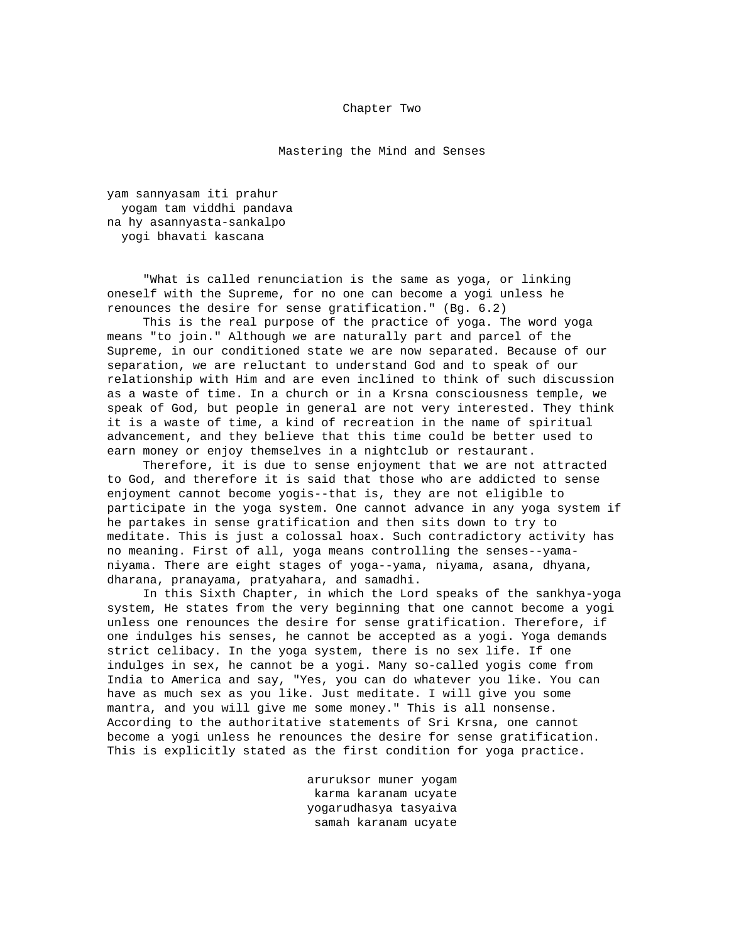Chapter Two

Mastering the Mind and Senses

yam sannyasam iti prahur yogam tam viddhi pandava na hy asannyasta-sankalpo yogi bhavati kascana

 "What is called renunciation is the same as yoga, or linking oneself with the Supreme, for no one can become a yogi unless he renounces the desire for sense gratification." (Bg. 6.2)

 This is the real purpose of the practice of yoga. The word yoga means "to join." Although we are naturally part and parcel of the Supreme, in our conditioned state we are now separated. Because of our separation, we are reluctant to understand God and to speak of our relationship with Him and are even inclined to think of such discussion as a waste of time. In a church or in a Krsna consciousness temple, we speak of God, but people in general are not very interested. They think it is a waste of time, a kind of recreation in the name of spiritual advancement, and they believe that this time could be better used to earn money or enjoy themselves in a nightclub or restaurant.

 Therefore, it is due to sense enjoyment that we are not attracted to God, and therefore it is said that those who are addicted to sense enjoyment cannot become yogis--that is, they are not eligible to participate in the yoga system. One cannot advance in any yoga system if he partakes in sense gratification and then sits down to try to meditate. This is just a colossal hoax. Such contradictory activity has no meaning. First of all, yoga means controlling the senses--yamaniyama. There are eight stages of yoga--yama, niyama, asana, dhyana, dharana, pranayama, pratyahara, and samadhi.

 In this Sixth Chapter, in which the Lord speaks of the sankhya-yoga system, He states from the very beginning that one cannot become a yogi unless one renounces the desire for sense gratification. Therefore, if one indulges his senses, he cannot be accepted as a yogi. Yoga demands strict celibacy. In the yoga system, there is no sex life. If one indulges in sex, he cannot be a yogi. Many so-called yogis come from India to America and say, "Yes, you can do whatever you like. You can have as much sex as you like. Just meditate. I will give you some mantra, and you will give me some money." This is all nonsense. According to the authoritative statements of Sri Krsna, one cannot become a yogi unless he renounces the desire for sense gratification. This is explicitly stated as the first condition for yoga practice.

> aruruksor muner yogam karma karanam ucyate yogarudhasya tasyaiva samah karanam ucyate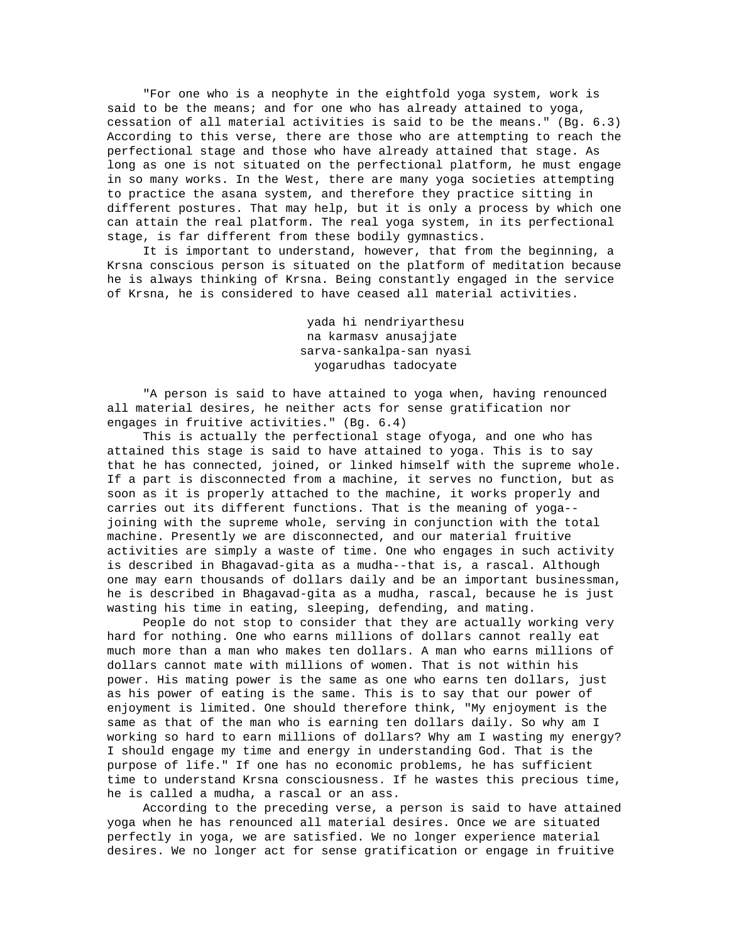"For one who is a neophyte in the eightfold yoga system, work is said to be the means; and for one who has already attained to yoga, cessation of all material activities is said to be the means." (Bg. 6.3) According to this verse, there are those who are attempting to reach the perfectional stage and those who have already attained that stage. As long as one is not situated on the perfectional platform, he must engage in so many works. In the West, there are many yoga societies attempting to practice the asana system, and therefore they practice sitting in different postures. That may help, but it is only a process by which one can attain the real platform. The real yoga system, in its perfectional stage, is far different from these bodily gymnastics.

 It is important to understand, however, that from the beginning, a Krsna conscious person is situated on the platform of meditation because he is always thinking of Krsna. Being constantly engaged in the service of Krsna, he is considered to have ceased all material activities.

> yada hi nendriyarthesu na karmasv anusajjate sarva-sankalpa-san nyasi yogarudhas tadocyate

 "A person is said to have attained to yoga when, having renounced all material desires, he neither acts for sense gratification nor engages in fruitive activities." (Bg. 6.4)

 This is actually the perfectional stage ofyoga, and one who has attained this stage is said to have attained to yoga. This is to say that he has connected, joined, or linked himself with the supreme whole. If a part is disconnected from a machine, it serves no function, but as soon as it is properly attached to the machine, it works properly and carries out its different functions. That is the meaning of yoga- joining with the supreme whole, serving in conjunction with the total machine. Presently we are disconnected, and our material fruitive activities are simply a waste of time. One who engages in such activity is described in Bhagavad-gita as a mudha--that is, a rascal. Although one may earn thousands of dollars daily and be an important businessman, he is described in Bhagavad-gita as a mudha, rascal, because he is just wasting his time in eating, sleeping, defending, and mating.

 People do not stop to consider that they are actually working very hard for nothing. One who earns millions of dollars cannot really eat much more than a man who makes ten dollars. A man who earns millions of dollars cannot mate with millions of women. That is not within his power. His mating power is the same as one who earns ten dollars, just as his power of eating is the same. This is to say that our power of enjoyment is limited. One should therefore think, "My enjoyment is the same as that of the man who is earning ten dollars daily. So why am I working so hard to earn millions of dollars? Why am I wasting my energy? I should engage my time and energy in understanding God. That is the purpose of life." If one has no economic problems, he has sufficient time to understand Krsna consciousness. If he wastes this precious time, he is called a mudha, a rascal or an ass.

 According to the preceding verse, a person is said to have attained yoga when he has renounced all material desires. Once we are situated perfectly in yoga, we are satisfied. We no longer experience material desires. We no longer act for sense gratification or engage in fruitive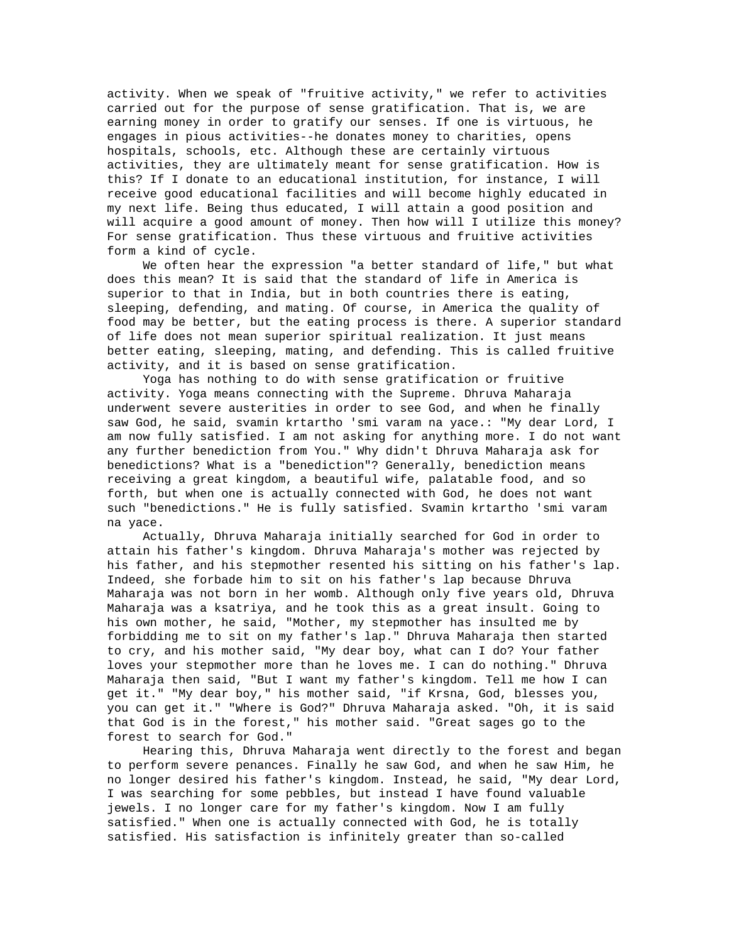activity. When we speak of "fruitive activity," we refer to activities carried out for the purpose of sense gratification. That is, we are earning money in order to gratify our senses. If one is virtuous, he engages in pious activities--he donates money to charities, opens hospitals, schools, etc. Although these are certainly virtuous activities, they are ultimately meant for sense gratification. How is this? If I donate to an educational institution, for instance, I will receive good educational facilities and will become highly educated in my next life. Being thus educated, I will attain a good position and will acquire a good amount of money. Then how will I utilize this money? For sense gratification. Thus these virtuous and fruitive activities form a kind of cycle.

 We often hear the expression "a better standard of life," but what does this mean? It is said that the standard of life in America is superior to that in India, but in both countries there is eating, sleeping, defending, and mating. Of course, in America the quality of food may be better, but the eating process is there. A superior standard of life does not mean superior spiritual realization. It just means better eating, sleeping, mating, and defending. This is called fruitive activity, and it is based on sense gratification.

 Yoga has nothing to do with sense gratification or fruitive activity. Yoga means connecting with the Supreme. Dhruva Maharaja underwent severe austerities in order to see God, and when he finally saw God, he said, svamin krtartho 'smi varam na yace.: "My dear Lord, I am now fully satisfied. I am not asking for anything more. I do not want any further benediction from You." Why didn't Dhruva Maharaja ask for benedictions? What is a "benediction"? Generally, benediction means receiving a great kingdom, a beautiful wife, palatable food, and so forth, but when one is actually connected with God, he does not want such "benedictions." He is fully satisfied. Svamin krtartho 'smi varam na yace.

 Actually, Dhruva Maharaja initially searched for God in order to attain his father's kingdom. Dhruva Maharaja's mother was rejected by his father, and his stepmother resented his sitting on his father's lap. Indeed, she forbade him to sit on his father's lap because Dhruva Maharaja was not born in her womb. Although only five years old, Dhruva Maharaja was a ksatriya, and he took this as a great insult. Going to his own mother, he said, "Mother, my stepmother has insulted me by forbidding me to sit on my father's lap." Dhruva Maharaja then started to cry, and his mother said, "My dear boy, what can I do? Your father loves your stepmother more than he loves me. I can do nothing." Dhruva Maharaja then said, "But I want my father's kingdom. Tell me how I can get it." "My dear boy," his mother said, "if Krsna, God, blesses you, you can get it." "Where is God?" Dhruva Maharaja asked. "Oh, it is said that God is in the forest," his mother said. "Great sages go to the forest to search for God."

 Hearing this, Dhruva Maharaja went directly to the forest and began to perform severe penances. Finally he saw God, and when he saw Him, he no longer desired his father's kingdom. Instead, he said, "My dear Lord, I was searching for some pebbles, but instead I have found valuable jewels. I no longer care for my father's kingdom. Now I am fully satisfied." When one is actually connected with God, he is totally satisfied. His satisfaction is infinitely greater than so-called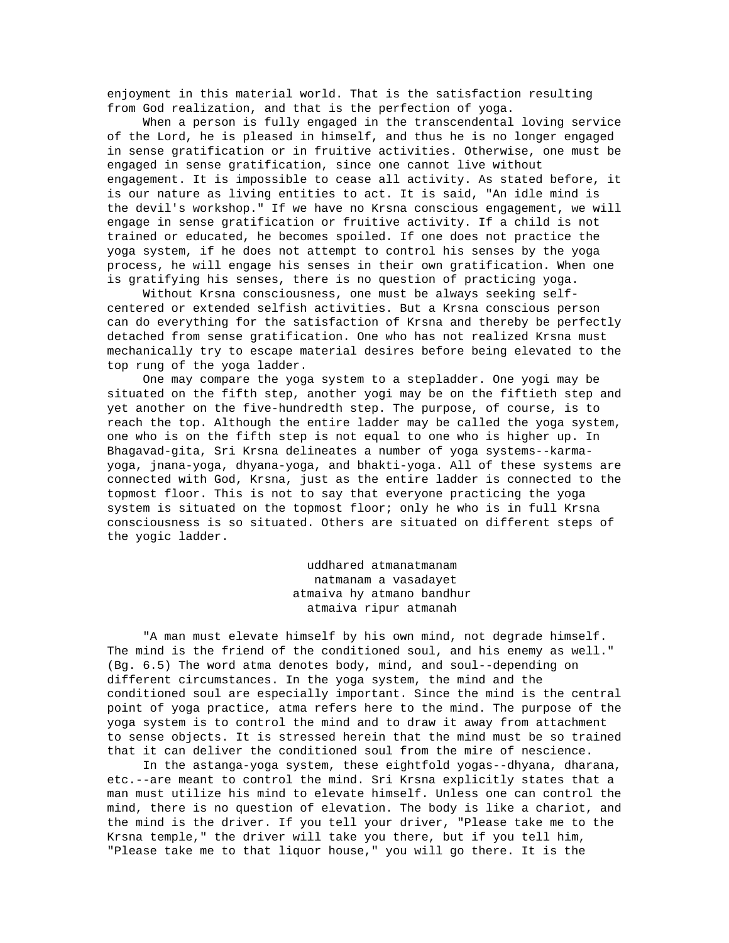enjoyment in this material world. That is the satisfaction resulting from God realization, and that is the perfection of yoga.

 When a person is fully engaged in the transcendental loving service of the Lord, he is pleased in himself, and thus he is no longer engaged in sense gratification or in fruitive activities. Otherwise, one must be engaged in sense gratification, since one cannot live without engagement. It is impossible to cease all activity. As stated before, it is our nature as living entities to act. It is said, "An idle mind is the devil's workshop." If we have no Krsna conscious engagement, we will engage in sense gratification or fruitive activity. If a child is not trained or educated, he becomes spoiled. If one does not practice the yoga system, if he does not attempt to control his senses by the yoga process, he will engage his senses in their own gratification. When one is gratifying his senses, there is no question of practicing yoga.

 Without Krsna consciousness, one must be always seeking selfcentered or extended selfish activities. But a Krsna conscious person can do everything for the satisfaction of Krsna and thereby be perfectly detached from sense gratification. One who has not realized Krsna must mechanically try to escape material desires before being elevated to the top rung of the yoga ladder.

 One may compare the yoga system to a stepladder. One yogi may be situated on the fifth step, another yogi may be on the fiftieth step and yet another on the five-hundredth step. The purpose, of course, is to reach the top. Although the entire ladder may be called the yoga system, one who is on the fifth step is not equal to one who is higher up. In Bhagavad-gita, Sri Krsna delineates a number of yoga systems--karmayoga, jnana-yoga, dhyana-yoga, and bhakti-yoga. All of these systems are connected with God, Krsna, just as the entire ladder is connected to the topmost floor. This is not to say that everyone practicing the yoga system is situated on the topmost floor; only he who is in full Krsna consciousness is so situated. Others are situated on different steps of the yogic ladder.

> uddhared atmanatmanam natmanam a vasadayet atmaiva hy atmano bandhur atmaiva ripur atmanah

 "A man must elevate himself by his own mind, not degrade himself. The mind is the friend of the conditioned soul, and his enemy as well." (Bg. 6.5) The word atma denotes body, mind, and soul--depending on different circumstances. In the yoga system, the mind and the conditioned soul are especially important. Since the mind is the central point of yoga practice, atma refers here to the mind. The purpose of the yoga system is to control the mind and to draw it away from attachment to sense objects. It is stressed herein that the mind must be so trained that it can deliver the conditioned soul from the mire of nescience.

 In the astanga-yoga system, these eightfold yogas--dhyana, dharana, etc.--are meant to control the mind. Sri Krsna explicitly states that a man must utilize his mind to elevate himself. Unless one can control the mind, there is no question of elevation. The body is like a chariot, and the mind is the driver. If you tell your driver, "Please take me to the Krsna temple," the driver will take you there, but if you tell him, "Please take me to that liquor house," you will go there. It is the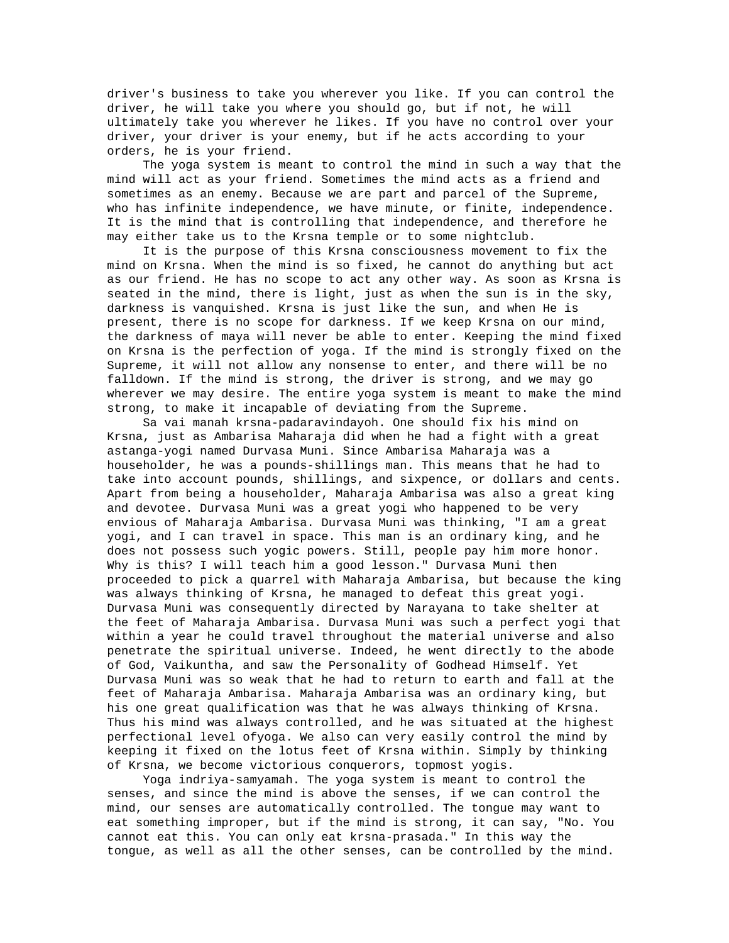driver's business to take you wherever you like. If you can control the driver, he will take you where you should go, but if not, he will ultimately take you wherever he likes. If you have no control over your driver, your driver is your enemy, but if he acts according to your orders, he is your friend.

 The yoga system is meant to control the mind in such a way that the mind will act as your friend. Sometimes the mind acts as a friend and sometimes as an enemy. Because we are part and parcel of the Supreme, who has infinite independence, we have minute, or finite, independence. It is the mind that is controlling that independence, and therefore he may either take us to the Krsna temple or to some nightclub.

 It is the purpose of this Krsna consciousness movement to fix the mind on Krsna. When the mind is so fixed, he cannot do anything but act as our friend. He has no scope to act any other way. As soon as Krsna is seated in the mind, there is light, just as when the sun is in the sky, darkness is vanquished. Krsna is just like the sun, and when He is present, there is no scope for darkness. If we keep Krsna on our mind, the darkness of maya will never be able to enter. Keeping the mind fixed on Krsna is the perfection of yoga. If the mind is strongly fixed on the Supreme, it will not allow any nonsense to enter, and there will be no falldown. If the mind is strong, the driver is strong, and we may go wherever we may desire. The entire yoga system is meant to make the mind strong, to make it incapable of deviating from the Supreme.

 Sa vai manah krsna-padaravindayoh. One should fix his mind on Krsna, just as Ambarisa Maharaja did when he had a fight with a great astanga-yogi named Durvasa Muni. Since Ambarisa Maharaja was a householder, he was a pounds-shillings man. This means that he had to take into account pounds, shillings, and sixpence, or dollars and cents. Apart from being a householder, Maharaja Ambarisa was also a great king and devotee. Durvasa Muni was a great yogi who happened to be very envious of Maharaja Ambarisa. Durvasa Muni was thinking, "I am a great yogi, and I can travel in space. This man is an ordinary king, and he does not possess such yogic powers. Still, people pay him more honor. Why is this? I will teach him a good lesson." Durvasa Muni then proceeded to pick a quarrel with Maharaja Ambarisa, but because the king was always thinking of Krsna, he managed to defeat this great yogi. Durvasa Muni was consequently directed by Narayana to take shelter at the feet of Maharaja Ambarisa. Durvasa Muni was such a perfect yogi that within a year he could travel throughout the material universe and also penetrate the spiritual universe. Indeed, he went directly to the abode of God, Vaikuntha, and saw the Personality of Godhead Himself. Yet Durvasa Muni was so weak that he had to return to earth and fall at the feet of Maharaja Ambarisa. Maharaja Ambarisa was an ordinary king, but his one great qualification was that he was always thinking of Krsna. Thus his mind was always controlled, and he was situated at the highest perfectional level ofyoga. We also can very easily control the mind by keeping it fixed on the lotus feet of Krsna within. Simply by thinking of Krsna, we become victorious conquerors, topmost yogis.

 Yoga indriya-samyamah. The yoga system is meant to control the senses, and since the mind is above the senses, if we can control the mind, our senses are automatically controlled. The tongue may want to eat something improper, but if the mind is strong, it can say, "No. You cannot eat this. You can only eat krsna-prasada." In this way the tongue, as well as all the other senses, can be controlled by the mind.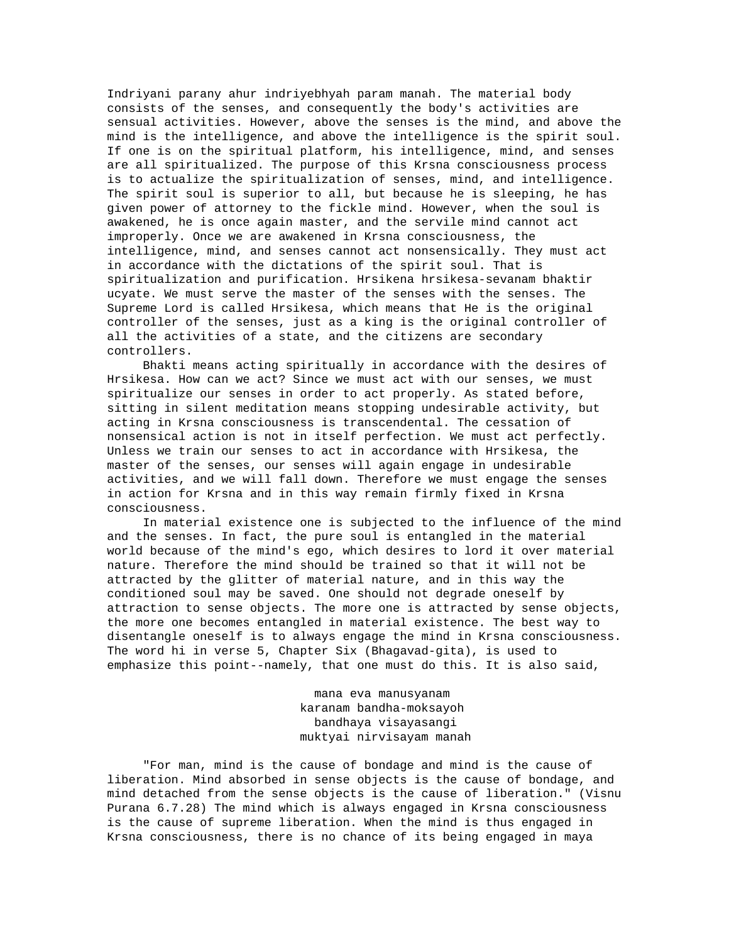Indriyani parany ahur indriyebhyah param manah. The material body consists of the senses, and consequently the body's activities are sensual activities. However, above the senses is the mind, and above the mind is the intelligence, and above the intelligence is the spirit soul. If one is on the spiritual platform, his intelligence, mind, and senses are all spiritualized. The purpose of this Krsna consciousness process is to actualize the spiritualization of senses, mind, and intelligence. The spirit soul is superior to all, but because he is sleeping, he has given power of attorney to the fickle mind. However, when the soul is awakened, he is once again master, and the servile mind cannot act improperly. Once we are awakened in Krsna consciousness, the intelligence, mind, and senses cannot act nonsensically. They must act in accordance with the dictations of the spirit soul. That is spiritualization and purification. Hrsikena hrsikesa-sevanam bhaktir ucyate. We must serve the master of the senses with the senses. The Supreme Lord is called Hrsikesa, which means that He is the original controller of the senses, just as a king is the original controller of all the activities of a state, and the citizens are secondary controllers.

 Bhakti means acting spiritually in accordance with the desires of Hrsikesa. How can we act? Since we must act with our senses, we must spiritualize our senses in order to act properly. As stated before, sitting in silent meditation means stopping undesirable activity, but acting in Krsna consciousness is transcendental. The cessation of nonsensical action is not in itself perfection. We must act perfectly. Unless we train our senses to act in accordance with Hrsikesa, the master of the senses, our senses will again engage in undesirable activities, and we will fall down. Therefore we must engage the senses in action for Krsna and in this way remain firmly fixed in Krsna consciousness.

 In material existence one is subjected to the influence of the mind and the senses. In fact, the pure soul is entangled in the material world because of the mind's ego, which desires to lord it over material nature. Therefore the mind should be trained so that it will not be attracted by the glitter of material nature, and in this way the conditioned soul may be saved. One should not degrade oneself by attraction to sense objects. The more one is attracted by sense objects, the more one becomes entangled in material existence. The best way to disentangle oneself is to always engage the mind in Krsna consciousness. The word hi in verse 5, Chapter Six (Bhagavad-gita), is used to emphasize this point--namely, that one must do this. It is also said,

> mana eva manusyanam karanam bandha-moksayoh bandhaya visayasangi muktyai nirvisayam manah

 "For man, mind is the cause of bondage and mind is the cause of liberation. Mind absorbed in sense objects is the cause of bondage, and mind detached from the sense objects is the cause of liberation." (Visnu Purana 6.7.28) The mind which is always engaged in Krsna consciousness is the cause of supreme liberation. When the mind is thus engaged in Krsna consciousness, there is no chance of its being engaged in maya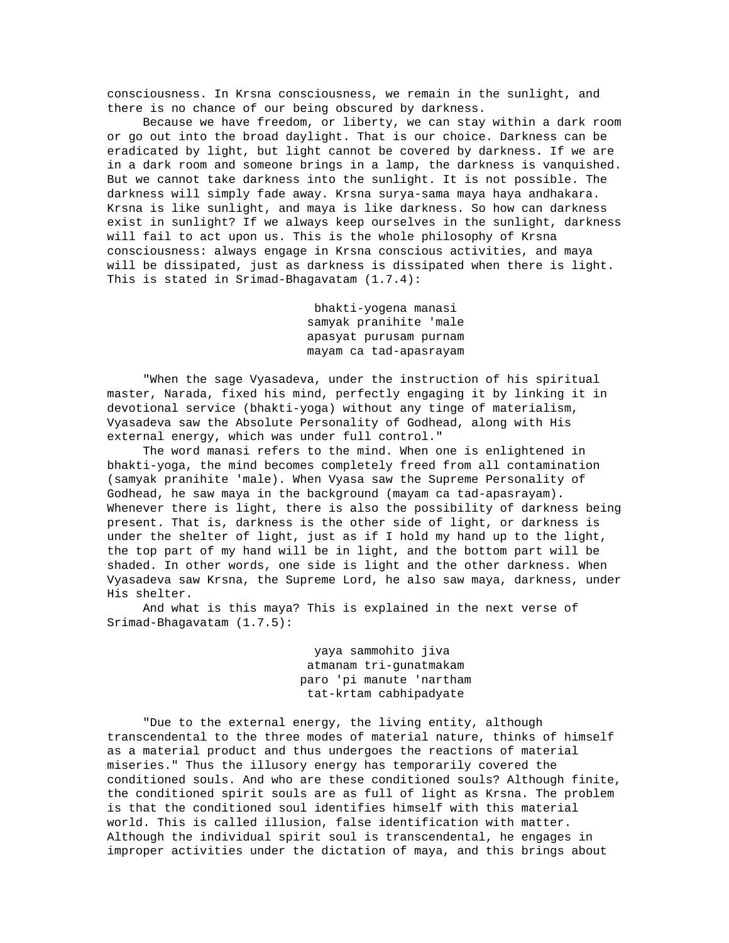consciousness. In Krsna consciousness, we remain in the sunlight, and there is no chance of our being obscured by darkness.

 Because we have freedom, or liberty, we can stay within a dark room or go out into the broad daylight. That is our choice. Darkness can be eradicated by light, but light cannot be covered by darkness. If we are in a dark room and someone brings in a lamp, the darkness is vanquished. But we cannot take darkness into the sunlight. It is not possible. The darkness will simply fade away. Krsna surya-sama maya haya andhakara. Krsna is like sunlight, and maya is like darkness. So how can darkness exist in sunlight? If we always keep ourselves in the sunlight, darkness will fail to act upon us. This is the whole philosophy of Krsna consciousness: always engage in Krsna conscious activities, and maya will be dissipated, just as darkness is dissipated when there is light. This is stated in Srimad-Bhagavatam (1.7.4):

> bhakti-yogena manasi samyak pranihite 'male apasyat purusam purnam mayam ca tad-apasrayam

 "When the sage Vyasadeva, under the instruction of his spiritual master, Narada, fixed his mind, perfectly engaging it by linking it in devotional service (bhakti-yoga) without any tinge of materialism, Vyasadeva saw the Absolute Personality of Godhead, along with His external energy, which was under full control."

 The word manasi refers to the mind. When one is enlightened in bhakti-yoga, the mind becomes completely freed from all contamination (samyak pranihite 'male). When Vyasa saw the Supreme Personality of Godhead, he saw maya in the background (mayam ca tad-apasrayam). Whenever there is light, there is also the possibility of darkness being present. That is, darkness is the other side of light, or darkness is under the shelter of light, just as if I hold my hand up to the light, the top part of my hand will be in light, and the bottom part will be shaded. In other words, one side is light and the other darkness. When Vyasadeva saw Krsna, the Supreme Lord, he also saw maya, darkness, under His shelter.

 And what is this maya? This is explained in the next verse of Srimad-Bhagavatam (1.7.5):

> yaya sammohito jiva atmanam tri-gunatmakam paro 'pi manute 'nartham tat-krtam cabhipadyate

 "Due to the external energy, the living entity, although transcendental to the three modes of material nature, thinks of himself as a material product and thus undergoes the reactions of material miseries." Thus the illusory energy has temporarily covered the conditioned souls. And who are these conditioned souls? Although finite, the conditioned spirit souls are as full of light as Krsna. The problem is that the conditioned soul identifies himself with this material world. This is called illusion, false identification with matter. Although the individual spirit soul is transcendental, he engages in improper activities under the dictation of maya, and this brings about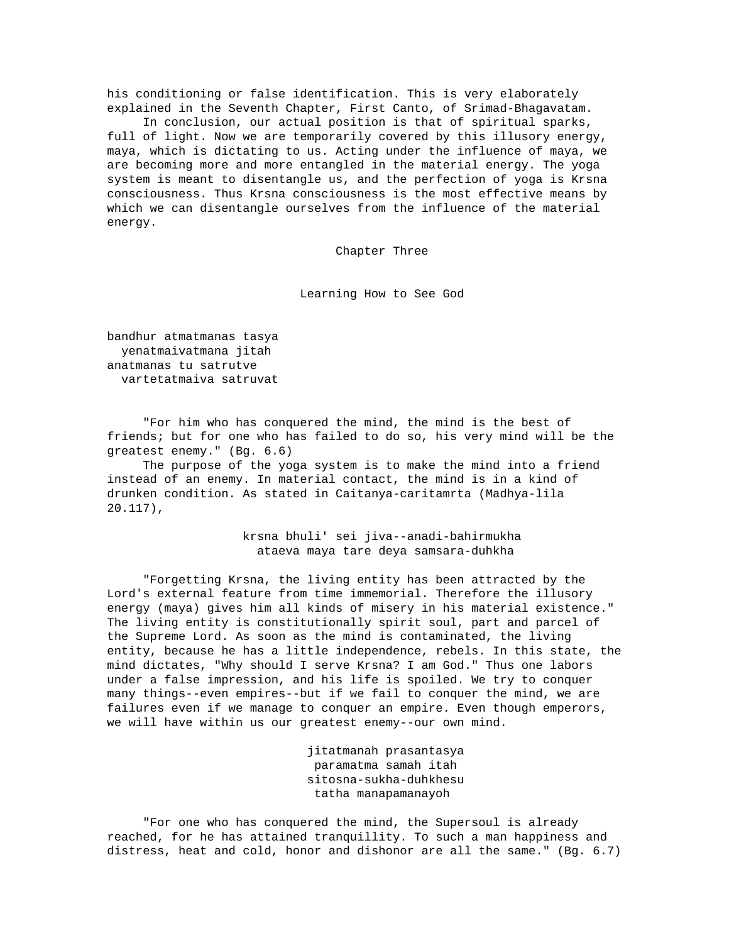his conditioning or false identification. This is very elaborately explained in the Seventh Chapter, First Canto, of Srimad-Bhagavatam.

 In conclusion, our actual position is that of spiritual sparks, full of light. Now we are temporarily covered by this illusory energy, maya, which is dictating to us. Acting under the influence of maya, we are becoming more and more entangled in the material energy. The yoga system is meant to disentangle us, and the perfection of yoga is Krsna consciousness. Thus Krsna consciousness is the most effective means by which we can disentangle ourselves from the influence of the material energy.

Chapter Three

Learning How to See God

bandhur atmatmanas tasya yenatmaivatmana jitah anatmanas tu satrutve vartetatmaiva satruvat

 "For him who has conquered the mind, the mind is the best of friends; but for one who has failed to do so, his very mind will be the greatest enemy." (Bg. 6.6)

 The purpose of the yoga system is to make the mind into a friend instead of an enemy. In material contact, the mind is in a kind of drunken condition. As stated in Caitanya-caritamrta (Madhya-lila 20.117),

> krsna bhuli' sei jiva--anadi-bahirmukha ataeva maya tare deya samsara-duhkha

 "Forgetting Krsna, the living entity has been attracted by the Lord's external feature from time immemorial. Therefore the illusory energy (maya) gives him all kinds of misery in his material existence." The living entity is constitutionally spirit soul, part and parcel of the Supreme Lord. As soon as the mind is contaminated, the living entity, because he has a little independence, rebels. In this state, the mind dictates, "Why should I serve Krsna? I am God." Thus one labors under a false impression, and his life is spoiled. We try to conquer many things--even empires--but if we fail to conquer the mind, we are failures even if we manage to conquer an empire. Even though emperors, we will have within us our greatest enemy--our own mind.

> jitatmanah prasantasya paramatma samah itah sitosna-sukha-duhkhesu tatha manapamanayoh

 "For one who has conquered the mind, the Supersoul is already reached, for he has attained tranquillity. To such a man happiness and distress, heat and cold, honor and dishonor are all the same." (Bg. 6.7)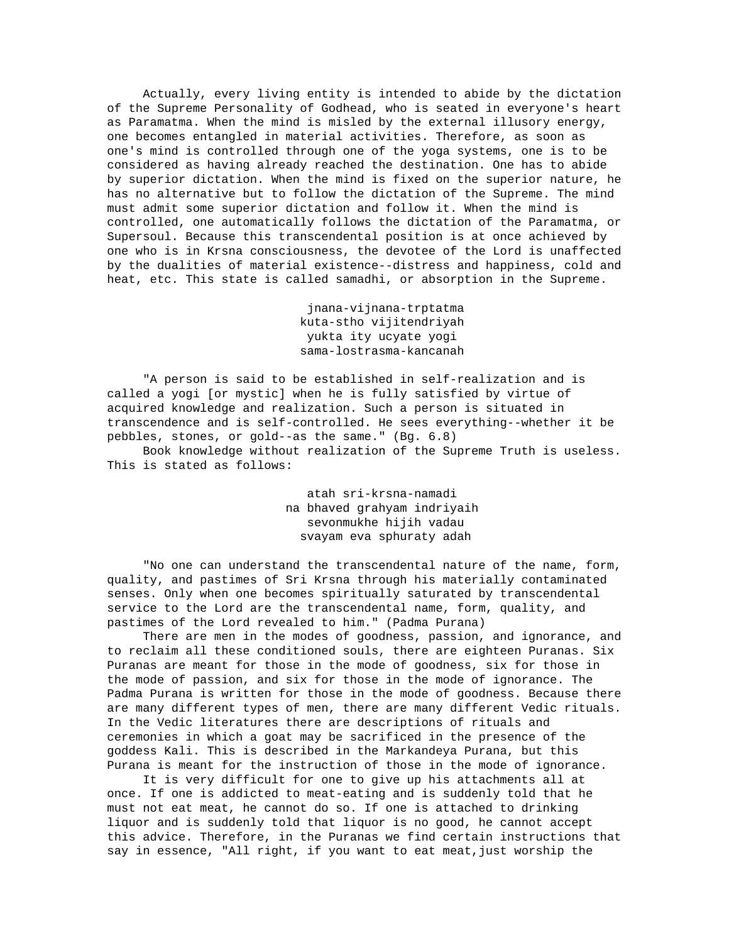Actually, every living entity is intended to abide by the dictation of the Supreme Personality of Godhead, who is seated in everyone's heart as Paramatma. When the mind is misled by the external illusory energy, one becomes entangled in material activities. Therefore, as soon as one's mind is controlled through one of the yoga systems, one is to be considered as having already reached the destination. One has to abide by superior dictation. When the mind is fixed on the superior nature, he has no alternative but to follow the dictation of the Supreme. The mind must admit some superior dictation and follow it. When the mind is controlled, one automatically follows the dictation of the Paramatma, or Supersoul. Because this transcendental position is at once achieved by one who is in Krsna consciousness, the devotee of the Lord is unaffected by the dualities of material existence--distress and happiness, cold and heat, etc. This state is called samadhi, or absorption in the Supreme.

> jnana-vijnana-trptatma kuta-stho vijitendriyah yukta ity ucyate yogi sama-lostrasma-kancanah

 "A person is said to be established in self-realization and is called a yogi [or mystic] when he is fully satisfied by virtue of acquired knowledge and realization. Such a person is situated in transcendence and is self-controlled. He sees everything--whether it be pebbles, stones, or gold--as the same." (Bg. 6.8)

 Book knowledge without realization of the Supreme Truth is useless. This is stated as follows:

> atah sri-krsna-namadi na bhaved grahyam indriyaih sevonmukhe hijih vadau svayam eva sphuraty adah

 "No one can understand the transcendental nature of the name, form, quality, and pastimes of Sri Krsna through his materially contaminated senses. Only when one becomes spiritually saturated by transcendental service to the Lord are the transcendental name, form, quality, and pastimes of the Lord revealed to him." (Padma Purana)

 There are men in the modes of goodness, passion, and ignorance, and to reclaim all these conditioned souls, there are eighteen Puranas. Six Puranas are meant for those in the mode of goodness, six for those in the mode of passion, and six for those in the mode of ignorance. The Padma Purana is written for those in the mode of goodness. Because there are many different types of men, there are many different Vedic rituals. In the Vedic literatures there are descriptions of rituals and ceremonies in which a goat may be sacrificed in the presence of the goddess Kali. This is described in the Markandeya Purana, but this Purana is meant for the instruction of those in the mode of ignorance.

 It is very difficult for one to give up his attachments all at once. If one is addicted to meat-eating and is suddenly told that he must not eat meat, he cannot do so. If one is attached to drinking liquor and is suddenly told that liquor is no good, he cannot accept this advice. Therefore, in the Puranas we find certain instructions that say in essence, "All right, if you want to eat meat,just worship the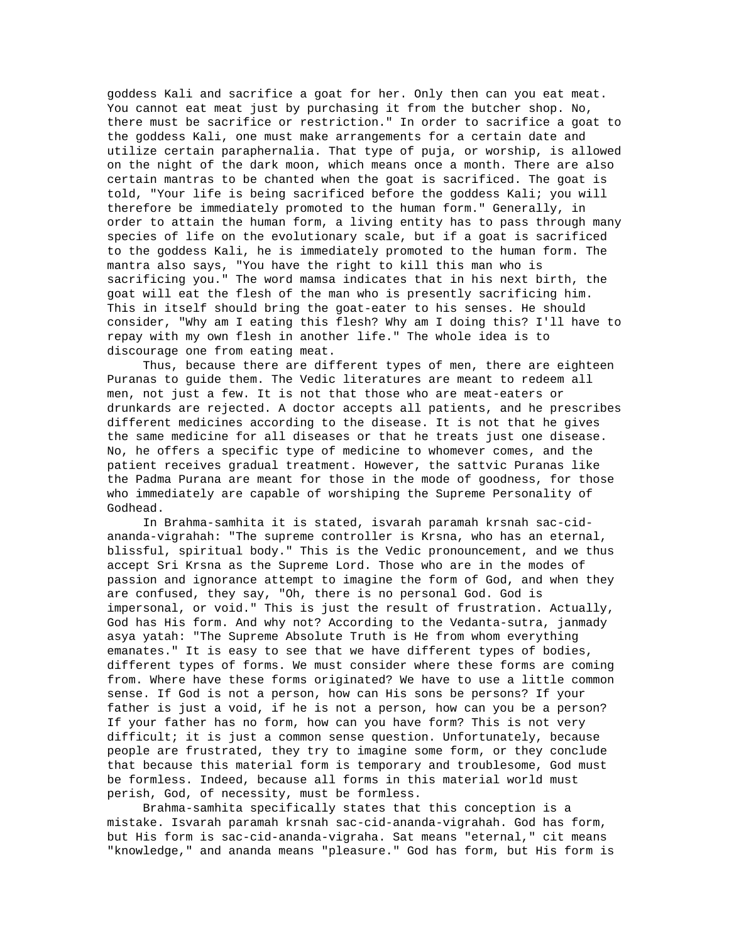goddess Kali and sacrifice a goat for her. Only then can you eat meat. You cannot eat meat just by purchasing it from the butcher shop. No, there must be sacrifice or restriction." In order to sacrifice a goat to the goddess Kali, one must make arrangements for a certain date and utilize certain paraphernalia. That type of puja, or worship, is allowed on the night of the dark moon, which means once a month. There are also certain mantras to be chanted when the goat is sacrificed. The goat is told, "Your life is being sacrificed before the goddess Kali; you will therefore be immediately promoted to the human form." Generally, in order to attain the human form, a living entity has to pass through many species of life on the evolutionary scale, but if a goat is sacrificed to the goddess Kali, he is immediately promoted to the human form. The mantra also says, "You have the right to kill this man who is sacrificing you." The word mamsa indicates that in his next birth, the goat will eat the flesh of the man who is presently sacrificing him. This in itself should bring the goat-eater to his senses. He should consider, "Why am I eating this flesh? Why am I doing this? I'll have to repay with my own flesh in another life." The whole idea is to discourage one from eating meat.

 Thus, because there are different types of men, there are eighteen Puranas to guide them. The Vedic literatures are meant to redeem all men, not just a few. It is not that those who are meat-eaters or drunkards are rejected. A doctor accepts all patients, and he prescribes different medicines according to the disease. It is not that he gives the same medicine for all diseases or that he treats just one disease. No, he offers a specific type of medicine to whomever comes, and the patient receives gradual treatment. However, the sattvic Puranas like the Padma Purana are meant for those in the mode of goodness, for those who immediately are capable of worshiping the Supreme Personality of Godhead.

 In Brahma-samhita it is stated, isvarah paramah krsnah sac-cidananda-vigrahah: "The supreme controller is Krsna, who has an eternal, blissful, spiritual body." This is the Vedic pronouncement, and we thus accept Sri Krsna as the Supreme Lord. Those who are in the modes of passion and ignorance attempt to imagine the form of God, and when they are confused, they say, "Oh, there is no personal God. God is impersonal, or void." This is just the result of frustration. Actually, God has His form. And why not? According to the Vedanta-sutra, janmady asya yatah: "The Supreme Absolute Truth is He from whom everything emanates." It is easy to see that we have different types of bodies, different types of forms. We must consider where these forms are coming from. Where have these forms originated? We have to use a little common sense. If God is not a person, how can His sons be persons? If your father is just a void, if he is not a person, how can you be a person? If your father has no form, how can you have form? This is not very difficult; it is just a common sense question. Unfortunately, because people are frustrated, they try to imagine some form, or they conclude that because this material form is temporary and troublesome, God must be formless. Indeed, because all forms in this material world must perish, God, of necessity, must be formless.

 Brahma-samhita specifically states that this conception is a mistake. Isvarah paramah krsnah sac-cid-ananda-vigrahah. God has form, but His form is sac-cid-ananda-vigraha. Sat means "eternal," cit means "knowledge," and ananda means "pleasure." God has form, but His form is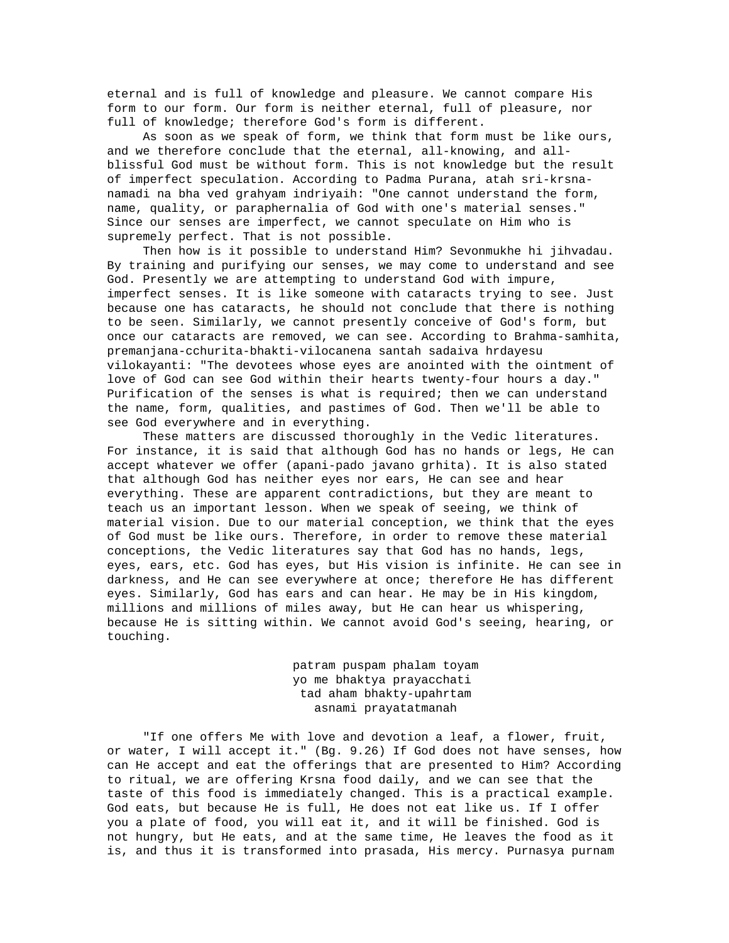eternal and is full of knowledge and pleasure. We cannot compare His form to our form. Our form is neither eternal, full of pleasure, nor full of knowledge; therefore God's form is different.

 As soon as we speak of form, we think that form must be like ours, and we therefore conclude that the eternal, all-knowing, and allblissful God must be without form. This is not knowledge but the result of imperfect speculation. According to Padma Purana, atah sri-krsnanamadi na bha ved grahyam indriyaih: "One cannot understand the form, name, quality, or paraphernalia of God with one's material senses." Since our senses are imperfect, we cannot speculate on Him who is supremely perfect. That is not possible.

 Then how is it possible to understand Him? Sevonmukhe hi jihvadau. By training and purifying our senses, we may come to understand and see God. Presently we are attempting to understand God with impure, imperfect senses. It is like someone with cataracts trying to see. Just because one has cataracts, he should not conclude that there is nothing to be seen. Similarly, we cannot presently conceive of God's form, but once our cataracts are removed, we can see. According to Brahma-samhita, premanjana-cchurita-bhakti-vilocanena santah sadaiva hrdayesu vilokayanti: "The devotees whose eyes are anointed with the ointment of love of God can see God within their hearts twenty-four hours a day." Purification of the senses is what is required; then we can understand the name, form, qualities, and pastimes of God. Then we'll be able to see God everywhere and in everything.

 These matters are discussed thoroughly in the Vedic literatures. For instance, it is said that although God has no hands or legs, He can accept whatever we offer (apani-pado javano grhita). It is also stated that although God has neither eyes nor ears, He can see and hear everything. These are apparent contradictions, but they are meant to teach us an important lesson. When we speak of seeing, we think of material vision. Due to our material conception, we think that the eyes of God must be like ours. Therefore, in order to remove these material conceptions, the Vedic literatures say that God has no hands, legs, eyes, ears, etc. God has eyes, but His vision is infinite. He can see in darkness, and He can see everywhere at once; therefore He has different eyes. Similarly, God has ears and can hear. He may be in His kingdom, millions and millions of miles away, but He can hear us whispering, because He is sitting within. We cannot avoid God's seeing, hearing, or touching.

> patram puspam phalam toyam yo me bhaktya prayacchati tad aham bhakty-upahrtam asnami prayatatmanah

 "If one offers Me with love and devotion a leaf, a flower, fruit, or water, I will accept it." (Bg. 9.26) If God does not have senses, how can He accept and eat the offerings that are presented to Him? According to ritual, we are offering Krsna food daily, and we can see that the taste of this food is immediately changed. This is a practical example. God eats, but because He is full, He does not eat like us. If I offer you a plate of food, you will eat it, and it will be finished. God is not hungry, but He eats, and at the same time, He leaves the food as it is, and thus it is transformed into prasada, His mercy. Purnasya purnam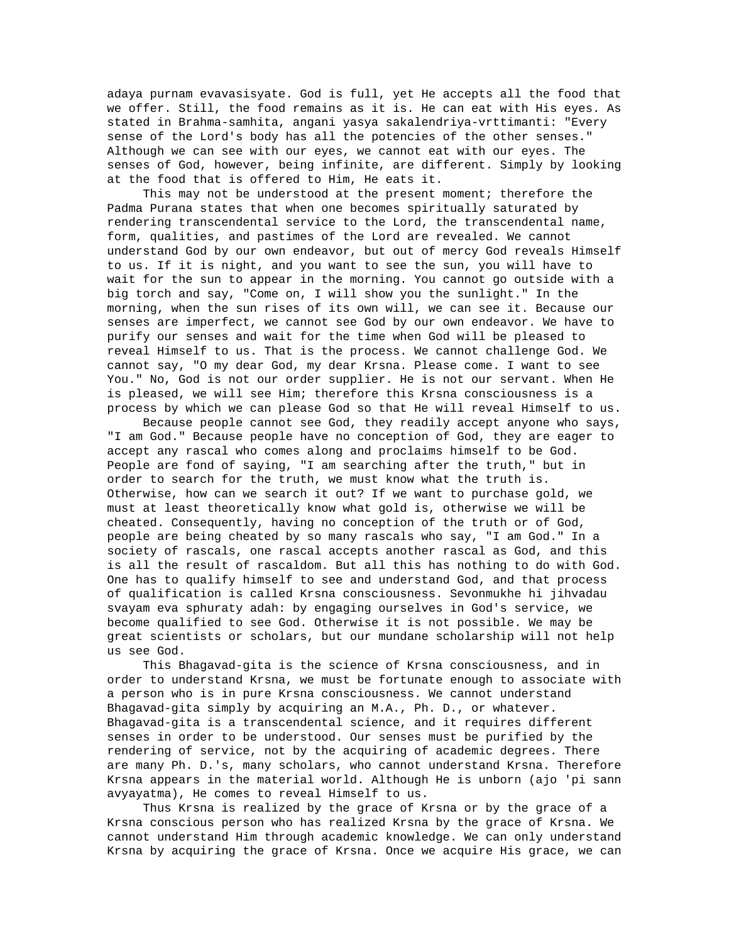adaya purnam evavasisyate. God is full, yet He accepts all the food that we offer. Still, the food remains as it is. He can eat with His eyes. As stated in Brahma-samhita, angani yasya sakalendriya-vrttimanti: "Every sense of the Lord's body has all the potencies of the other senses." Although we can see with our eyes, we cannot eat with our eyes. The senses of God, however, being infinite, are different. Simply by looking at the food that is offered to Him, He eats it.

 This may not be understood at the present moment; therefore the Padma Purana states that when one becomes spiritually saturated by rendering transcendental service to the Lord, the transcendental name, form, qualities, and pastimes of the Lord are revealed. We cannot understand God by our own endeavor, but out of mercy God reveals Himself to us. If it is night, and you want to see the sun, you will have to wait for the sun to appear in the morning. You cannot go outside with a big torch and say, "Come on, I will show you the sunlight." In the morning, when the sun rises of its own will, we can see it. Because our senses are imperfect, we cannot see God by our own endeavor. We have to purify our senses and wait for the time when God will be pleased to reveal Himself to us. That is the process. We cannot challenge God. We cannot say, "O my dear God, my dear Krsna. Please come. I want to see You." No, God is not our order supplier. He is not our servant. When He is pleased, we will see Him; therefore this Krsna consciousness is a process by which we can please God so that He will reveal Himself to us.

 Because people cannot see God, they readily accept anyone who says, "I am God." Because people have no conception of God, they are eager to accept any rascal who comes along and proclaims himself to be God. People are fond of saying, "I am searching after the truth," but in order to search for the truth, we must know what the truth is. Otherwise, how can we search it out? If we want to purchase gold, we must at least theoretically know what gold is, otherwise we will be cheated. Consequently, having no conception of the truth or of God, people are being cheated by so many rascals who say, "I am God." In a society of rascals, one rascal accepts another rascal as God, and this is all the result of rascaldom. But all this has nothing to do with God. One has to qualify himself to see and understand God, and that process of qualification is called Krsna consciousness. Sevonmukhe hi jihvadau svayam eva sphuraty adah: by engaging ourselves in God's service, we become qualified to see God. Otherwise it is not possible. We may be great scientists or scholars, but our mundane scholarship will not help us see God.

 This Bhagavad-gita is the science of Krsna consciousness, and in order to understand Krsna, we must be fortunate enough to associate with a person who is in pure Krsna consciousness. We cannot understand Bhagavad-gita simply by acquiring an M.A., Ph. D., or whatever. Bhagavad-gita is a transcendental science, and it requires different senses in order to be understood. Our senses must be purified by the rendering of service, not by the acquiring of academic degrees. There are many Ph. D.'s, many scholars, who cannot understand Krsna. Therefore Krsna appears in the material world. Although He is unborn (ajo 'pi sann avyayatma), He comes to reveal Himself to us.

 Thus Krsna is realized by the grace of Krsna or by the grace of a Krsna conscious person who has realized Krsna by the grace of Krsna. We cannot understand Him through academic knowledge. We can only understand Krsna by acquiring the grace of Krsna. Once we acquire His grace, we can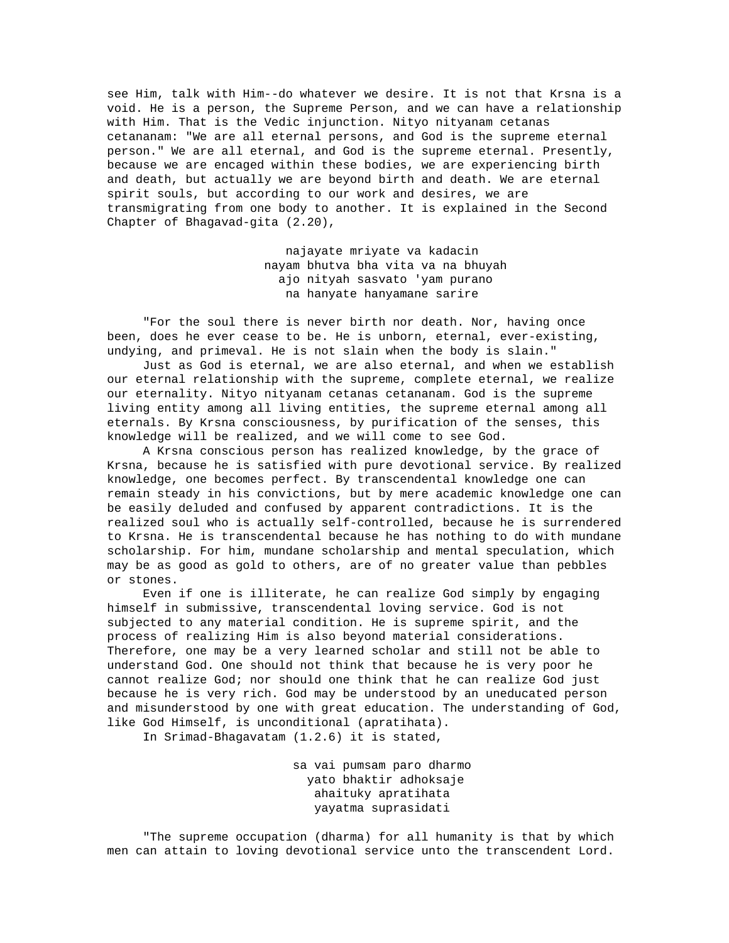see Him, talk with Him--do whatever we desire. It is not that Krsna is a void. He is a person, the Supreme Person, and we can have a relationship with Him. That is the Vedic injunction. Nityo nityanam cetanas cetananam: "We are all eternal persons, and God is the supreme eternal person." We are all eternal, and God is the supreme eternal. Presently, because we are encaged within these bodies, we are experiencing birth and death, but actually we are beyond birth and death. We are eternal spirit souls, but according to our work and desires, we are transmigrating from one body to another. It is explained in the Second Chapter of Bhagavad-gita (2.20),

> najayate mriyate va kadacin nayam bhutva bha vita va na bhuyah ajo nityah sasvato 'yam purano na hanyate hanyamane sarire

 "For the soul there is never birth nor death. Nor, having once been, does he ever cease to be. He is unborn, eternal, ever-existing, undying, and primeval. He is not slain when the body is slain."

 Just as God is eternal, we are also eternal, and when we establish our eternal relationship with the supreme, complete eternal, we realize our eternality. Nityo nityanam cetanas cetananam. God is the supreme living entity among all living entities, the supreme eternal among all eternals. By Krsna consciousness, by purification of the senses, this knowledge will be realized, and we will come to see God.

 A Krsna conscious person has realized knowledge, by the grace of Krsna, because he is satisfied with pure devotional service. By realized knowledge, one becomes perfect. By transcendental knowledge one can remain steady in his convictions, but by mere academic knowledge one can be easily deluded and confused by apparent contradictions. It is the realized soul who is actually self-controlled, because he is surrendered to Krsna. He is transcendental because he has nothing to do with mundane scholarship. For him, mundane scholarship and mental speculation, which may be as good as gold to others, are of no greater value than pebbles or stones.

 Even if one is illiterate, he can realize God simply by engaging himself in submissive, transcendental loving service. God is not subjected to any material condition. He is supreme spirit, and the process of realizing Him is also beyond material considerations. Therefore, one may be a very learned scholar and still not be able to understand God. One should not think that because he is very poor he cannot realize God; nor should one think that he can realize God just because he is very rich. God may be understood by an uneducated person and misunderstood by one with great education. The understanding of God, like God Himself, is unconditional (apratihata).

In Srimad-Bhagavatam (1.2.6) it is stated,

 sa vai pumsam paro dharmo yato bhaktir adhoksaje ahaituky apratihata yayatma suprasidati

 "The supreme occupation (dharma) for all humanity is that by which men can attain to loving devotional service unto the transcendent Lord.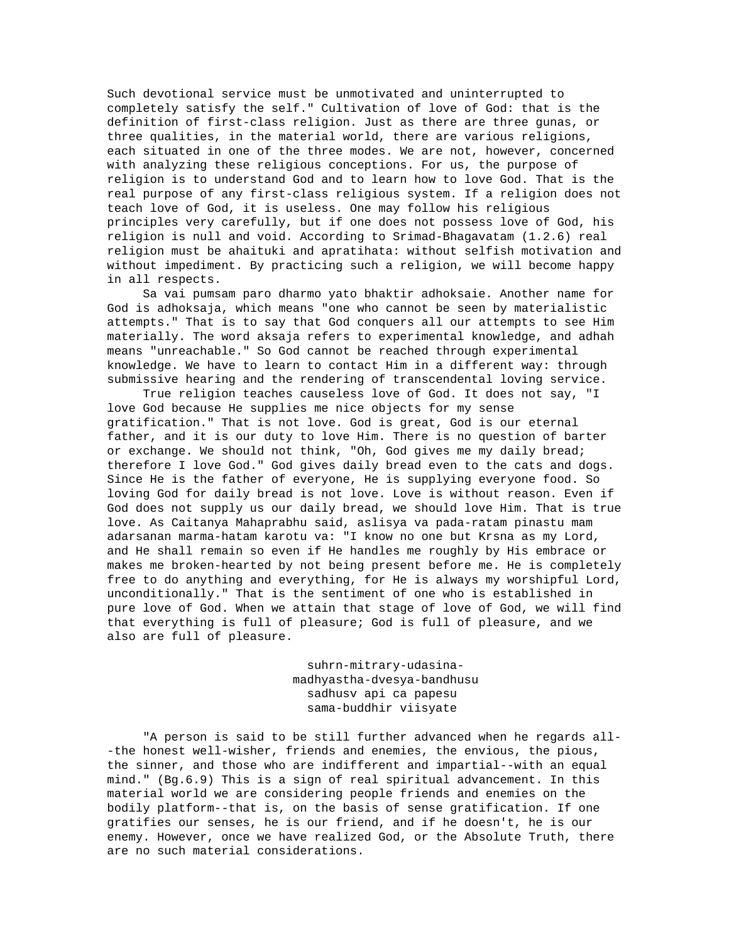Such devotional service must be unmotivated and uninterrupted to completely satisfy the self." Cultivation of love of God: that is the definition of first-class religion. Just as there are three gunas, or three qualities, in the material world, there are various religions, each situated in one of the three modes. We are not, however, concerned with analyzing these religious conceptions. For us, the purpose of religion is to understand God and to learn how to love God. That is the real purpose of any first-class religious system. If a religion does not teach love of God, it is useless. One may follow his religious principles very carefully, but if one does not possess love of God, his religion is null and void. According to Srimad-Bhagavatam (1.2.6) real religion must be ahaituki and apratihata: without selfish motivation and without impediment. By practicing such a religion, we will become happy in all respects.

 Sa vai pumsam paro dharmo yato bhaktir adhoksaie. Another name for God is adhoksaja, which means "one who cannot be seen by materialistic attempts." That is to say that God conquers all our attempts to see Him materially. The word aksaja refers to experimental knowledge, and adhah means "unreachable." So God cannot be reached through experimental knowledge. We have to learn to contact Him in a different way: through submissive hearing and the rendering of transcendental loving service.

 True religion teaches causeless love of God. It does not say, "I love God because He supplies me nice objects for my sense gratification." That is not love. God is great, God is our eternal father, and it is our duty to love Him. There is no question of barter or exchange. We should not think, "Oh, God gives me my daily bread; therefore I love God." God gives daily bread even to the cats and dogs. Since He is the father of everyone, He is supplying everyone food. So loving God for daily bread is not love. Love is without reason. Even if God does not supply us our daily bread, we should love Him. That is true love. As Caitanya Mahaprabhu said, aslisya va pada-ratam pinastu mam adarsanan marma-hatam karotu va: "I know no one but Krsna as my Lord, and He shall remain so even if He handles me roughly by His embrace or makes me broken-hearted by not being present before me. He is completely free to do anything and everything, for He is always my worshipful Lord, unconditionally." That is the sentiment of one who is established in pure love of God. When we attain that stage of love of God, we will find that everything is full of pleasure; God is full of pleasure, and we also are full of pleasure.

> suhrn-mitrary-udasina madhyastha-dvesya-bandhusu sadhusv api ca papesu sama-buddhir viisyate

 "A person is said to be still further advanced when he regards all- -the honest well-wisher, friends and enemies, the envious, the pious, the sinner, and those who are indifferent and impartial--with an equal mind." (Bg.6.9) This is a sign of real spiritual advancement. In this material world we are considering people friends and enemies on the bodily platform--that is, on the basis of sense gratification. If one gratifies our senses, he is our friend, and if he doesn't, he is our enemy. However, once we have realized God, or the Absolute Truth, there are no such material considerations.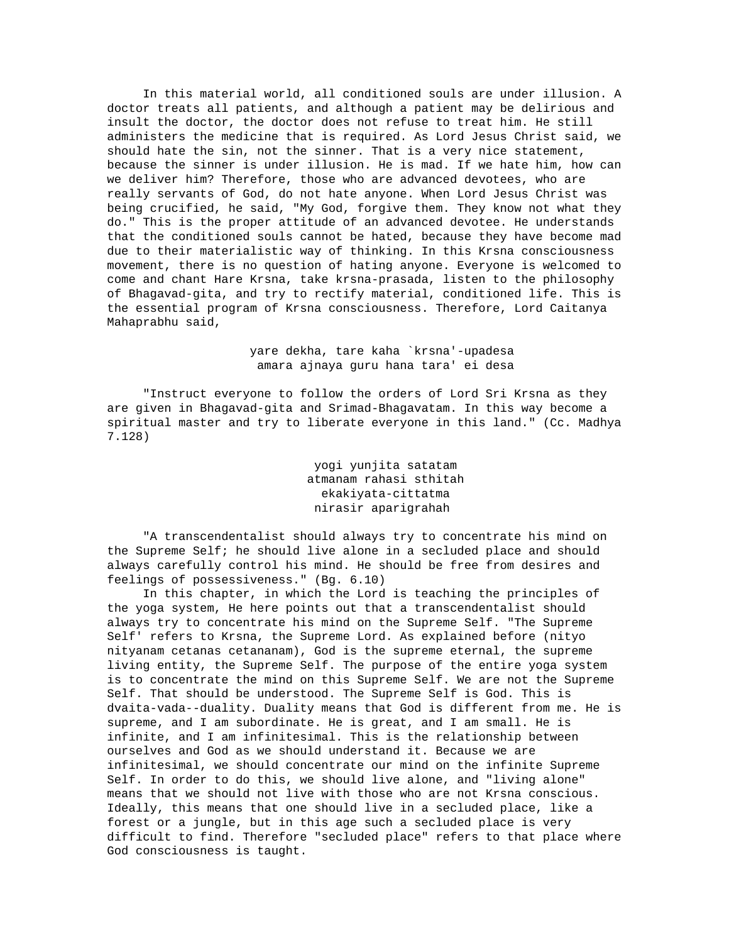In this material world, all conditioned souls are under illusion. A doctor treats all patients, and although a patient may be delirious and insult the doctor, the doctor does not refuse to treat him. He still administers the medicine that is required. As Lord Jesus Christ said, we should hate the sin, not the sinner. That is a very nice statement, because the sinner is under illusion. He is mad. If we hate him, how can we deliver him? Therefore, those who are advanced devotees, who are really servants of God, do not hate anyone. When Lord Jesus Christ was being crucified, he said, "My God, forgive them. They know not what they do." This is the proper attitude of an advanced devotee. He understands that the conditioned souls cannot be hated, because they have become mad due to their materialistic way of thinking. In this Krsna consciousness movement, there is no question of hating anyone. Everyone is welcomed to come and chant Hare Krsna, take krsna-prasada, listen to the philosophy of Bhagavad-gita, and try to rectify material, conditioned life. This is the essential program of Krsna consciousness. Therefore, Lord Caitanya Mahaprabhu said,

> yare dekha, tare kaha `krsna'-upadesa amara ajnaya guru hana tara' ei desa

 "Instruct everyone to follow the orders of Lord Sri Krsna as they are given in Bhagavad-gita and Srimad-Bhagavatam. In this way become a spiritual master and try to liberate everyone in this land." (Cc. Madhya 7.128)

> yogi yunjita satatam atmanam rahasi sthitah ekakiyata-cittatma nirasir aparigrahah

 "A transcendentalist should always try to concentrate his mind on the Supreme Self; he should live alone in a secluded place and should always carefully control his mind. He should be free from desires and feelings of possessiveness." (Bg. 6.10)

 In this chapter, in which the Lord is teaching the principles of the yoga system, He here points out that a transcendentalist should always try to concentrate his mind on the Supreme Self. "The Supreme Self' refers to Krsna, the Supreme Lord. As explained before (nityo nityanam cetanas cetananam), God is the supreme eternal, the supreme living entity, the Supreme Self. The purpose of the entire yoga system is to concentrate the mind on this Supreme Self. We are not the Supreme Self. That should be understood. The Supreme Self is God. This is dvaita-vada--duality. Duality means that God is different from me. He is supreme, and I am subordinate. He is great, and I am small. He is infinite, and I am infinitesimal. This is the relationship between ourselves and God as we should understand it. Because we are infinitesimal, we should concentrate our mind on the infinite Supreme Self. In order to do this, we should live alone, and "living alone" means that we should not live with those who are not Krsna conscious. Ideally, this means that one should live in a secluded place, like a forest or a jungle, but in this age such a secluded place is very difficult to find. Therefore "secluded place" refers to that place where God consciousness is taught.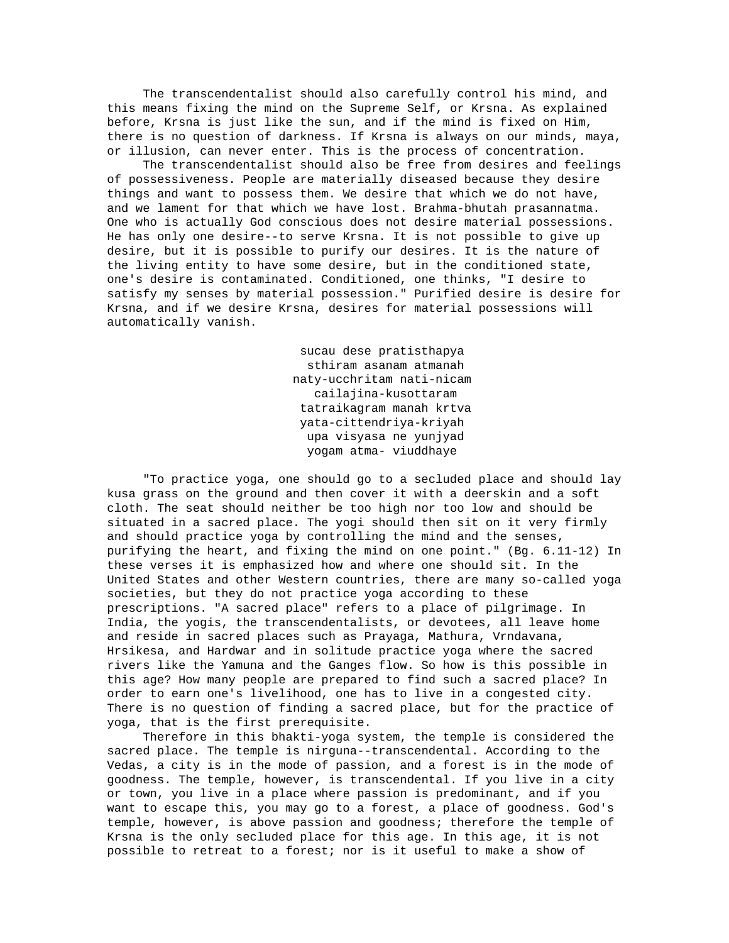The transcendentalist should also carefully control his mind, and this means fixing the mind on the Supreme Self, or Krsna. As explained before, Krsna is just like the sun, and if the mind is fixed on Him, there is no question of darkness. If Krsna is always on our minds, maya, or illusion, can never enter. This is the process of concentration.

 The transcendentalist should also be free from desires and feelings of possessiveness. People are materially diseased because they desire things and want to possess them. We desire that which we do not have, and we lament for that which we have lost. Brahma-bhutah prasannatma. One who is actually God conscious does not desire material possessions. He has only one desire--to serve Krsna. It is not possible to give up desire, but it is possible to purify our desires. It is the nature of the living entity to have some desire, but in the conditioned state, one's desire is contaminated. Conditioned, one thinks, "I desire to satisfy my senses by material possession." Purified desire is desire for Krsna, and if we desire Krsna, desires for material possessions will automatically vanish.

> sucau dese pratisthapya sthiram asanam atmanah naty-ucchritam nati-nicam cailajina-kusottaram tatraikagram manah krtva yata-cittendriya-kriyah upa visyasa ne yunjyad yogam atma- viuddhaye

 "To practice yoga, one should go to a secluded place and should lay kusa grass on the ground and then cover it with a deerskin and a soft cloth. The seat should neither be too high nor too low and should be situated in a sacred place. The yogi should then sit on it very firmly and should practice yoga by controlling the mind and the senses, purifying the heart, and fixing the mind on one point." (Bg. 6.11-12) In these verses it is emphasized how and where one should sit. In the United States and other Western countries, there are many so-called yoga societies, but they do not practice yoga according to these prescriptions. "A sacred place" refers to a place of pilgrimage. In India, the yogis, the transcendentalists, or devotees, all leave home and reside in sacred places such as Prayaga, Mathura, Vrndavana, Hrsikesa, and Hardwar and in solitude practice yoga where the sacred rivers like the Yamuna and the Ganges flow. So how is this possible in this age? How many people are prepared to find such a sacred place? In order to earn one's livelihood, one has to live in a congested city. There is no question of finding a sacred place, but for the practice of yoga, that is the first prerequisite.

 Therefore in this bhakti-yoga system, the temple is considered the sacred place. The temple is nirguna--transcendental. According to the Vedas, a city is in the mode of passion, and a forest is in the mode of goodness. The temple, however, is transcendental. If you live in a city or town, you live in a place where passion is predominant, and if you want to escape this, you may go to a forest, a place of goodness. God's temple, however, is above passion and goodness; therefore the temple of Krsna is the only secluded place for this age. In this age, it is not possible to retreat to a forest; nor is it useful to make a show of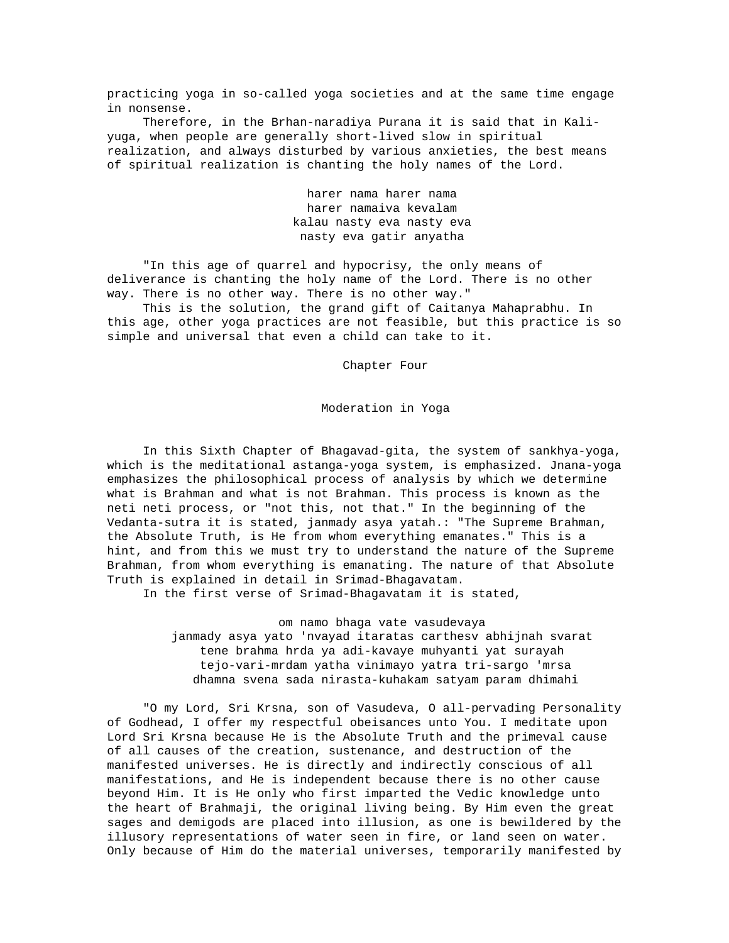practicing yoga in so-called yoga societies and at the same time engage in nonsense.

 Therefore, in the Brhan-naradiya Purana it is said that in Kaliyuga, when people are generally short-lived slow in spiritual realization, and always disturbed by various anxieties, the best means of spiritual realization is chanting the holy names of the Lord.

> harer nama harer nama harer namaiva kevalam kalau nasty eva nasty eva nasty eva gatir anyatha

 "In this age of quarrel and hypocrisy, the only means of deliverance is chanting the holy name of the Lord. There is no other way. There is no other way. There is no other way."

 This is the solution, the grand gift of Caitanya Mahaprabhu. In this age, other yoga practices are not feasible, but this practice is so simple and universal that even a child can take to it.

Chapter Four

Moderation in Yoga

 In this Sixth Chapter of Bhagavad-gita, the system of sankhya-yoga, which is the meditational astanga-yoga system, is emphasized. Jnana-yoga emphasizes the philosophical process of analysis by which we determine what is Brahman and what is not Brahman. This process is known as the neti neti process, or "not this, not that." In the beginning of the Vedanta-sutra it is stated, janmady asya yatah.: "The Supreme Brahman, the Absolute Truth, is He from whom everything emanates." This is a hint, and from this we must try to understand the nature of the Supreme Brahman, from whom everything is emanating. The nature of that Absolute Truth is explained in detail in Srimad-Bhagavatam.

In the first verse of Srimad-Bhagavatam it is stated,

 om namo bhaga vate vasudevaya janmady asya yato 'nvayad itaratas carthesv abhijnah svarat tene brahma hrda ya adi-kavaye muhyanti yat surayah tejo-vari-mrdam yatha vinimayo yatra tri-sargo 'mrsa dhamna svena sada nirasta-kuhakam satyam param dhimahi

 "O my Lord, Sri Krsna, son of Vasudeva, O all-pervading Personality of Godhead, I offer my respectful obeisances unto You. I meditate upon Lord Sri Krsna because He is the Absolute Truth and the primeval cause of all causes of the creation, sustenance, and destruction of the manifested universes. He is directly and indirectly conscious of all manifestations, and He is independent because there is no other cause beyond Him. It is He only who first imparted the Vedic knowledge unto the heart of Brahmaji, the original living being. By Him even the great sages and demigods are placed into illusion, as one is bewildered by the illusory representations of water seen in fire, or land seen on water. Only because of Him do the material universes, temporarily manifested by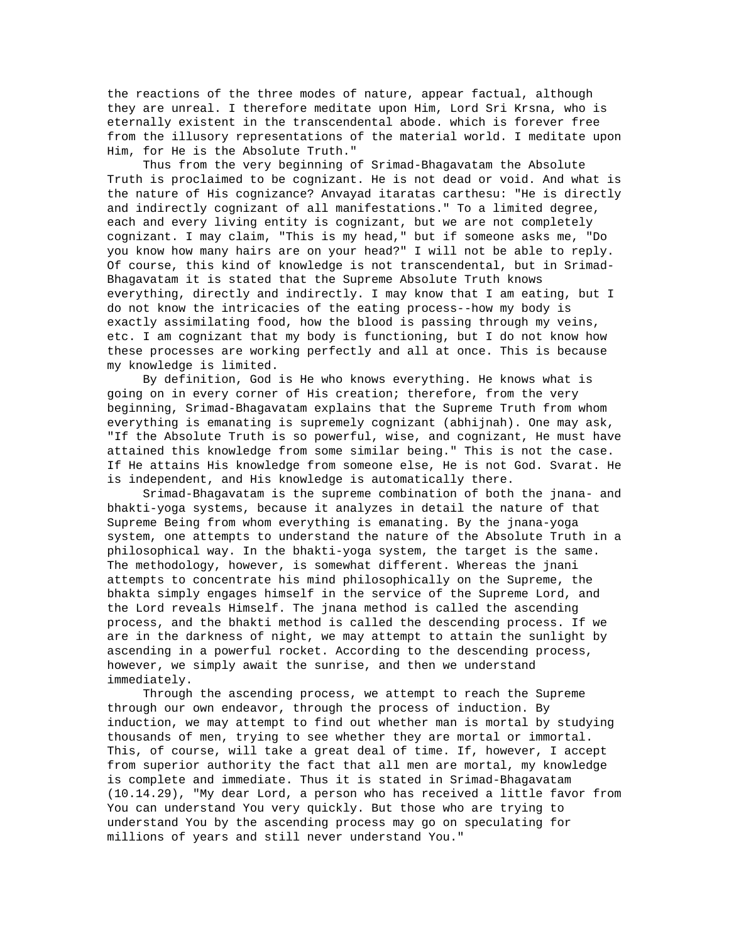the reactions of the three modes of nature, appear factual, although they are unreal. I therefore meditate upon Him, Lord Sri Krsna, who is eternally existent in the transcendental abode. which is forever free from the illusory representations of the material world. I meditate upon Him, for He is the Absolute Truth."

 Thus from the very beginning of Srimad-Bhagavatam the Absolute Truth is proclaimed to be cognizant. He is not dead or void. And what is the nature of His cognizance? Anvayad itaratas carthesu: "He is directly and indirectly cognizant of all manifestations." To a limited degree, each and every living entity is cognizant, but we are not completely cognizant. I may claim, "This is my head," but if someone asks me, "Do you know how many hairs are on your head?" I will not be able to reply. Of course, this kind of knowledge is not transcendental, but in Srimad-Bhagavatam it is stated that the Supreme Absolute Truth knows everything, directly and indirectly. I may know that I am eating, but I do not know the intricacies of the eating process--how my body is exactly assimilating food, how the blood is passing through my veins, etc. I am cognizant that my body is functioning, but I do not know how these processes are working perfectly and all at once. This is because my knowledge is limited.

 By definition, God is He who knows everything. He knows what is going on in every corner of His creation; therefore, from the very beginning, Srimad-Bhagavatam explains that the Supreme Truth from whom everything is emanating is supremely cognizant (abhijnah). One may ask, "If the Absolute Truth is so powerful, wise, and cognizant, He must have attained this knowledge from some similar being." This is not the case. If He attains His knowledge from someone else, He is not God. Svarat. He is independent, and His knowledge is automatically there.

 Srimad-Bhagavatam is the supreme combination of both the jnana- and bhakti-yoga systems, because it analyzes in detail the nature of that Supreme Being from whom everything is emanating. By the jnana-yoga system, one attempts to understand the nature of the Absolute Truth in a philosophical way. In the bhakti-yoga system, the target is the same. The methodology, however, is somewhat different. Whereas the jnani attempts to concentrate his mind philosophically on the Supreme, the bhakta simply engages himself in the service of the Supreme Lord, and the Lord reveals Himself. The jnana method is called the ascending process, and the bhakti method is called the descending process. If we are in the darkness of night, we may attempt to attain the sunlight by ascending in a powerful rocket. According to the descending process, however, we simply await the sunrise, and then we understand immediately.

 Through the ascending process, we attempt to reach the Supreme through our own endeavor, through the process of induction. By induction, we may attempt to find out whether man is mortal by studying thousands of men, trying to see whether they are mortal or immortal. This, of course, will take a great deal of time. If, however, I accept from superior authority the fact that all men are mortal, my knowledge is complete and immediate. Thus it is stated in Srimad-Bhagavatam (10.14.29), "My dear Lord, a person who has received a little favor from You can understand You very quickly. But those who are trying to understand You by the ascending process may go on speculating for millions of years and still never understand You."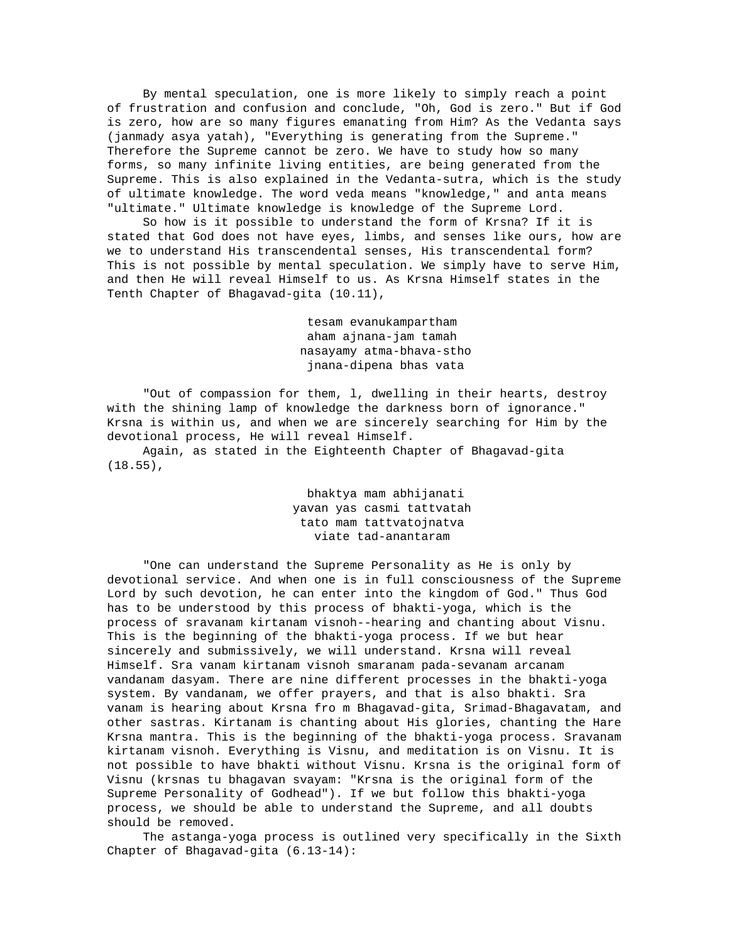By mental speculation, one is more likely to simply reach a point of frustration and confusion and conclude, "Oh, God is zero." But if God is zero, how are so many figures emanating from Him? As the Vedanta says (janmady asya yatah), "Everything is generating from the Supreme." Therefore the Supreme cannot be zero. We have to study how so many forms, so many infinite living entities, are being generated from the Supreme. This is also explained in the Vedanta-sutra, which is the study of ultimate knowledge. The word veda means "knowledge," and anta means "ultimate." Ultimate knowledge is knowledge of the Supreme Lord.

 So how is it possible to understand the form of Krsna? If it is stated that God does not have eyes, limbs, and senses like ours, how are we to understand His transcendental senses, His transcendental form? This is not possible by mental speculation. We simply have to serve Him, and then He will reveal Himself to us. As Krsna Himself states in the Tenth Chapter of Bhagavad-gita (10.11),

> tesam evanukampartham aham ajnana-jam tamah nasayamy atma-bhava-stho jnana-dipena bhas vata

 "Out of compassion for them, l, dwelling in their hearts, destroy with the shining lamp of knowledge the darkness born of ignorance." Krsna is within us, and when we are sincerely searching for Him by the devotional process, He will reveal Himself.

 Again, as stated in the Eighteenth Chapter of Bhagavad-gita (18.55),

> bhaktya mam abhijanati yavan yas casmi tattvatah tato mam tattvatojnatva viate tad-anantaram

 "One can understand the Supreme Personality as He is only by devotional service. And when one is in full consciousness of the Supreme Lord by such devotion, he can enter into the kingdom of God." Thus God has to be understood by this process of bhakti-yoga, which is the process of sravanam kirtanam visnoh--hearing and chanting about Visnu. This is the beginning of the bhakti-yoga process. If we but hear sincerely and submissively, we will understand. Krsna will reveal Himself. Sra vanam kirtanam visnoh smaranam pada-sevanam arcanam vandanam dasyam. There are nine different processes in the bhakti-yoga system. By vandanam, we offer prayers, and that is also bhakti. Sra vanam is hearing about Krsna fro m Bhagavad-gita, Srimad-Bhagavatam, and other sastras. Kirtanam is chanting about His glories, chanting the Hare Krsna mantra. This is the beginning of the bhakti-yoga process. Sravanam kirtanam visnoh. Everything is Visnu, and meditation is on Visnu. It is not possible to have bhakti without Visnu. Krsna is the original form of Visnu (krsnas tu bhagavan svayam: "Krsna is the original form of the Supreme Personality of Godhead"). If we but follow this bhakti-yoga process, we should be able to understand the Supreme, and all doubts should be removed.

 The astanga-yoga process is outlined very specifically in the Sixth Chapter of Bhagavad-gita (6.13-14):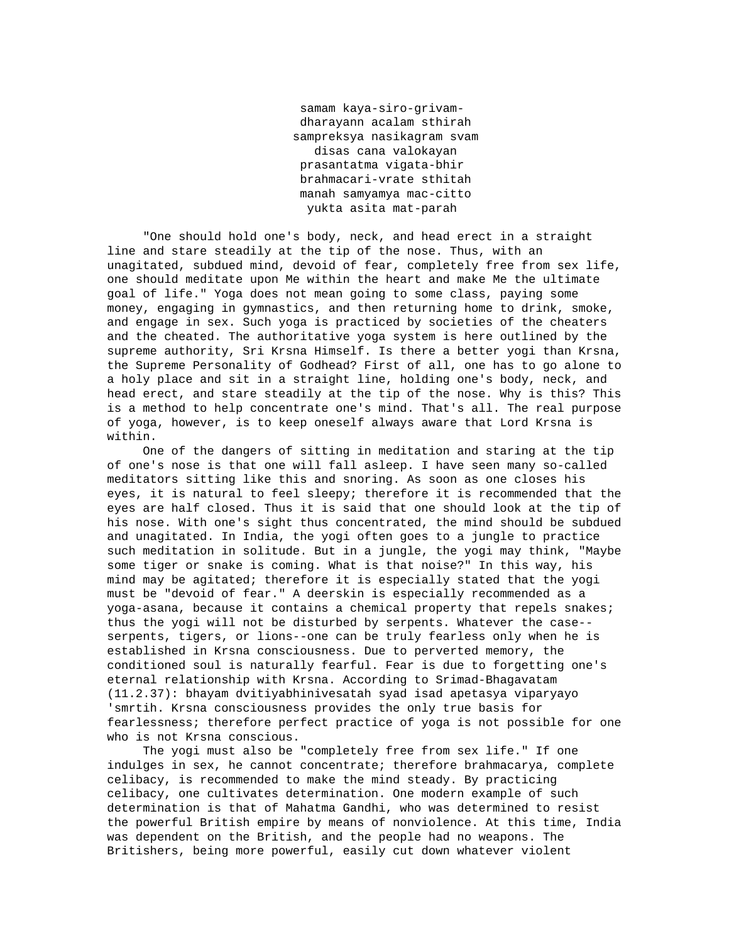samam kaya-siro-grivam dharayann acalam sthirah sampreksya nasikagram svam disas cana valokayan prasantatma vigata-bhir brahmacari-vrate sthitah manah samyamya mac-citto yukta asita mat-parah

 "One should hold one's body, neck, and head erect in a straight line and stare steadily at the tip of the nose. Thus, with an unagitated, subdued mind, devoid of fear, completely free from sex life, one should meditate upon Me within the heart and make Me the ultimate goal of life." Yoga does not mean going to some class, paying some money, engaging in gymnastics, and then returning home to drink, smoke, and engage in sex. Such yoga is practiced by societies of the cheaters and the cheated. The authoritative yoga system is here outlined by the supreme authority, Sri Krsna Himself. Is there a better yogi than Krsna, the Supreme Personality of Godhead? First of all, one has to go alone to a holy place and sit in a straight line, holding one's body, neck, and head erect, and stare steadily at the tip of the nose. Why is this? This is a method to help concentrate one's mind. That's all. The real purpose of yoga, however, is to keep oneself always aware that Lord Krsna is within.

 One of the dangers of sitting in meditation and staring at the tip of one's nose is that one will fall asleep. I have seen many so-called meditators sitting like this and snoring. As soon as one closes his eyes, it is natural to feel sleepy; therefore it is recommended that the eyes are half closed. Thus it is said that one should look at the tip of his nose. With one's sight thus concentrated, the mind should be subdued and unagitated. In India, the yogi often goes to a jungle to practice such meditation in solitude. But in a jungle, the yogi may think, "Maybe some tiger or snake is coming. What is that noise?" In this way, his mind may be agitated; therefore it is especially stated that the yogi must be "devoid of fear." A deerskin is especially recommended as a yoga-asana, because it contains a chemical property that repels snakes; thus the yogi will not be disturbed by serpents. Whatever the case- serpents, tigers, or lions--one can be truly fearless only when he is established in Krsna consciousness. Due to perverted memory, the conditioned soul is naturally fearful. Fear is due to forgetting one's eternal relationship with Krsna. According to Srimad-Bhagavatam (11.2.37): bhayam dvitiyabhinivesatah syad isad apetasya viparyayo 'smrtih. Krsna consciousness provides the only true basis for fearlessness; therefore perfect practice of yoga is not possible for one who is not Krsna conscious.

 The yogi must also be "completely free from sex life." If one indulges in sex, he cannot concentrate; therefore brahmacarya, complete celibacy, is recommended to make the mind steady. By practicing celibacy, one cultivates determination. One modern example of such determination is that of Mahatma Gandhi, who was determined to resist the powerful British empire by means of nonviolence. At this time, India was dependent on the British, and the people had no weapons. The Britishers, being more powerful, easily cut down whatever violent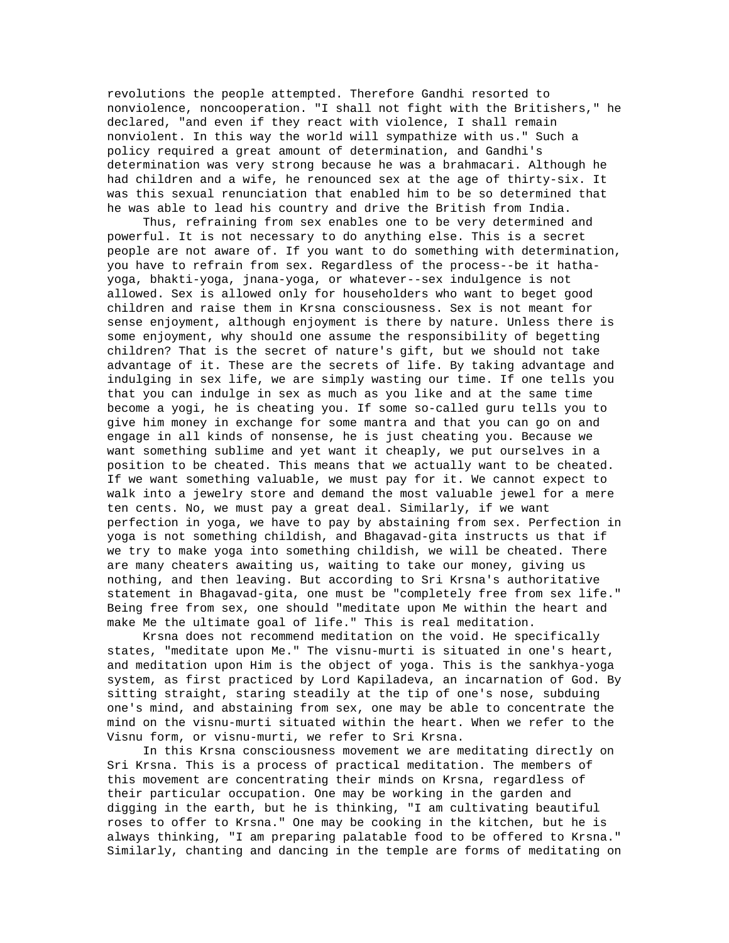revolutions the people attempted. Therefore Gandhi resorted to nonviolence, noncooperation. "I shall not fight with the Britishers," he declared, "and even if they react with violence, I shall remain nonviolent. In this way the world will sympathize with us." Such a policy required a great amount of determination, and Gandhi's determination was very strong because he was a brahmacari. Although he had children and a wife, he renounced sex at the age of thirty-six. It was this sexual renunciation that enabled him to be so determined that he was able to lead his country and drive the British from India.

 Thus, refraining from sex enables one to be very determined and powerful. It is not necessary to do anything else. This is a secret people are not aware of. If you want to do something with determination, you have to refrain from sex. Regardless of the process--be it hathayoga, bhakti-yoga, jnana-yoga, or whatever--sex indulgence is not allowed. Sex is allowed only for householders who want to beget good children and raise them in Krsna consciousness. Sex is not meant for sense enjoyment, although enjoyment is there by nature. Unless there is some enjoyment, why should one assume the responsibility of begetting children? That is the secret of nature's gift, but we should not take advantage of it. These are the secrets of life. By taking advantage and indulging in sex life, we are simply wasting our time. If one tells you that you can indulge in sex as much as you like and at the same time become a yogi, he is cheating you. If some so-called guru tells you to give him money in exchange for some mantra and that you can go on and engage in all kinds of nonsense, he is just cheating you. Because we want something sublime and yet want it cheaply, we put ourselves in a position to be cheated. This means that we actually want to be cheated. If we want something valuable, we must pay for it. We cannot expect to walk into a jewelry store and demand the most valuable jewel for a mere ten cents. No, we must pay a great deal. Similarly, if we want perfection in yoga, we have to pay by abstaining from sex. Perfection in yoga is not something childish, and Bhagavad-gita instructs us that if we try to make yoga into something childish, we will be cheated. There are many cheaters awaiting us, waiting to take our money, giving us nothing, and then leaving. But according to Sri Krsna's authoritative statement in Bhagavad-gita, one must be "completely free from sex life." Being free from sex, one should "meditate upon Me within the heart and make Me the ultimate goal of life." This is real meditation.

 Krsna does not recommend meditation on the void. He specifically states, "meditate upon Me." The visnu-murti is situated in one's heart, and meditation upon Him is the object of yoga. This is the sankhya-yoga system, as first practiced by Lord Kapiladeva, an incarnation of God. By sitting straight, staring steadily at the tip of one's nose, subduing one's mind, and abstaining from sex, one may be able to concentrate the mind on the visnu-murti situated within the heart. When we refer to the Visnu form, or visnu-murti, we refer to Sri Krsna.

 In this Krsna consciousness movement we are meditating directly on Sri Krsna. This is a process of practical meditation. The members of this movement are concentrating their minds on Krsna, regardless of their particular occupation. One may be working in the garden and digging in the earth, but he is thinking, "I am cultivating beautiful roses to offer to Krsna." One may be cooking in the kitchen, but he is always thinking, "I am preparing palatable food to be offered to Krsna." Similarly, chanting and dancing in the temple are forms of meditating on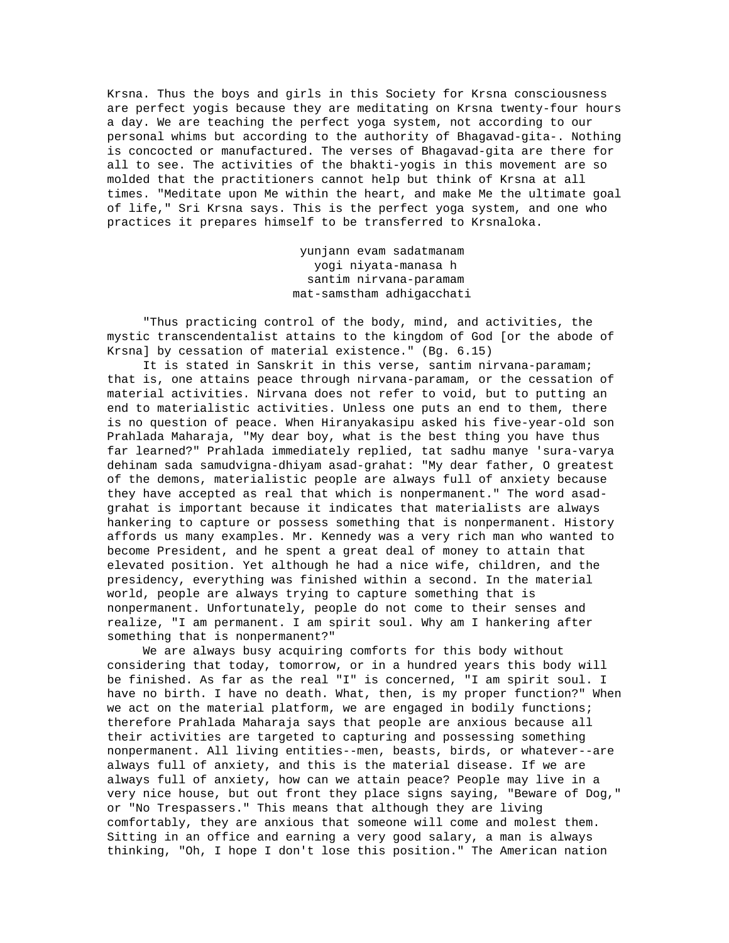Krsna. Thus the boys and girls in this Society for Krsna consciousness are perfect yogis because they are meditating on Krsna twenty-four hours a day. We are teaching the perfect yoga system, not according to our personal whims but according to the authority of Bhagavad-gita-. Nothing is concocted or manufactured. The verses of Bhagavad-gita are there for all to see. The activities of the bhakti-yogis in this movement are so molded that the practitioners cannot help but think of Krsna at all times. "Meditate upon Me within the heart, and make Me the ultimate goal of life," Sri Krsna says. This is the perfect yoga system, and one who practices it prepares himself to be transferred to Krsnaloka.

> yunjann evam sadatmanam yogi niyata-manasa h santim nirvana-paramam mat-samstham adhigacchati

 "Thus practicing control of the body, mind, and activities, the mystic transcendentalist attains to the kingdom of God [or the abode of Krsna] by cessation of material existence." (Bg. 6.15)

 It is stated in Sanskrit in this verse, santim nirvana-paramam; that is, one attains peace through nirvana-paramam, or the cessation of material activities. Nirvana does not refer to void, but to putting an end to materialistic activities. Unless one puts an end to them, there is no question of peace. When Hiranyakasipu asked his five-year-old son Prahlada Maharaja, "My dear boy, what is the best thing you have thus far learned?" Prahlada immediately replied, tat sadhu manye 'sura-varya dehinam sada samudvigna-dhiyam asad-grahat: "My dear father, O greatest of the demons, materialistic people are always full of anxiety because they have accepted as real that which is nonpermanent." The word asadgrahat is important because it indicates that materialists are always hankering to capture or possess something that is nonpermanent. History affords us many examples. Mr. Kennedy was a very rich man who wanted to become President, and he spent a great deal of money to attain that elevated position. Yet although he had a nice wife, children, and the presidency, everything was finished within a second. In the material world, people are always trying to capture something that is nonpermanent. Unfortunately, people do not come to their senses and realize, "I am permanent. I am spirit soul. Why am I hankering after something that is nonpermanent?"

 We are always busy acquiring comforts for this body without considering that today, tomorrow, or in a hundred years this body will be finished. As far as the real "I" is concerned, "I am spirit soul. I have no birth. I have no death. What, then, is my proper function?" When we act on the material platform, we are engaged in bodily functions; therefore Prahlada Maharaja says that people are anxious because all their activities are targeted to capturing and possessing something nonpermanent. All living entities--men, beasts, birds, or whatever--are always full of anxiety, and this is the material disease. If we are always full of anxiety, how can we attain peace? People may live in a very nice house, but out front they place signs saying, "Beware of Dog," or "No Trespassers." This means that although they are living comfortably, they are anxious that someone will come and molest them. Sitting in an office and earning a very good salary, a man is always thinking, "Oh, I hope I don't lose this position." The American nation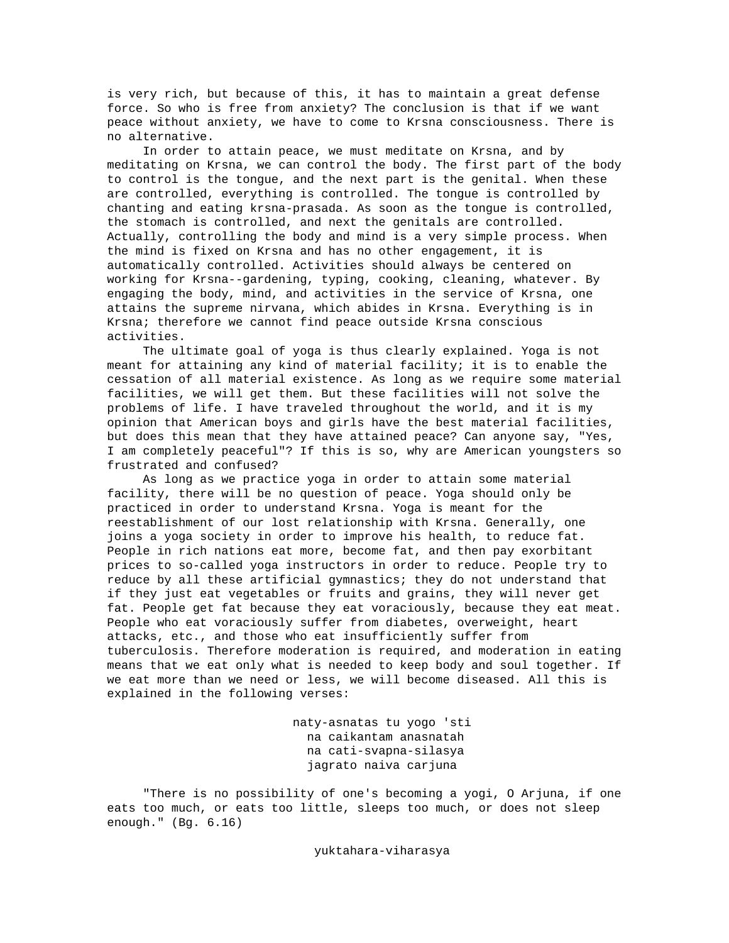is very rich, but because of this, it has to maintain a great defense force. So who is free from anxiety? The conclusion is that if we want peace without anxiety, we have to come to Krsna consciousness. There is no alternative.

 In order to attain peace, we must meditate on Krsna, and by meditating on Krsna, we can control the body. The first part of the body to control is the tongue, and the next part is the genital. When these are controlled, everything is controlled. The tongue is controlled by chanting and eating krsna-prasada. As soon as the tongue is controlled, the stomach is controlled, and next the genitals are controlled. Actually, controlling the body and mind is a very simple process. When the mind is fixed on Krsna and has no other engagement, it is automatically controlled. Activities should always be centered on working for Krsna--gardening, typing, cooking, cleaning, whatever. By engaging the body, mind, and activities in the service of Krsna, one attains the supreme nirvana, which abides in Krsna. Everything is in Krsna; therefore we cannot find peace outside Krsna conscious activities.

 The ultimate goal of yoga is thus clearly explained. Yoga is not meant for attaining any kind of material facility; it is to enable the cessation of all material existence. As long as we require some material facilities, we will get them. But these facilities will not solve the problems of life. I have traveled throughout the world, and it is my opinion that American boys and girls have the best material facilities, but does this mean that they have attained peace? Can anyone say, "Yes, I am completely peaceful"? If this is so, why are American youngsters so frustrated and confused?

 As long as we practice yoga in order to attain some material facility, there will be no question of peace. Yoga should only be practiced in order to understand Krsna. Yoga is meant for the reestablishment of our lost relationship with Krsna. Generally, one joins a yoga society in order to improve his health, to reduce fat. People in rich nations eat more, become fat, and then pay exorbitant prices to so-called yoga instructors in order to reduce. People try to reduce by all these artificial gymnastics; they do not understand that if they just eat vegetables or fruits and grains, they will never get fat. People get fat because they eat voraciously, because they eat meat. People who eat voraciously suffer from diabetes, overweight, heart attacks, etc., and those who eat insufficiently suffer from tuberculosis. Therefore moderation is required, and moderation in eating means that we eat only what is needed to keep body and soul together. If we eat more than we need or less, we will become diseased. All this is explained in the following verses:

> naty-asnatas tu yogo 'sti na caikantam anasnatah na cati-svapna-silasya jagrato naiva carjuna

 "There is no possibility of one's becoming a yogi, O Arjuna, if one eats too much, or eats too little, sleeps too much, or does not sleep enough." (Bg. 6.16)

yuktahara-viharasya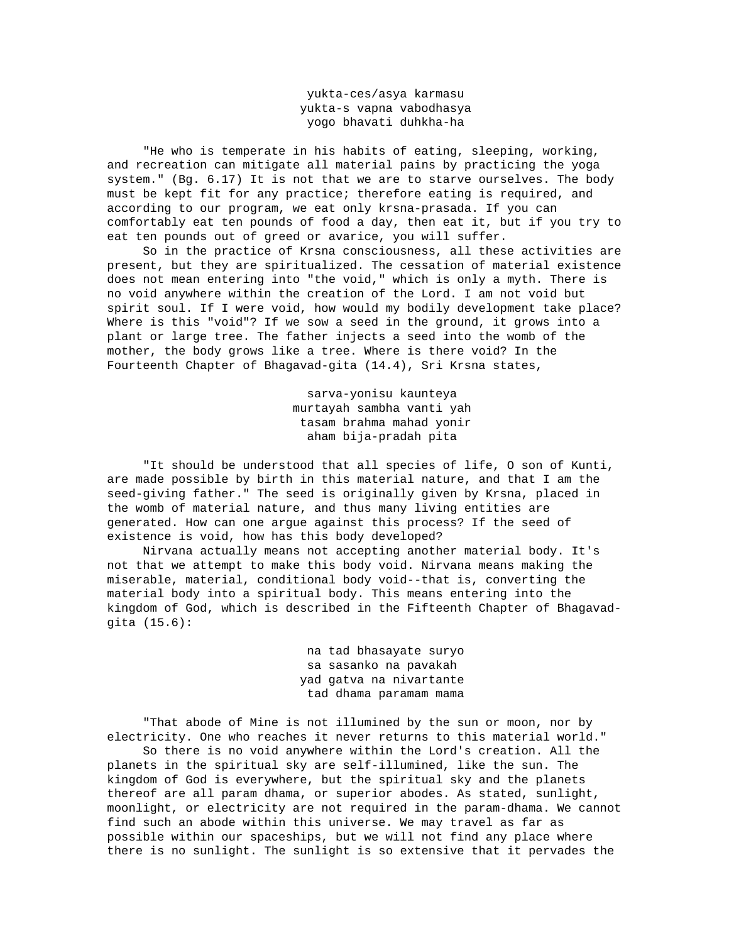yukta-ces/asya karmasu yukta-s vapna vabodhasya yogo bhavati duhkha-ha

 "He who is temperate in his habits of eating, sleeping, working, and recreation can mitigate all material pains by practicing the yoga system." (Bg. 6.17) It is not that we are to starve ourselves. The body must be kept fit for any practice; therefore eating is required, and according to our program, we eat only krsna-prasada. If you can comfortably eat ten pounds of food a day, then eat it, but if you try to eat ten pounds out of greed or avarice, you will suffer.

 So in the practice of Krsna consciousness, all these activities are present, but they are spiritualized. The cessation of material existence does not mean entering into "the void," which is only a myth. There is no void anywhere within the creation of the Lord. I am not void but spirit soul. If I were void, how would my bodily development take place? Where is this "void"? If we sow a seed in the ground, it grows into a plant or large tree. The father injects a seed into the womb of the mother, the body grows like a tree. Where is there void? In the Fourteenth Chapter of Bhagavad-gita (14.4), Sri Krsna states,

> sarva-yonisu kaunteya murtayah sambha vanti yah tasam brahma mahad yonir aham bija-pradah pita

 "It should be understood that all species of life, O son of Kunti, are made possible by birth in this material nature, and that I am the seed-giving father." The seed is originally given by Krsna, placed in the womb of material nature, and thus many living entities are generated. How can one argue against this process? If the seed of existence is void, how has this body developed?

 Nirvana actually means not accepting another material body. It's not that we attempt to make this body void. Nirvana means making the miserable, material, conditional body void--that is, converting the material body into a spiritual body. This means entering into the kingdom of God, which is described in the Fifteenth Chapter of Bhagavadgita (15.6):

> na tad bhasayate suryo sa sasanko na pavakah yad gatva na nivartante tad dhama paramam mama

 "That abode of Mine is not illumined by the sun or moon, nor by electricity. One who reaches it never returns to this material world."

 So there is no void anywhere within the Lord's creation. All the planets in the spiritual sky are self-illumined, like the sun. The kingdom of God is everywhere, but the spiritual sky and the planets thereof are all param dhama, or superior abodes. As stated, sunlight, moonlight, or electricity are not required in the param-dhama. We cannot find such an abode within this universe. We may travel as far as possible within our spaceships, but we will not find any place where there is no sunlight. The sunlight is so extensive that it pervades the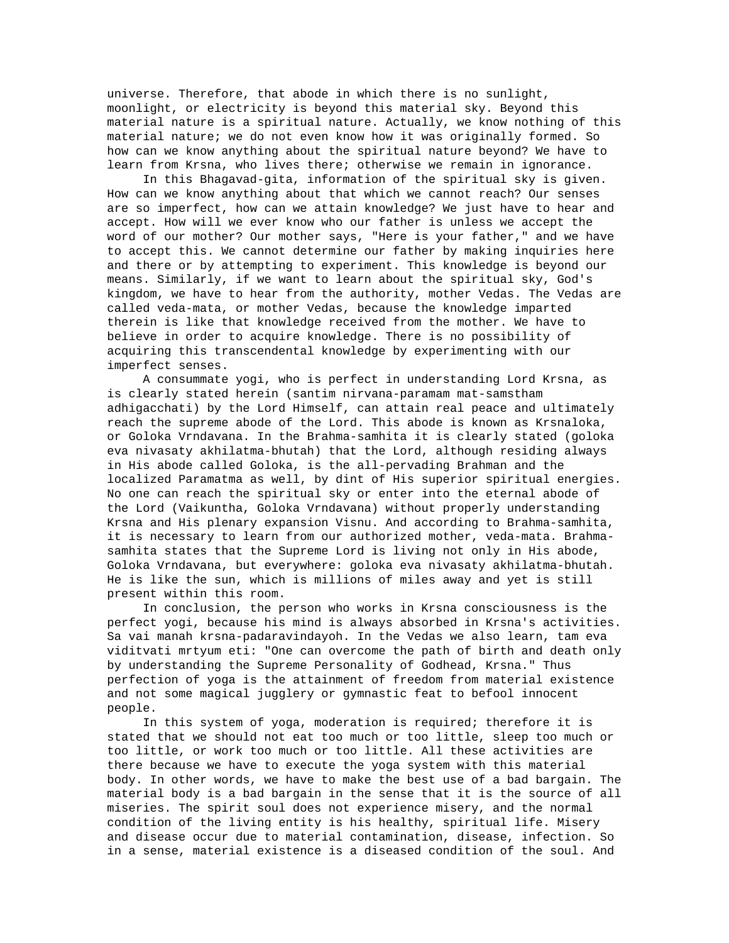universe. Therefore, that abode in which there is no sunlight, moonlight, or electricity is beyond this material sky. Beyond this material nature is a spiritual nature. Actually, we know nothing of this material nature; we do not even know how it was originally formed. So how can we know anything about the spiritual nature beyond? We have to learn from Krsna, who lives there; otherwise we remain in ignorance.

 In this Bhagavad-gita, information of the spiritual sky is given. How can we know anything about that which we cannot reach? Our senses are so imperfect, how can we attain knowledge? We just have to hear and accept. How will we ever know who our father is unless we accept the word of our mother? Our mother says, "Here is your father," and we have to accept this. We cannot determine our father by making inquiries here and there or by attempting to experiment. This knowledge is beyond our means. Similarly, if we want to learn about the spiritual sky, God's kingdom, we have to hear from the authority, mother Vedas. The Vedas are called veda-mata, or mother Vedas, because the knowledge imparted therein is like that knowledge received from the mother. We have to believe in order to acquire knowledge. There is no possibility of acquiring this transcendental knowledge by experimenting with our imperfect senses.

 A consummate yogi, who is perfect in understanding Lord Krsna, as is clearly stated herein (santim nirvana-paramam mat-samstham adhigacchati) by the Lord Himself, can attain real peace and ultimately reach the supreme abode of the Lord. This abode is known as Krsnaloka, or Goloka Vrndavana. In the Brahma-samhita it is clearly stated (goloka eva nivasaty akhilatma-bhutah) that the Lord, although residing always in His abode called Goloka, is the all-pervading Brahman and the localized Paramatma as well, by dint of His superior spiritual energies. No one can reach the spiritual sky or enter into the eternal abode of the Lord (Vaikuntha, Goloka Vrndavana) without properly understanding Krsna and His plenary expansion Visnu. And according to Brahma-samhita, it is necessary to learn from our authorized mother, veda-mata. Brahmasamhita states that the Supreme Lord is living not only in His abode, Goloka Vrndavana, but everywhere: goloka eva nivasaty akhilatma-bhutah. He is like the sun, which is millions of miles away and yet is still present within this room.

 In conclusion, the person who works in Krsna consciousness is the perfect yogi, because his mind is always absorbed in Krsna's activities. Sa vai manah krsna-padaravindayoh. In the Vedas we also learn, tam eva viditvati mrtyum eti: "One can overcome the path of birth and death only by understanding the Supreme Personality of Godhead, Krsna." Thus perfection of yoga is the attainment of freedom from material existence and not some magical jugglery or gymnastic feat to befool innocent people.

 In this system of yoga, moderation is required; therefore it is stated that we should not eat too much or too little, sleep too much or too little, or work too much or too little. All these activities are there because we have to execute the yoga system with this material body. In other words, we have to make the best use of a bad bargain. The material body is a bad bargain in the sense that it is the source of all miseries. The spirit soul does not experience misery, and the normal condition of the living entity is his healthy, spiritual life. Misery and disease occur due to material contamination, disease, infection. So in a sense, material existence is a diseased condition of the soul. And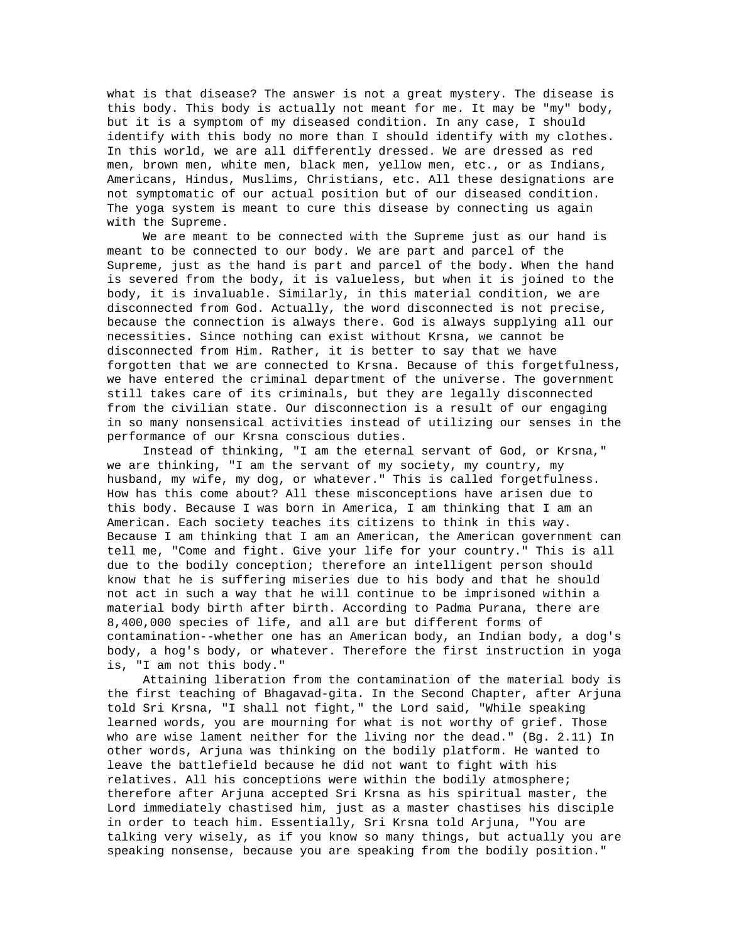what is that disease? The answer is not a great mystery. The disease is this body. This body is actually not meant for me. It may be "my" body, but it is a symptom of my diseased condition. In any case, I should identify with this body no more than I should identify with my clothes. In this world, we are all differently dressed. We are dressed as red men, brown men, white men, black men, yellow men, etc., or as Indians, Americans, Hindus, Muslims, Christians, etc. All these designations are not symptomatic of our actual position but of our diseased condition. The yoga system is meant to cure this disease by connecting us again with the Supreme.

 We are meant to be connected with the Supreme just as our hand is meant to be connected to our body. We are part and parcel of the Supreme, just as the hand is part and parcel of the body. When the hand is severed from the body, it is valueless, but when it is joined to the body, it is invaluable. Similarly, in this material condition, we are disconnected from God. Actually, the word disconnected is not precise, because the connection is always there. God is always supplying all our necessities. Since nothing can exist without Krsna, we cannot be disconnected from Him. Rather, it is better to say that we have forgotten that we are connected to Krsna. Because of this forgetfulness, we have entered the criminal department of the universe. The government still takes care of its criminals, but they are legally disconnected from the civilian state. Our disconnection is a result of our engaging in so many nonsensical activities instead of utilizing our senses in the performance of our Krsna conscious duties.

 Instead of thinking, "I am the eternal servant of God, or Krsna," we are thinking, "I am the servant of my society, my country, my husband, my wife, my dog, or whatever." This is called forgetfulness. How has this come about? All these misconceptions have arisen due to this body. Because I was born in America, I am thinking that I am an American. Each society teaches its citizens to think in this way. Because I am thinking that I am an American, the American government can tell me, "Come and fight. Give your life for your country." This is all due to the bodily conception; therefore an intelligent person should know that he is suffering miseries due to his body and that he should not act in such a way that he will continue to be imprisoned within a material body birth after birth. According to Padma Purana, there are 8,400,000 species of life, and all are but different forms of contamination--whether one has an American body, an Indian body, a dog's body, a hog's body, or whatever. Therefore the first instruction in yoga is, "I am not this body."

 Attaining liberation from the contamination of the material body is the first teaching of Bhagavad-gita. In the Second Chapter, after Arjuna told Sri Krsna, "I shall not fight," the Lord said, "While speaking learned words, you are mourning for what is not worthy of grief. Those who are wise lament neither for the living nor the dead." (Bg. 2.11) In other words, Arjuna was thinking on the bodily platform. He wanted to leave the battlefield because he did not want to fight with his relatives. All his conceptions were within the bodily atmosphere; therefore after Arjuna accepted Sri Krsna as his spiritual master, the Lord immediately chastised him, just as a master chastises his disciple in order to teach him. Essentially, Sri Krsna told Arjuna, "You are talking very wisely, as if you know so many things, but actually you are speaking nonsense, because you are speaking from the bodily position."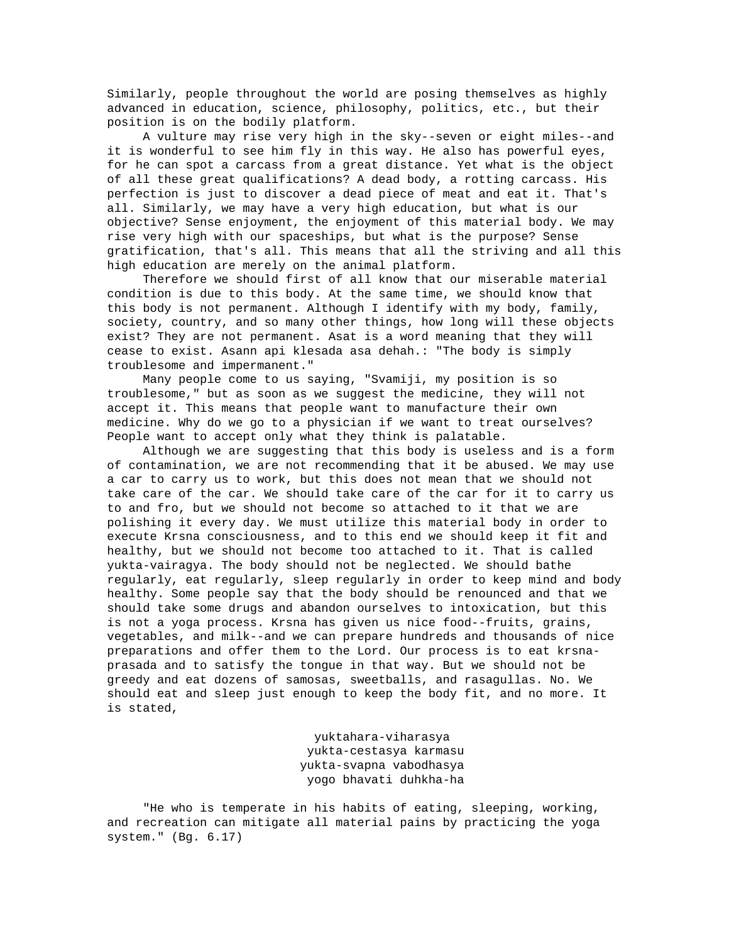Similarly, people throughout the world are posing themselves as highly advanced in education, science, philosophy, politics, etc., but their position is on the bodily platform.

 A vulture may rise very high in the sky--seven or eight miles--and it is wonderful to see him fly in this way. He also has powerful eyes, for he can spot a carcass from a great distance. Yet what is the object of all these great qualifications? A dead body, a rotting carcass. His perfection is just to discover a dead piece of meat and eat it. That's all. Similarly, we may have a very high education, but what is our objective? Sense enjoyment, the enjoyment of this material body. We may rise very high with our spaceships, but what is the purpose? Sense gratification, that's all. This means that all the striving and all this high education are merely on the animal platform.

 Therefore we should first of all know that our miserable material condition is due to this body. At the same time, we should know that this body is not permanent. Although I identify with my body, family, society, country, and so many other things, how long will these objects exist? They are not permanent. Asat is a word meaning that they will cease to exist. Asann api klesada asa dehah.: "The body is simply troublesome and impermanent."

 Many people come to us saying, "Svamiji, my position is so troublesome," but as soon as we suggest the medicine, they will not accept it. This means that people want to manufacture their own medicine. Why do we go to a physician if we want to treat ourselves? People want to accept only what they think is palatable.

 Although we are suggesting that this body is useless and is a form of contamination, we are not recommending that it be abused. We may use a car to carry us to work, but this does not mean that we should not take care of the car. We should take care of the car for it to carry us to and fro, but we should not become so attached to it that we are polishing it every day. We must utilize this material body in order to execute Krsna consciousness, and to this end we should keep it fit and healthy, but we should not become too attached to it. That is called yukta-vairagya. The body should not be neglected. We should bathe regularly, eat regularly, sleep regularly in order to keep mind and body healthy. Some people say that the body should be renounced and that we should take some drugs and abandon ourselves to intoxication, but this is not a yoga process. Krsna has given us nice food--fruits, grains, vegetables, and milk--and we can prepare hundreds and thousands of nice preparations and offer them to the Lord. Our process is to eat krsnaprasada and to satisfy the tongue in that way. But we should not be greedy and eat dozens of samosas, sweetballs, and rasagullas. No. We should eat and sleep just enough to keep the body fit, and no more. It is stated,

> yuktahara-viharasya yukta-cestasya karmasu yukta-svapna vabodhasya yogo bhavati duhkha-ha

 "He who is temperate in his habits of eating, sleeping, working, and recreation can mitigate all material pains by practicing the yoga system." (Bg. 6.17)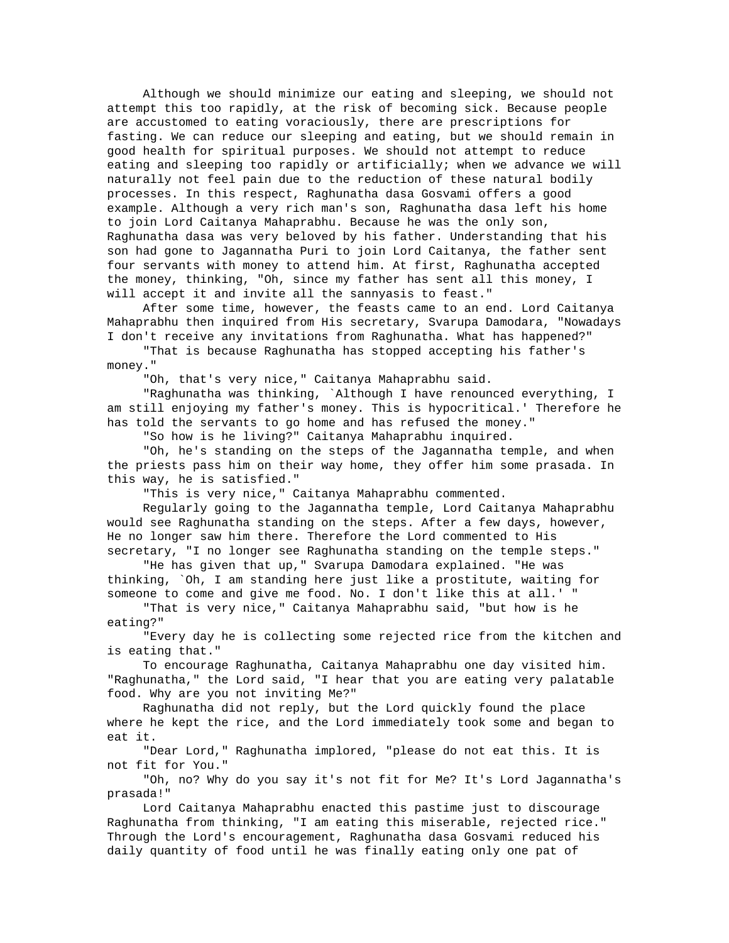Although we should minimize our eating and sleeping, we should not attempt this too rapidly, at the risk of becoming sick. Because people are accustomed to eating voraciously, there are prescriptions for fasting. We can reduce our sleeping and eating, but we should remain in good health for spiritual purposes. We should not attempt to reduce eating and sleeping too rapidly or artificially; when we advance we will naturally not feel pain due to the reduction of these natural bodily processes. In this respect, Raghunatha dasa Gosvami offers a good example. Although a very rich man's son, Raghunatha dasa left his home to join Lord Caitanya Mahaprabhu. Because he was the only son, Raghunatha dasa was very beloved by his father. Understanding that his son had gone to Jagannatha Puri to join Lord Caitanya, the father sent four servants with money to attend him. At first, Raghunatha accepted the money, thinking, "Oh, since my father has sent all this money, I will accept it and invite all the sannyasis to feast."

 After some time, however, the feasts came to an end. Lord Caitanya Mahaprabhu then inquired from His secretary, Svarupa Damodara, "Nowadays I don't receive any invitations from Raghunatha. What has happened?"

 "That is because Raghunatha has stopped accepting his father's money."

"Oh, that's very nice," Caitanya Mahaprabhu said.

 "Raghunatha was thinking, `Although I have renounced everything, I am still enjoying my father's money. This is hypocritical.' Therefore he has told the servants to go home and has refused the money."

"So how is he living?" Caitanya Mahaprabhu inquired.

 "Oh, he's standing on the steps of the Jagannatha temple, and when the priests pass him on their way home, they offer him some prasada. In this way, he is satisfied."

"This is very nice," Caitanya Mahaprabhu commented.

 Regularly going to the Jagannatha temple, Lord Caitanya Mahaprabhu would see Raghunatha standing on the steps. After a few days, however, He no longer saw him there. Therefore the Lord commented to His secretary, "I no longer see Raghunatha standing on the temple steps."

 "He has given that up," Svarupa Damodara explained. "He was thinking, `Oh, I am standing here just like a prostitute, waiting for someone to come and give me food. No. I don't like this at all.' "

 "That is very nice," Caitanya Mahaprabhu said, "but how is he eating?"

 "Every day he is collecting some rejected rice from the kitchen and is eating that."

 To encourage Raghunatha, Caitanya Mahaprabhu one day visited him. "Raghunatha," the Lord said, "I hear that you are eating very palatable food. Why are you not inviting Me?"

 Raghunatha did not reply, but the Lord quickly found the place where he kept the rice, and the Lord immediately took some and began to eat it.

 "Dear Lord," Raghunatha implored, "please do not eat this. It is not fit for You."

 "Oh, no? Why do you say it's not fit for Me? It's Lord Jagannatha's prasada!"

 Lord Caitanya Mahaprabhu enacted this pastime just to discourage Raghunatha from thinking, "I am eating this miserable, rejected rice." Through the Lord's encouragement, Raghunatha dasa Gosvami reduced his daily quantity of food until he was finally eating only one pat of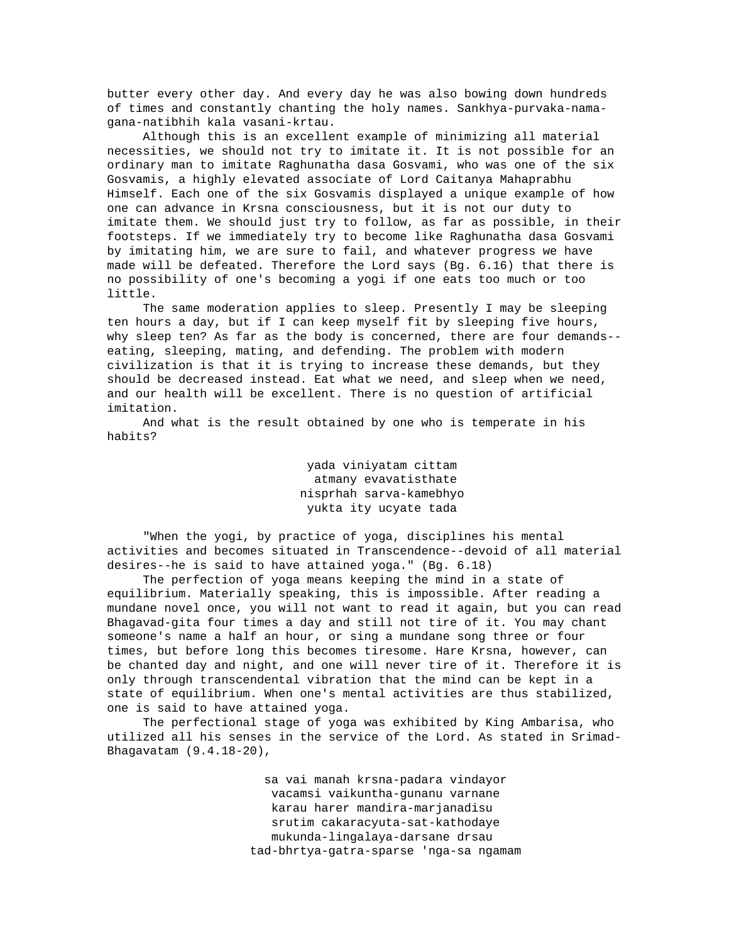butter every other day. And every day he was also bowing down hundreds of times and constantly chanting the holy names. Sankhya-purvaka-namagana-natibhih kala vasani-krtau.

 Although this is an excellent example of minimizing all material necessities, we should not try to imitate it. It is not possible for an ordinary man to imitate Raghunatha dasa Gosvami, who was one of the six Gosvamis, a highly elevated associate of Lord Caitanya Mahaprabhu Himself. Each one of the six Gosvamis displayed a unique example of how one can advance in Krsna consciousness, but it is not our duty to imitate them. We should just try to follow, as far as possible, in their footsteps. If we immediately try to become like Raghunatha dasa Gosvami by imitating him, we are sure to fail, and whatever progress we have made will be defeated. Therefore the Lord says (Bg. 6.16) that there is no possibility of one's becoming a yogi if one eats too much or too little.

 The same moderation applies to sleep. Presently I may be sleeping ten hours a day, but if I can keep myself fit by sleeping five hours, why sleep ten? As far as the body is concerned, there are four demands- eating, sleeping, mating, and defending. The problem with modern civilization is that it is trying to increase these demands, but they should be decreased instead. Eat what we need, and sleep when we need, and our health will be excellent. There is no question of artificial imitation.

 And what is the result obtained by one who is temperate in his habits?

> yada viniyatam cittam atmany evavatisthate nisprhah sarva-kamebhyo yukta ity ucyate tada

 "When the yogi, by practice of yoga, disciplines his mental activities and becomes situated in Transcendence--devoid of all material desires--he is said to have attained yoga." (Bg. 6.18)

 The perfection of yoga means keeping the mind in a state of equilibrium. Materially speaking, this is impossible. After reading a mundane novel once, you will not want to read it again, but you can read Bhagavad-gita four times a day and still not tire of it. You may chant someone's name a half an hour, or sing a mundane song three or four times, but before long this becomes tiresome. Hare Krsna, however, can be chanted day and night, and one will never tire of it. Therefore it is only through transcendental vibration that the mind can be kept in a state of equilibrium. When one's mental activities are thus stabilized, one is said to have attained yoga.

 The perfectional stage of yoga was exhibited by King Ambarisa, who utilized all his senses in the service of the Lord. As stated in Srimad-Bhagavatam (9.4.18-20),

> sa vai manah krsna-padara vindayor vacamsi vaikuntha-gunanu varnane karau harer mandira-marjanadisu srutim cakaracyuta-sat-kathodaye mukunda-lingalaya-darsane drsau tad-bhrtya-gatra-sparse 'nga-sa ngamam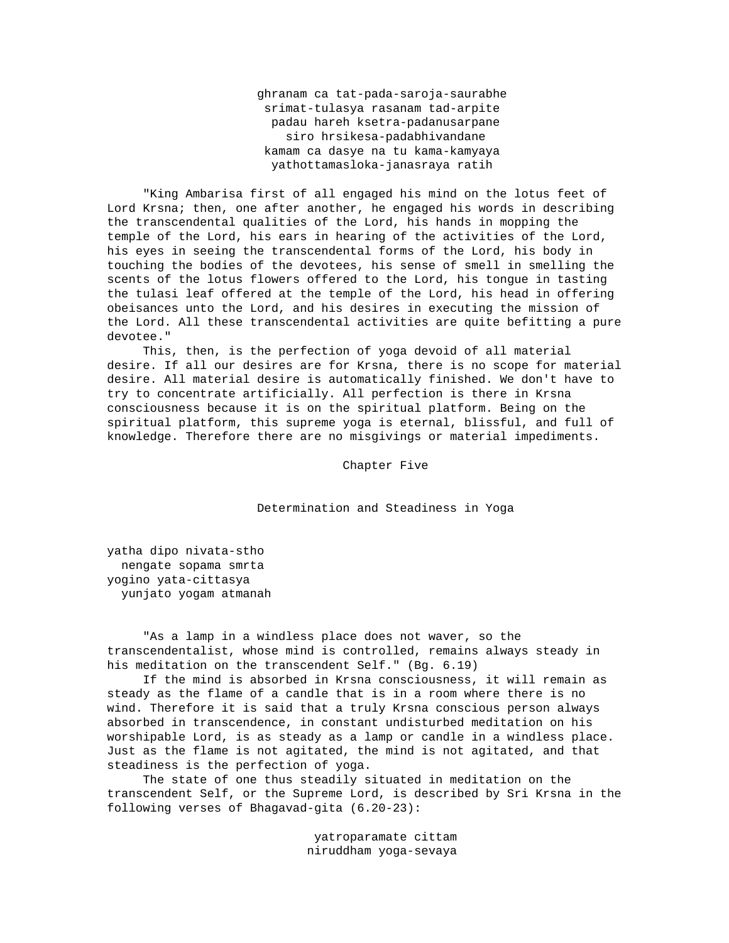ghranam ca tat-pada-saroja-saurabhe srimat-tulasya rasanam tad-arpite padau hareh ksetra-padanusarpane siro hrsikesa-padabhivandane kamam ca dasye na tu kama-kamyaya yathottamasloka-janasraya ratih

 "King Ambarisa first of all engaged his mind on the lotus feet of Lord Krsna; then, one after another, he engaged his words in describing the transcendental qualities of the Lord, his hands in mopping the temple of the Lord, his ears in hearing of the activities of the Lord, his eyes in seeing the transcendental forms of the Lord, his body in touching the bodies of the devotees, his sense of smell in smelling the scents of the lotus flowers offered to the Lord, his tongue in tasting the tulasi leaf offered at the temple of the Lord, his head in offering obeisances unto the Lord, and his desires in executing the mission of the Lord. All these transcendental activities are quite befitting a pure devotee."

 This, then, is the perfection of yoga devoid of all material desire. If all our desires are for Krsna, there is no scope for material desire. All material desire is automatically finished. We don't have to try to concentrate artificially. All perfection is there in Krsna consciousness because it is on the spiritual platform. Being on the spiritual platform, this supreme yoga is eternal, blissful, and full of knowledge. Therefore there are no misgivings or material impediments.

Chapter Five

Determination and Steadiness in Yoga

yatha dipo nivata-stho nengate sopama smrta yogino yata-cittasya yunjato yogam atmanah

 "As a lamp in a windless place does not waver, so the transcendentalist, whose mind is controlled, remains always steady in his meditation on the transcendent Self." (Bg. 6.19)

 If the mind is absorbed in Krsna consciousness, it will remain as steady as the flame of a candle that is in a room where there is no wind. Therefore it is said that a truly Krsna conscious person always absorbed in transcendence, in constant undisturbed meditation on his worshipable Lord, is as steady as a lamp or candle in a windless place. Just as the flame is not agitated, the mind is not agitated, and that steadiness is the perfection of yoga.

 The state of one thus steadily situated in meditation on the transcendent Self, or the Supreme Lord, is described by Sri Krsna in the following verses of Bhagavad-gita (6.20-23):

> yatroparamate cittam niruddham yoga-sevaya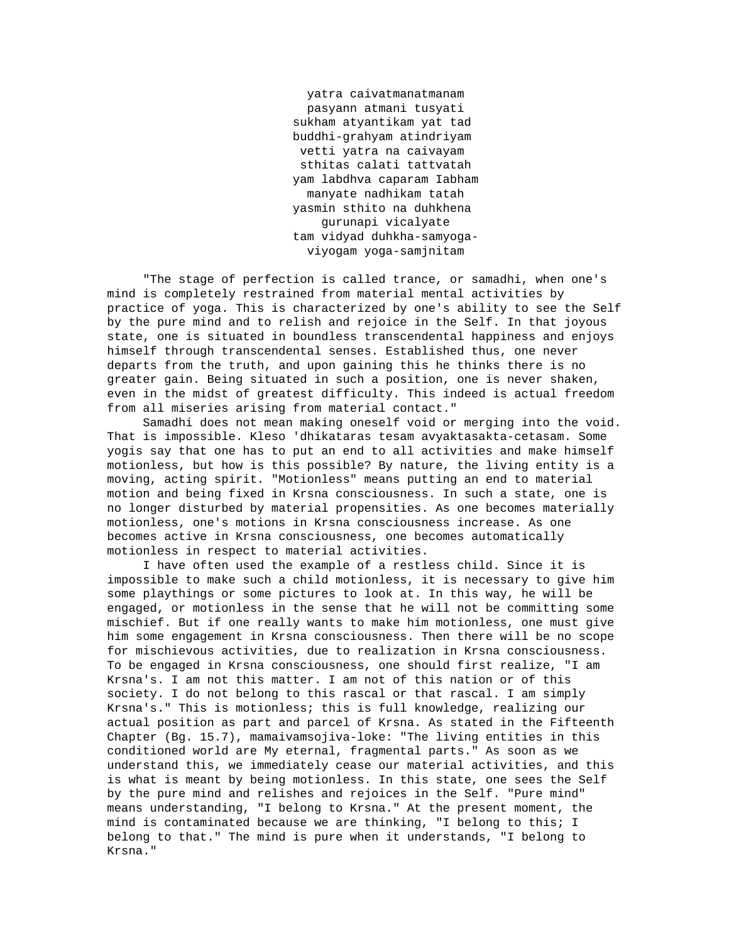yatra caivatmanatmanam pasyann atmani tusyati sukham atyantikam yat tad buddhi-grahyam atindriyam vetti yatra na caivayam sthitas calati tattvatah yam labdhva caparam Iabham manyate nadhikam tatah yasmin sthito na duhkhena gurunapi vicalyate tam vidyad duhkha-samyoga viyogam yoga-samjnitam

 "The stage of perfection is called trance, or samadhi, when one's mind is completely restrained from material mental activities by practice of yoga. This is characterized by one's ability to see the Self by the pure mind and to relish and rejoice in the Self. In that joyous state, one is situated in boundless transcendental happiness and enjoys himself through transcendental senses. Established thus, one never departs from the truth, and upon gaining this he thinks there is no greater gain. Being situated in such a position, one is never shaken, even in the midst of greatest difficulty. This indeed is actual freedom from all miseries arising from material contact."

 Samadhi does not mean making oneself void or merging into the void. That is impossible. Kleso 'dhikataras tesam avyaktasakta-cetasam. Some yogis say that one has to put an end to all activities and make himself motionless, but how is this possible? By nature, the living entity is a moving, acting spirit. "Motionless" means putting an end to material motion and being fixed in Krsna consciousness. In such a state, one is no longer disturbed by material propensities. As one becomes materially motionless, one's motions in Krsna consciousness increase. As one becomes active in Krsna consciousness, one becomes automatically motionless in respect to material activities.

 I have often used the example of a restless child. Since it is impossible to make such a child motionless, it is necessary to give him some playthings or some pictures to look at. In this way, he will be engaged, or motionless in the sense that he will not be committing some mischief. But if one really wants to make him motionless, one must give him some engagement in Krsna consciousness. Then there will be no scope for mischievous activities, due to realization in Krsna consciousness. To be engaged in Krsna consciousness, one should first realize, "I am Krsna's. I am not this matter. I am not of this nation or of this society. I do not belong to this rascal or that rascal. I am simply Krsna's." This is motionless; this is full knowledge, realizing our actual position as part and parcel of Krsna. As stated in the Fifteenth Chapter (Bg. 15.7), mamaivamsojiva-loke: "The living entities in this conditioned world are My eternal, fragmental parts." As soon as we understand this, we immediately cease our material activities, and this is what is meant by being motionless. In this state, one sees the Self by the pure mind and relishes and rejoices in the Self. "Pure mind" means understanding, "I belong to Krsna." At the present moment, the mind is contaminated because we are thinking, "I belong to this; I belong to that." The mind is pure when it understands, "I belong to Krsna."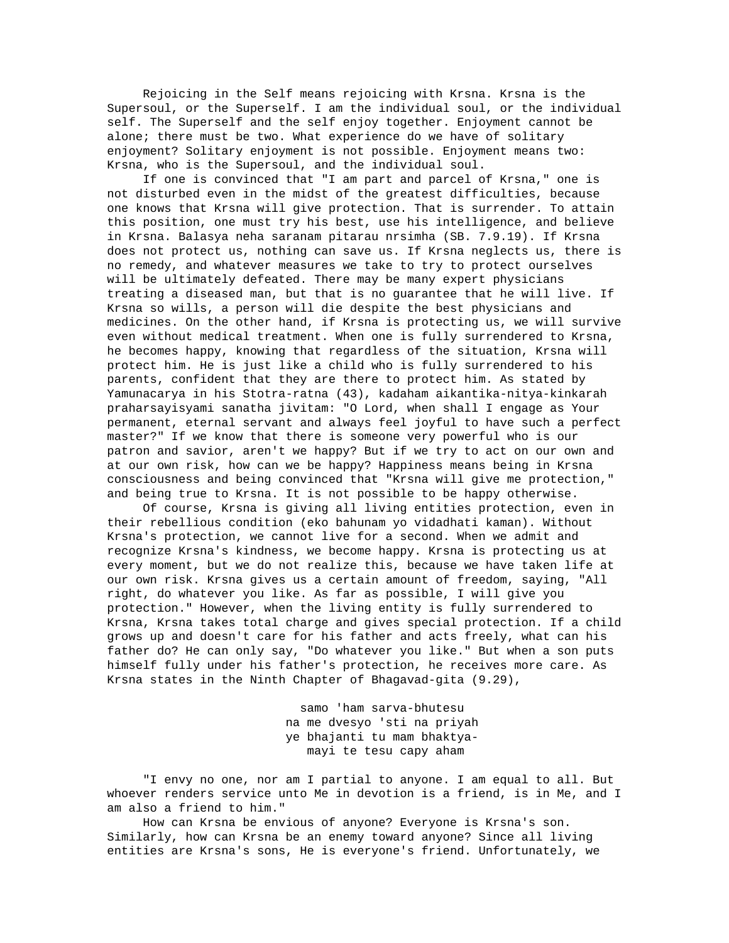Rejoicing in the Self means rejoicing with Krsna. Krsna is the Supersoul, or the Superself. I am the individual soul, or the individual self. The Superself and the self enjoy together. Enjoyment cannot be alone; there must be two. What experience do we have of solitary enjoyment? Solitary enjoyment is not possible. Enjoyment means two: Krsna, who is the Supersoul, and the individual soul.

 If one is convinced that "I am part and parcel of Krsna," one is not disturbed even in the midst of the greatest difficulties, because one knows that Krsna will give protection. That is surrender. To attain this position, one must try his best, use his intelligence, and believe in Krsna. Balasya neha saranam pitarau nrsimha (SB. 7.9.19). If Krsna does not protect us, nothing can save us. If Krsna neglects us, there is no remedy, and whatever measures we take to try to protect ourselves will be ultimately defeated. There may be many expert physicians treating a diseased man, but that is no guarantee that he will live. If Krsna so wills, a person will die despite the best physicians and medicines. On the other hand, if Krsna is protecting us, we will survive even without medical treatment. When one is fully surrendered to Krsna, he becomes happy, knowing that regardless of the situation, Krsna will protect him. He is just like a child who is fully surrendered to his parents, confident that they are there to protect him. As stated by Yamunacarya in his Stotra-ratna (43), kadaham aikantika-nitya-kinkarah praharsayisyami sanatha jivitam: "O Lord, when shall I engage as Your permanent, eternal servant and always feel joyful to have such a perfect master?" If we know that there is someone very powerful who is our patron and savior, aren't we happy? But if we try to act on our own and at our own risk, how can we be happy? Happiness means being in Krsna consciousness and being convinced that "Krsna will give me protection," and being true to Krsna. It is not possible to be happy otherwise.

 Of course, Krsna is giving all living entities protection, even in their rebellious condition (eko bahunam yo vidadhati kaman). Without Krsna's protection, we cannot live for a second. When we admit and recognize Krsna's kindness, we become happy. Krsna is protecting us at every moment, but we do not realize this, because we have taken life at our own risk. Krsna gives us a certain amount of freedom, saying, "All right, do whatever you like. As far as possible, I will give you protection." However, when the living entity is fully surrendered to Krsna, Krsna takes total charge and gives special protection. If a child grows up and doesn't care for his father and acts freely, what can his father do? He can only say, "Do whatever you like." But when a son puts himself fully under his father's protection, he receives more care. As Krsna states in the Ninth Chapter of Bhagavad-gita (9.29),

> samo 'ham sarva-bhutesu na me dvesyo 'sti na priyah ye bhajanti tu mam bhaktya mayi te tesu capy aham

 "I envy no one, nor am I partial to anyone. I am equal to all. But whoever renders service unto Me in devotion is a friend, is in Me, and I am also a friend to him."

 How can Krsna be envious of anyone? Everyone is Krsna's son. Similarly, how can Krsna be an enemy toward anyone? Since all living entities are Krsna's sons, He is everyone's friend. Unfortunately, we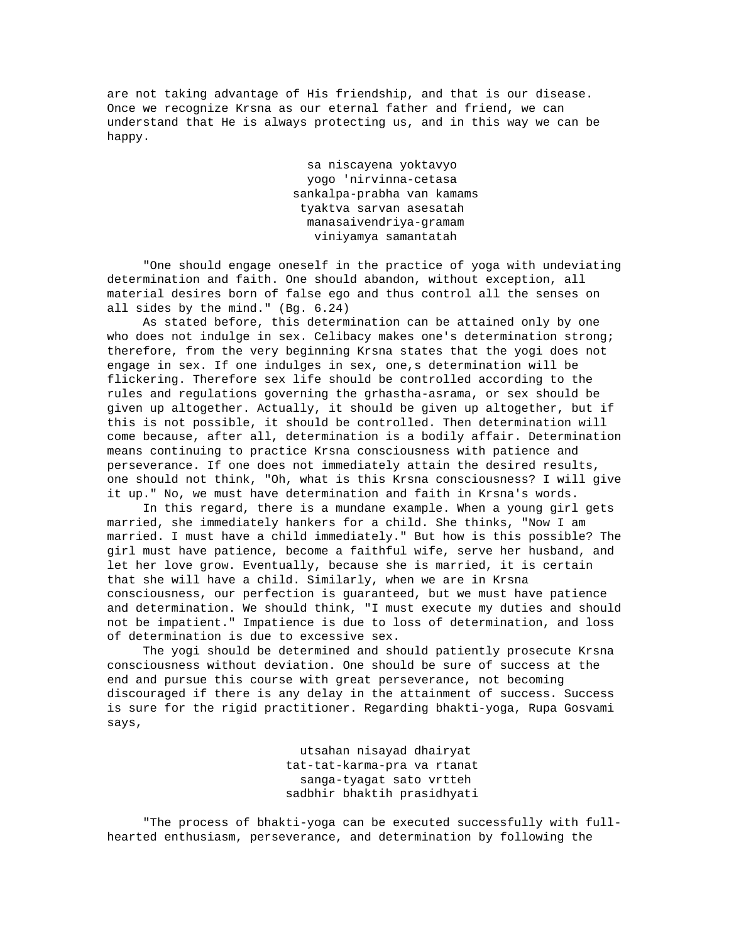are not taking advantage of His friendship, and that is our disease. Once we recognize Krsna as our eternal father and friend, we can understand that He is always protecting us, and in this way we can be happy.

> sa niscayena yoktavyo yogo 'nirvinna-cetasa sankalpa-prabha van kamams tyaktva sarvan asesatah manasaivendriya-gramam viniyamya samantatah

 "One should engage oneself in the practice of yoga with undeviating determination and faith. One should abandon, without exception, all material desires born of false ego and thus control all the senses on all sides by the mind." (Bg. 6.24)

 As stated before, this determination can be attained only by one who does not indulge in sex. Celibacy makes one's determination strong; therefore, from the very beginning Krsna states that the yogi does not engage in sex. If one indulges in sex, one,s determination will be flickering. Therefore sex life should be controlled according to the rules and regulations governing the grhastha-asrama, or sex should be given up altogether. Actually, it should be given up altogether, but if this is not possible, it should be controlled. Then determination will come because, after all, determination is a bodily affair. Determination means continuing to practice Krsna consciousness with patience and perseverance. If one does not immediately attain the desired results, one should not think, "Oh, what is this Krsna consciousness? I will give it up." No, we must have determination and faith in Krsna's words.

 In this regard, there is a mundane example. When a young girl gets married, she immediately hankers for a child. She thinks, "Now I am married. I must have a child immediately." But how is this possible? The girl must have patience, become a faithful wife, serve her husband, and let her love grow. Eventually, because she is married, it is certain that she will have a child. Similarly, when we are in Krsna consciousness, our perfection is guaranteed, but we must have patience and determination. We should think, "I must execute my duties and should not be impatient." Impatience is due to loss of determination, and loss of determination is due to excessive sex.

 The yogi should be determined and should patiently prosecute Krsna consciousness without deviation. One should be sure of success at the end and pursue this course with great perseverance, not becoming discouraged if there is any delay in the attainment of success. Success is sure for the rigid practitioner. Regarding bhakti-yoga, Rupa Gosvami says,

> utsahan nisayad dhairyat tat-tat-karma-pra va rtanat sanga-tyagat sato vrtteh sadbhir bhaktih prasidhyati

 "The process of bhakti-yoga can be executed successfully with fullhearted enthusiasm, perseverance, and determination by following the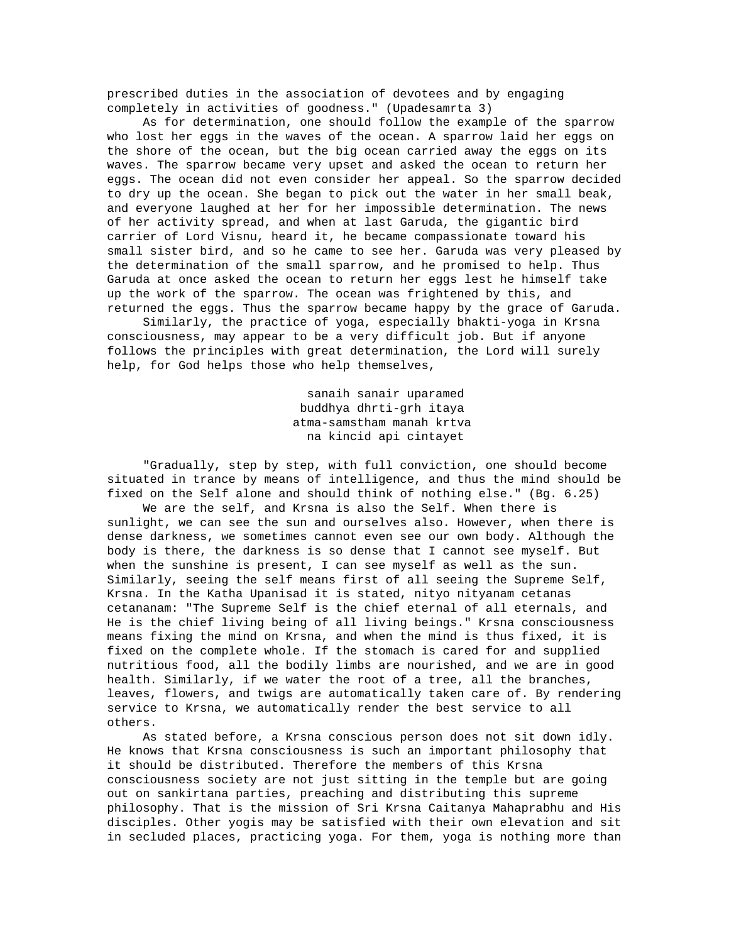prescribed duties in the association of devotees and by engaging completely in activities of goodness." (Upadesamrta 3)

 As for determination, one should follow the example of the sparrow who lost her eggs in the waves of the ocean. A sparrow laid her eggs on the shore of the ocean, but the big ocean carried away the eggs on its waves. The sparrow became very upset and asked the ocean to return her eggs. The ocean did not even consider her appeal. So the sparrow decided to dry up the ocean. She began to pick out the water in her small beak, and everyone laughed at her for her impossible determination. The news of her activity spread, and when at last Garuda, the gigantic bird carrier of Lord Visnu, heard it, he became compassionate toward his small sister bird, and so he came to see her. Garuda was very pleased by the determination of the small sparrow, and he promised to help. Thus Garuda at once asked the ocean to return her eggs lest he himself take up the work of the sparrow. The ocean was frightened by this, and returned the eggs. Thus the sparrow became happy by the grace of Garuda.

 Similarly, the practice of yoga, especially bhakti-yoga in Krsna consciousness, may appear to be a very difficult job. But if anyone follows the principles with great determination, the Lord will surely help, for God helps those who help themselves,

> sanaih sanair uparamed buddhya dhrti-grh itaya atma-samstham manah krtva na kincid api cintayet

 "Gradually, step by step, with full conviction, one should become situated in trance by means of intelligence, and thus the mind should be fixed on the Self alone and should think of nothing else." (Bg. 6.25)

 We are the self, and Krsna is also the Self. When there is sunlight, we can see the sun and ourselves also. However, when there is dense darkness, we sometimes cannot even see our own body. Although the body is there, the darkness is so dense that I cannot see myself. But when the sunshine is present, I can see myself as well as the sun. Similarly, seeing the self means first of all seeing the Supreme Self, Krsna. In the Katha Upanisad it is stated, nityo nityanam cetanas cetananam: "The Supreme Self is the chief eternal of all eternals, and He is the chief living being of all living beings." Krsna consciousness means fixing the mind on Krsna, and when the mind is thus fixed, it is fixed on the complete whole. If the stomach is cared for and supplied nutritious food, all the bodily limbs are nourished, and we are in good health. Similarly, if we water the root of a tree, all the branches, leaves, flowers, and twigs are automatically taken care of. By rendering service to Krsna, we automatically render the best service to all others.

 As stated before, a Krsna conscious person does not sit down idly. He knows that Krsna consciousness is such an important philosophy that it should be distributed. Therefore the members of this Krsna consciousness society are not just sitting in the temple but are going out on sankirtana parties, preaching and distributing this supreme philosophy. That is the mission of Sri Krsna Caitanya Mahaprabhu and His disciples. Other yogis may be satisfied with their own elevation and sit in secluded places, practicing yoga. For them, yoga is nothing more than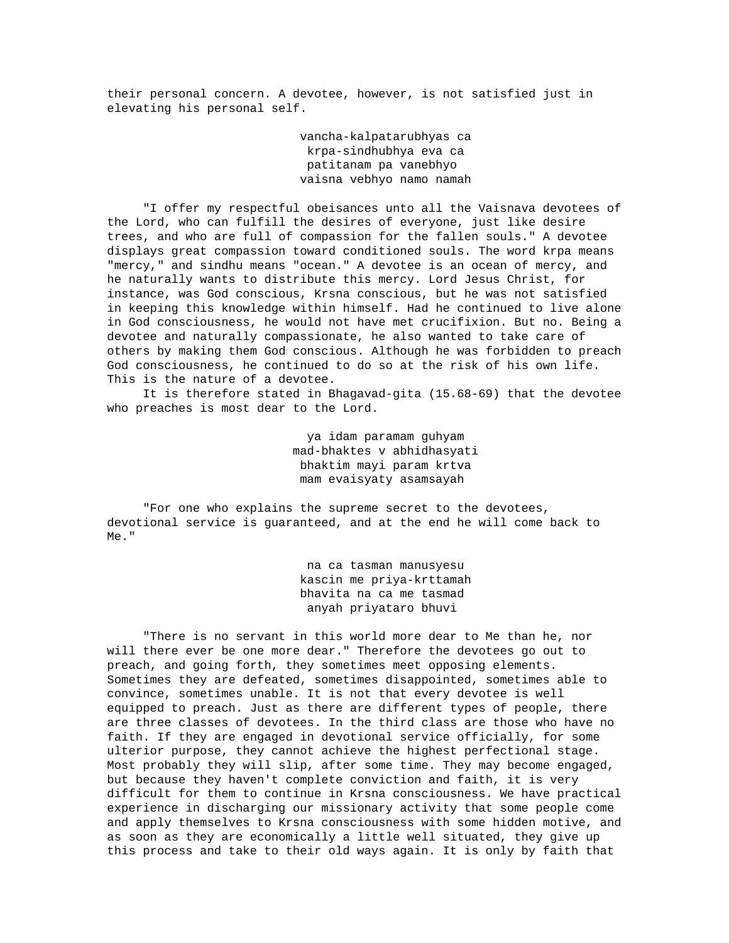their personal concern. A devotee, however, is not satisfied just in elevating his personal self.

> vancha-kalpatarubhyas ca krpa-sindhubhya eva ca patitanam pa vanebhyo vaisna vebhyo namo namah

 "I offer my respectful obeisances unto all the Vaisnava devotees of the Lord, who can fulfill the desires of everyone, just like desire trees, and who are full of compassion for the fallen souls." A devotee displays great compassion toward conditioned souls. The word krpa means "mercy," and sindhu means "ocean." A devotee is an ocean of mercy, and he naturally wants to distribute this mercy. Lord Jesus Christ, for instance, was God conscious, Krsna conscious, but he was not satisfied in keeping this knowledge within himself. Had he continued to live alone in God consciousness, he would not have met crucifixion. But no. Being a devotee and naturally compassionate, he also wanted to take care of others by making them God conscious. Although he was forbidden to preach God consciousness, he continued to do so at the risk of his own life. This is the nature of a devotee.

 It is therefore stated in Bhagavad-gita (15.68-69) that the devotee who preaches is most dear to the Lord.

> ya idam paramam guhyam mad-bhaktes v abhidhasyati bhaktim mayi param krtva mam evaisyaty asamsayah

 "For one who explains the supreme secret to the devotees, devotional service is guaranteed, and at the end he will come back to Me."

> na ca tasman manusyesu kascin me priya-krttamah bhavita na ca me tasmad anyah priyataro bhuvi

 "There is no servant in this world more dear to Me than he, nor will there ever be one more dear." Therefore the devotees go out to preach, and going forth, they sometimes meet opposing elements. Sometimes they are defeated, sometimes disappointed, sometimes able to convince, sometimes unable. It is not that every devotee is well equipped to preach. Just as there are different types of people, there are three classes of devotees. In the third class are those who have no faith. If they are engaged in devotional service officially, for some ulterior purpose, they cannot achieve the highest perfectional stage. Most probably they will slip, after some time. They may become engaged, but because they haven't complete conviction and faith, it is very difficult for them to continue in Krsna consciousness. We have practical experience in discharging our missionary activity that some people come and apply themselves to Krsna consciousness with some hidden motive, and as soon as they are economically a little well situated, they give up this process and take to their old ways again. It is only by faith that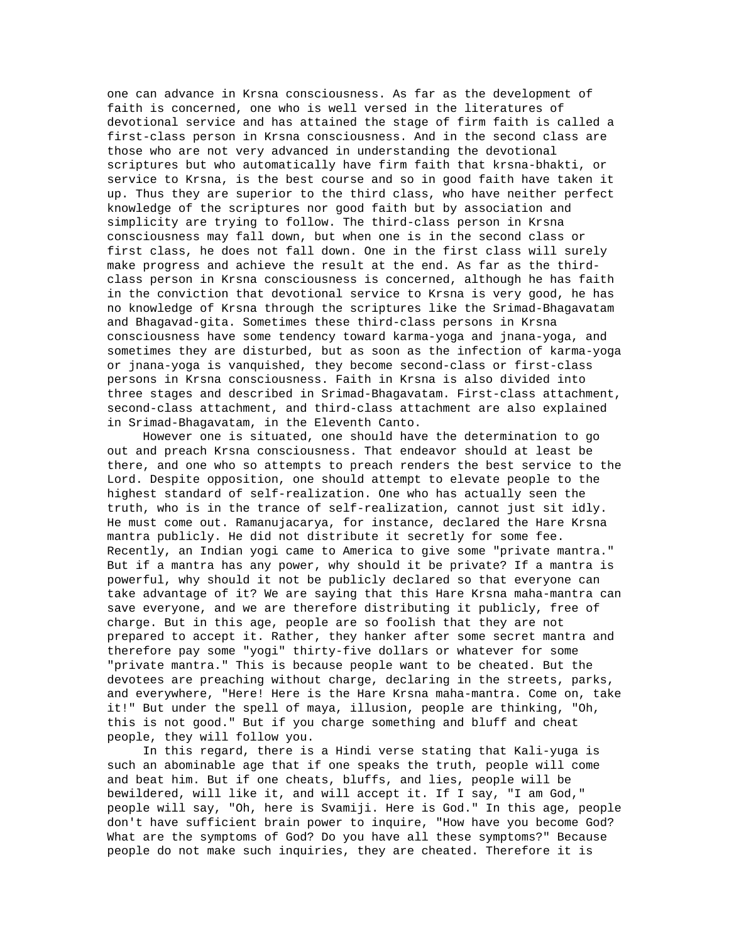one can advance in Krsna consciousness. As far as the development of faith is concerned, one who is well versed in the literatures of devotional service and has attained the stage of firm faith is called a first-class person in Krsna consciousness. And in the second class are those who are not very advanced in understanding the devotional scriptures but who automatically have firm faith that krsna-bhakti, or service to Krsna, is the best course and so in good faith have taken it up. Thus they are superior to the third class, who have neither perfect knowledge of the scriptures nor good faith but by association and simplicity are trying to follow. The third-class person in Krsna consciousness may fall down, but when one is in the second class or first class, he does not fall down. One in the first class will surely make progress and achieve the result at the end. As far as the thirdclass person in Krsna consciousness is concerned, although he has faith in the conviction that devotional service to Krsna is very good, he has no knowledge of Krsna through the scriptures like the Srimad-Bhagavatam and Bhagavad-gita. Sometimes these third-class persons in Krsna consciousness have some tendency toward karma-yoga and jnana-yoga, and sometimes they are disturbed, but as soon as the infection of karma-yoga or jnana-yoga is vanquished, they become second-class or first-class persons in Krsna consciousness. Faith in Krsna is also divided into three stages and described in Srimad-Bhagavatam. First-class attachment, second-class attachment, and third-class attachment are also explained in Srimad-Bhagavatam, in the Eleventh Canto.

 However one is situated, one should have the determination to go out and preach Krsna consciousness. That endeavor should at least be there, and one who so attempts to preach renders the best service to the Lord. Despite opposition, one should attempt to elevate people to the highest standard of self-realization. One who has actually seen the truth, who is in the trance of self-realization, cannot just sit idly. He must come out. Ramanujacarya, for instance, declared the Hare Krsna mantra publicly. He did not distribute it secretly for some fee. Recently, an Indian yogi came to America to give some "private mantra." But if a mantra has any power, why should it be private? If a mantra is powerful, why should it not be publicly declared so that everyone can take advantage of it? We are saying that this Hare Krsna maha-mantra can save everyone, and we are therefore distributing it publicly, free of charge. But in this age, people are so foolish that they are not prepared to accept it. Rather, they hanker after some secret mantra and therefore pay some "yogi" thirty-five dollars or whatever for some "private mantra." This is because people want to be cheated. But the devotees are preaching without charge, declaring in the streets, parks, and everywhere, "Here! Here is the Hare Krsna maha-mantra. Come on, take it!" But under the spell of maya, illusion, people are thinking, "Oh, this is not good." But if you charge something and bluff and cheat people, they will follow you.

 In this regard, there is a Hindi verse stating that Kali-yuga is such an abominable age that if one speaks the truth, people will come and beat him. But if one cheats, bluffs, and lies, people will be bewildered, will like it, and will accept it. If I say, "I am God," people will say, "Oh, here is Svamiji. Here is God." In this age, people don't have sufficient brain power to inquire, "How have you become God? What are the symptoms of God? Do you have all these symptoms?" Because people do not make such inquiries, they are cheated. Therefore it is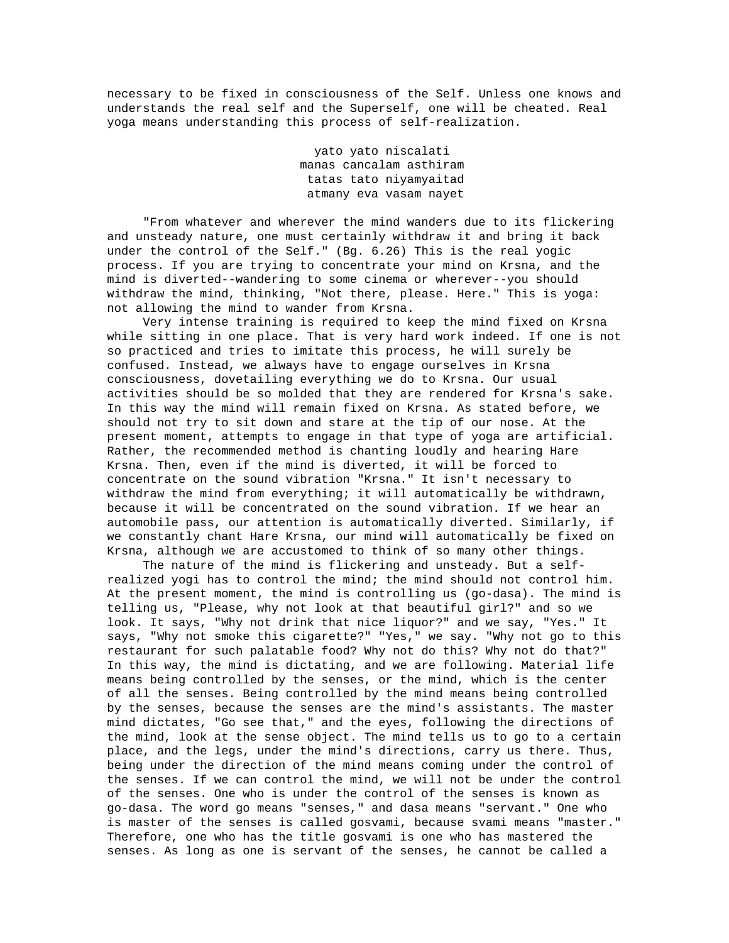necessary to be fixed in consciousness of the Self. Unless one knows and understands the real self and the Superself, one will be cheated. Real yoga means understanding this process of self-realization.

> yato yato niscalati manas cancalam asthiram tatas tato niyamyaitad atmany eva vasam nayet

 "From whatever and wherever the mind wanders due to its flickering and unsteady nature, one must certainly withdraw it and bring it back under the control of the Self." (Bg. 6.26) This is the real yogic process. If you are trying to concentrate your mind on Krsna, and the mind is diverted--wandering to some cinema or wherever--you should withdraw the mind, thinking, "Not there, please. Here." This is yoga: not allowing the mind to wander from Krsna.

 Very intense training is required to keep the mind fixed on Krsna while sitting in one place. That is very hard work indeed. If one is not so practiced and tries to imitate this process, he will surely be confused. Instead, we always have to engage ourselves in Krsna consciousness, dovetailing everything we do to Krsna. Our usual activities should be so molded that they are rendered for Krsna's sake. In this way the mind will remain fixed on Krsna. As stated before, we should not try to sit down and stare at the tip of our nose. At the present moment, attempts to engage in that type of yoga are artificial. Rather, the recommended method is chanting loudly and hearing Hare Krsna. Then, even if the mind is diverted, it will be forced to concentrate on the sound vibration "Krsna." It isn't necessary to withdraw the mind from everything; it will automatically be withdrawn, because it will be concentrated on the sound vibration. If we hear an automobile pass, our attention is automatically diverted. Similarly, if we constantly chant Hare Krsna, our mind will automatically be fixed on Krsna, although we are accustomed to think of so many other things.

 The nature of the mind is flickering and unsteady. But a selfrealized yogi has to control the mind; the mind should not control him. At the present moment, the mind is controlling us (go-dasa). The mind is telling us, "Please, why not look at that beautiful girl?" and so we look. It says, "Why not drink that nice liquor?" and we say, "Yes." It says, "Why not smoke this cigarette?" "Yes," we say. "Why not go to this restaurant for such palatable food? Why not do this? Why not do that?" In this way, the mind is dictating, and we are following. Material life means being controlled by the senses, or the mind, which is the center of all the senses. Being controlled by the mind means being controlled by the senses, because the senses are the mind's assistants. The master mind dictates, "Go see that," and the eyes, following the directions of the mind, look at the sense object. The mind tells us to go to a certain place, and the legs, under the mind's directions, carry us there. Thus, being under the direction of the mind means coming under the control of the senses. If we can control the mind, we will not be under the control of the senses. One who is under the control of the senses is known as go-dasa. The word go means "senses," and dasa means "servant." One who is master of the senses is called gosvami, because svami means "master." Therefore, one who has the title gosvami is one who has mastered the senses. As long as one is servant of the senses, he cannot be called a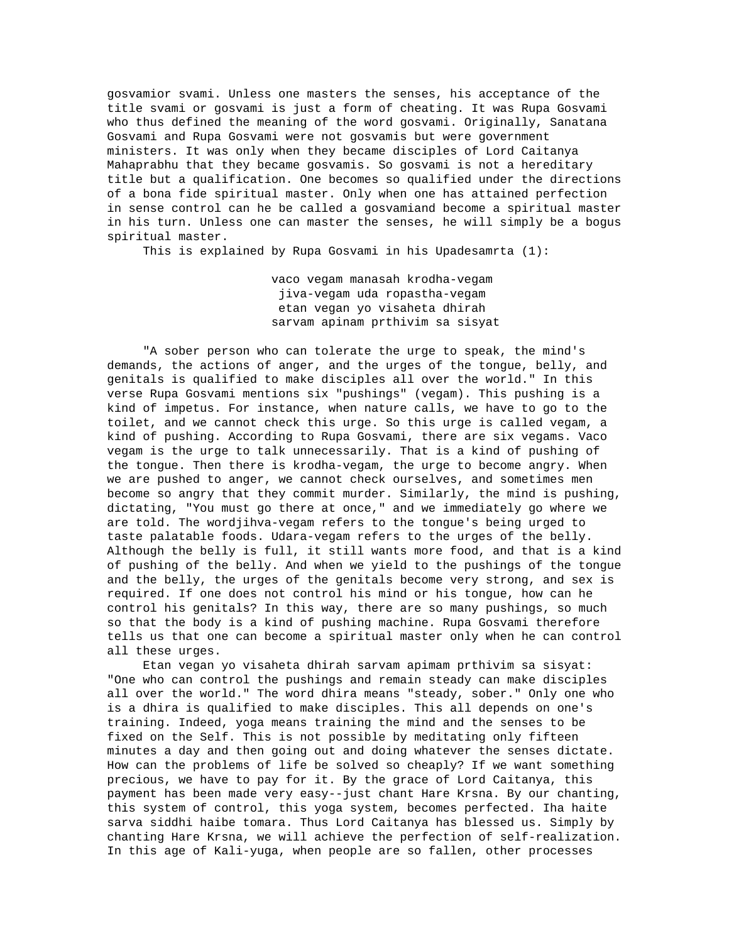gosvamior svami. Unless one masters the senses, his acceptance of the title svami or gosvami is just a form of cheating. It was Rupa Gosvami who thus defined the meaning of the word gosvami. Originally, Sanatana Gosvami and Rupa Gosvami were not gosvamis but were government ministers. It was only when they became disciples of Lord Caitanya Mahaprabhu that they became gosvamis. So gosvami is not a hereditary title but a qualification. One becomes so qualified under the directions of a bona fide spiritual master. Only when one has attained perfection in sense control can he be called a gosvamiand become a spiritual master in his turn. Unless one can master the senses, he will simply be a bogus spiritual master.

This is explained by Rupa Gosvami in his Upadesamrta (1):

 vaco vegam manasah krodha-vegam jiva-vegam uda ropastha-vegam etan vegan yo visaheta dhirah sarvam apinam prthivim sa sisyat

 "A sober person who can tolerate the urge to speak, the mind's demands, the actions of anger, and the urges of the tongue, belly, and genitals is qualified to make disciples all over the world." In this verse Rupa Gosvami mentions six "pushings" (vegam). This pushing is a kind of impetus. For instance, when nature calls, we have to go to the toilet, and we cannot check this urge. So this urge is called vegam, a kind of pushing. According to Rupa Gosvami, there are six vegams. Vaco vegam is the urge to talk unnecessarily. That is a kind of pushing of the tongue. Then there is krodha-vegam, the urge to become angry. When we are pushed to anger, we cannot check ourselves, and sometimes men become so angry that they commit murder. Similarly, the mind is pushing, dictating, "You must go there at once," and we immediately go where we are told. The wordjihva-vegam refers to the tongue's being urged to taste palatable foods. Udara-vegam refers to the urges of the belly. Although the belly is full, it still wants more food, and that is a kind of pushing of the belly. And when we yield to the pushings of the tongue and the belly, the urges of the genitals become very strong, and sex is required. If one does not control his mind or his tongue, how can he control his genitals? In this way, there are so many pushings, so much so that the body is a kind of pushing machine. Rupa Gosvami therefore tells us that one can become a spiritual master only when he can control all these urges.

 Etan vegan yo visaheta dhirah sarvam apimam prthivim sa sisyat: "One who can control the pushings and remain steady can make disciples all over the world." The word dhira means "steady, sober." Only one who is a dhira is qualified to make disciples. This all depends on one's training. Indeed, yoga means training the mind and the senses to be fixed on the Self. This is not possible by meditating only fifteen minutes a day and then going out and doing whatever the senses dictate. How can the problems of life be solved so cheaply? If we want something precious, we have to pay for it. By the grace of Lord Caitanya, this payment has been made very easy--just chant Hare Krsna. By our chanting, this system of control, this yoga system, becomes perfected. Iha haite sarva siddhi haibe tomara. Thus Lord Caitanya has blessed us. Simply by chanting Hare Krsna, we will achieve the perfection of self-realization. In this age of Kali-yuga, when people are so fallen, other processes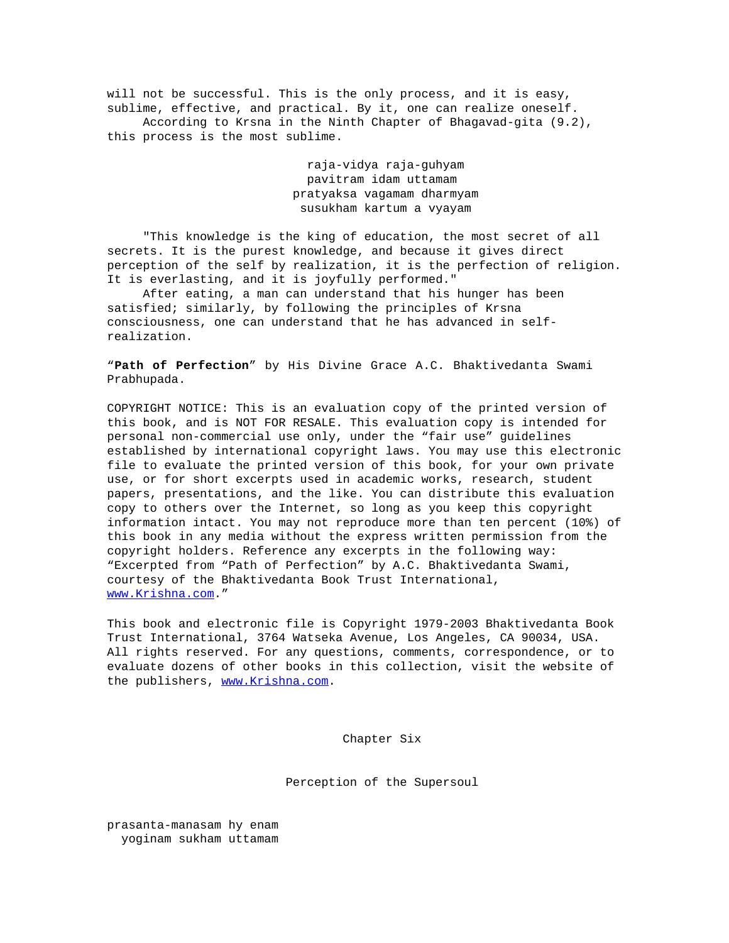will not be successful. This is the only process, and it is easy, sublime, effective, and practical. By it, one can realize oneself.

 According to Krsna in the Ninth Chapter of Bhagavad-gita (9.2), this process is the most sublime.

> raja-vidya raja-guhyam pavitram idam uttamam pratyaksa vagamam dharmyam susukham kartum a vyayam

 "This knowledge is the king of education, the most secret of all secrets. It is the purest knowledge, and because it gives direct perception of the self by realization, it is the perfection of religion. It is everlasting, and it is joyfully performed."

 After eating, a man can understand that his hunger has been satisfied; similarly, by following the principles of Krsna consciousness, one can understand that he has advanced in selfrealization.

"**Path of Perfection**" by His Divine Grace A.C. Bhaktivedanta Swami Prabhupada.

COPYRIGHT NOTICE: This is an evaluation copy of the printed version of this book, and is NOT FOR RESALE. This evaluation copy is intended for personal non-commercial use only, under the "fair use" guidelines established by international copyright laws. You may use this electronic file to evaluate the printed version of this book, for your own private use, or for short excerpts used in academic works, research, student papers, presentations, and the like. You can distribute this evaluation copy to others over the Internet, so long as you keep this copyright information intact. You may not reproduce more than ten percent (10%) of this book in any media without the express written permission from the copyright holders. Reference any excerpts in the following way: "Excerpted from "Path of Perfection" by A.C. Bhaktivedanta Swami, courtesy of the Bhaktivedanta Book Trust International, www.Krishna.com ."

This book and electronic file is Copyright 1979-2003 Bhaktivedanta Book Trust International, 3764 Watseka Avenue, Los Angeles, CA 90034, USA. All rights reserved. For any questions, comments, correspondence, or to evaluate dozens of other books in this collection, visit the website of the publishers, www.Krishna.com.

Chapter Six

Perception of the Supersoul

prasanta-manasam hy enam yoginam sukham uttamam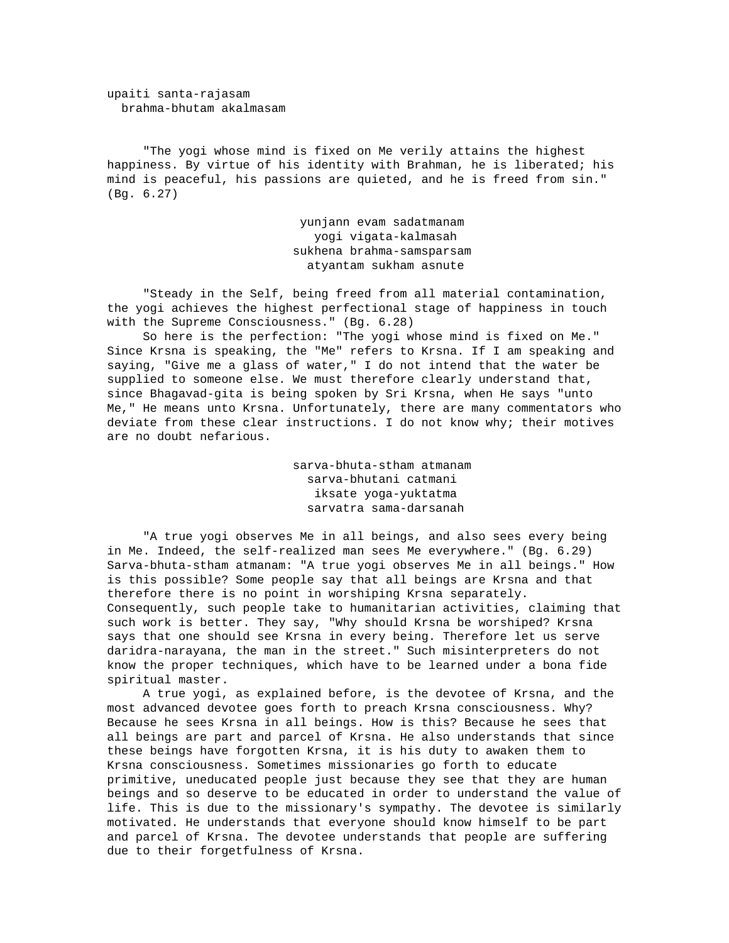upaiti santa-rajasam brahma-bhutam akalmasam

 "The yogi whose mind is fixed on Me verily attains the highest happiness. By virtue of his identity with Brahman, he is liberated; his mind is peaceful, his passions are quieted, and he is freed from sin." (Bg. 6.27)

> yunjann evam sadatmanam yogi vigata-kalmasah sukhena brahma-samsparsam atyantam sukham asnute

 "Steady in the Self, being freed from all material contamination, the yogi achieves the highest perfectional stage of happiness in touch with the Supreme Consciousness." (Bg. 6.28)

 So here is the perfection: "The yogi whose mind is fixed on Me." Since Krsna is speaking, the "Me" refers to Krsna. If I am speaking and saying, "Give me a glass of water," I do not intend that the water be supplied to someone else. We must therefore clearly understand that, since Bhagavad-gita is being spoken by Sri Krsna, when He says "unto Me," He means unto Krsna. Unfortunately, there are many commentators who deviate from these clear instructions. I do not know why; their motives are no doubt nefarious.

> sarva-bhuta-stham atmanam sarva-bhutani catmani iksate yoga-yuktatma sarvatra sama-darsanah

 "A true yogi observes Me in all beings, and also sees every being in Me. Indeed, the self-realized man sees Me everywhere." (Bg. 6.29) Sarva-bhuta-stham atmanam: "A true yogi observes Me in all beings." How is this possible? Some people say that all beings are Krsna and that therefore there is no point in worshiping Krsna separately. Consequently, such people take to humanitarian activities, claiming that such work is better. They say, "Why should Krsna be worshiped? Krsna says that one should see Krsna in every being. Therefore let us serve daridra-narayana, the man in the street." Such misinterpreters do not know the proper techniques, which have to be learned under a bona fide spiritual master.

 A true yogi, as explained before, is the devotee of Krsna, and the most advanced devotee goes forth to preach Krsna consciousness. Why? Because he sees Krsna in all beings. How is this? Because he sees that all beings are part and parcel of Krsna. He also understands that since these beings have forgotten Krsna, it is his duty to awaken them to Krsna consciousness. Sometimes missionaries go forth to educate primitive, uneducated people just because they see that they are human beings and so deserve to be educated in order to understand the value of life. This is due to the missionary's sympathy. The devotee is similarly motivated. He understands that everyone should know himself to be part and parcel of Krsna. The devotee understands that people are suffering due to their forgetfulness of Krsna.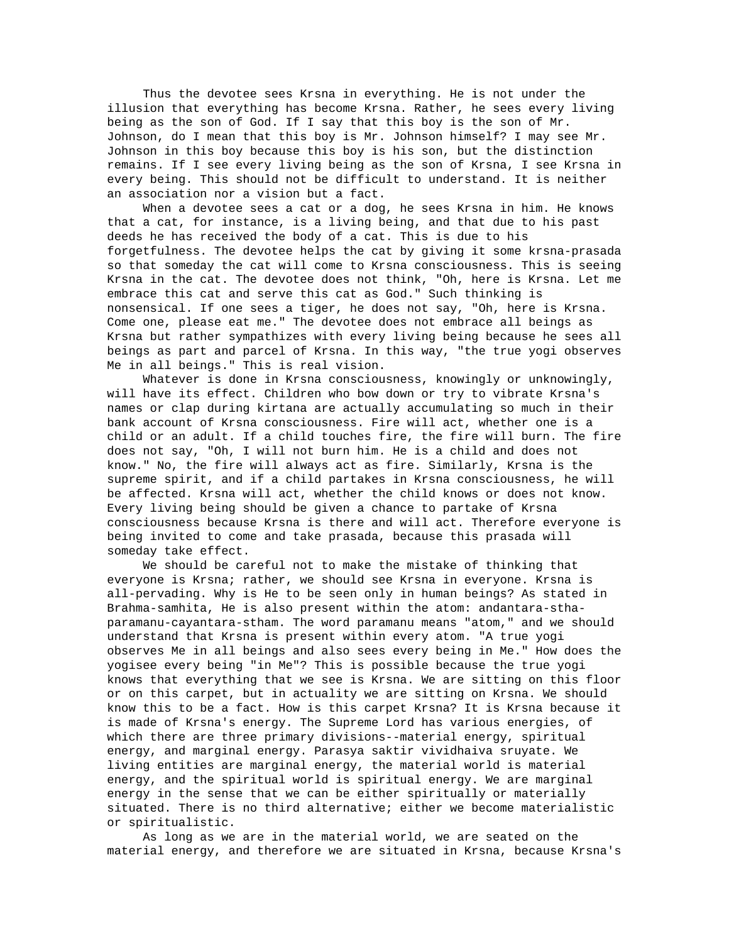Thus the devotee sees Krsna in everything. He is not under the illusion that everything has become Krsna. Rather, he sees every living being as the son of God. If I say that this boy is the son of Mr. Johnson, do I mean that this boy is Mr. Johnson himself? I may see Mr. Johnson in this boy because this boy is his son, but the distinction remains. If I see every living being as the son of Krsna, I see Krsna in every being. This should not be difficult to understand. It is neither an association nor a vision but a fact.

 When a devotee sees a cat or a dog, he sees Krsna in him. He knows that a cat, for instance, is a living being, and that due to his past deeds he has received the body of a cat. This is due to his forgetfulness. The devotee helps the cat by giving it some krsna-prasada so that someday the cat will come to Krsna consciousness. This is seeing Krsna in the cat. The devotee does not think, "Oh, here is Krsna. Let me embrace this cat and serve this cat as God." Such thinking is nonsensical. If one sees a tiger, he does not say, "Oh, here is Krsna. Come one, please eat me." The devotee does not embrace all beings as Krsna but rather sympathizes with every living being because he sees all beings as part and parcel of Krsna. In this way, "the true yogi observes Me in all beings." This is real vision.

 Whatever is done in Krsna consciousness, knowingly or unknowingly, will have its effect. Children who bow down or try to vibrate Krsna's names or clap during kirtana are actually accumulating so much in their bank account of Krsna consciousness. Fire will act, whether one is a child or an adult. If a child touches fire, the fire will burn. The fire does not say, "Oh, I will not burn him. He is a child and does not know." No, the fire will always act as fire. Similarly, Krsna is the supreme spirit, and if a child partakes in Krsna consciousness, he will be affected. Krsna will act, whether the child knows or does not know. Every living being should be given a chance to partake of Krsna consciousness because Krsna is there and will act. Therefore everyone is being invited to come and take prasada, because this prasada will someday take effect.

 We should be careful not to make the mistake of thinking that everyone is Krsna; rather, we should see Krsna in everyone. Krsna is all-pervading. Why is He to be seen only in human beings? As stated in Brahma-samhita, He is also present within the atom: andantara-sthaparamanu-cayantara-stham. The word paramanu means "atom," and we should understand that Krsna is present within every atom. "A true yogi observes Me in all beings and also sees every being in Me." How does the yogisee every being "in Me"? This is possible because the true yogi knows that everything that we see is Krsna. We are sitting on this floor or on this carpet, but in actuality we are sitting on Krsna. We should know this to be a fact. How is this carpet Krsna? It is Krsna because it is made of Krsna's energy. The Supreme Lord has various energies, of which there are three primary divisions--material energy, spiritual energy, and marginal energy. Parasya saktir vividhaiva sruyate. We living entities are marginal energy, the material world is material energy, and the spiritual world is spiritual energy. We are marginal energy in the sense that we can be either spiritually or materially situated. There is no third alternative; either we become materialistic or spiritualistic.

 As long as we are in the material world, we are seated on the material energy, and therefore we are situated in Krsna, because Krsna's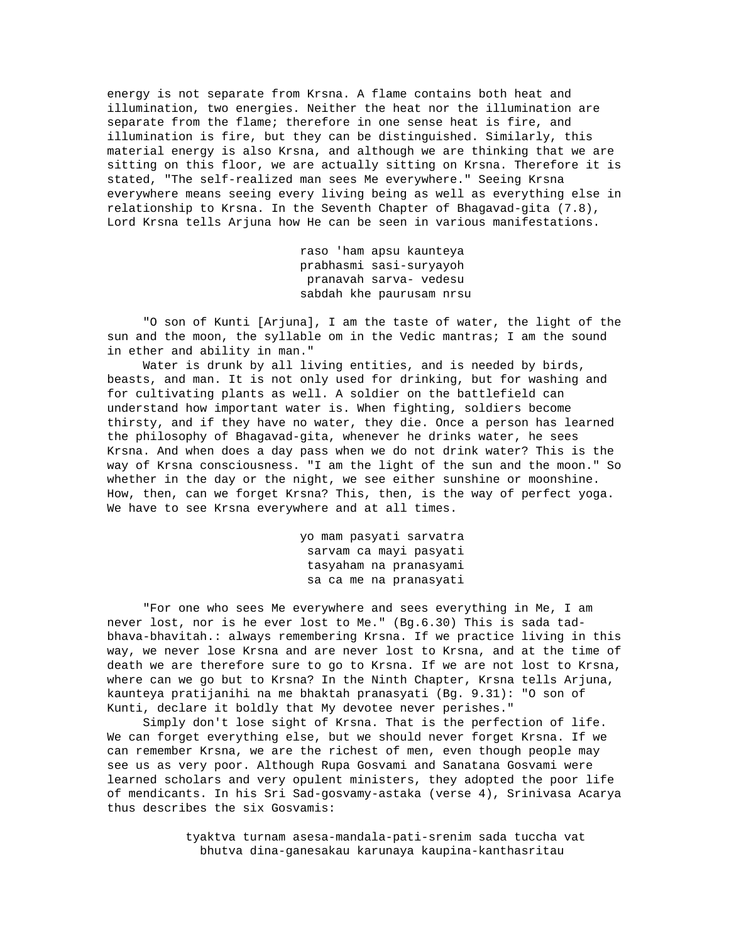energy is not separate from Krsna. A flame contains both heat and illumination, two energies. Neither the heat nor the illumination are separate from the flame; therefore in one sense heat is fire, and illumination is fire, but they can be distinguished. Similarly, this material energy is also Krsna, and although we are thinking that we are sitting on this floor, we are actually sitting on Krsna. Therefore it is stated, "The self-realized man sees Me everywhere." Seeing Krsna everywhere means seeing every living being as well as everything else in relationship to Krsna. In the Seventh Chapter of Bhagavad-gita (7.8), Lord Krsna tells Arjuna how He can be seen in various manifestations.

> raso 'ham apsu kaunteya prabhasmi sasi-suryayoh pranavah sarva- vedesu sabdah khe paurusam nrsu

 "O son of Kunti [Arjuna], I am the taste of water, the light of the sun and the moon, the syllable om in the Vedic mantras; I am the sound in ether and ability in man."

 Water is drunk by all living entities, and is needed by birds, beasts, and man. It is not only used for drinking, but for washing and for cultivating plants as well. A soldier on the battlefield can understand how important water is. When fighting, soldiers become thirsty, and if they have no water, they die. Once a person has learned the philosophy of Bhagavad-gita, whenever he drinks water, he sees Krsna. And when does a day pass when we do not drink water? This is the way of Krsna consciousness. "I am the light of the sun and the moon." So whether in the day or the night, we see either sunshine or moonshine. How, then, can we forget Krsna? This, then, is the way of perfect yoga. We have to see Krsna everywhere and at all times.

> yo mam pasyati sarvatra sarvam ca mayi pasyati tasyaham na pranasyami sa ca me na pranasyati

 "For one who sees Me everywhere and sees everything in Me, I am never lost, nor is he ever lost to Me." (Bg.6.30) This is sada tadbhava-bhavitah.: always remembering Krsna. If we practice living in this way, we never lose Krsna and are never lost to Krsna, and at the time of death we are therefore sure to go to Krsna. If we are not lost to Krsna, where can we go but to Krsna? In the Ninth Chapter, Krsna tells Arjuna, kaunteya pratijanihi na me bhaktah pranasyati (Bg. 9.31): "O son of Kunti, declare it boldly that My devotee never perishes."

 Simply don't lose sight of Krsna. That is the perfection of life. We can forget everything else, but we should never forget Krsna. If we can remember Krsna, we are the richest of men, even though people may see us as very poor. Although Rupa Gosvami and Sanatana Gosvami were learned scholars and very opulent ministers, they adopted the poor life of mendicants. In his Sri Sad-gosvamy-astaka (verse 4), Srinivasa Acarya thus describes the six Gosvamis:

> tyaktva turnam asesa-mandala-pati-srenim sada tuccha vat bhutva dina-ganesakau karunaya kaupina-kanthasritau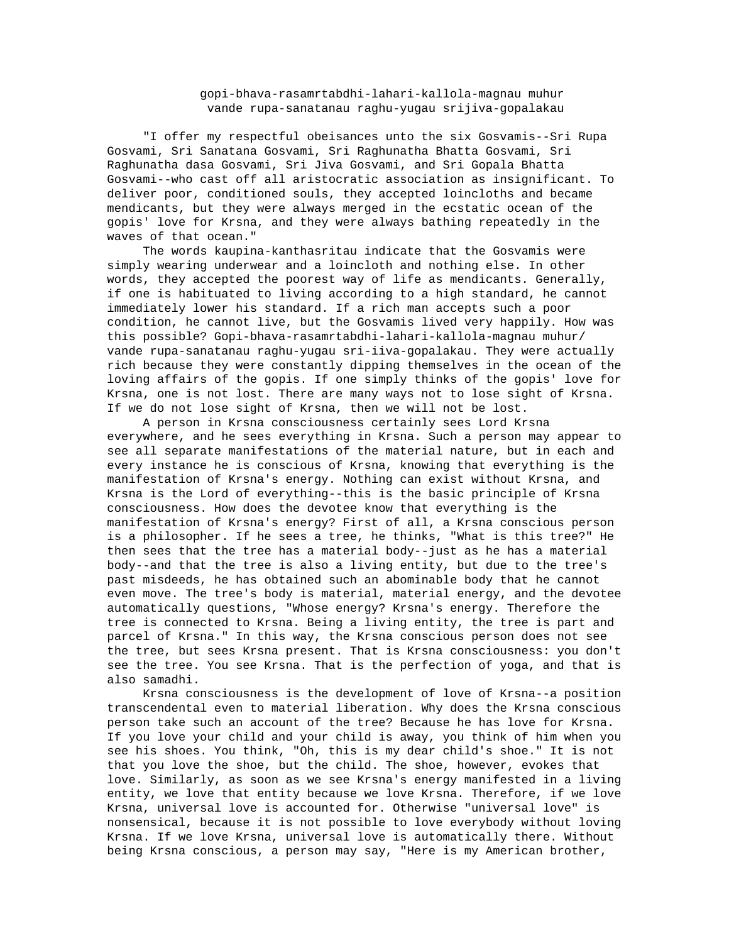gopi-bhava-rasamrtabdhi-lahari-kallola-magnau muhur vande rupa-sanatanau raghu-yugau srijiva-gopalakau

 "I offer my respectful obeisances unto the six Gosvamis--Sri Rupa Gosvami, Sri Sanatana Gosvami, Sri Raghunatha Bhatta Gosvami, Sri Raghunatha dasa Gosvami, Sri Jiva Gosvami, and Sri Gopala Bhatta Gosvami--who cast off all aristocratic association as insignificant. To deliver poor, conditioned souls, they accepted loincloths and became mendicants, but they were always merged in the ecstatic ocean of the gopis' love for Krsna, and they were always bathing repeatedly in the waves of that ocean."

 The words kaupina-kanthasritau indicate that the Gosvamis were simply wearing underwear and a loincloth and nothing else. In other words, they accepted the poorest way of life as mendicants. Generally, if one is habituated to living according to a high standard, he cannot immediately lower his standard. If a rich man accepts such a poor condition, he cannot live, but the Gosvamis lived very happily. How was this possible? Gopi-bhava-rasamrtabdhi-lahari-kallola-magnau muhur/ vande rupa-sanatanau raghu-yugau sri-iiva-gopalakau. They were actually rich because they were constantly dipping themselves in the ocean of the loving affairs of the gopis. If one simply thinks of the gopis' love for Krsna, one is not lost. There are many ways not to lose sight of Krsna. If we do not lose sight of Krsna, then we will not be lost.

 A person in Krsna consciousness certainly sees Lord Krsna everywhere, and he sees everything in Krsna. Such a person may appear to see all separate manifestations of the material nature, but in each and every instance he is conscious of Krsna, knowing that everything is the manifestation of Krsna's energy. Nothing can exist without Krsna, and Krsna is the Lord of everything--this is the basic principle of Krsna consciousness. How does the devotee know that everything is the manifestation of Krsna's energy? First of all, a Krsna conscious person is a philosopher. If he sees a tree, he thinks, "What is this tree?" He then sees that the tree has a material body--just as he has a material body--and that the tree is also a living entity, but due to the tree's past misdeeds, he has obtained such an abominable body that he cannot even move. The tree's body is material, material energy, and the devotee automatically questions, "Whose energy? Krsna's energy. Therefore the tree is connected to Krsna. Being a living entity, the tree is part and parcel of Krsna." In this way, the Krsna conscious person does not see the tree, but sees Krsna present. That is Krsna consciousness: you don't see the tree. You see Krsna. That is the perfection of yoga, and that is also samadhi.

 Krsna consciousness is the development of love of Krsna--a position transcendental even to material liberation. Why does the Krsna conscious person take such an account of the tree? Because he has love for Krsna. If you love your child and your child is away, you think of him when you see his shoes. You think, "Oh, this is my dear child's shoe." It is not that you love the shoe, but the child. The shoe, however, evokes that love. Similarly, as soon as we see Krsna's energy manifested in a living entity, we love that entity because we love Krsna. Therefore, if we love Krsna, universal love is accounted for. Otherwise "universal love" is nonsensical, because it is not possible to love everybody without loving Krsna. If we love Krsna, universal love is automatically there. Without being Krsna conscious, a person may say, "Here is my American brother,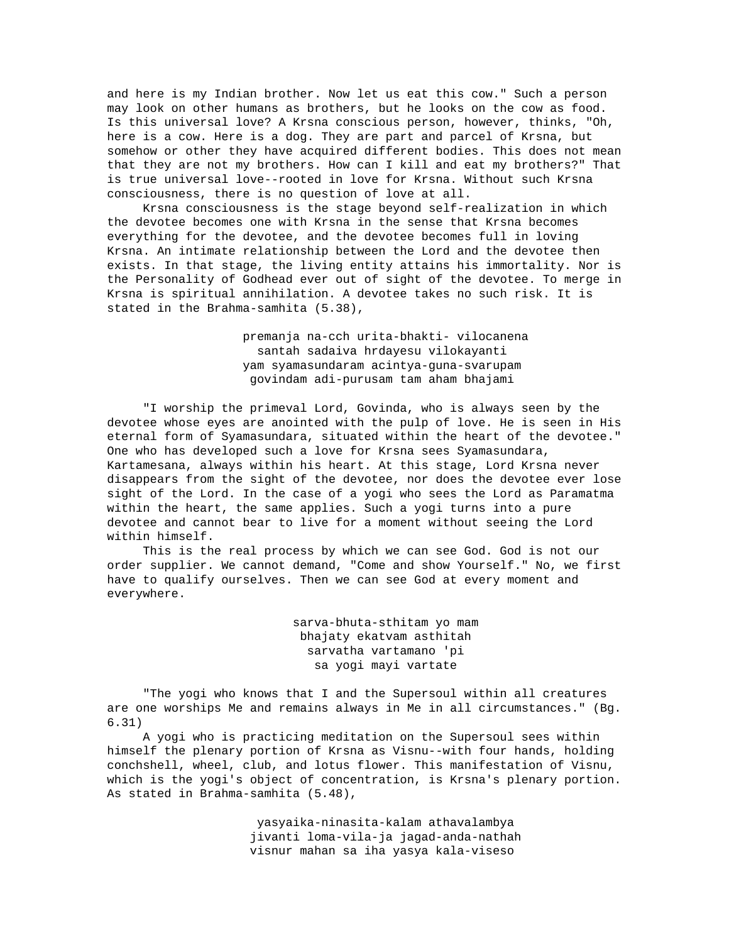and here is my Indian brother. Now let us eat this cow." Such a person may look on other humans as brothers, but he looks on the cow as food. Is this universal love? A Krsna conscious person, however, thinks, "Oh, here is a cow. Here is a dog. They are part and parcel of Krsna, but somehow or other they have acquired different bodies. This does not mean that they are not my brothers. How can I kill and eat my brothers?" That is true universal love--rooted in love for Krsna. Without such Krsna consciousness, there is no question of love at all.

 Krsna consciousness is the stage beyond self-realization in which the devotee becomes one with Krsna in the sense that Krsna becomes everything for the devotee, and the devotee becomes full in loving Krsna. An intimate relationship between the Lord and the devotee then exists. In that stage, the living entity attains his immortality. Nor is the Personality of Godhead ever out of sight of the devotee. To merge in Krsna is spiritual annihilation. A devotee takes no such risk. It is stated in the Brahma-samhita (5.38),

> premanja na-cch urita-bhakti- vilocanena santah sadaiva hrdayesu vilokayanti yam syamasundaram acintya-guna-svarupam govindam adi-purusam tam aham bhajami

 "I worship the primeval Lord, Govinda, who is always seen by the devotee whose eyes are anointed with the pulp of love. He is seen in His eternal form of Syamasundara, situated within the heart of the devotee." One who has developed such a love for Krsna sees Syamasundara, Kartamesana, always within his heart. At this stage, Lord Krsna never disappears from the sight of the devotee, nor does the devotee ever lose sight of the Lord. In the case of a yogi who sees the Lord as Paramatma within the heart, the same applies. Such a yogi turns into a pure devotee and cannot bear to live for a moment without seeing the Lord within himself.

 This is the real process by which we can see God. God is not our order supplier. We cannot demand, "Come and show Yourself." No, we first have to qualify ourselves. Then we can see God at every moment and everywhere.

> sarva-bhuta-sthitam yo mam bhajaty ekatvam asthitah sarvatha vartamano 'pi sa yogi mayi vartate

 "The yogi who knows that I and the Supersoul within all creatures are one worships Me and remains always in Me in all circumstances." (Bg. 6.31)

 A yogi who is practicing meditation on the Supersoul sees within himself the plenary portion of Krsna as Visnu--with four hands, holding conchshell, wheel, club, and lotus flower. This manifestation of Visnu, which is the yogi's object of concentration, is Krsna's plenary portion. As stated in Brahma-samhita (5.48),

> yasyaika-ninasita-kalam athavalambya jivanti loma-vila-ja jagad-anda-nathah visnur mahan sa iha yasya kala-viseso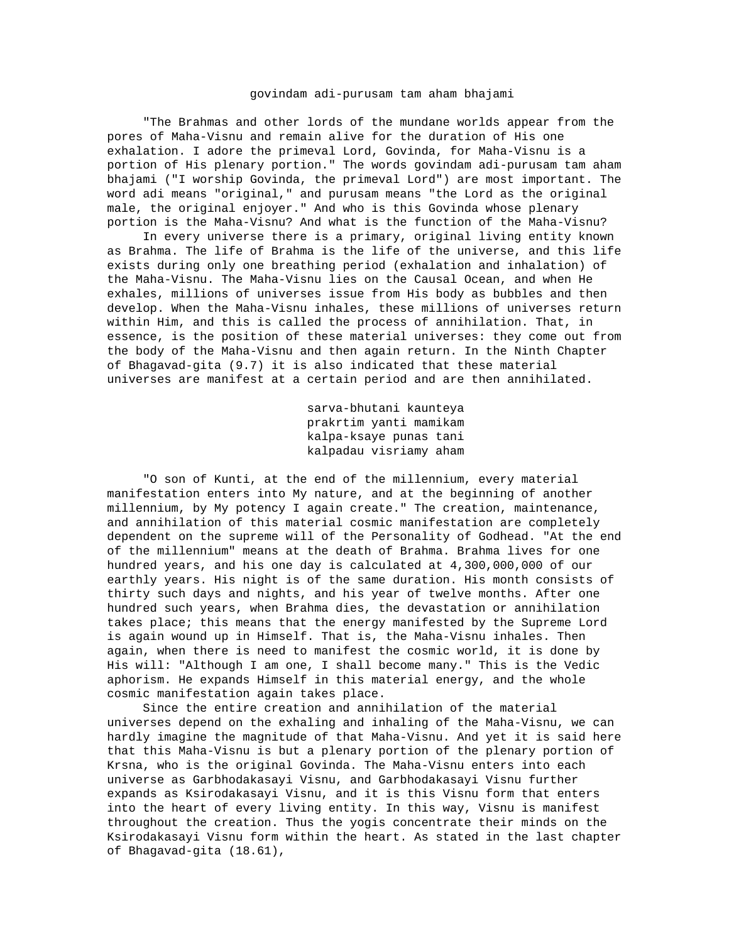## govindam adi-purusam tam aham bhajami

 "The Brahmas and other lords of the mundane worlds appear from the pores of Maha-Visnu and remain alive for the duration of His one exhalation. I adore the primeval Lord, Govinda, for Maha-Visnu is a portion of His plenary portion." The words govindam adi-purusam tam aham bhajami ("I worship Govinda, the primeval Lord") are most important. The word adi means "original," and purusam means "the Lord as the original male, the original enjoyer." And who is this Govinda whose plenary portion is the Maha-Visnu? And what is the function of the Maha-Visnu?

 In every universe there is a primary, original living entity known as Brahma. The life of Brahma is the life of the universe, and this life exists during only one breathing period (exhalation and inhalation) of the Maha-Visnu. The Maha-Visnu lies on the Causal Ocean, and when He exhales, millions of universes issue from His body as bubbles and then develop. When the Maha-Visnu inhales, these millions of universes return within Him, and this is called the process of annihilation. That, in essence, is the position of these material universes: they come out from the body of the Maha-Visnu and then again return. In the Ninth Chapter of Bhagavad-gita (9.7) it is also indicated that these material universes are manifest at a certain period and are then annihilated.

> sarva-bhutani kaunteya prakrtim yanti mamikam kalpa-ksaye punas tani kalpadau visriamy aham

 "O son of Kunti, at the end of the millennium, every material manifestation enters into My nature, and at the beginning of another millennium, by My potency I again create." The creation, maintenance, and annihilation of this material cosmic manifestation are completely dependent on the supreme will of the Personality of Godhead. "At the end of the millennium" means at the death of Brahma. Brahma lives for one hundred years, and his one day is calculated at 4,300,000,000 of our earthly years. His night is of the same duration. His month consists of thirty such days and nights, and his year of twelve months. After one hundred such years, when Brahma dies, the devastation or annihilation takes place; this means that the energy manifested by the Supreme Lord is again wound up in Himself. That is, the Maha-Visnu inhales. Then again, when there is need to manifest the cosmic world, it is done by His will: "Although I am one, I shall become many." This is the Vedic aphorism. He expands Himself in this material energy, and the whole cosmic manifestation again takes place.

 Since the entire creation and annihilation of the material universes depend on the exhaling and inhaling of the Maha-Visnu, we can hardly imagine the magnitude of that Maha-Visnu. And yet it is said here that this Maha-Visnu is but a plenary portion of the plenary portion of Krsna, who is the original Govinda. The Maha-Visnu enters into each universe as Garbhodakasayi Visnu, and Garbhodakasayi Visnu further expands as Ksirodakasayi Visnu, and it is this Visnu form that enters into the heart of every living entity. In this way, Visnu is manifest throughout the creation. Thus the yogis concentrate their minds on the Ksirodakasayi Visnu form within the heart. As stated in the last chapter of Bhagavad-gita (18.61),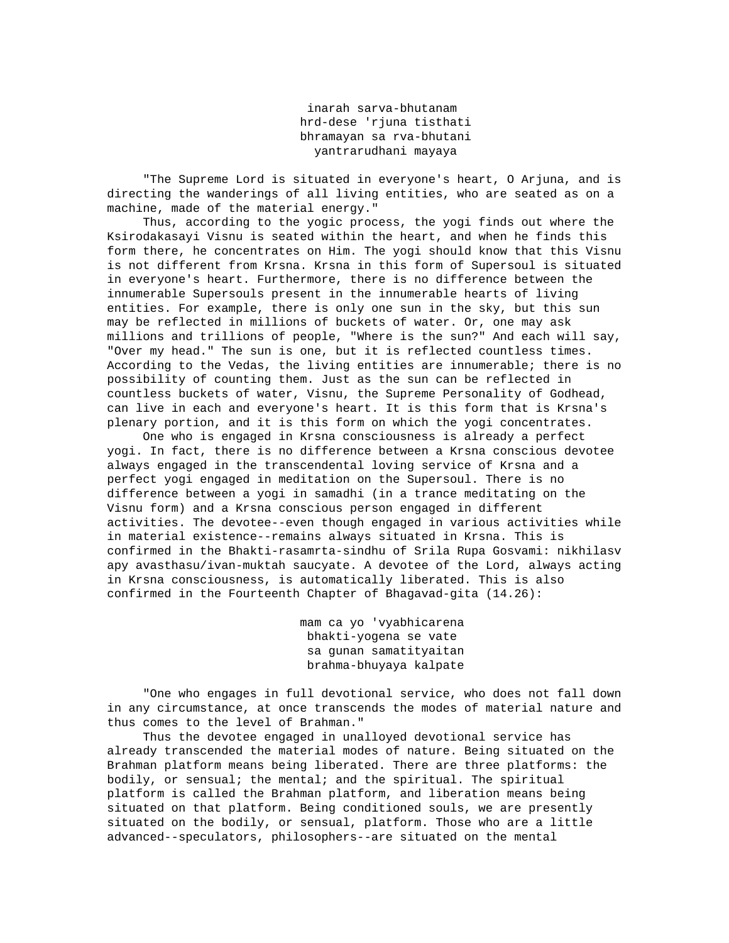inarah sarva-bhutanam hrd-dese 'rjuna tisthati bhramayan sa rva-bhutani yantrarudhani mayaya

 "The Supreme Lord is situated in everyone's heart, O Arjuna, and is directing the wanderings of all living entities, who are seated as on a machine, made of the material energy."

 Thus, according to the yogic process, the yogi finds out where the Ksirodakasayi Visnu is seated within the heart, and when he finds this form there, he concentrates on Him. The yogi should know that this Visnu is not different from Krsna. Krsna in this form of Supersoul is situated in everyone's heart. Furthermore, there is no difference between the innumerable Supersouls present in the innumerable hearts of living entities. For example, there is only one sun in the sky, but this sun may be reflected in millions of buckets of water. Or, one may ask millions and trillions of people, "Where is the sun?" And each will say, "Over my head." The sun is one, but it is reflected countless times. According to the Vedas, the living entities are innumerable; there is no possibility of counting them. Just as the sun can be reflected in countless buckets of water, Visnu, the Supreme Personality of Godhead, can live in each and everyone's heart. It is this form that is Krsna's plenary portion, and it is this form on which the yogi concentrates.

 One who is engaged in Krsna consciousness is already a perfect yogi. In fact, there is no difference between a Krsna conscious devotee always engaged in the transcendental loving service of Krsna and a perfect yogi engaged in meditation on the Supersoul. There is no difference between a yogi in samadhi (in a trance meditating on the Visnu form) and a Krsna conscious person engaged in different activities. The devotee--even though engaged in various activities while in material existence--remains always situated in Krsna. This is confirmed in the Bhakti-rasamrta-sindhu of Srila Rupa Gosvami: nikhilasv apy avasthasu/ivan-muktah saucyate. A devotee of the Lord, always acting in Krsna consciousness, is automatically liberated. This is also confirmed in the Fourteenth Chapter of Bhagavad-gita (14.26):

> mam ca yo 'vyabhicarena bhakti-yogena se vate sa gunan samatityaitan brahma-bhuyaya kalpate

 "One who engages in full devotional service, who does not fall down in any circumstance, at once transcends the modes of material nature and thus comes to the level of Brahman."

 Thus the devotee engaged in unalloyed devotional service has already transcended the material modes of nature. Being situated on the Brahman platform means being liberated. There are three platforms: the bodily, or sensual; the mental; and the spiritual. The spiritual platform is called the Brahman platform, and liberation means being situated on that platform. Being conditioned souls, we are presently situated on the bodily, or sensual, platform. Those who are a little advanced--speculators, philosophers--are situated on the mental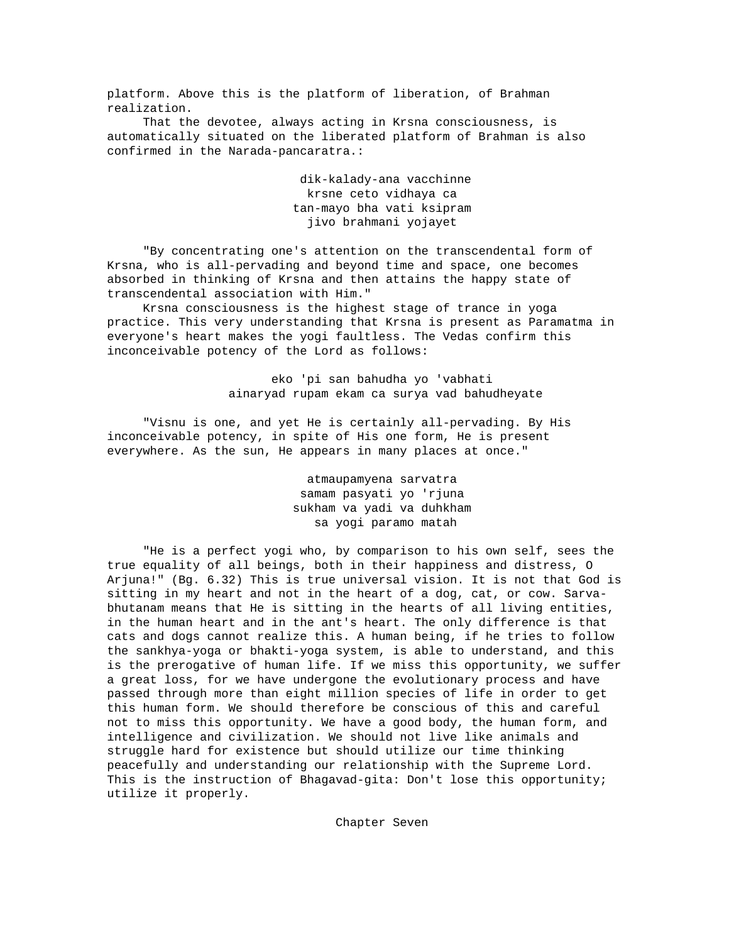platform. Above this is the platform of liberation, of Brahman realization.

 That the devotee, always acting in Krsna consciousness, is automatically situated on the liberated platform of Brahman is also confirmed in the Narada-pancaratra.:

> dik-kalady-ana vacchinne krsne ceto vidhaya ca tan-mayo bha vati ksipram jivo brahmani yojayet

 "By concentrating one's attention on the transcendental form of Krsna, who is all-pervading and beyond time and space, one becomes absorbed in thinking of Krsna and then attains the happy state of transcendental association with Him."

 Krsna consciousness is the highest stage of trance in yoga practice. This very understanding that Krsna is present as Paramatma in everyone's heart makes the yogi faultless. The Vedas confirm this inconceivable potency of the Lord as follows:

> eko 'pi san bahudha yo 'vabhati ainaryad rupam ekam ca surya vad bahudheyate

 "Visnu is one, and yet He is certainly all-pervading. By His inconceivable potency, in spite of His one form, He is present everywhere. As the sun, He appears in many places at once."

> atmaupamyena sarvatra samam pasyati yo 'rjuna sukham va yadi va duhkham sa yogi paramo matah

 "He is a perfect yogi who, by comparison to his own self, sees the true equality of all beings, both in their happiness and distress, O Arjuna!" (Bg. 6.32) This is true universal vision. It is not that God is sitting in my heart and not in the heart of a dog, cat, or cow. Sarvabhutanam means that He is sitting in the hearts of all living entities, in the human heart and in the ant's heart. The only difference is that cats and dogs cannot realize this. A human being, if he tries to follow the sankhya-yoga or bhakti-yoga system, is able to understand, and this is the prerogative of human life. If we miss this opportunity, we suffer a great loss, for we have undergone the evolutionary process and have passed through more than eight million species of life in order to get this human form. We should therefore be conscious of this and careful not to miss this opportunity. We have a good body, the human form, and intelligence and civilization. We should not live like animals and struggle hard for existence but should utilize our time thinking peacefully and understanding our relationship with the Supreme Lord. This is the instruction of Bhagavad-gita: Don't lose this opportunity; utilize it properly.

Chapter Seven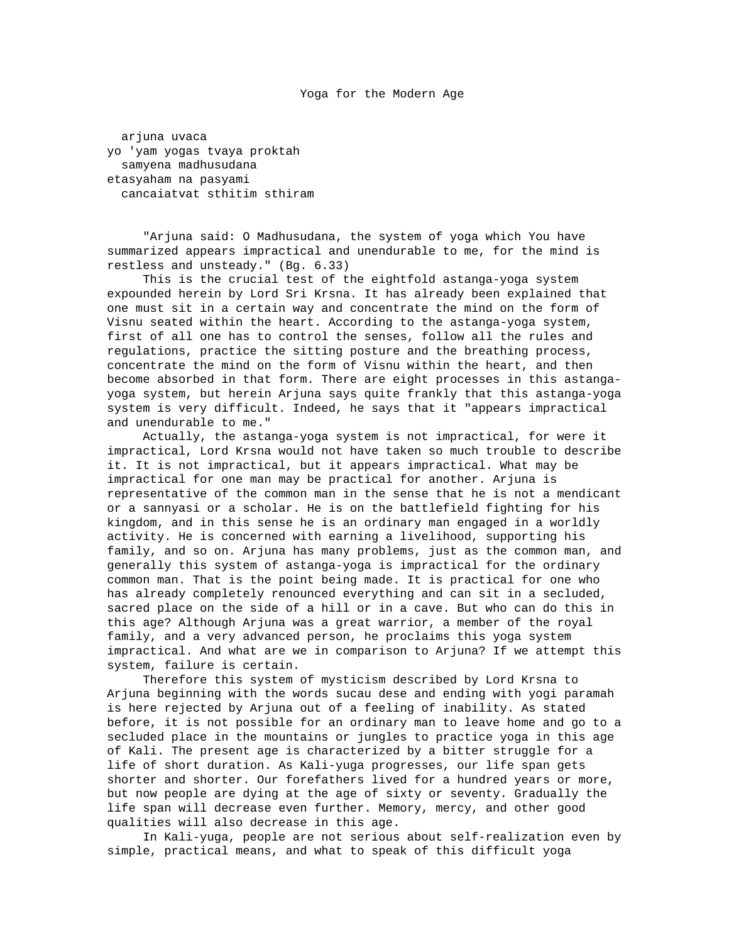arjuna uvaca yo 'yam yogas tvaya proktah samyena madhusudana etasyaham na pasyami cancaiatvat sthitim sthiram

 "Arjuna said: O Madhusudana, the system of yoga which You have summarized appears impractical and unendurable to me, for the mind is restless and unsteady." (Bg. 6.33)

 This is the crucial test of the eightfold astanga-yoga system expounded herein by Lord Sri Krsna. It has already been explained that one must sit in a certain way and concentrate the mind on the form of Visnu seated within the heart. According to the astanga-yoga system, first of all one has to control the senses, follow all the rules and regulations, practice the sitting posture and the breathing process, concentrate the mind on the form of Visnu within the heart, and then become absorbed in that form. There are eight processes in this astangayoga system, but herein Arjuna says quite frankly that this astanga-yoga system is very difficult. Indeed, he says that it "appears impractical and unendurable to me."

 Actually, the astanga-yoga system is not impractical, for were it impractical, Lord Krsna would not have taken so much trouble to describe it. It is not impractical, but it appears impractical. What may be impractical for one man may be practical for another. Arjuna is representative of the common man in the sense that he is not a mendicant or a sannyasi or a scholar. He is on the battlefield fighting for his kingdom, and in this sense he is an ordinary man engaged in a worldly activity. He is concerned with earning a livelihood, supporting his family, and so on. Arjuna has many problems, just as the common man, and generally this system of astanga-yoga is impractical for the ordinary common man. That is the point being made. It is practical for one who has already completely renounced everything and can sit in a secluded, sacred place on the side of a hill or in a cave. But who can do this in this age? Although Arjuna was a great warrior, a member of the royal family, and a very advanced person, he proclaims this yoga system impractical. And what are we in comparison to Arjuna? If we attempt this system, failure is certain.

 Therefore this system of mysticism described by Lord Krsna to Arjuna beginning with the words sucau dese and ending with yogi paramah is here rejected by Arjuna out of a feeling of inability. As stated before, it is not possible for an ordinary man to leave home and go to a secluded place in the mountains or jungles to practice yoga in this age of Kali. The present age is characterized by a bitter struggle for a life of short duration. As Kali-yuga progresses, our life span gets shorter and shorter. Our forefathers lived for a hundred years or more, but now people are dying at the age of sixty or seventy. Gradually the life span will decrease even further. Memory, mercy, and other good qualities will also decrease in this age.

 In Kali-yuga, people are not serious about self-realization even by simple, practical means, and what to speak of this difficult yoga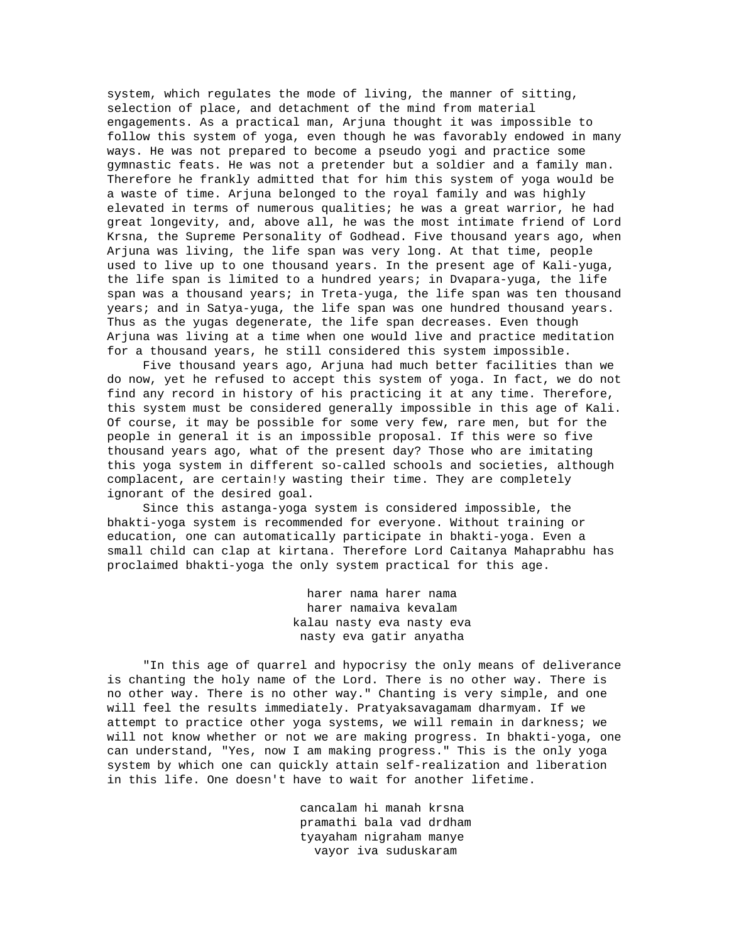system, which regulates the mode of living, the manner of sitting, selection of place, and detachment of the mind from material engagements. As a practical man, Arjuna thought it was impossible to follow this system of yoga, even though he was favorably endowed in many ways. He was not prepared to become a pseudo yogi and practice some gymnastic feats. He was not a pretender but a soldier and a family man. Therefore he frankly admitted that for him this system of yoga would be a waste of time. Arjuna belonged to the royal family and was highly elevated in terms of numerous qualities; he was a great warrior, he had great longevity, and, above all, he was the most intimate friend of Lord Krsna, the Supreme Personality of Godhead. Five thousand years ago, when Arjuna was living, the life span was very long. At that time, people used to live up to one thousand years. In the present age of Kali-yuga, the life span is limited to a hundred years; in Dvapara-yuga, the life span was a thousand years; in Treta-yuga, the life span was ten thousand years; and in Satya-yuga, the life span was one hundred thousand years. Thus as the yugas degenerate, the life span decreases. Even though Arjuna was living at a time when one would live and practice meditation for a thousand years, he still considered this system impossible.

 Five thousand years ago, Arjuna had much better facilities than we do now, yet he refused to accept this system of yoga. In fact, we do not find any record in history of his practicing it at any time. Therefore, this system must be considered generally impossible in this age of Kali. Of course, it may be possible for some very few, rare men, but for the people in general it is an impossible proposal. If this were so five thousand years ago, what of the present day? Those who are imitating this yoga system in different so-called schools and societies, although complacent, are certain!y wasting their time. They are completely ignorant of the desired goal.

 Since this astanga-yoga system is considered impossible, the bhakti-yoga system is recommended for everyone. Without training or education, one can automatically participate in bhakti-yoga. Even a small child can clap at kirtana. Therefore Lord Caitanya Mahaprabhu has proclaimed bhakti-yoga the only system practical for this age.

> harer nama harer nama harer namaiva kevalam kalau nasty eva nasty eva nasty eva gatir anyatha

 "In this age of quarrel and hypocrisy the only means of deliverance is chanting the holy name of the Lord. There is no other way. There is no other way. There is no other way." Chanting is very simple, and one will feel the results immediately. Pratyaksavagamam dharmyam. If we attempt to practice other yoga systems, we will remain in darkness; we will not know whether or not we are making progress. In bhakti-yoga, one can understand, "Yes, now I am making progress." This is the only yoga system by which one can quickly attain self-realization and liberation in this life. One doesn't have to wait for another lifetime.

> cancalam hi manah krsna pramathi bala vad drdham tyayaham nigraham manye vayor iva suduskaram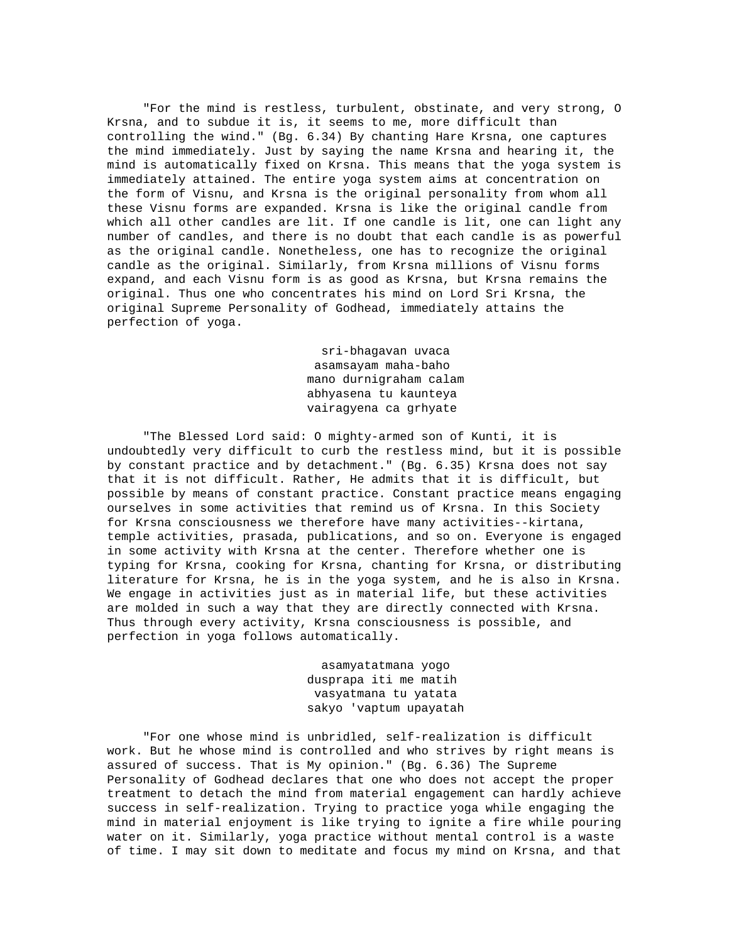"For the mind is restless, turbulent, obstinate, and very strong, O Krsna, and to subdue it is, it seems to me, more difficult than controlling the wind." (Bg. 6.34) By chanting Hare Krsna, one captures the mind immediately. Just by saying the name Krsna and hearing it, the mind is automatically fixed on Krsna. This means that the yoga system is immediately attained. The entire yoga system aims at concentration on the form of Visnu, and Krsna is the original personality from whom all these Visnu forms are expanded. Krsna is like the original candle from which all other candles are lit. If one candle is lit, one can light any number of candles, and there is no doubt that each candle is as powerful as the original candle. Nonetheless, one has to recognize the original candle as the original. Similarly, from Krsna millions of Visnu forms expand, and each Visnu form is as good as Krsna, but Krsna remains the original. Thus one who concentrates his mind on Lord Sri Krsna, the original Supreme Personality of Godhead, immediately attains the perfection of yoga.

> sri-bhagavan uvaca asamsayam maha-baho mano durnigraham calam abhyasena tu kaunteya vairagyena ca grhyate

 "The Blessed Lord said: O mighty-armed son of Kunti, it is undoubtedly very difficult to curb the restless mind, but it is possible by constant practice and by detachment." (Bg. 6.35) Krsna does not say that it is not difficult. Rather, He admits that it is difficult, but possible by means of constant practice. Constant practice means engaging ourselves in some activities that remind us of Krsna. In this Society for Krsna consciousness we therefore have many activities--kirtana, temple activities, prasada, publications, and so on. Everyone is engaged in some activity with Krsna at the center. Therefore whether one is typing for Krsna, cooking for Krsna, chanting for Krsna, or distributing literature for Krsna, he is in the yoga system, and he is also in Krsna. We engage in activities just as in material life, but these activities are molded in such a way that they are directly connected with Krsna. Thus through every activity, Krsna consciousness is possible, and perfection in yoga follows automatically.

> asamyatatmana yogo dusprapa iti me matih vasyatmana tu yatata sakyo 'vaptum upayatah

 "For one whose mind is unbridled, self-realization is difficult work. But he whose mind is controlled and who strives by right means is assured of success. That is My opinion." (Bg. 6.36) The Supreme Personality of Godhead declares that one who does not accept the proper treatment to detach the mind from material engagement can hardly achieve success in self-realization. Trying to practice yoga while engaging the mind in material enjoyment is like trying to ignite a fire while pouring water on it. Similarly, yoga practice without mental control is a waste of time. I may sit down to meditate and focus my mind on Krsna, and that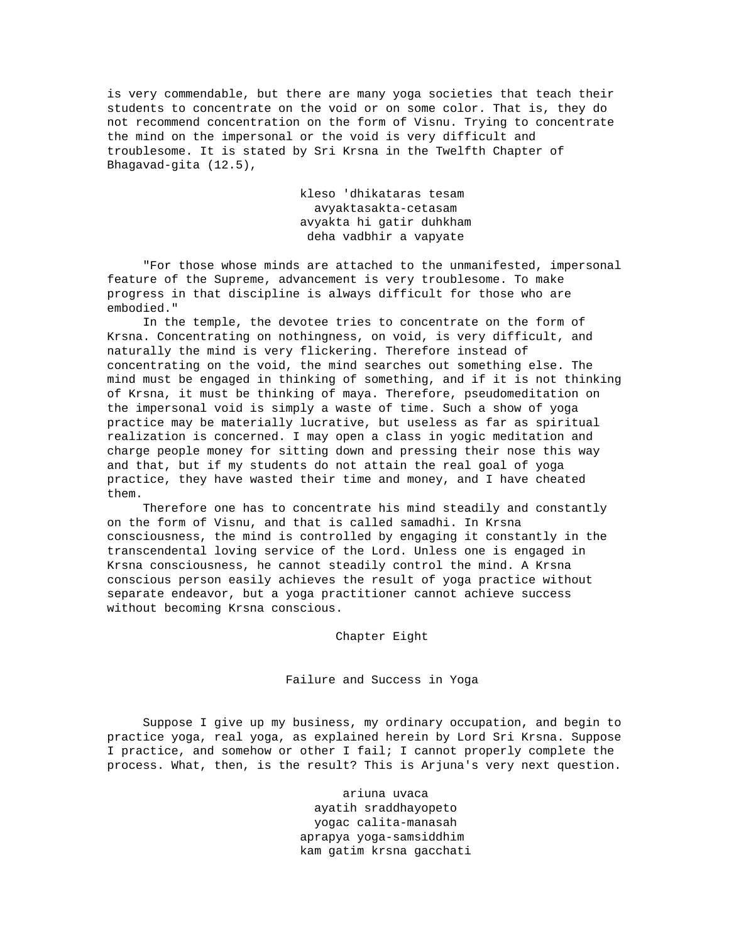is very commendable, but there are many yoga societies that teach their students to concentrate on the void or on some color. That is, they do not recommend concentration on the form of Visnu. Trying to concentrate the mind on the impersonal or the void is very difficult and troublesome. It is stated by Sri Krsna in the Twelfth Chapter of Bhagavad-gita (12.5),

> kleso 'dhikataras tesam avyaktasakta-cetasam avyakta hi gatir duhkham deha vadbhir a vapyate

 "For those whose minds are attached to the unmanifested, impersonal feature of the Supreme, advancement is very troublesome. To make progress in that discipline is always difficult for those who are embodied."

 In the temple, the devotee tries to concentrate on the form of Krsna. Concentrating on nothingness, on void, is very difficult, and naturally the mind is very flickering. Therefore instead of concentrating on the void, the mind searches out something else. The mind must be engaged in thinking of something, and if it is not thinking of Krsna, it must be thinking of maya. Therefore, pseudomeditation on the impersonal void is simply a waste of time. Such a show of yoga practice may be materially lucrative, but useless as far as spiritual realization is concerned. I may open a class in yogic meditation and charge people money for sitting down and pressing their nose this way and that, but if my students do not attain the real goal of yoga practice, they have wasted their time and money, and I have cheated them.

 Therefore one has to concentrate his mind steadily and constantly on the form of Visnu, and that is called samadhi. In Krsna consciousness, the mind is controlled by engaging it constantly in the transcendental loving service of the Lord. Unless one is engaged in Krsna consciousness, he cannot steadily control the mind. A Krsna conscious person easily achieves the result of yoga practice without separate endeavor, but a yoga practitioner cannot achieve success without becoming Krsna conscious.

Chapter Eight

Failure and Success in Yoga

 Suppose I give up my business, my ordinary occupation, and begin to practice yoga, real yoga, as explained herein by Lord Sri Krsna. Suppose I practice, and somehow or other I fail; I cannot properly complete the process. What, then, is the result? This is Arjuna's very next question.

> ariuna uvaca ayatih sraddhayopeto yogac calita-manasah aprapya yoga-samsiddhim kam gatim krsna gacchati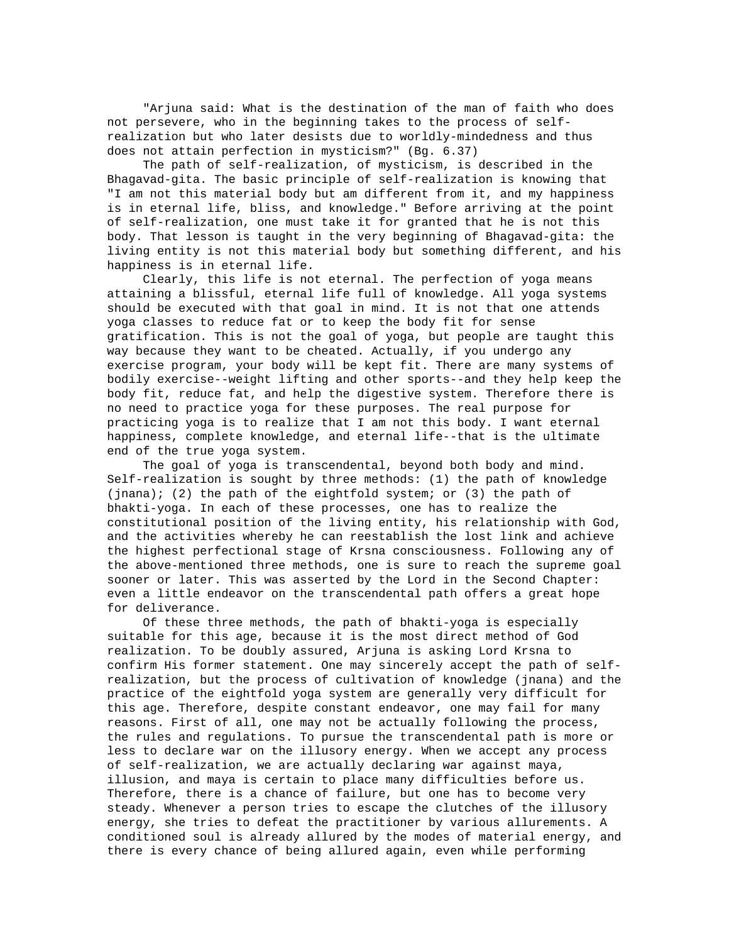"Arjuna said: What is the destination of the man of faith who does not persevere, who in the beginning takes to the process of selfrealization but who later desists due to worldly-mindedness and thus does not attain perfection in mysticism?" (Bg. 6.37)

 The path of self-realization, of mysticism, is described in the Bhagavad-gita. The basic principle of self-realization is knowing that "I am not this material body but am different from it, and my happiness is in eternal life, bliss, and knowledge." Before arriving at the point of self-realization, one must take it for granted that he is not this body. That lesson is taught in the very beginning of Bhagavad-gita: the living entity is not this material body but something different, and his happiness is in eternal life.

 Clearly, this life is not eternal. The perfection of yoga means attaining a blissful, eternal life full of knowledge. All yoga systems should be executed with that goal in mind. It is not that one attends yoga classes to reduce fat or to keep the body fit for sense gratification. This is not the goal of yoga, but people are taught this way because they want to be cheated. Actually, if you undergo any exercise program, your body will be kept fit. There are many systems of bodily exercise--weight lifting and other sports--and they help keep the body fit, reduce fat, and help the digestive system. Therefore there is no need to practice yoga for these purposes. The real purpose for practicing yoga is to realize that I am not this body. I want eternal happiness, complete knowledge, and eternal life--that is the ultimate end of the true yoga system.

 The goal of yoga is transcendental, beyond both body and mind. Self-realization is sought by three methods: (1) the path of knowledge (jnana); (2) the path of the eightfold system; or (3) the path of bhakti-yoga. In each of these processes, one has to realize the constitutional position of the living entity, his relationship with God, and the activities whereby he can reestablish the lost link and achieve the highest perfectional stage of Krsna consciousness. Following any of the above-mentioned three methods, one is sure to reach the supreme goal sooner or later. This was asserted by the Lord in the Second Chapter: even a little endeavor on the transcendental path offers a great hope for deliverance.

 Of these three methods, the path of bhakti-yoga is especially suitable for this age, because it is the most direct method of God realization. To be doubly assured, Arjuna is asking Lord Krsna to confirm His former statement. One may sincerely accept the path of selfrealization, but the process of cultivation of knowledge (jnana) and the practice of the eightfold yoga system are generally very difficult for this age. Therefore, despite constant endeavor, one may fail for many reasons. First of all, one may not be actually following the process, the rules and regulations. To pursue the transcendental path is more or less to declare war on the illusory energy. When we accept any process of self-realization, we are actually declaring war against maya, illusion, and maya is certain to place many difficulties before us. Therefore, there is a chance of failure, but one has to become very steady. Whenever a person tries to escape the clutches of the illusory energy, she tries to defeat the practitioner by various allurements. A conditioned soul is already allured by the modes of material energy, and there is every chance of being allured again, even while performing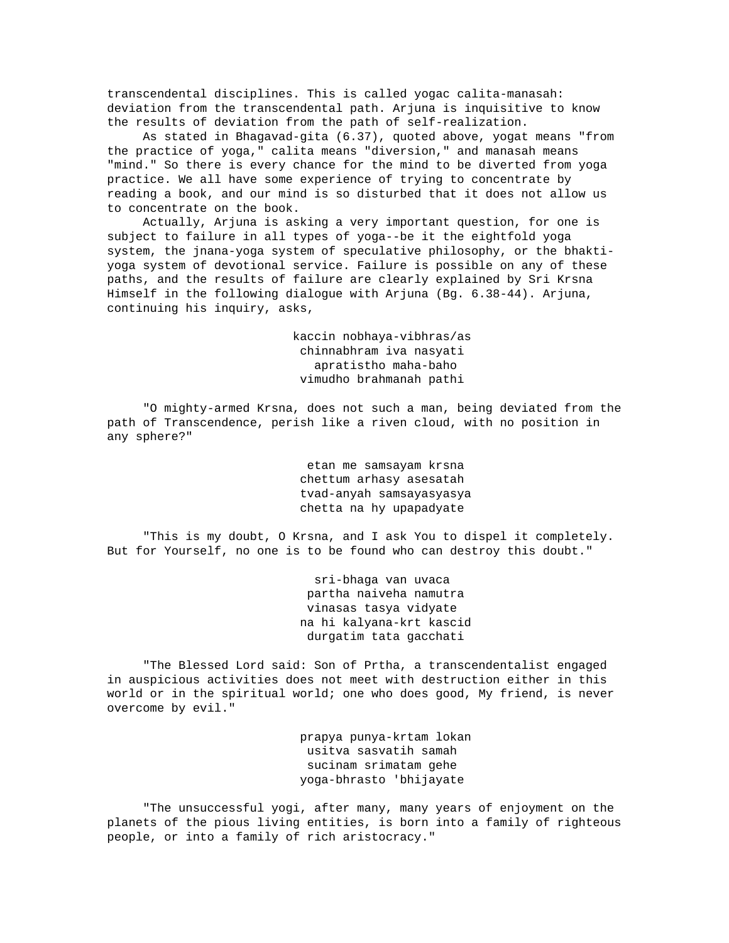transcendental disciplines. This is called yogac calita-manasah: deviation from the transcendental path. Arjuna is inquisitive to know the results of deviation from the path of self-realization.

 As stated in Bhagavad-gita (6.37), quoted above, yogat means "from the practice of yoga," calita means "diversion," and manasah means "mind." So there is every chance for the mind to be diverted from yoga practice. We all have some experience of trying to concentrate by reading a book, and our mind is so disturbed that it does not allow us to concentrate on the book.

 Actually, Arjuna is asking a very important question, for one is subject to failure in all types of yoga--be it the eightfold yoga system, the jnana-yoga system of speculative philosophy, or the bhaktiyoga system of devotional service. Failure is possible on any of these paths, and the results of failure are clearly explained by Sri Krsna Himself in the following dialogue with Arjuna (Bg. 6.38-44). Arjuna, continuing his inquiry, asks,

> kaccin nobhaya-vibhras/as chinnabhram iva nasyati apratistho maha-baho vimudho brahmanah pathi

 "O mighty-armed Krsna, does not such a man, being deviated from the path of Transcendence, perish like a riven cloud, with no position in any sphere?"

> etan me samsayam krsna chettum arhasy asesatah tvad-anyah samsayasyasya chetta na hy upapadyate

 "This is my doubt, O Krsna, and I ask You to dispel it completely. But for Yourself, no one is to be found who can destroy this doubt."

> sri-bhaga van uvaca partha naiveha namutra vinasas tasya vidyate na hi kalyana-krt kascid durgatim tata gacchati

 "The Blessed Lord said: Son of Prtha, a transcendentalist engaged in auspicious activities does not meet with destruction either in this world or in the spiritual world; one who does good, My friend, is never overcome by evil."

> prapya punya-krtam lokan usitva sasvatih samah sucinam srimatam gehe yoga-bhrasto 'bhijayate

 "The unsuccessful yogi, after many, many years of enjoyment on the planets of the pious living entities, is born into a family of righteous people, or into a family of rich aristocracy."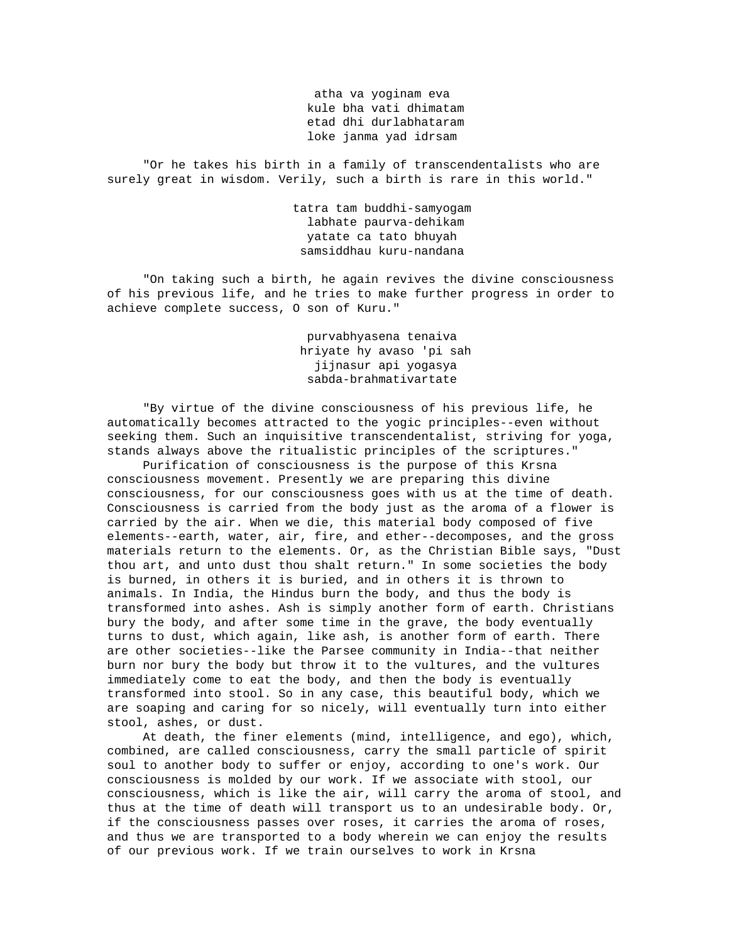atha va yoginam eva kule bha vati dhimatam etad dhi durlabhataram loke janma yad idrsam

 "Or he takes his birth in a family of transcendentalists who are surely great in wisdom. Verily, such a birth is rare in this world."

> tatra tam buddhi-samyogam labhate paurva-dehikam yatate ca tato bhuyah samsiddhau kuru-nandana

 "On taking such a birth, he again revives the divine consciousness of his previous life, and he tries to make further progress in order to achieve complete success, O son of Kuru."

> purvabhyasena tenaiva hriyate hy avaso 'pi sah jijnasur api yogasya sabda-brahmativartate

 "By virtue of the divine consciousness of his previous life, he automatically becomes attracted to the yogic principles--even without seeking them. Such an inquisitive transcendentalist, striving for yoga, stands always above the ritualistic principles of the scriptures."

 Purification of consciousness is the purpose of this Krsna consciousness movement. Presently we are preparing this divine consciousness, for our consciousness goes with us at the time of death. Consciousness is carried from the body just as the aroma of a flower is carried by the air. When we die, this material body composed of five elements--earth, water, air, fire, and ether--decomposes, and the gross materials return to the elements. Or, as the Christian Bible says, "Dust thou art, and unto dust thou shalt return." In some societies the body is burned, in others it is buried, and in others it is thrown to animals. In India, the Hindus burn the body, and thus the body is transformed into ashes. Ash is simply another form of earth. Christians bury the body, and after some time in the grave, the body eventually turns to dust, which again, like ash, is another form of earth. There are other societies--like the Parsee community in India--that neither burn nor bury the body but throw it to the vultures, and the vultures immediately come to eat the body, and then the body is eventually transformed into stool. So in any case, this beautiful body, which we are soaping and caring for so nicely, will eventually turn into either stool, ashes, or dust.

 At death, the finer elements (mind, intelligence, and ego), which, combined, are called consciousness, carry the small particle of spirit soul to another body to suffer or enjoy, according to one's work. Our consciousness is molded by our work. If we associate with stool, our consciousness, which is like the air, will carry the aroma of stool, and thus at the time of death will transport us to an undesirable body. Or, if the consciousness passes over roses, it carries the aroma of roses, and thus we are transported to a body wherein we can enjoy the results of our previous work. If we train ourselves to work in Krsna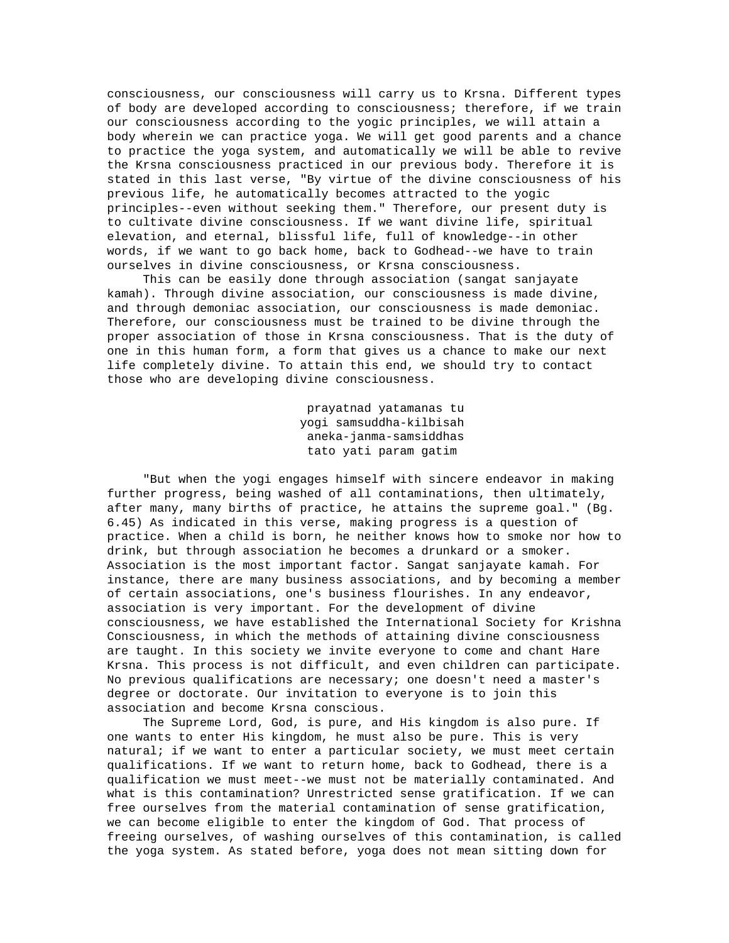consciousness, our consciousness will carry us to Krsna. Different types of body are developed according to consciousness; therefore, if we train our consciousness according to the yogic principles, we will attain a body wherein we can practice yoga. We will get good parents and a chance to practice the yoga system, and automatically we will be able to revive the Krsna consciousness practiced in our previous body. Therefore it is stated in this last verse, "By virtue of the divine consciousness of his previous life, he automatically becomes attracted to the yogic principles--even without seeking them." Therefore, our present duty is to cultivate divine consciousness. If we want divine life, spiritual elevation, and eternal, blissful life, full of knowledge--in other words, if we want to go back home, back to Godhead--we have to train ourselves in divine consciousness, or Krsna consciousness.

 This can be easily done through association (sangat sanjayate kamah). Through divine association, our consciousness is made divine, and through demoniac association, our consciousness is made demoniac. Therefore, our consciousness must be trained to be divine through the proper association of those in Krsna consciousness. That is the duty of one in this human form, a form that gives us a chance to make our next life completely divine. To attain this end, we should try to contact those who are developing divine consciousness.

> prayatnad yatamanas tu yogi samsuddha-kilbisah aneka-janma-samsiddhas tato yati param gatim

 "But when the yogi engages himself with sincere endeavor in making further progress, being washed of all contaminations, then ultimately, after many, many births of practice, he attains the supreme goal." (Bg. 6.45) As indicated in this verse, making progress is a question of practice. When a child is born, he neither knows how to smoke nor how to drink, but through association he becomes a drunkard or a smoker. Association is the most important factor. Sangat sanjayate kamah. For instance, there are many business associations, and by becoming a member of certain associations, one's business flourishes. In any endeavor, association is very important. For the development of divine consciousness, we have established the International Society for Krishna Consciousness, in which the methods of attaining divine consciousness are taught. In this society we invite everyone to come and chant Hare Krsna. This process is not difficult, and even children can participate. No previous qualifications are necessary; one doesn't need a master's degree or doctorate. Our invitation to everyone is to join this association and become Krsna conscious.

 The Supreme Lord, God, is pure, and His kingdom is also pure. If one wants to enter His kingdom, he must also be pure. This is very natural; if we want to enter a particular society, we must meet certain qualifications. If we want to return home, back to Godhead, there is a qualification we must meet--we must not be materially contaminated. And what is this contamination? Unrestricted sense gratification. If we can free ourselves from the material contamination of sense gratification, we can become eligible to enter the kingdom of God. That process of freeing ourselves, of washing ourselves of this contamination, is called the yoga system. As stated before, yoga does not mean sitting down for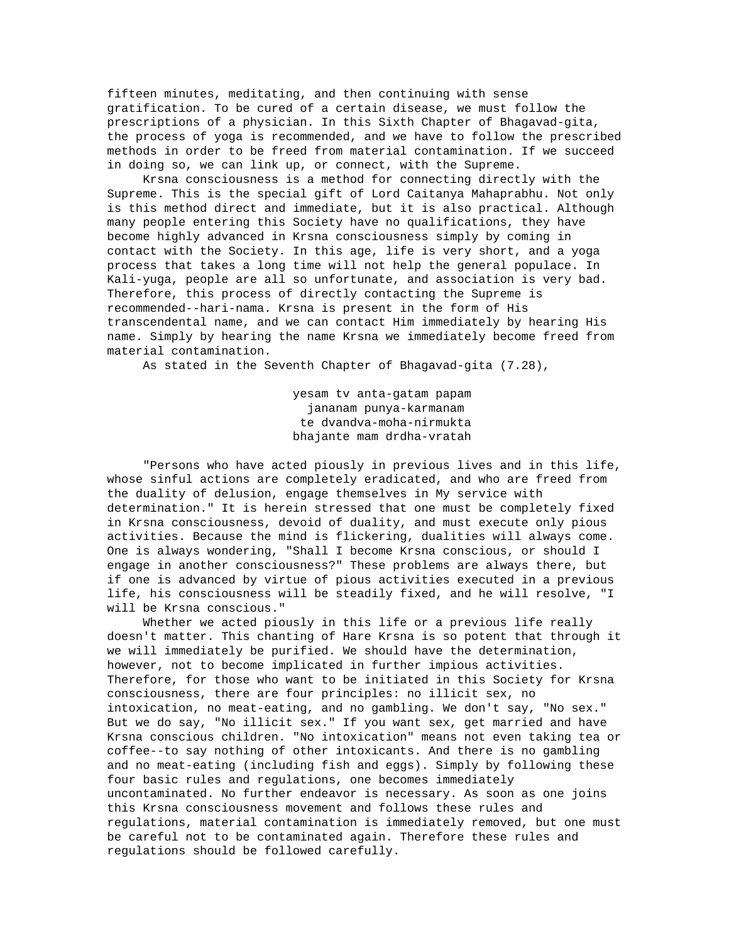fifteen minutes, meditating, and then continuing with sense gratification. To be cured of a certain disease, we must follow the prescriptions of a physician. In this Sixth Chapter of Bhagavad-gita, the process of yoga is recommended, and we have to follow the prescribed methods in order to be freed from material contamination. If we succeed in doing so, we can link up, or connect, with the Supreme.

 Krsna consciousness is a method for connecting directly with the Supreme. This is the special gift of Lord Caitanya Mahaprabhu. Not only is this method direct and immediate, but it is also practical. Although many people entering this Society have no qualifications, they have become highly advanced in Krsna consciousness simply by coming in contact with the Society. In this age, life is very short, and a yoga process that takes a long time will not help the general populace. In Kali-yuga, people are all so unfortunate, and association is very bad. Therefore, this process of directly contacting the Supreme is recommended--hari-nama. Krsna is present in the form of His transcendental name, and we can contact Him immediately by hearing His name. Simply by hearing the name Krsna we immediately become freed from material contamination.

As stated in the Seventh Chapter of Bhagavad-gita (7.28),

 yesam tv anta-gatam papam jananam punya-karmanam te dvandva-moha-nirmukta bhajante mam drdha-vratah

 "Persons who have acted piously in previous lives and in this life, whose sinful actions are completely eradicated, and who are freed from the duality of delusion, engage themselves in My service with determination." It is herein stressed that one must be completely fixed in Krsna consciousness, devoid of duality, and must execute only pious activities. Because the mind is flickering, dualities will always come. One is always wondering, "Shall I become Krsna conscious, or should I engage in another consciousness?" These problems are always there, but if one is advanced by virtue of pious activities executed in a previous life, his consciousness will be steadily fixed, and he will resolve, "I will be Krsna conscious."

 Whether we acted piously in this life or a previous life really doesn't matter. This chanting of Hare Krsna is so potent that through it we will immediately be purified. We should have the determination, however, not to become implicated in further impious activities. Therefore, for those who want to be initiated in this Society for Krsna consciousness, there are four principles: no illicit sex, no intoxication, no meat-eating, and no gambling. We don't say, "No sex." But we do say, "No illicit sex." If you want sex, get married and have Krsna conscious children. "No intoxication" means not even taking tea or coffee--to say nothing of other intoxicants. And there is no gambling and no meat-eating (including fish and eggs). Simply by following these four basic rules and regulations, one becomes immediately uncontaminated. No further endeavor is necessary. As soon as one joins this Krsna consciousness movement and follows these rules and regulations, material contamination is immediately removed, but one must be careful not to be contaminated again. Therefore these rules and regulations should be followed carefully.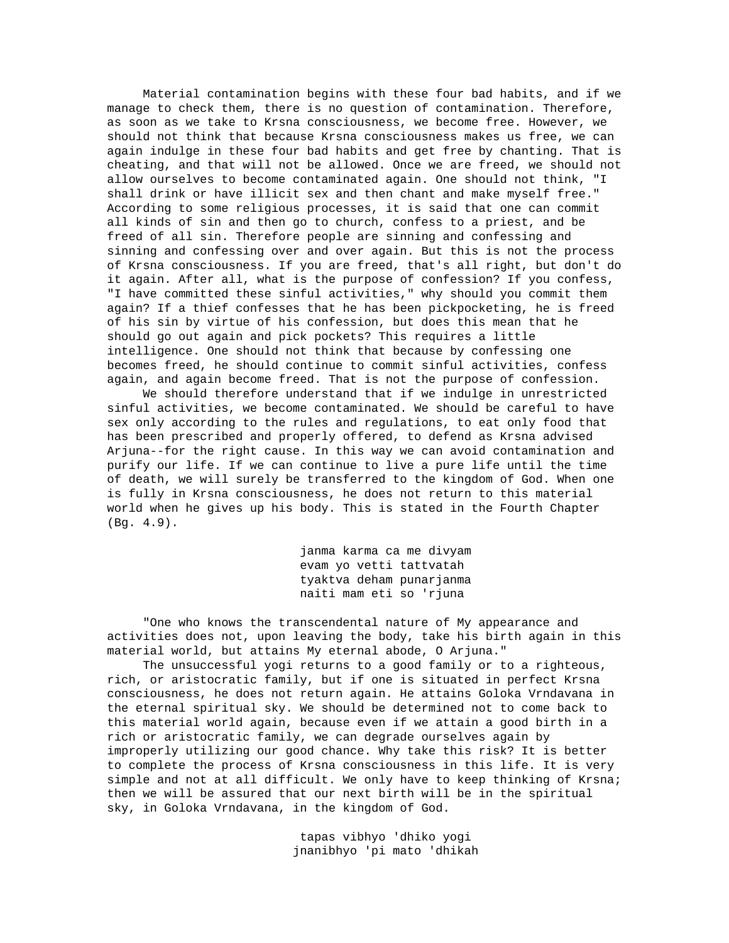Material contamination begins with these four bad habits, and if we manage to check them, there is no question of contamination. Therefore, as soon as we take to Krsna consciousness, we become free. However, we should not think that because Krsna consciousness makes us free, we can again indulge in these four bad habits and get free by chanting. That is cheating, and that will not be allowed. Once we are freed, we should not allow ourselves to become contaminated again. One should not think, "I shall drink or have illicit sex and then chant and make myself free." According to some religious processes, it is said that one can commit all kinds of sin and then go to church, confess to a priest, and be freed of all sin. Therefore people are sinning and confessing and sinning and confessing over and over again. But this is not the process of Krsna consciousness. If you are freed, that's all right, but don't do it again. After all, what is the purpose of confession? If you confess, "I have committed these sinful activities," why should you commit them again? If a thief confesses that he has been pickpocketing, he is freed of his sin by virtue of his confession, but does this mean that he should go out again and pick pockets? This requires a little intelligence. One should not think that because by confessing one becomes freed, he should continue to commit sinful activities, confess again, and again become freed. That is not the purpose of confession.

 We should therefore understand that if we indulge in unrestricted sinful activities, we become contaminated. We should be careful to have sex only according to the rules and regulations, to eat only food that has been prescribed and properly offered, to defend as Krsna advised Arjuna--for the right cause. In this way we can avoid contamination and purify our life. If we can continue to live a pure life until the time of death, we will surely be transferred to the kingdom of God. When one is fully in Krsna consciousness, he does not return to this material world when he gives up his body. This is stated in the Fourth Chapter (Bg. 4.9).

> janma karma ca me divyam evam yo vetti tattvatah tyaktva deham punarjanma naiti mam eti so 'rjuna

 "One who knows the transcendental nature of My appearance and activities does not, upon leaving the body, take his birth again in this material world, but attains My eternal abode, O Arjuna."

 The unsuccessful yogi returns to a good family or to a righteous, rich, or aristocratic family, but if one is situated in perfect Krsna consciousness, he does not return again. He attains Goloka Vrndavana in the eternal spiritual sky. We should be determined not to come back to this material world again, because even if we attain a good birth in a rich or aristocratic family, we can degrade ourselves again by improperly utilizing our good chance. Why take this risk? It is better to complete the process of Krsna consciousness in this life. It is very simple and not at all difficult. We only have to keep thinking of Krsna; then we will be assured that our next birth will be in the spiritual sky, in Goloka Vrndavana, in the kingdom of God.

> tapas vibhyo 'dhiko yogi jnanibhyo 'pi mato 'dhikah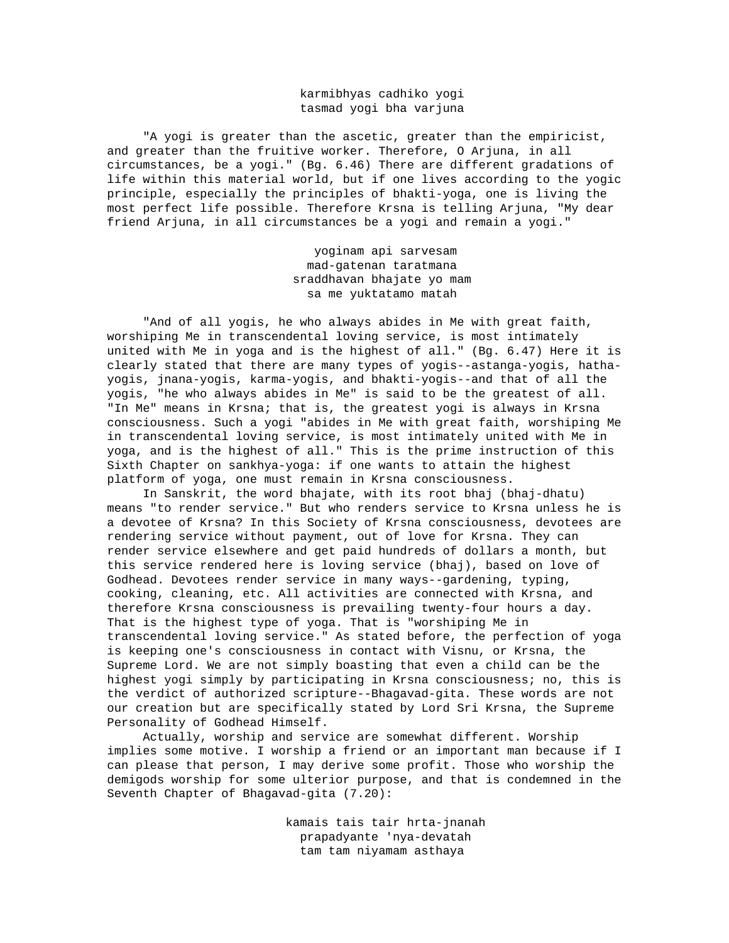## karmibhyas cadhiko yogi tasmad yogi bha varjuna

 "A yogi is greater than the ascetic, greater than the empiricist, and greater than the fruitive worker. Therefore, O Arjuna, in all circumstances, be a yogi." (Bg. 6.46) There are different gradations of life within this material world, but if one lives according to the yogic principle, especially the principles of bhakti-yoga, one is living the most perfect life possible. Therefore Krsna is telling Arjuna, "My dear friend Arjuna, in all circumstances be a yogi and remain a yogi."

> yoginam api sarvesam mad-gatenan taratmana sraddhavan bhajate yo mam sa me yuktatamo matah

 "And of all yogis, he who always abides in Me with great faith, worshiping Me in transcendental loving service, is most intimately united with Me in yoga and is the highest of all." (Bg. 6.47) Here it is clearly stated that there are many types of yogis--astanga-yogis, hathayogis, jnana-yogis, karma-yogis, and bhakti-yogis--and that of all the yogis, "he who always abides in Me" is said to be the greatest of all. "In Me" means in Krsna; that is, the greatest yogi is always in Krsna consciousness. Such a yogi "abides in Me with great faith, worshiping Me in transcendental loving service, is most intimately united with Me in yoga, and is the highest of all." This is the prime instruction of this Sixth Chapter on sankhya-yoga: if one wants to attain the highest platform of yoga, one must remain in Krsna consciousness.

 In Sanskrit, the word bhajate, with its root bhaj (bhaj-dhatu) means "to render service." But who renders service to Krsna unless he is a devotee of Krsna? In this Society of Krsna consciousness, devotees are rendering service without payment, out of love for Krsna. They can render service elsewhere and get paid hundreds of dollars a month, but this service rendered here is loving service (bhaj), based on love of Godhead. Devotees render service in many ways--gardening, typing, cooking, cleaning, etc. All activities are connected with Krsna, and therefore Krsna consciousness is prevailing twenty-four hours a day. That is the highest type of yoga. That is "worshiping Me in transcendental loving service." As stated before, the perfection of yoga is keeping one's consciousness in contact with Visnu, or Krsna, the Supreme Lord. We are not simply boasting that even a child can be the highest yogi simply by participating in Krsna consciousness; no, this is the verdict of authorized scripture--Bhagavad-gita. These words are not our creation but are specifically stated by Lord Sri Krsna, the Supreme Personality of Godhead Himself.

 Actually, worship and service are somewhat different. Worship implies some motive. I worship a friend or an important man because if I can please that person, I may derive some profit. Those who worship the demigods worship for some ulterior purpose, and that is condemned in the Seventh Chapter of Bhagavad-gita (7.20):

> kamais tais tair hrta-jnanah prapadyante 'nya-devatah tam tam niyamam asthaya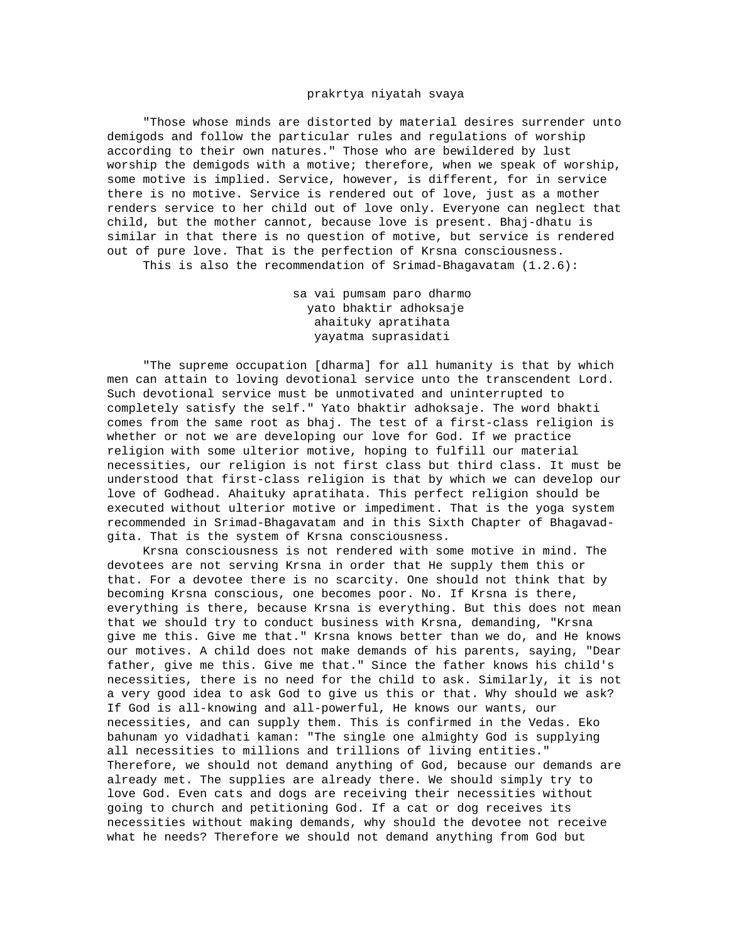## prakrtya niyatah svaya

 "Those whose minds are distorted by material desires surrender unto demigods and follow the particular rules and regulations of worship according to their own natures." Those who are bewildered by lust worship the demigods with a motive; therefore, when we speak of worship, some motive is implied. Service, however, is different, for in service there is no motive. Service is rendered out of love, just as a mother renders service to her child out of love only. Everyone can neglect that child, but the mother cannot, because love is present. Bhaj-dhatu is similar in that there is no question of motive, but service is rendered out of pure love. That is the perfection of Krsna consciousness.

This is also the recommendation of Srimad-Bhagavatam  $(1.2.6)$ :

 sa vai pumsam paro dharmo yato bhaktir adhoksaje ahaituky apratihata yayatma suprasidati

 "The supreme occupation [dharma] for all humanity is that by which men can attain to loving devotional service unto the transcendent Lord. Such devotional service must be unmotivated and uninterrupted to completely satisfy the self." Yato bhaktir adhoksaje. The word bhakti comes from the same root as bhaj. The test of a first-class religion is whether or not we are developing our love for God. If we practice religion with some ulterior motive, hoping to fulfill our material necessities, our religion is not first class but third class. It must be understood that first-class religion is that by which we can develop our love of Godhead. Ahaituky apratihata. This perfect religion should be executed without ulterior motive or impediment. That is the yoga system recommended in Srimad-Bhagavatam and in this Sixth Chapter of Bhagavadgita. That is the system of Krsna consciousness.

 Krsna consciousness is not rendered with some motive in mind. The devotees are not serving Krsna in order that He supply them this or that. For a devotee there is no scarcity. One should not think that by becoming Krsna conscious, one becomes poor. No. If Krsna is there, everything is there, because Krsna is everything. But this does not mean that we should try to conduct business with Krsna, demanding, "Krsna give me this. Give me that." Krsna knows better than we do, and He knows our motives. A child does not make demands of his parents, saying, "Dear father, give me this. Give me that." Since the father knows his child's necessities, there is no need for the child to ask. Similarly, it is not a very good idea to ask God to give us this or that. Why should we ask? If God is all-knowing and all-powerful, He knows our wants, our necessities, and can supply them. This is confirmed in the Vedas. Eko bahunam yo vidadhati kaman: "The single one almighty God is supplying all necessities to millions and trillions of living entities." Therefore, we should not demand anything of God, because our demands are already met. The supplies are already there. We should simply try to love God. Even cats and dogs are receiving their necessities without going to church and petitioning God. If a cat or dog receives its necessities without making demands, why should the devotee not receive what he needs? Therefore we should not demand anything from God but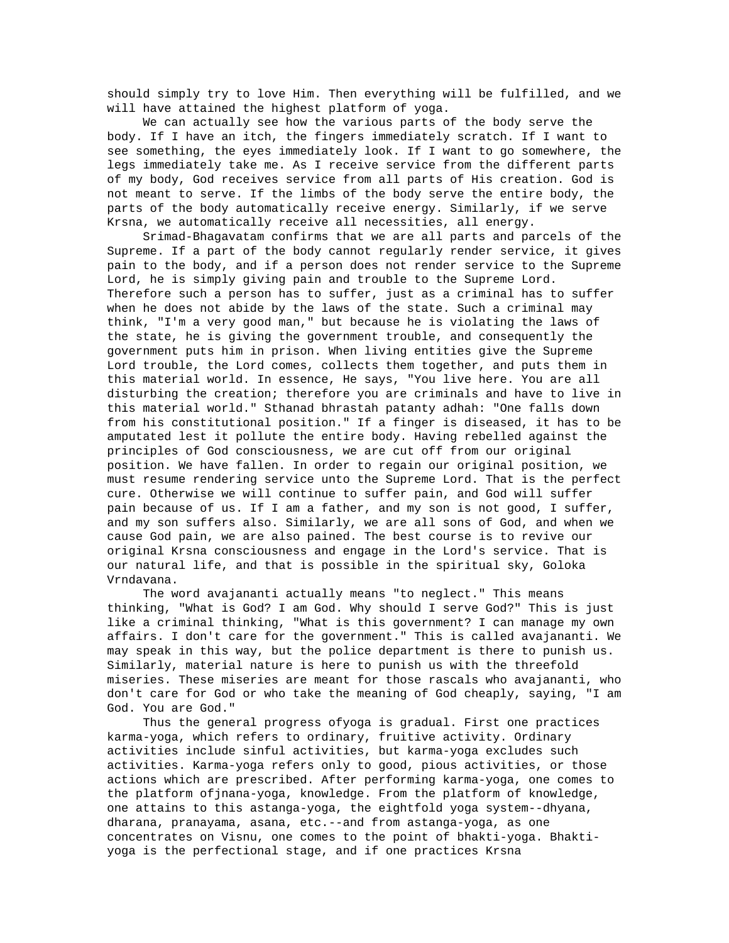should simply try to love Him. Then everything will be fulfilled, and we will have attained the highest platform of yoga.

 We can actually see how the various parts of the body serve the body. If I have an itch, the fingers immediately scratch. If I want to see something, the eyes immediately look. If I want to go somewhere, the legs immediately take me. As I receive service from the different parts of my body, God receives service from all parts of His creation. God is not meant to serve. If the limbs of the body serve the entire body, the parts of the body automatically receive energy. Similarly, if we serve Krsna, we automatically receive all necessities, all energy.

 Srimad-Bhagavatam confirms that we are all parts and parcels of the Supreme. If a part of the body cannot regularly render service, it gives pain to the body, and if a person does not render service to the Supreme Lord, he is simply giving pain and trouble to the Supreme Lord. Therefore such a person has to suffer, just as a criminal has to suffer when he does not abide by the laws of the state. Such a criminal may think, "I'm a very good man," but because he is violating the laws of the state, he is giving the government trouble, and consequently the government puts him in prison. When living entities give the Supreme Lord trouble, the Lord comes, collects them together, and puts them in this material world. In essence, He says, "You live here. You are all disturbing the creation; therefore you are criminals and have to live in this material world." Sthanad bhrastah patanty adhah: "One falls down from his constitutional position." If a finger is diseased, it has to be amputated lest it pollute the entire body. Having rebelled against the principles of God consciousness, we are cut off from our original position. We have fallen. In order to regain our original position, we must resume rendering service unto the Supreme Lord. That is the perfect cure. Otherwise we will continue to suffer pain, and God will suffer pain because of us. If I am a father, and my son is not good, I suffer, and my son suffers also. Similarly, we are all sons of God, and when we cause God pain, we are also pained. The best course is to revive our original Krsna consciousness and engage in the Lord's service. That is our natural life, and that is possible in the spiritual sky, Goloka Vrndavana.

 The word avajananti actually means "to neglect." This means thinking, "What is God? I am God. Why should I serve God?" This is just like a criminal thinking, "What is this government? I can manage my own affairs. I don't care for the government." This is called avajananti. We may speak in this way, but the police department is there to punish us. Similarly, material nature is here to punish us with the threefold miseries. These miseries are meant for those rascals who avajananti, who don't care for God or who take the meaning of God cheaply, saying, "I am God. You are God."

 Thus the general progress ofyoga is gradual. First one practices karma-yoga, which refers to ordinary, fruitive activity. Ordinary activities include sinful activities, but karma-yoga excludes such activities. Karma-yoga refers only to good, pious activities, or those actions which are prescribed. After performing karma-yoga, one comes to the platform ofjnana-yoga, knowledge. From the platform of knowledge, one attains to this astanga-yoga, the eightfold yoga system--dhyana, dharana, pranayama, asana, etc.--and from astanga-yoga, as one concentrates on Visnu, one comes to the point of bhakti-yoga. Bhaktiyoga is the perfectional stage, and if one practices Krsna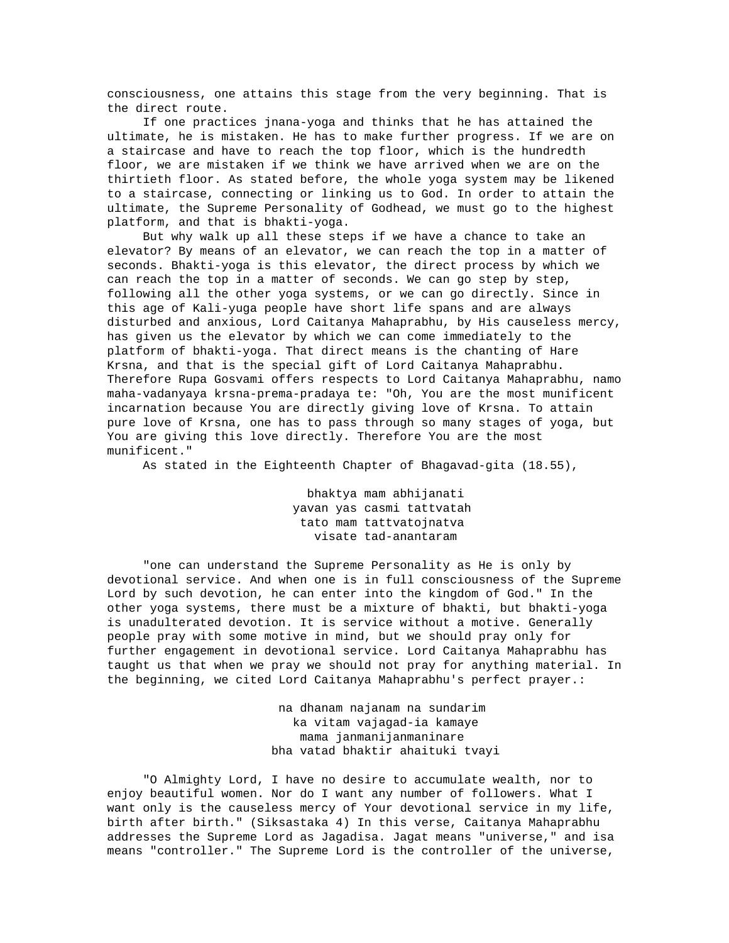consciousness, one attains this stage from the very beginning. That is the direct route.

 If one practices jnana-yoga and thinks that he has attained the ultimate, he is mistaken. He has to make further progress. If we are on a staircase and have to reach the top floor, which is the hundredth floor, we are mistaken if we think we have arrived when we are on the thirtieth floor. As stated before, the whole yoga system may be likened to a staircase, connecting or linking us to God. In order to attain the ultimate, the Supreme Personality of Godhead, we must go to the highest platform, and that is bhakti-yoga.

 But why walk up all these steps if we have a chance to take an elevator? By means of an elevator, we can reach the top in a matter of seconds. Bhakti-yoga is this elevator, the direct process by which we can reach the top in a matter of seconds. We can go step by step, following all the other yoga systems, or we can go directly. Since in this age of Kali-yuga people have short life spans and are always disturbed and anxious, Lord Caitanya Mahaprabhu, by His causeless mercy, has given us the elevator by which we can come immediately to the platform of bhakti-yoga. That direct means is the chanting of Hare Krsna, and that is the special gift of Lord Caitanya Mahaprabhu. Therefore Rupa Gosvami offers respects to Lord Caitanya Mahaprabhu, namo maha-vadanyaya krsna-prema-pradaya te: "Oh, You are the most munificent incarnation because You are directly giving love of Krsna. To attain pure love of Krsna, one has to pass through so many stages of yoga, but You are giving this love directly. Therefore You are the most munificent."

As stated in the Eighteenth Chapter of Bhagavad-gita (18.55),

 bhaktya mam abhijanati yavan yas casmi tattvatah tato mam tattvatojnatva visate tad-anantaram

 "one can understand the Supreme Personality as He is only by devotional service. And when one is in full consciousness of the Supreme Lord by such devotion, he can enter into the kingdom of God." In the other yoga systems, there must be a mixture of bhakti, but bhakti-yoga is unadulterated devotion. It is service without a motive. Generally people pray with some motive in mind, but we should pray only for further engagement in devotional service. Lord Caitanya Mahaprabhu has taught us that when we pray we should not pray for anything material. In the beginning, we cited Lord Caitanya Mahaprabhu's perfect prayer.:

> na dhanam najanam na sundarim ka vitam vajagad-ia kamaye mama janmanijanmaninare bha vatad bhaktir ahaituki tvayi

 "O Almighty Lord, I have no desire to accumulate wealth, nor to enjoy beautiful women. Nor do I want any number of followers. What I want only is the causeless mercy of Your devotional service in my life, birth after birth." (Siksastaka 4) In this verse, Caitanya Mahaprabhu addresses the Supreme Lord as Jagadisa. Jagat means "universe," and isa means "controller." The Supreme Lord is the controller of the universe,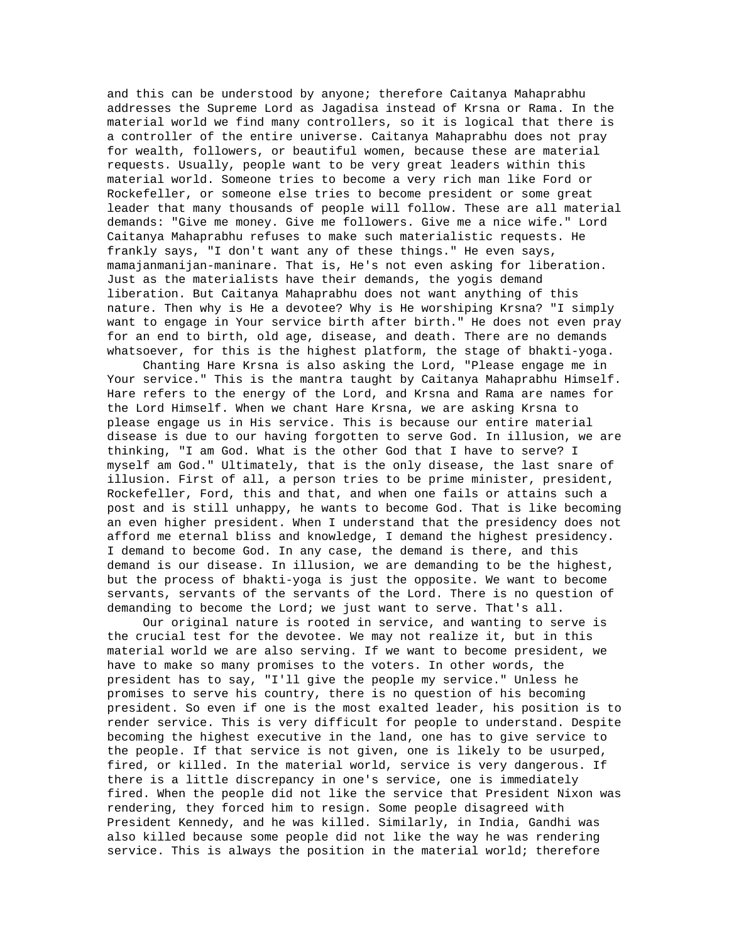and this can be understood by anyone; therefore Caitanya Mahaprabhu addresses the Supreme Lord as Jagadisa instead of Krsna or Rama. In the material world we find many controllers, so it is logical that there is a controller of the entire universe. Caitanya Mahaprabhu does not pray for wealth, followers, or beautiful women, because these are material requests. Usually, people want to be very great leaders within this material world. Someone tries to become a very rich man like Ford or Rockefeller, or someone else tries to become president or some great leader that many thousands of people will follow. These are all material demands: "Give me money. Give me followers. Give me a nice wife." Lord Caitanya Mahaprabhu refuses to make such materialistic requests. He frankly says, "I don't want any of these things." He even says, mamajanmanijan-maninare. That is, He's not even asking for liberation. Just as the materialists have their demands, the yogis demand liberation. But Caitanya Mahaprabhu does not want anything of this nature. Then why is He a devotee? Why is He worshiping Krsna? "I simply want to engage in Your service birth after birth." He does not even pray for an end to birth, old age, disease, and death. There are no demands whatsoever, for this is the highest platform, the stage of bhakti-yoga.

 Chanting Hare Krsna is also asking the Lord, "Please engage me in Your service." This is the mantra taught by Caitanya Mahaprabhu Himself. Hare refers to the energy of the Lord, and Krsna and Rama are names for the Lord Himself. When we chant Hare Krsna, we are asking Krsna to please engage us in His service. This is because our entire material disease is due to our having forgotten to serve God. In illusion, we are thinking, "I am God. What is the other God that I have to serve? I myself am God." Ultimately, that is the only disease, the last snare of illusion. First of all, a person tries to be prime minister, president, Rockefeller, Ford, this and that, and when one fails or attains such a post and is still unhappy, he wants to become God. That is like becoming an even higher president. When I understand that the presidency does not afford me eternal bliss and knowledge, I demand the highest presidency. I demand to become God. In any case, the demand is there, and this demand is our disease. In illusion, we are demanding to be the highest, but the process of bhakti-yoga is just the opposite. We want to become servants, servants of the servants of the Lord. There is no question of demanding to become the Lord; we just want to serve. That's all.

 Our original nature is rooted in service, and wanting to serve is the crucial test for the devotee. We may not realize it, but in this material world we are also serving. If we want to become president, we have to make so many promises to the voters. In other words, the president has to say, "I'll give the people my service." Unless he promises to serve his country, there is no question of his becoming president. So even if one is the most exalted leader, his position is to render service. This is very difficult for people to understand. Despite becoming the highest executive in the land, one has to give service to the people. If that service is not given, one is likely to be usurped, fired, or killed. In the material world, service is very dangerous. If there is a little discrepancy in one's service, one is immediately fired. When the people did not like the service that President Nixon was rendering, they forced him to resign. Some people disagreed with President Kennedy, and he was killed. Similarly, in India, Gandhi was also killed because some people did not like the way he was rendering service. This is always the position in the material world; therefore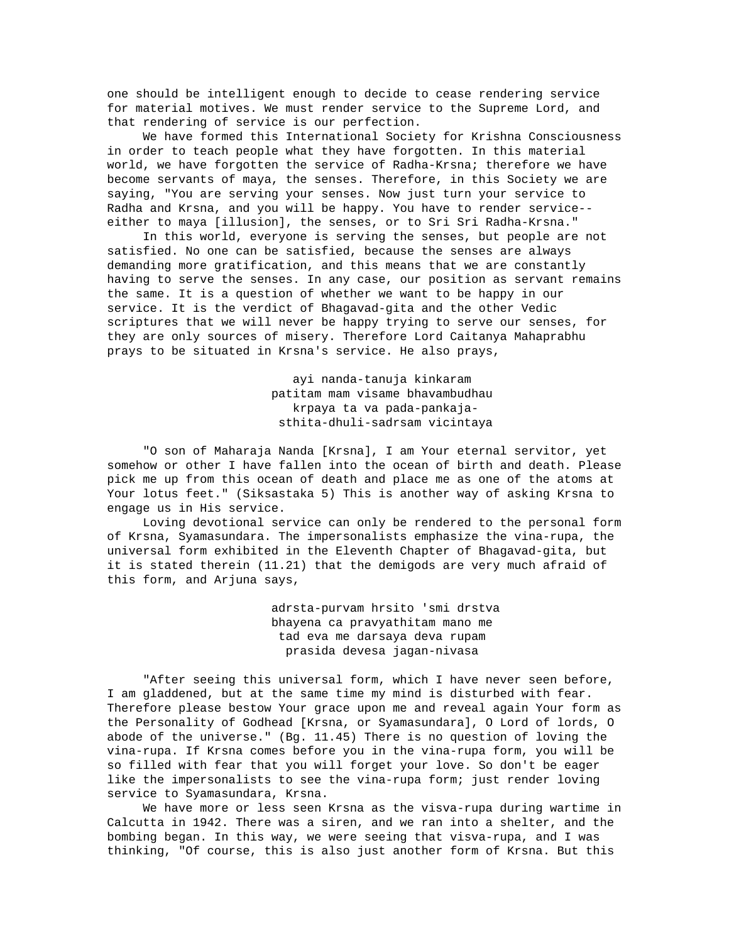one should be intelligent enough to decide to cease rendering service for material motives. We must render service to the Supreme Lord, and that rendering of service is our perfection.

 We have formed this International Society for Krishna Consciousness in order to teach people what they have forgotten. In this material world, we have forgotten the service of Radha-Krsna; therefore we have become servants of maya, the senses. Therefore, in this Society we are saying, "You are serving your senses. Now just turn your service to Radha and Krsna, and you will be happy. You have to render service- either to maya [illusion], the senses, or to Sri Sri Radha-Krsna."

 In this world, everyone is serving the senses, but people are not satisfied. No one can be satisfied, because the senses are always demanding more gratification, and this means that we are constantly having to serve the senses. In any case, our position as servant remains the same. It is a question of whether we want to be happy in our service. It is the verdict of Bhagavad-gita and the other Vedic scriptures that we will never be happy trying to serve our senses, for they are only sources of misery. Therefore Lord Caitanya Mahaprabhu prays to be situated in Krsna's service. He also prays,

> ayi nanda-tanuja kinkaram patitam mam visame bhavambudhau krpaya ta va pada-pankaja sthita-dhuli-sadrsam vicintaya

 "O son of Maharaja Nanda [Krsna], I am Your eternal servitor, yet somehow or other I have fallen into the ocean of birth and death. Please pick me up from this ocean of death and place me as one of the atoms at Your lotus feet." (Siksastaka 5) This is another way of asking Krsna to engage us in His service.

 Loving devotional service can only be rendered to the personal form of Krsna, Syamasundara. The impersonalists emphasize the vina-rupa, the universal form exhibited in the Eleventh Chapter of Bhagavad-gita, but it is stated therein (11.21) that the demigods are very much afraid of this form, and Arjuna says,

> adrsta-purvam hrsito 'smi drstva bhayena ca pravyathitam mano me tad eva me darsaya deva rupam prasida devesa jagan-nivasa

 "After seeing this universal form, which I have never seen before, I am gladdened, but at the same time my mind is disturbed with fear. Therefore please bestow Your grace upon me and reveal again Your form as the Personality of Godhead [Krsna, or Syamasundara], O Lord of lords, O abode of the universe." (Bg. 11.45) There is no question of loving the vina-rupa. If Krsna comes before you in the vina-rupa form, you will be so filled with fear that you will forget your love. So don't be eager like the impersonalists to see the vina-rupa form; just render loving service to Syamasundara, Krsna.

 We have more or less seen Krsna as the visva-rupa during wartime in Calcutta in 1942. There was a siren, and we ran into a shelter, and the bombing began. In this way, we were seeing that visva-rupa, and I was thinking, "Of course, this is also just another form of Krsna. But this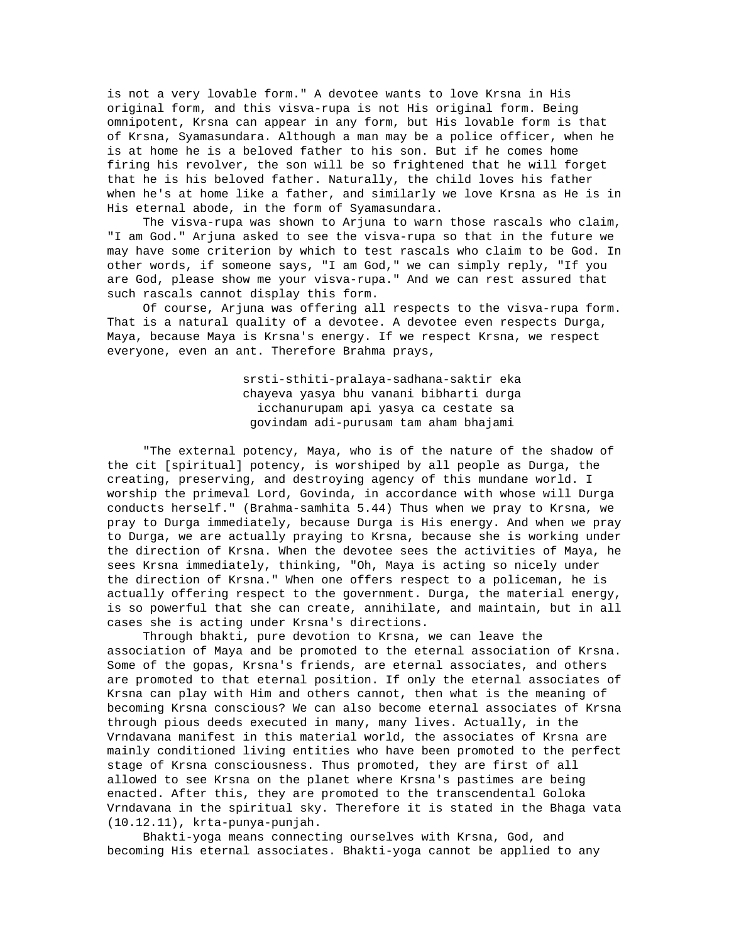is not a very lovable form." A devotee wants to love Krsna in His original form, and this visva-rupa is not His original form. Being omnipotent, Krsna can appear in any form, but His lovable form is that of Krsna, Syamasundara. Although a man may be a police officer, when he is at home he is a beloved father to his son. But if he comes home firing his revolver, the son will be so frightened that he will forget that he is his beloved father. Naturally, the child loves his father when he's at home like a father, and similarly we love Krsna as He is in His eternal abode, in the form of Syamasundara.

 The visva-rupa was shown to Arjuna to warn those rascals who claim, "I am God." Arjuna asked to see the visva-rupa so that in the future we may have some criterion by which to test rascals who claim to be God. In other words, if someone says, "I am God," we can simply reply, "If you are God, please show me your visva-rupa." And we can rest assured that such rascals cannot display this form.

 Of course, Arjuna was offering all respects to the visva-rupa form. That is a natural quality of a devotee. A devotee even respects Durga, Maya, because Maya is Krsna's energy. If we respect Krsna, we respect everyone, even an ant. Therefore Brahma prays,

> srsti-sthiti-pralaya-sadhana-saktir eka chayeva yasya bhu vanani bibharti durga icchanurupam api yasya ca cestate sa govindam adi-purusam tam aham bhajami

 "The external potency, Maya, who is of the nature of the shadow of the cit [spiritual] potency, is worshiped by all people as Durga, the creating, preserving, and destroying agency of this mundane world. I worship the primeval Lord, Govinda, in accordance with whose will Durga conducts herself." (Brahma-samhita 5.44) Thus when we pray to Krsna, we pray to Durga immediately, because Durga is His energy. And when we pray to Durga, we are actually praying to Krsna, because she is working under the direction of Krsna. When the devotee sees the activities of Maya, he sees Krsna immediately, thinking, "Oh, Maya is acting so nicely under the direction of Krsna." When one offers respect to a policeman, he is actually offering respect to the government. Durga, the material energy, is so powerful that she can create, annihilate, and maintain, but in all cases she is acting under Krsna's directions.

 Through bhakti, pure devotion to Krsna, we can leave the association of Maya and be promoted to the eternal association of Krsna. Some of the gopas, Krsna's friends, are eternal associates, and others are promoted to that eternal position. If only the eternal associates of Krsna can play with Him and others cannot, then what is the meaning of becoming Krsna conscious? We can also become eternal associates of Krsna through pious deeds executed in many, many lives. Actually, in the Vrndavana manifest in this material world, the associates of Krsna are mainly conditioned living entities who have been promoted to the perfect stage of Krsna consciousness. Thus promoted, they are first of all allowed to see Krsna on the planet where Krsna's pastimes are being enacted. After this, they are promoted to the transcendental Goloka Vrndavana in the spiritual sky. Therefore it is stated in the Bhaga vata (10.12.11), krta-punya-punjah.

 Bhakti-yoga means connecting ourselves with Krsna, God, and becoming His eternal associates. Bhakti-yoga cannot be applied to any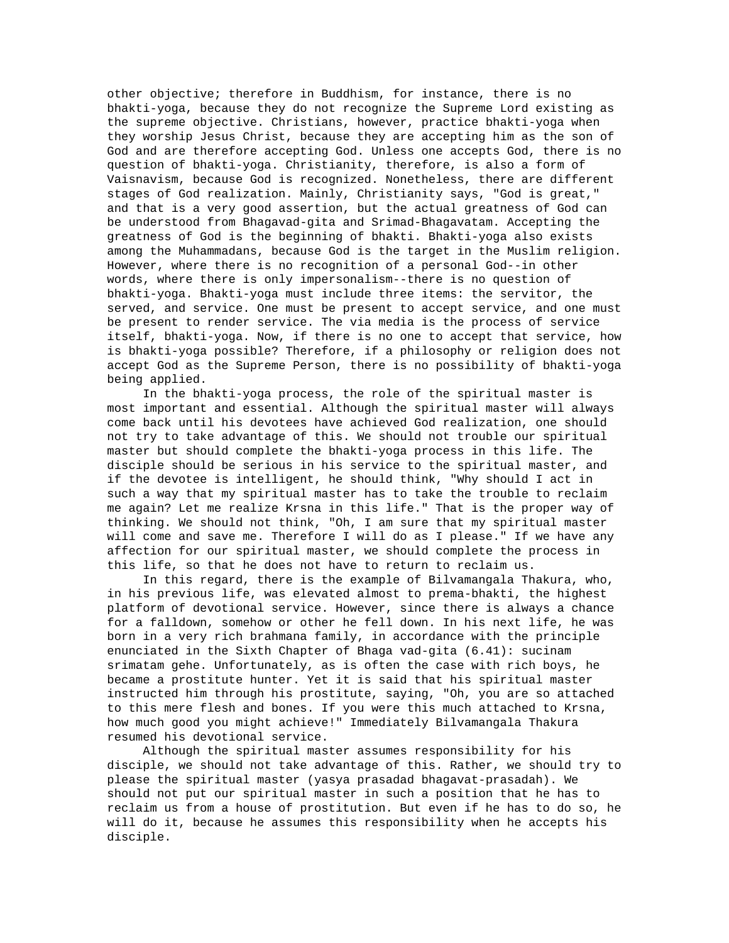other objective; therefore in Buddhism, for instance, there is no bhakti-yoga, because they do not recognize the Supreme Lord existing as the supreme objective. Christians, however, practice bhakti-yoga when they worship Jesus Christ, because they are accepting him as the son of God and are therefore accepting God. Unless one accepts God, there is no question of bhakti-yoga. Christianity, therefore, is also a form of Vaisnavism, because God is recognized. Nonetheless, there are different stages of God realization. Mainly, Christianity says, "God is great," and that is a very good assertion, but the actual greatness of God can be understood from Bhagavad-gita and Srimad-Bhagavatam. Accepting the greatness of God is the beginning of bhakti. Bhakti-yoga also exists among the Muhammadans, because God is the target in the Muslim religion. However, where there is no recognition of a personal God--in other words, where there is only impersonalism--there is no question of bhakti-yoga. Bhakti-yoga must include three items: the servitor, the served, and service. One must be present to accept service, and one must be present to render service. The via media is the process of service itself, bhakti-yoga. Now, if there is no one to accept that service, how is bhakti-yoga possible? Therefore, if a philosophy or religion does not accept God as the Supreme Person, there is no possibility of bhakti-yoga being applied.

 In the bhakti-yoga process, the role of the spiritual master is most important and essential. Although the spiritual master will always come back until his devotees have achieved God realization, one should not try to take advantage of this. We should not trouble our spiritual master but should complete the bhakti-yoga process in this life. The disciple should be serious in his service to the spiritual master, and if the devotee is intelligent, he should think, "Why should I act in such a way that my spiritual master has to take the trouble to reclaim me again? Let me realize Krsna in this life." That is the proper way of thinking. We should not think, "Oh, I am sure that my spiritual master will come and save me. Therefore I will do as I please." If we have any affection for our spiritual master, we should complete the process in this life, so that he does not have to return to reclaim us.

 In this regard, there is the example of Bilvamangala Thakura, who, in his previous life, was elevated almost to prema-bhakti, the highest platform of devotional service. However, since there is always a chance for a falldown, somehow or other he fell down. In his next life, he was born in a very rich brahmana family, in accordance with the principle enunciated in the Sixth Chapter of Bhaga vad-gita (6.41): sucinam srimatam gehe. Unfortunately, as is often the case with rich boys, he became a prostitute hunter. Yet it is said that his spiritual master instructed him through his prostitute, saying, "Oh, you are so attached to this mere flesh and bones. If you were this much attached to Krsna, how much good you might achieve!" Immediately Bilvamangala Thakura resumed his devotional service.

 Although the spiritual master assumes responsibility for his disciple, we should not take advantage of this. Rather, we should try to please the spiritual master (yasya prasadad bhagavat-prasadah). We should not put our spiritual master in such a position that he has to reclaim us from a house of prostitution. But even if he has to do so, he will do it, because he assumes this responsibility when he accepts his disciple.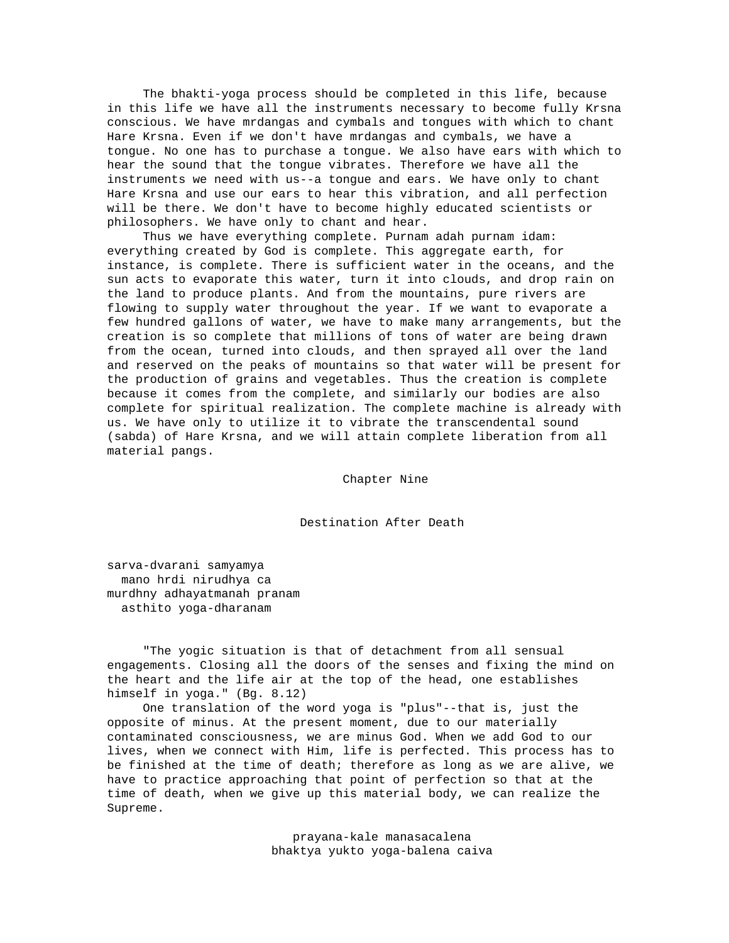The bhakti-yoga process should be completed in this life, because in this life we have all the instruments necessary to become fully Krsna conscious. We have mrdangas and cymbals and tongues with which to chant Hare Krsna. Even if we don't have mrdangas and cymbals, we have a tongue. No one has to purchase a tongue. We also have ears with which to hear the sound that the tongue vibrates. Therefore we have all the instruments we need with us--a tongue and ears. We have only to chant Hare Krsna and use our ears to hear this vibration, and all perfection will be there. We don't have to become highly educated scientists or philosophers. We have only to chant and hear.

 Thus we have everything complete. Purnam adah purnam idam: everything created by God is complete. This aggregate earth, for instance, is complete. There is sufficient water in the oceans, and the sun acts to evaporate this water, turn it into clouds, and drop rain on the land to produce plants. And from the mountains, pure rivers are flowing to supply water throughout the year. If we want to evaporate a few hundred gallons of water, we have to make many arrangements, but the creation is so complete that millions of tons of water are being drawn from the ocean, turned into clouds, and then sprayed all over the land and reserved on the peaks of mountains so that water will be present for the production of grains and vegetables. Thus the creation is complete because it comes from the complete, and similarly our bodies are also complete for spiritual realization. The complete machine is already with us. We have only to utilize it to vibrate the transcendental sound (sabda) of Hare Krsna, and we will attain complete liberation from all material pangs.

Chapter Nine

Destination After Death

sarva-dvarani samyamya mano hrdi nirudhya ca murdhny adhayatmanah pranam asthito yoga-dharanam

 "The yogic situation is that of detachment from all sensual engagements. Closing all the doors of the senses and fixing the mind on the heart and the life air at the top of the head, one establishes himself in yoga." (Bg. 8.12)

 One translation of the word yoga is "plus"--that is, just the opposite of minus. At the present moment, due to our materially contaminated consciousness, we are minus God. When we add God to our lives, when we connect with Him, life is perfected. This process has to be finished at the time of death; therefore as long as we are alive, we have to practice approaching that point of perfection so that at the time of death, when we give up this material body, we can realize the Supreme.

> prayana-kale manasacalena bhaktya yukto yoga-balena caiva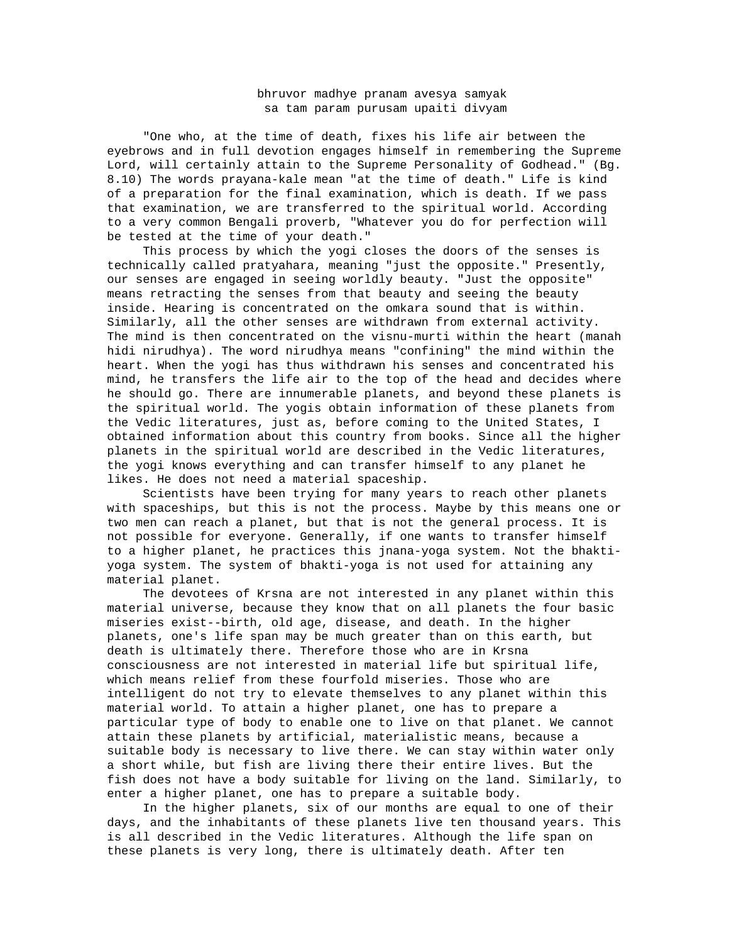bhruvor madhye pranam avesya samyak sa tam param purusam upaiti divyam

 "One who, at the time of death, fixes his life air between the eyebrows and in full devotion engages himself in remembering the Supreme Lord, will certainly attain to the Supreme Personality of Godhead." (Bg. 8.10) The words prayana-kale mean "at the time of death." Life is kind of a preparation for the final examination, which is death. If we pass that examination, we are transferred to the spiritual world. According to a very common Bengali proverb, "Whatever you do for perfection will be tested at the time of your death."

 This process by which the yogi closes the doors of the senses is technically called pratyahara, meaning "just the opposite." Presently, our senses are engaged in seeing worldly beauty. "Just the opposite" means retracting the senses from that beauty and seeing the beauty inside. Hearing is concentrated on the omkara sound that is within. Similarly, all the other senses are withdrawn from external activity. The mind is then concentrated on the visnu-murti within the heart (manah hidi nirudhya). The word nirudhya means "confining" the mind within the heart. When the yogi has thus withdrawn his senses and concentrated his mind, he transfers the life air to the top of the head and decides where he should go. There are innumerable planets, and beyond these planets is the spiritual world. The yogis obtain information of these planets from the Vedic literatures, just as, before coming to the United States, I obtained information about this country from books. Since all the higher planets in the spiritual world are described in the Vedic literatures, the yogi knows everything and can transfer himself to any planet he likes. He does not need a material spaceship.

 Scientists have been trying for many years to reach other planets with spaceships, but this is not the process. Maybe by this means one or two men can reach a planet, but that is not the general process. It is not possible for everyone. Generally, if one wants to transfer himself to a higher planet, he practices this jnana-yoga system. Not the bhaktiyoga system. The system of bhakti-yoga is not used for attaining any material planet.

 The devotees of Krsna are not interested in any planet within this material universe, because they know that on all planets the four basic miseries exist--birth, old age, disease, and death. In the higher planets, one's life span may be much greater than on this earth, but death is ultimately there. Therefore those who are in Krsna consciousness are not interested in material life but spiritual life, which means relief from these fourfold miseries. Those who are intelligent do not try to elevate themselves to any planet within this material world. To attain a higher planet, one has to prepare a particular type of body to enable one to live on that planet. We cannot attain these planets by artificial, materialistic means, because a suitable body is necessary to live there. We can stay within water only a short while, but fish are living there their entire lives. But the fish does not have a body suitable for living on the land. Similarly, to enter a higher planet, one has to prepare a suitable body.

 In the higher planets, six of our months are equal to one of their days, and the inhabitants of these planets live ten thousand years. This is all described in the Vedic literatures. Although the life span on these planets is very long, there is ultimately death. After ten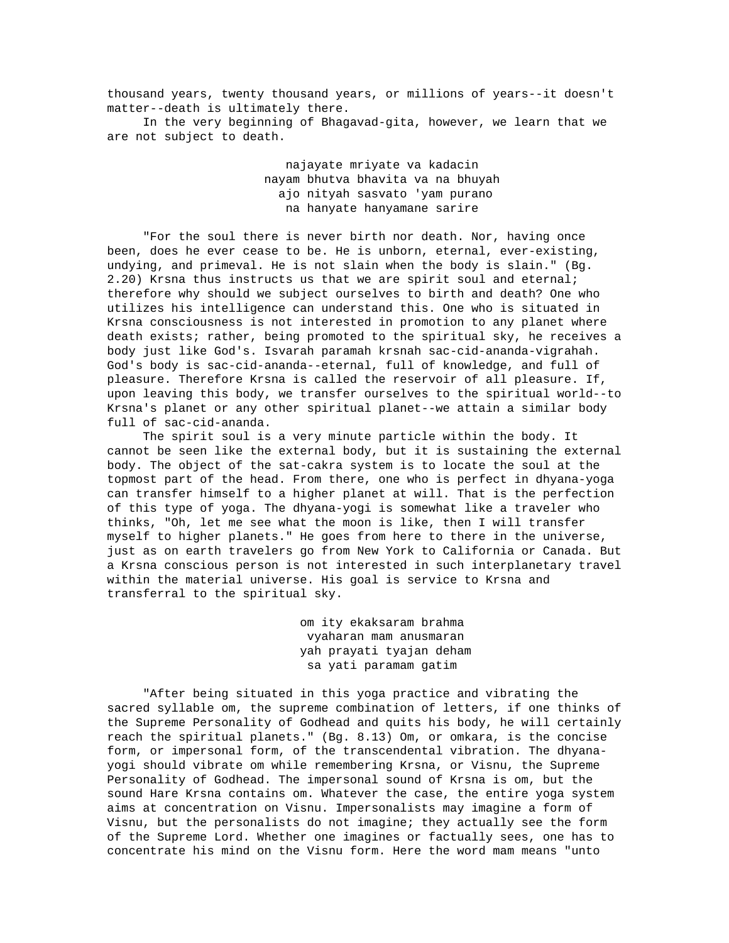thousand years, twenty thousand years, or millions of years--it doesn't matter--death is ultimately there.

 In the very beginning of Bhagavad-gita, however, we learn that we are not subject to death.

> najayate mriyate va kadacin nayam bhutva bhavita va na bhuyah ajo nityah sasvato 'yam purano na hanyate hanyamane sarire

 "For the soul there is never birth nor death. Nor, having once been, does he ever cease to be. He is unborn, eternal, ever-existing, undying, and primeval. He is not slain when the body is slain." (Bg. 2.20) Krsna thus instructs us that we are spirit soul and eternal; therefore why should we subject ourselves to birth and death? One who utilizes his intelligence can understand this. One who is situated in Krsna consciousness is not interested in promotion to any planet where death exists; rather, being promoted to the spiritual sky, he receives a body just like God's. Isvarah paramah krsnah sac-cid-ananda-vigrahah. God's body is sac-cid-ananda--eternal, full of knowledge, and full of pleasure. Therefore Krsna is called the reservoir of all pleasure. If, upon leaving this body, we transfer ourselves to the spiritual world--to Krsna's planet or any other spiritual planet--we attain a similar body full of sac-cid-ananda.

 The spirit soul is a very minute particle within the body. It cannot be seen like the external body, but it is sustaining the external body. The object of the sat-cakra system is to locate the soul at the topmost part of the head. From there, one who is perfect in dhyana-yoga can transfer himself to a higher planet at will. That is the perfection of this type of yoga. The dhyana-yogi is somewhat like a traveler who thinks, "Oh, let me see what the moon is like, then I will transfer myself to higher planets." He goes from here to there in the universe, just as on earth travelers go from New York to California or Canada. But a Krsna conscious person is not interested in such interplanetary travel within the material universe. His goal is service to Krsna and transferral to the spiritual sky.

> om ity ekaksaram brahma vyaharan mam anusmaran yah prayati tyajan deham sa yati paramam gatim

 "After being situated in this yoga practice and vibrating the sacred syllable om, the supreme combination of letters, if one thinks of the Supreme Personality of Godhead and quits his body, he will certainly reach the spiritual planets." (Bg. 8.13) Om, or omkara, is the concise form, or impersonal form, of the transcendental vibration. The dhyanayogi should vibrate om while remembering Krsna, or Visnu, the Supreme Personality of Godhead. The impersonal sound of Krsna is om, but the sound Hare Krsna contains om. Whatever the case, the entire yoga system aims at concentration on Visnu. Impersonalists may imagine a form of Visnu, but the personalists do not imagine; they actually see the form of the Supreme Lord. Whether one imagines or factually sees, one has to concentrate his mind on the Visnu form. Here the word mam means "unto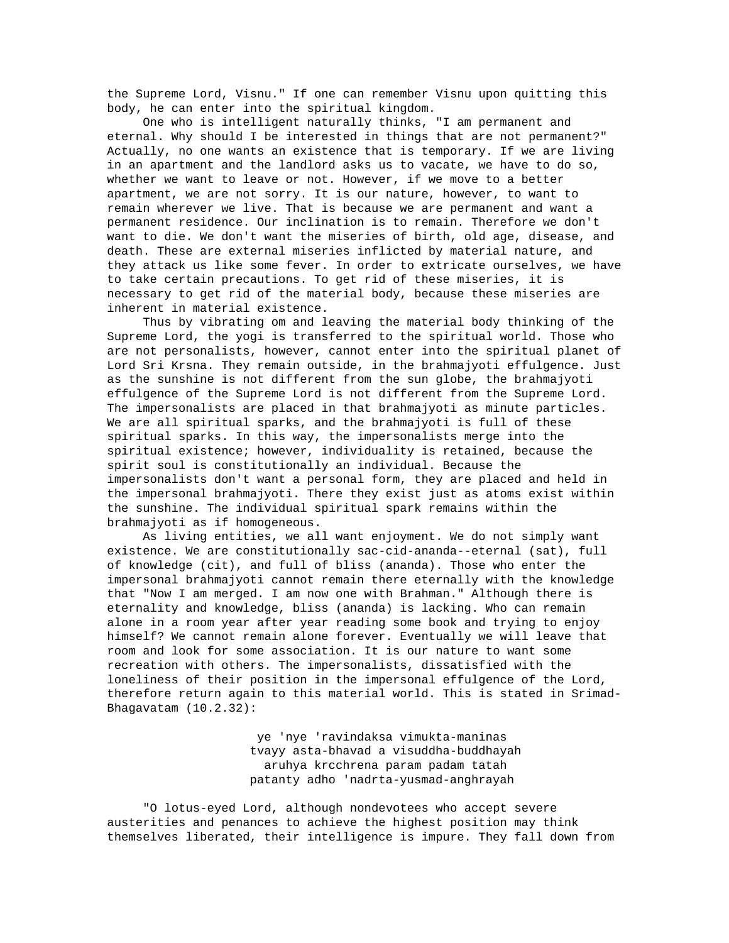the Supreme Lord, Visnu." If one can remember Visnu upon quitting this body, he can enter into the spiritual kingdom.

 One who is intelligent naturally thinks, "I am permanent and eternal. Why should I be interested in things that are not permanent?" Actually, no one wants an existence that is temporary. If we are living in an apartment and the landlord asks us to vacate, we have to do so, whether we want to leave or not. However, if we move to a better apartment, we are not sorry. It is our nature, however, to want to remain wherever we live. That is because we are permanent and want a permanent residence. Our inclination is to remain. Therefore we don't want to die. We don't want the miseries of birth, old age, disease, and death. These are external miseries inflicted by material nature, and they attack us like some fever. In order to extricate ourselves, we have to take certain precautions. To get rid of these miseries, it is necessary to get rid of the material body, because these miseries are inherent in material existence.

 Thus by vibrating om and leaving the material body thinking of the Supreme Lord, the yogi is transferred to the spiritual world. Those who are not personalists, however, cannot enter into the spiritual planet of Lord Sri Krsna. They remain outside, in the brahmajyoti effulgence. Just as the sunshine is not different from the sun globe, the brahmajyoti effulgence of the Supreme Lord is not different from the Supreme Lord. The impersonalists are placed in that brahmajyoti as minute particles. We are all spiritual sparks, and the brahmajyoti is full of these spiritual sparks. In this way, the impersonalists merge into the spiritual existence; however, individuality is retained, because the spirit soul is constitutionally an individual. Because the impersonalists don't want a personal form, they are placed and held in the impersonal brahmajyoti. There they exist just as atoms exist within the sunshine. The individual spiritual spark remains within the brahmajyoti as if homogeneous.

 As living entities, we all want enjoyment. We do not simply want existence. We are constitutionally sac-cid-ananda--eternal (sat), full of knowledge (cit), and full of bliss (ananda). Those who enter the impersonal brahmajyoti cannot remain there eternally with the knowledge that "Now I am merged. I am now one with Brahman." Although there is eternality and knowledge, bliss (ananda) is lacking. Who can remain alone in a room year after year reading some book and trying to enjoy himself? We cannot remain alone forever. Eventually we will leave that room and look for some association. It is our nature to want some recreation with others. The impersonalists, dissatisfied with the loneliness of their position in the impersonal effulgence of the Lord, therefore return again to this material world. This is stated in Srimad-Bhagavatam (10.2.32):

> ye 'nye 'ravindaksa vimukta-maninas tvayy asta-bhavad a visuddha-buddhayah aruhya krcchrena param padam tatah patanty adho 'nadrta-yusmad-anghrayah

 "O lotus-eyed Lord, although nondevotees who accept severe austerities and penances to achieve the highest position may think themselves liberated, their intelligence is impure. They fall down from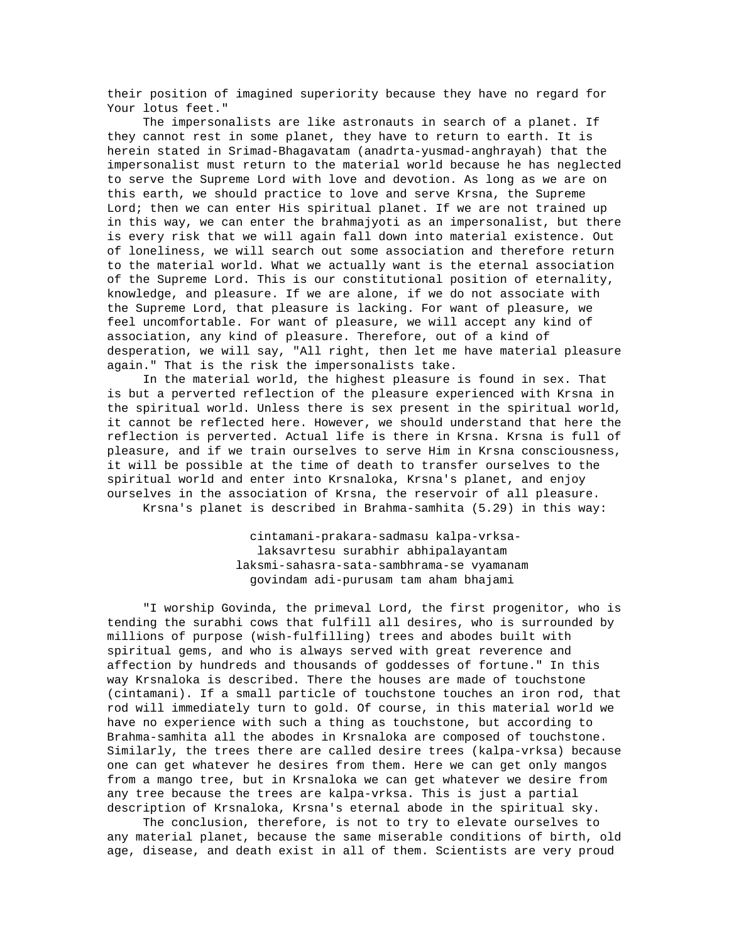their position of imagined superiority because they have no regard for Your lotus feet."

 The impersonalists are like astronauts in search of a planet. If they cannot rest in some planet, they have to return to earth. It is herein stated in Srimad-Bhagavatam (anadrta-yusmad-anghrayah) that the impersonalist must return to the material world because he has neglected to serve the Supreme Lord with love and devotion. As long as we are on this earth, we should practice to love and serve Krsna, the Supreme Lord; then we can enter His spiritual planet. If we are not trained up in this way, we can enter the brahmajyoti as an impersonalist, but there is every risk that we will again fall down into material existence. Out of loneliness, we will search out some association and therefore return to the material world. What we actually want is the eternal association of the Supreme Lord. This is our constitutional position of eternality, knowledge, and pleasure. If we are alone, if we do not associate with the Supreme Lord, that pleasure is lacking. For want of pleasure, we feel uncomfortable. For want of pleasure, we will accept any kind of association, any kind of pleasure. Therefore, out of a kind of desperation, we will say, "All right, then let me have material pleasure again." That is the risk the impersonalists take.

 In the material world, the highest pleasure is found in sex. That is but a perverted reflection of the pleasure experienced with Krsna in the spiritual world. Unless there is sex present in the spiritual world, it cannot be reflected here. However, we should understand that here the reflection is perverted. Actual life is there in Krsna. Krsna is full of pleasure, and if we train ourselves to serve Him in Krsna consciousness, it will be possible at the time of death to transfer ourselves to the spiritual world and enter into Krsnaloka, Krsna's planet, and enjoy ourselves in the association of Krsna, the reservoir of all pleasure. Krsna's planet is described in Brahma-samhita (5.29) in this way:

> cintamani-prakara-sadmasu kalpa-vrksa laksavrtesu surabhir abhipalayantam laksmi-sahasra-sata-sambhrama-se vyamanam govindam adi-purusam tam aham bhajami

 "I worship Govinda, the primeval Lord, the first progenitor, who is tending the surabhi cows that fulfill all desires, who is surrounded by millions of purpose (wish-fulfilling) trees and abodes built with spiritual gems, and who is always served with great reverence and affection by hundreds and thousands of goddesses of fortune." In this way Krsnaloka is described. There the houses are made of touchstone (cintamani). If a small particle of touchstone touches an iron rod, that rod will immediately turn to gold. Of course, in this material world we have no experience with such a thing as touchstone, but according to Brahma-samhita all the abodes in Krsnaloka are composed of touchstone. Similarly, the trees there are called desire trees (kalpa-vrksa) because one can get whatever he desires from them. Here we can get only mangos from a mango tree, but in Krsnaloka we can get whatever we desire from any tree because the trees are kalpa-vrksa. This is just a partial description of Krsnaloka, Krsna's eternal abode in the spiritual sky.

 The conclusion, therefore, is not to try to elevate ourselves to any material planet, because the same miserable conditions of birth, old age, disease, and death exist in all of them. Scientists are very proud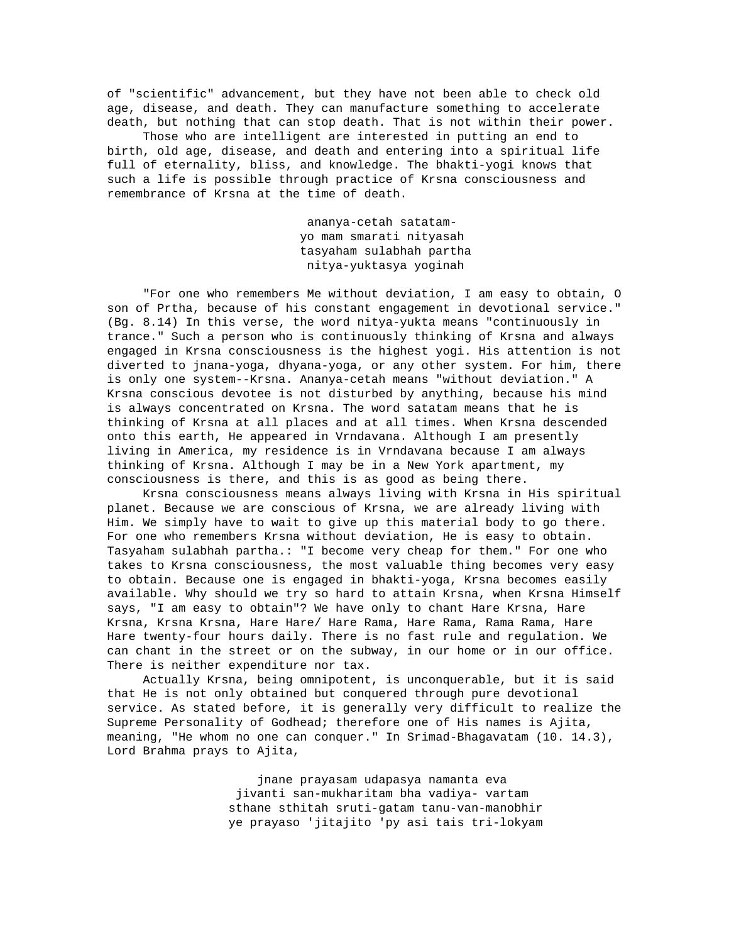of "scientific" advancement, but they have not been able to check old age, disease, and death. They can manufacture something to accelerate death, but nothing that can stop death. That is not within their power.

 Those who are intelligent are interested in putting an end to birth, old age, disease, and death and entering into a spiritual life full of eternality, bliss, and knowledge. The bhakti-yogi knows that such a life is possible through practice of Krsna consciousness and remembrance of Krsna at the time of death.

> ananya-cetah satatam yo mam smarati nityasah tasyaham sulabhah partha nitya-yuktasya yoginah

 "For one who remembers Me without deviation, I am easy to obtain, O son of Prtha, because of his constant engagement in devotional service." (Bg. 8.14) In this verse, the word nitya-yukta means "continuously in trance." Such a person who is continuously thinking of Krsna and always engaged in Krsna consciousness is the highest yogi. His attention is not diverted to jnana-yoga, dhyana-yoga, or any other system. For him, there is only one system--Krsna. Ananya-cetah means "without deviation." A Krsna conscious devotee is not disturbed by anything, because his mind is always concentrated on Krsna. The word satatam means that he is thinking of Krsna at all places and at all times. When Krsna descended onto this earth, He appeared in Vrndavana. Although I am presently living in America, my residence is in Vrndavana because I am always thinking of Krsna. Although I may be in a New York apartment, my consciousness is there, and this is as good as being there.

 Krsna consciousness means always living with Krsna in His spiritual planet. Because we are conscious of Krsna, we are already living with Him. We simply have to wait to give up this material body to go there. For one who remembers Krsna without deviation, He is easy to obtain. Tasyaham sulabhah partha.: "I become very cheap for them." For one who takes to Krsna consciousness, the most valuable thing becomes very easy to obtain. Because one is engaged in bhakti-yoga, Krsna becomes easily available. Why should we try so hard to attain Krsna, when Krsna Himself says, "I am easy to obtain"? We have only to chant Hare Krsna, Hare Krsna, Krsna Krsna, Hare Hare/ Hare Rama, Hare Rama, Rama Rama, Hare Hare twenty-four hours daily. There is no fast rule and regulation. We can chant in the street or on the subway, in our home or in our office. There is neither expenditure nor tax.

 Actually Krsna, being omnipotent, is unconquerable, but it is said that He is not only obtained but conquered through pure devotional service. As stated before, it is generally very difficult to realize the Supreme Personality of Godhead; therefore one of His names is Ajita, meaning, "He whom no one can conquer." In Srimad-Bhagavatam (10. 14.3), Lord Brahma prays to Ajita,

> jnane prayasam udapasya namanta eva jivanti san-mukharitam bha vadiya- vartam sthane sthitah sruti-gatam tanu-van-manobhir ye prayaso 'jitajito 'py asi tais tri-lokyam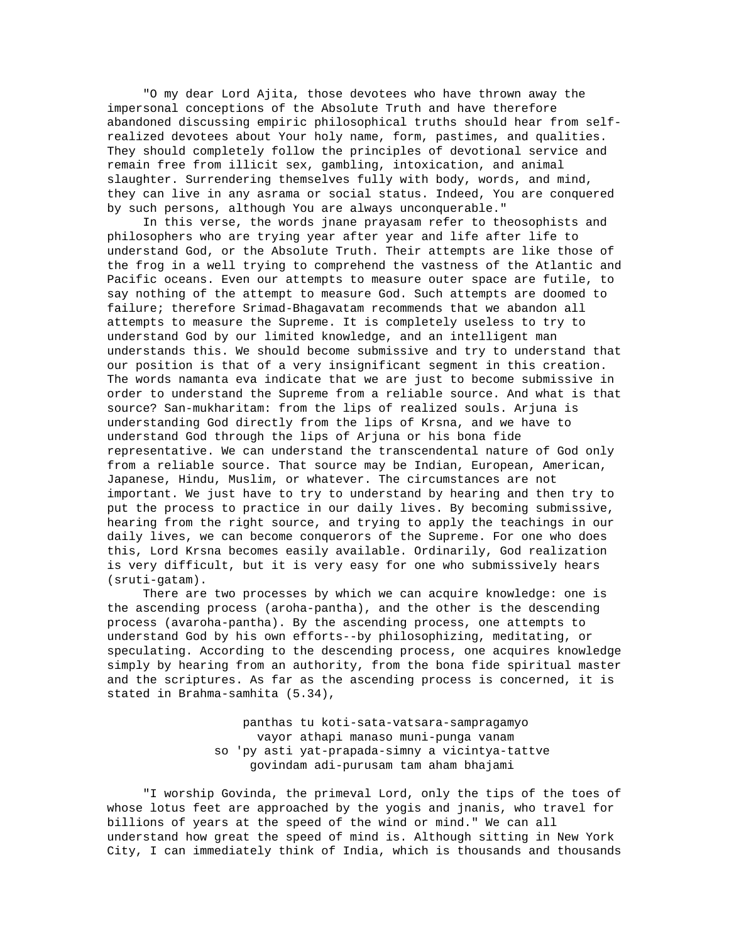"O my dear Lord Ajita, those devotees who have thrown away the impersonal conceptions of the Absolute Truth and have therefore abandoned discussing empiric philosophical truths should hear from selfrealized devotees about Your holy name, form, pastimes, and qualities. They should completely follow the principles of devotional service and remain free from illicit sex, gambling, intoxication, and animal slaughter. Surrendering themselves fully with body, words, and mind, they can live in any asrama or social status. Indeed, You are conquered by such persons, although You are always unconquerable."

 In this verse, the words jnane prayasam refer to theosophists and philosophers who are trying year after year and life after life to understand God, or the Absolute Truth. Their attempts are like those of the frog in a well trying to comprehend the vastness of the Atlantic and Pacific oceans. Even our attempts to measure outer space are futile, to say nothing of the attempt to measure God. Such attempts are doomed to failure; therefore Srimad-Bhagavatam recommends that we abandon all attempts to measure the Supreme. It is completely useless to try to understand God by our limited knowledge, and an intelligent man understands this. We should become submissive and try to understand that our position is that of a very insignificant segment in this creation. The words namanta eva indicate that we are just to become submissive in order to understand the Supreme from a reliable source. And what is that source? San-mukharitam: from the lips of realized souls. Arjuna is understanding God directly from the lips of Krsna, and we have to understand God through the lips of Arjuna or his bona fide representative. We can understand the transcendental nature of God only from a reliable source. That source may be Indian, European, American, Japanese, Hindu, Muslim, or whatever. The circumstances are not important. We just have to try to understand by hearing and then try to put the process to practice in our daily lives. By becoming submissive, hearing from the right source, and trying to apply the teachings in our daily lives, we can become conquerors of the Supreme. For one who does this, Lord Krsna becomes easily available. Ordinarily, God realization is very difficult, but it is very easy for one who submissively hears (sruti-gatam).

 There are two processes by which we can acquire knowledge: one is the ascending process (aroha-pantha), and the other is the descending process (avaroha-pantha). By the ascending process, one attempts to understand God by his own efforts--by philosophizing, meditating, or speculating. According to the descending process, one acquires knowledge simply by hearing from an authority, from the bona fide spiritual master and the scriptures. As far as the ascending process is concerned, it is stated in Brahma-samhita (5.34),

> panthas tu koti-sata-vatsara-sampragamyo vayor athapi manaso muni-punga vanam so 'py asti yat-prapada-simny a vicintya-tattve govindam adi-purusam tam aham bhajami

 "I worship Govinda, the primeval Lord, only the tips of the toes of whose lotus feet are approached by the yogis and jnanis, who travel for billions of years at the speed of the wind or mind." We can all understand how great the speed of mind is. Although sitting in New York City, I can immediately think of India, which is thousands and thousands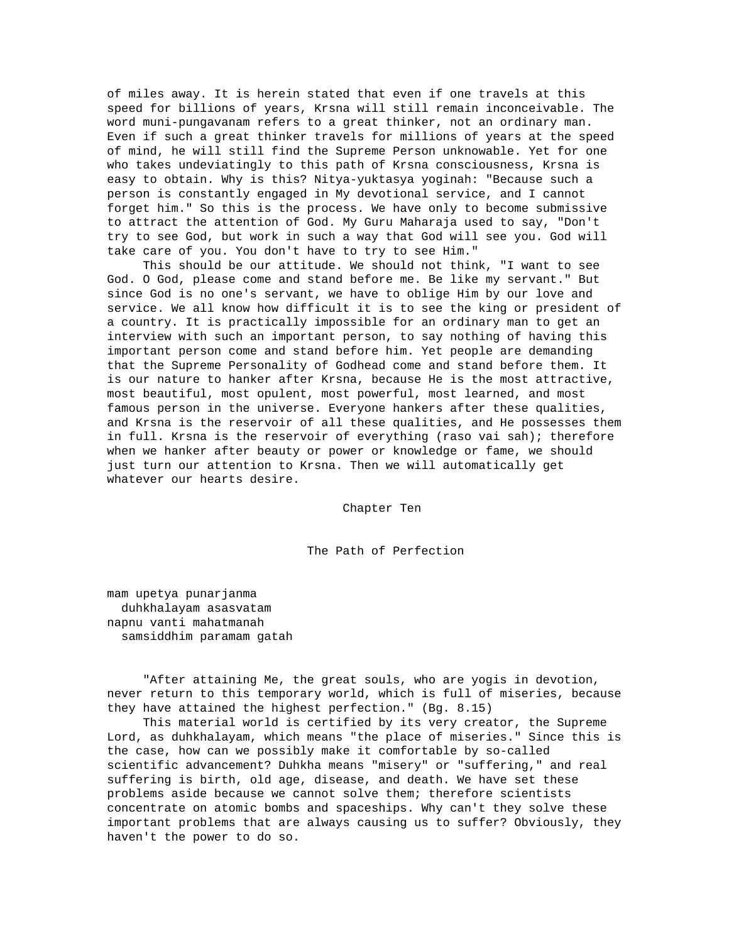of miles away. It is herein stated that even if one travels at this speed for billions of years, Krsna will still remain inconceivable. The word muni-pungavanam refers to a great thinker, not an ordinary man. Even if such a great thinker travels for millions of years at the speed of mind, he will still find the Supreme Person unknowable. Yet for one who takes undeviatingly to this path of Krsna consciousness, Krsna is easy to obtain. Why is this? Nitya-yuktasya yoginah: "Because such a person is constantly engaged in My devotional service, and I cannot forget him." So this is the process. We have only to become submissive to attract the attention of God. My Guru Maharaja used to say, "Don't try to see God, but work in such a way that God will see you. God will take care of you. You don't have to try to see Him."

 This should be our attitude. We should not think, "I want to see God. O God, please come and stand before me. Be like my servant." But since God is no one's servant, we have to oblige Him by our love and service. We all know how difficult it is to see the king or president of a country. It is practically impossible for an ordinary man to get an interview with such an important person, to say nothing of having this important person come and stand before him. Yet people are demanding that the Supreme Personality of Godhead come and stand before them. It is our nature to hanker after Krsna, because He is the most attractive, most beautiful, most opulent, most powerful, most learned, and most famous person in the universe. Everyone hankers after these qualities, and Krsna is the reservoir of all these qualities, and He possesses them in full. Krsna is the reservoir of everything (raso vai sah); therefore when we hanker after beauty or power or knowledge or fame, we should just turn our attention to Krsna. Then we will automatically get whatever our hearts desire.

Chapter Ten

The Path of Perfection

mam upetya punarjanma duhkhalayam asasvatam napnu vanti mahatmanah samsiddhim paramam gatah

 "After attaining Me, the great souls, who are yogis in devotion, never return to this temporary world, which is full of miseries, because they have attained the highest perfection." (Bg. 8.15)

 This material world is certified by its very creator, the Supreme Lord, as duhkhalayam, which means "the place of miseries." Since this is the case, how can we possibly make it comfortable by so-called scientific advancement? Duhkha means "misery" or "suffering," and real suffering is birth, old age, disease, and death. We have set these problems aside because we cannot solve them; therefore scientists concentrate on atomic bombs and spaceships. Why can't they solve these important problems that are always causing us to suffer? Obviously, they haven't the power to do so.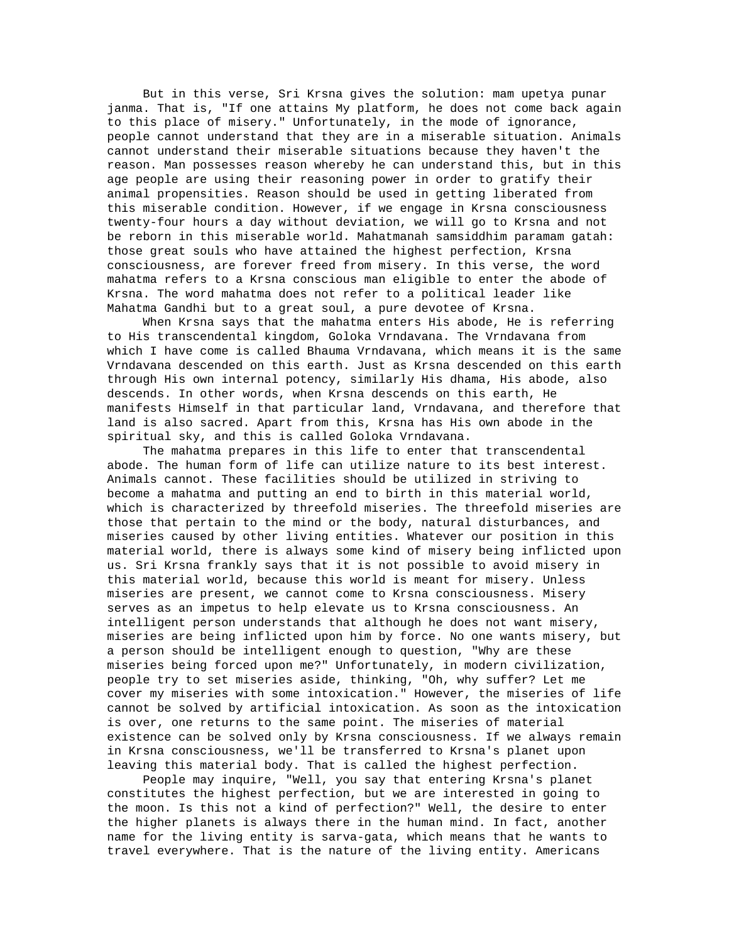But in this verse, Sri Krsna gives the solution: mam upetya punar janma. That is, "If one attains My platform, he does not come back again to this place of misery." Unfortunately, in the mode of ignorance, people cannot understand that they are in a miserable situation. Animals cannot understand their miserable situations because they haven't the reason. Man possesses reason whereby he can understand this, but in this age people are using their reasoning power in order to gratify their animal propensities. Reason should be used in getting liberated from this miserable condition. However, if we engage in Krsna consciousness twenty-four hours a day without deviation, we will go to Krsna and not be reborn in this miserable world. Mahatmanah samsiddhim paramam gatah: those great souls who have attained the highest perfection, Krsna consciousness, are forever freed from misery. In this verse, the word mahatma refers to a Krsna conscious man eligible to enter the abode of Krsna. The word mahatma does not refer to a political leader like Mahatma Gandhi but to a great soul, a pure devotee of Krsna.

 When Krsna says that the mahatma enters His abode, He is referring to His transcendental kingdom, Goloka Vrndavana. The Vrndavana from which I have come is called Bhauma Vrndavana, which means it is the same Vrndavana descended on this earth. Just as Krsna descended on this earth through His own internal potency, similarly His dhama, His abode, also descends. In other words, when Krsna descends on this earth, He manifests Himself in that particular land, Vrndavana, and therefore that land is also sacred. Apart from this, Krsna has His own abode in the spiritual sky, and this is called Goloka Vrndavana.

 The mahatma prepares in this life to enter that transcendental abode. The human form of life can utilize nature to its best interest. Animals cannot. These facilities should be utilized in striving to become a mahatma and putting an end to birth in this material world, which is characterized by threefold miseries. The threefold miseries are those that pertain to the mind or the body, natural disturbances, and miseries caused by other living entities. Whatever our position in this material world, there is always some kind of misery being inflicted upon us. Sri Krsna frankly says that it is not possible to avoid misery in this material world, because this world is meant for misery. Unless miseries are present, we cannot come to Krsna consciousness. Misery serves as an impetus to help elevate us to Krsna consciousness. An intelligent person understands that although he does not want misery, miseries are being inflicted upon him by force. No one wants misery, but a person should be intelligent enough to question, "Why are these miseries being forced upon me?" Unfortunately, in modern civilization, people try to set miseries aside, thinking, "Oh, why suffer? Let me cover my miseries with some intoxication." However, the miseries of life cannot be solved by artificial intoxication. As soon as the intoxication is over, one returns to the same point. The miseries of material existence can be solved only by Krsna consciousness. If we always remain in Krsna consciousness, we'll be transferred to Krsna's planet upon leaving this material body. That is called the highest perfection.

 People may inquire, "Well, you say that entering Krsna's planet constitutes the highest perfection, but we are interested in going to the moon. Is this not a kind of perfection?" Well, the desire to enter the higher planets is always there in the human mind. In fact, another name for the living entity is sarva-gata, which means that he wants to travel everywhere. That is the nature of the living entity. Americans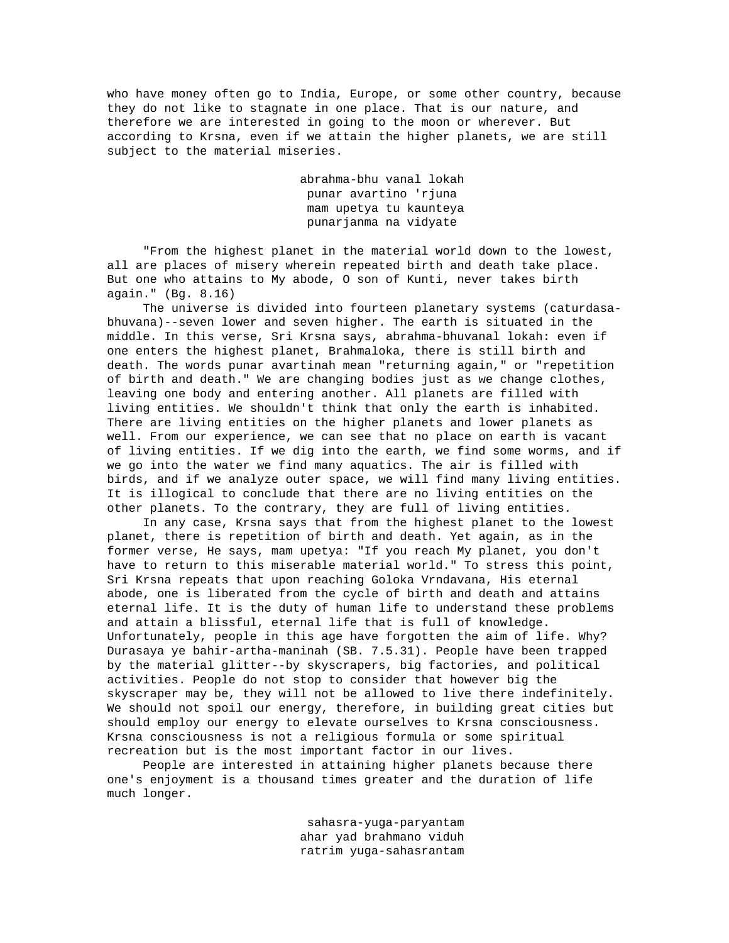who have money often go to India, Europe, or some other country, because they do not like to stagnate in one place. That is our nature, and therefore we are interested in going to the moon or wherever. But according to Krsna, even if we attain the higher planets, we are still subject to the material miseries.

> abrahma-bhu vanal lokah punar avartino 'rjuna mam upetya tu kaunteya punarjanma na vidyate

 "From the highest planet in the material world down to the lowest, all are places of misery wherein repeated birth and death take place. But one who attains to My abode, O son of Kunti, never takes birth again." (Bg. 8.16)

 The universe is divided into fourteen planetary systems (caturdasabhuvana)--seven lower and seven higher. The earth is situated in the middle. In this verse, Sri Krsna says, abrahma-bhuvanal lokah: even if one enters the highest planet, Brahmaloka, there is still birth and death. The words punar avartinah mean "returning again," or "repetition of birth and death." We are changing bodies just as we change clothes, leaving one body and entering another. All planets are filled with living entities. We shouldn't think that only the earth is inhabited. There are living entities on the higher planets and lower planets as well. From our experience, we can see that no place on earth is vacant of living entities. If we dig into the earth, we find some worms, and if we go into the water we find many aquatics. The air is filled with birds, and if we analyze outer space, we will find many living entities. It is illogical to conclude that there are no living entities on the other planets. To the contrary, they are full of living entities.

 In any case, Krsna says that from the highest planet to the lowest planet, there is repetition of birth and death. Yet again, as in the former verse, He says, mam upetya: "If you reach My planet, you don't have to return to this miserable material world." To stress this point, Sri Krsna repeats that upon reaching Goloka Vrndavana, His eternal abode, one is liberated from the cycle of birth and death and attains eternal life. It is the duty of human life to understand these problems and attain a blissful, eternal life that is full of knowledge. Unfortunately, people in this age have forgotten the aim of life. Why? Durasaya ye bahir-artha-maninah (SB. 7.5.31). People have been trapped by the material glitter--by skyscrapers, big factories, and political activities. People do not stop to consider that however big the skyscraper may be, they will not be allowed to live there indefinitely. We should not spoil our energy, therefore, in building great cities but should employ our energy to elevate ourselves to Krsna consciousness. Krsna consciousness is not a religious formula or some spiritual recreation but is the most important factor in our lives.

 People are interested in attaining higher planets because there one's enjoyment is a thousand times greater and the duration of life much longer.

> sahasra-yuga-paryantam ahar yad brahmano viduh ratrim yuga-sahasrantam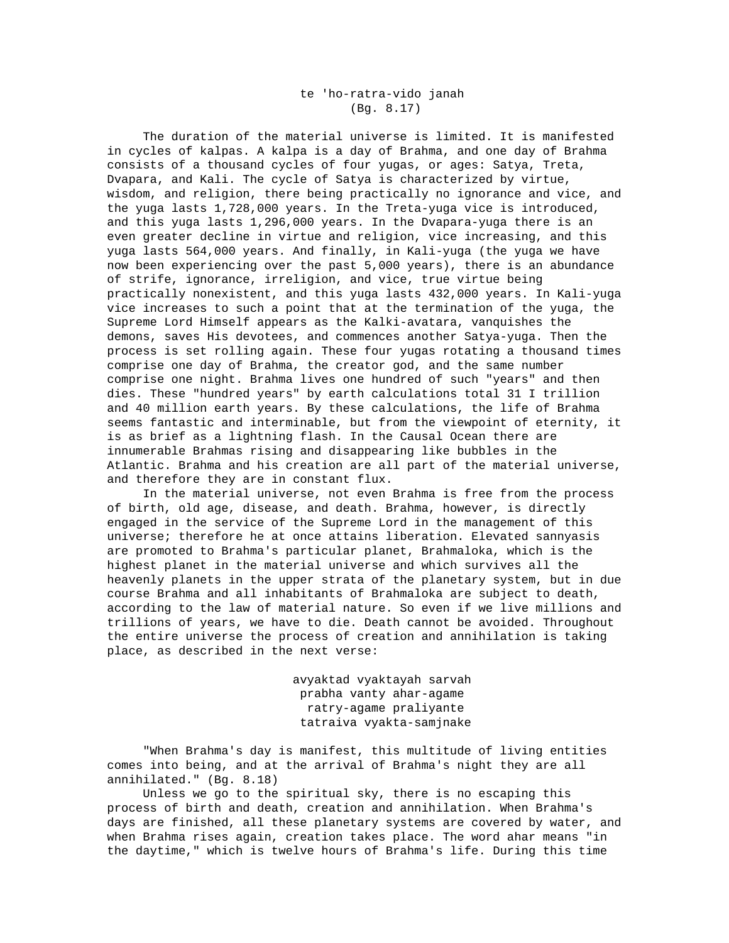## te 'ho-ratra-vido janah (Bg. 8.17)

 The duration of the material universe is limited. It is manifested in cycles of kalpas. A kalpa is a day of Brahma, and one day of Brahma consists of a thousand cycles of four yugas, or ages: Satya, Treta, Dvapara, and Kali. The cycle of Satya is characterized by virtue, wisdom, and religion, there being practically no ignorance and vice, and the yuga lasts 1,728,000 years. In the Treta-yuga vice is introduced, and this yuga lasts 1,296,000 years. In the Dvapara-yuga there is an even greater decline in virtue and religion, vice increasing, and this yuga lasts 564,000 years. And finally, in Kali-yuga (the yuga we have now been experiencing over the past 5,000 years), there is an abundance of strife, ignorance, irreligion, and vice, true virtue being practically nonexistent, and this yuga lasts 432,000 years. In Kali-yuga vice increases to such a point that at the termination of the yuga, the Supreme Lord Himself appears as the Kalki-avatara, vanquishes the demons, saves His devotees, and commences another Satya-yuga. Then the process is set rolling again. These four yugas rotating a thousand times comprise one day of Brahma, the creator god, and the same number comprise one night. Brahma lives one hundred of such "years" and then dies. These "hundred years" by earth calculations total 31 I trillion and 40 million earth years. By these calculations, the life of Brahma seems fantastic and interminable, but from the viewpoint of eternity, it is as brief as a lightning flash. In the Causal Ocean there are innumerable Brahmas rising and disappearing like bubbles in the Atlantic. Brahma and his creation are all part of the material universe, and therefore they are in constant flux.

 In the material universe, not even Brahma is free from the process of birth, old age, disease, and death. Brahma, however, is directly engaged in the service of the Supreme Lord in the management of this universe; therefore he at once attains liberation. Elevated sannyasis are promoted to Brahma's particular planet, Brahmaloka, which is the highest planet in the material universe and which survives all the heavenly planets in the upper strata of the planetary system, but in due course Brahma and all inhabitants of Brahmaloka are subject to death, according to the law of material nature. So even if we live millions and trillions of years, we have to die. Death cannot be avoided. Throughout the entire universe the process of creation and annihilation is taking place, as described in the next verse:

> avyaktad vyaktayah sarvah prabha vanty ahar-agame ratry-agame praliyante tatraiva vyakta-samjnake

 "When Brahma's day is manifest, this multitude of living entities comes into being, and at the arrival of Brahma's night they are all annihilated." (Bg. 8.18)

 Unless we go to the spiritual sky, there is no escaping this process of birth and death, creation and annihilation. When Brahma's days are finished, all these planetary systems are covered by water, and when Brahma rises again, creation takes place. The word ahar means "in the daytime," which is twelve hours of Brahma's life. During this time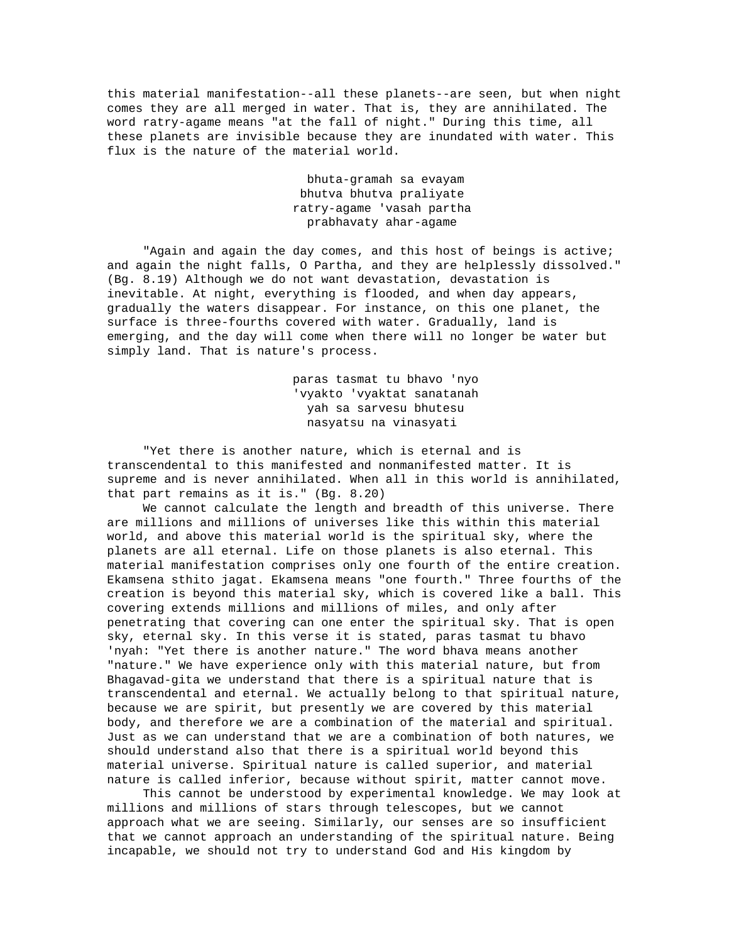this material manifestation--all these planets--are seen, but when night comes they are all merged in water. That is, they are annihilated. The word ratry-agame means "at the fall of night." During this time, all these planets are invisible because they are inundated with water. This flux is the nature of the material world.

> bhuta-gramah sa evayam bhutva bhutva praliyate ratry-agame 'vasah partha prabhavaty ahar-agame

 "Again and again the day comes, and this host of beings is active; and again the night falls, O Partha, and they are helplessly dissolved." (Bg. 8.19) Although we do not want devastation, devastation is inevitable. At night, everything is flooded, and when day appears, gradually the waters disappear. For instance, on this one planet, the surface is three-fourths covered with water. Gradually, land is emerging, and the day will come when there will no longer be water but simply land. That is nature's process.

> paras tasmat tu bhavo 'nyo 'vyakto 'vyaktat sanatanah yah sa sarvesu bhutesu nasyatsu na vinasyati

 "Yet there is another nature, which is eternal and is transcendental to this manifested and nonmanifested matter. It is supreme and is never annihilated. When all in this world is annihilated, that part remains as it is." (Bg. 8.20)

 We cannot calculate the length and breadth of this universe. There are millions and millions of universes like this within this material world, and above this material world is the spiritual sky, where the planets are all eternal. Life on those planets is also eternal. This material manifestation comprises only one fourth of the entire creation. Ekamsena sthito jagat. Ekamsena means "one fourth." Three fourths of the creation is beyond this material sky, which is covered like a ball. This covering extends millions and millions of miles, and only after penetrating that covering can one enter the spiritual sky. That is open sky, eternal sky. In this verse it is stated, paras tasmat tu bhavo 'nyah: "Yet there is another nature." The word bhava means another "nature." We have experience only with this material nature, but from Bhagavad-gita we understand that there is a spiritual nature that is transcendental and eternal. We actually belong to that spiritual nature, because we are spirit, but presently we are covered by this material body, and therefore we are a combination of the material and spiritual. Just as we can understand that we are a combination of both natures, we should understand also that there is a spiritual world beyond this material universe. Spiritual nature is called superior, and material nature is called inferior, because without spirit, matter cannot move.

 This cannot be understood by experimental knowledge. We may look at millions and millions of stars through telescopes, but we cannot approach what we are seeing. Similarly, our senses are so insufficient that we cannot approach an understanding of the spiritual nature. Being incapable, we should not try to understand God and His kingdom by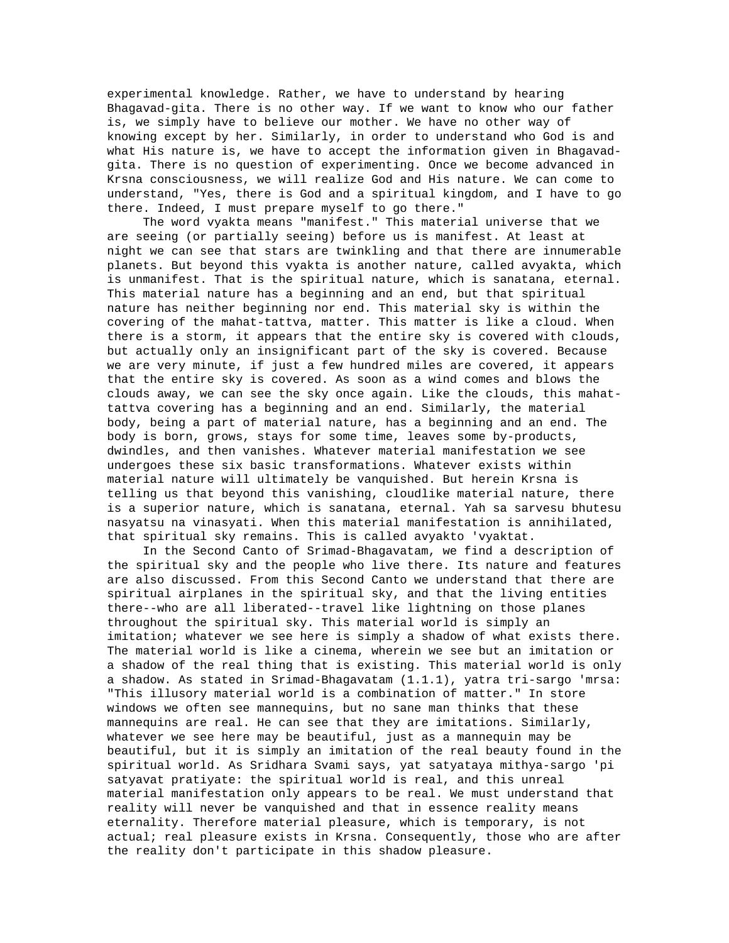experimental knowledge. Rather, we have to understand by hearing Bhagavad-gita. There is no other way. If we want to know who our father is, we simply have to believe our mother. We have no other way of knowing except by her. Similarly, in order to understand who God is and what His nature is, we have to accept the information given in Bhagavadgita. There is no question of experimenting. Once we become advanced in Krsna consciousness, we will realize God and His nature. We can come to understand, "Yes, there is God and a spiritual kingdom, and I have to go there. Indeed, I must prepare myself to go there."

 The word vyakta means "manifest." This material universe that we are seeing (or partially seeing) before us is manifest. At least at night we can see that stars are twinkling and that there are innumerable planets. But beyond this vyakta is another nature, called avyakta, which is unmanifest. That is the spiritual nature, which is sanatana, eternal. This material nature has a beginning and an end, but that spiritual nature has neither beginning nor end. This material sky is within the covering of the mahat-tattva, matter. This matter is like a cloud. When there is a storm, it appears that the entire sky is covered with clouds, but actually only an insignificant part of the sky is covered. Because we are very minute, if just a few hundred miles are covered, it appears that the entire sky is covered. As soon as a wind comes and blows the clouds away, we can see the sky once again. Like the clouds, this mahattattva covering has a beginning and an end. Similarly, the material body, being a part of material nature, has a beginning and an end. The body is born, grows, stays for some time, leaves some by-products, dwindles, and then vanishes. Whatever material manifestation we see undergoes these six basic transformations. Whatever exists within material nature will ultimately be vanquished. But herein Krsna is telling us that beyond this vanishing, cloudlike material nature, there is a superior nature, which is sanatana, eternal. Yah sa sarvesu bhutesu nasyatsu na vinasyati. When this material manifestation is annihilated, that spiritual sky remains. This is called avyakto 'vyaktat.

 In the Second Canto of Srimad-Bhagavatam, we find a description of the spiritual sky and the people who live there. Its nature and features are also discussed. From this Second Canto we understand that there are spiritual airplanes in the spiritual sky, and that the living entities there--who are all liberated--travel like lightning on those planes throughout the spiritual sky. This material world is simply an imitation; whatever we see here is simply a shadow of what exists there. The material world is like a cinema, wherein we see but an imitation or a shadow of the real thing that is existing. This material world is only a shadow. As stated in Srimad-Bhagavatam (1.1.1), yatra tri-sargo 'mrsa: "This illusory material world is a combination of matter." In store windows we often see mannequins, but no sane man thinks that these mannequins are real. He can see that they are imitations. Similarly, whatever we see here may be beautiful, just as a mannequin may be beautiful, but it is simply an imitation of the real beauty found in the spiritual world. As Sridhara Svami says, yat satyataya mithya-sargo 'pi satyavat pratiyate: the spiritual world is real, and this unreal material manifestation only appears to be real. We must understand that reality will never be vanquished and that in essence reality means eternality. Therefore material pleasure, which is temporary, is not actual; real pleasure exists in Krsna. Consequently, those who are after the reality don't participate in this shadow pleasure.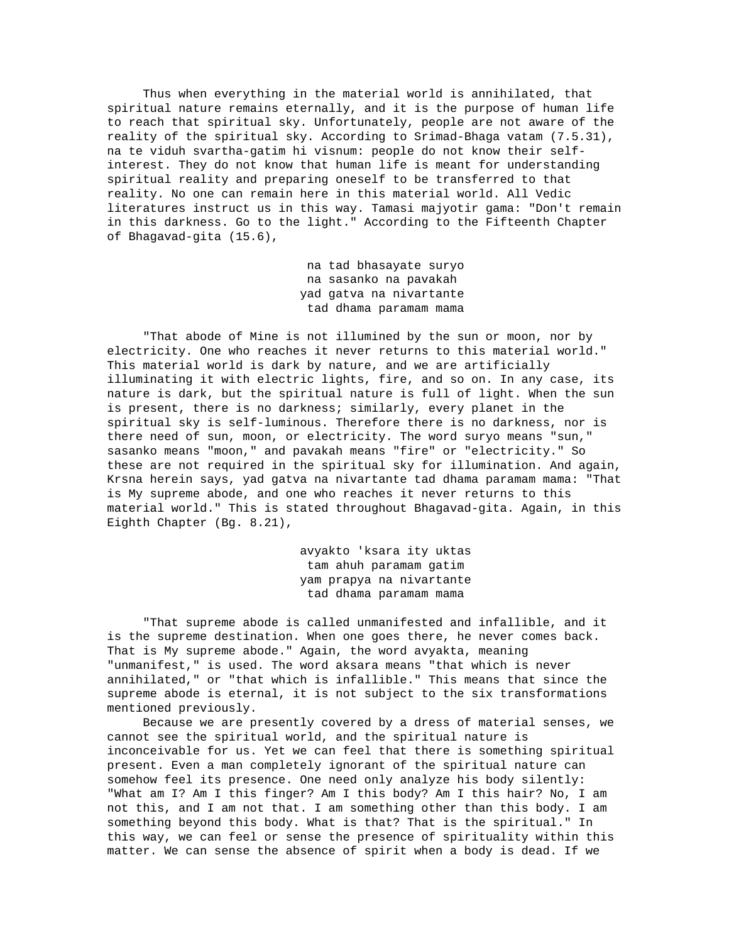Thus when everything in the material world is annihilated, that spiritual nature remains eternally, and it is the purpose of human life to reach that spiritual sky. Unfortunately, people are not aware of the reality of the spiritual sky. According to Srimad-Bhaga vatam (7.5.31), na te viduh svartha-gatim hi visnum: people do not know their selfinterest. They do not know that human life is meant for understanding spiritual reality and preparing oneself to be transferred to that reality. No one can remain here in this material world. All Vedic literatures instruct us in this way. Tamasi majyotir gama: "Don't remain in this darkness. Go to the light." According to the Fifteenth Chapter of Bhagavad-gita (15.6),

> na tad bhasayate suryo na sasanko na pavakah yad gatva na nivartante tad dhama paramam mama

 "That abode of Mine is not illumined by the sun or moon, nor by electricity. One who reaches it never returns to this material world." This material world is dark by nature, and we are artificially illuminating it with electric lights, fire, and so on. In any case, its nature is dark, but the spiritual nature is full of light. When the sun is present, there is no darkness; similarly, every planet in the spiritual sky is self-luminous. Therefore there is no darkness, nor is there need of sun, moon, or electricity. The word suryo means "sun," sasanko means "moon," and pavakah means "fire" or "electricity." So these are not required in the spiritual sky for illumination. And again, Krsna herein says, yad gatva na nivartante tad dhama paramam mama: "That is My supreme abode, and one who reaches it never returns to this material world." This is stated throughout Bhagavad-gita. Again, in this Eighth Chapter (Bg. 8.21),

> avyakto 'ksara ity uktas tam ahuh paramam gatim yam prapya na nivartante tad dhama paramam mama

 "That supreme abode is called unmanifested and infallible, and it is the supreme destination. When one goes there, he never comes back. That is My supreme abode." Again, the word avyakta, meaning "unmanifest," is used. The word aksara means "that which is never annihilated," or "that which is infallible." This means that since the supreme abode is eternal, it is not subject to the six transformations mentioned previously.

 Because we are presently covered by a dress of material senses, we cannot see the spiritual world, and the spiritual nature is inconceivable for us. Yet we can feel that there is something spiritual present. Even a man completely ignorant of the spiritual nature can somehow feel its presence. One need only analyze his body silently: "What am I? Am I this finger? Am I this body? Am I this hair? No, I am not this, and I am not that. I am something other than this body. I am something beyond this body. What is that? That is the spiritual." In this way, we can feel or sense the presence of spirituality within this matter. We can sense the absence of spirit when a body is dead. If we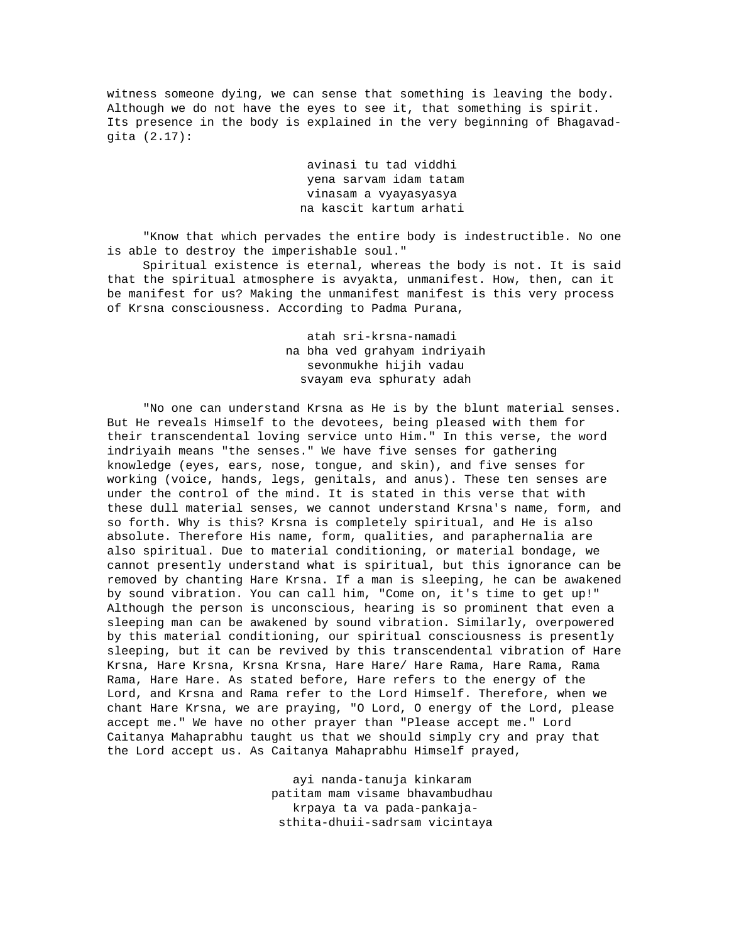witness someone dying, we can sense that something is leaving the body. Although we do not have the eyes to see it, that something is spirit. Its presence in the body is explained in the very beginning of Bhagavadgita (2.17):

> avinasi tu tad viddhi yena sarvam idam tatam vinasam a vyayasyasya na kascit kartum arhati

 "Know that which pervades the entire body is indestructible. No one is able to destroy the imperishable soul."

 Spiritual existence is eternal, whereas the body is not. It is said that the spiritual atmosphere is avyakta, unmanifest. How, then, can it be manifest for us? Making the unmanifest manifest is this very process of Krsna consciousness. According to Padma Purana,

> atah sri-krsna-namadi na bha ved grahyam indriyaih sevonmukhe hijih vadau svayam eva sphuraty adah

 "No one can understand Krsna as He is by the blunt material senses. But He reveals Himself to the devotees, being pleased with them for their transcendental loving service unto Him." In this verse, the word indriyaih means "the senses." We have five senses for gathering knowledge (eyes, ears, nose, tongue, and skin), and five senses for working (voice, hands, legs, genitals, and anus). These ten senses are under the control of the mind. It is stated in this verse that with these dull material senses, we cannot understand Krsna's name, form, and so forth. Why is this? Krsna is completely spiritual, and He is also absolute. Therefore His name, form, qualities, and paraphernalia are also spiritual. Due to material conditioning, or material bondage, we cannot presently understand what is spiritual, but this ignorance can be removed by chanting Hare Krsna. If a man is sleeping, he can be awakened by sound vibration. You can call him, "Come on, it's time to get up!" Although the person is unconscious, hearing is so prominent that even a sleeping man can be awakened by sound vibration. Similarly, overpowered by this material conditioning, our spiritual consciousness is presently sleeping, but it can be revived by this transcendental vibration of Hare Krsna, Hare Krsna, Krsna Krsna, Hare Hare/ Hare Rama, Hare Rama, Rama Rama, Hare Hare. As stated before, Hare refers to the energy of the Lord, and Krsna and Rama refer to the Lord Himself. Therefore, when we chant Hare Krsna, we are praying, "O Lord, O energy of the Lord, please accept me." We have no other prayer than "Please accept me." Lord Caitanya Mahaprabhu taught us that we should simply cry and pray that the Lord accept us. As Caitanya Mahaprabhu Himself prayed,

> ayi nanda-tanuja kinkaram patitam mam visame bhavambudhau krpaya ta va pada-pankaja sthita-dhuii-sadrsam vicintaya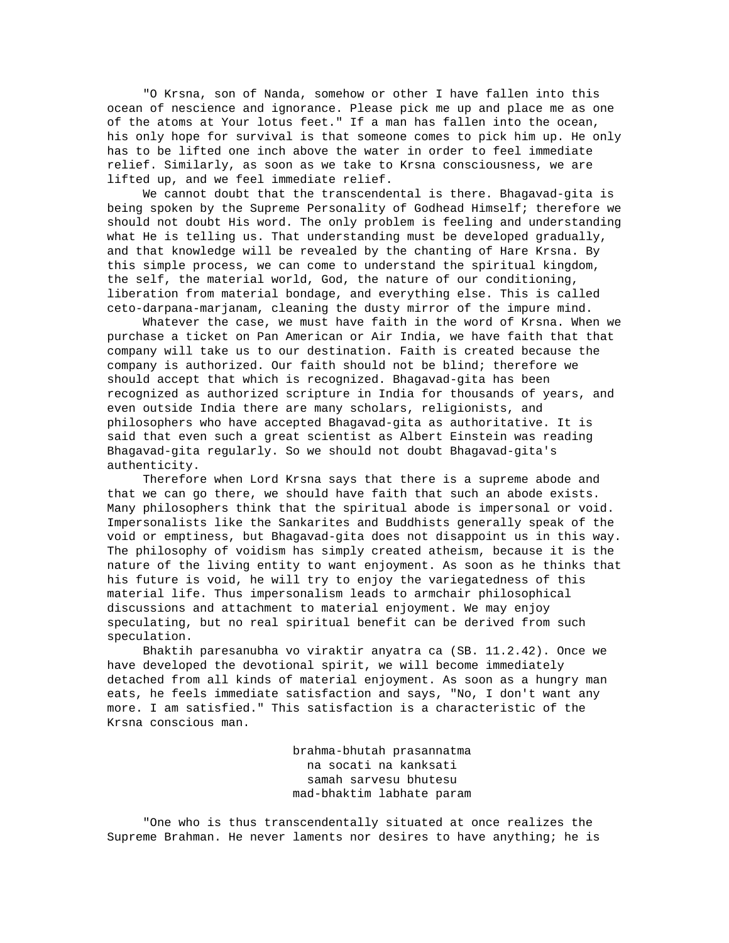"O Krsna, son of Nanda, somehow or other I have fallen into this ocean of nescience and ignorance. Please pick me up and place me as one of the atoms at Your lotus feet." If a man has fallen into the ocean, his only hope for survival is that someone comes to pick him up. He only has to be lifted one inch above the water in order to feel immediate relief. Similarly, as soon as we take to Krsna consciousness, we are lifted up, and we feel immediate relief.

 We cannot doubt that the transcendental is there. Bhagavad-gita is being spoken by the Supreme Personality of Godhead Himself; therefore we should not doubt His word. The only problem is feeling and understanding what He is telling us. That understanding must be developed gradually, and that knowledge will be revealed by the chanting of Hare Krsna. By this simple process, we can come to understand the spiritual kingdom, the self, the material world, God, the nature of our conditioning, liberation from material bondage, and everything else. This is called ceto-darpana-marjanam, cleaning the dusty mirror of the impure mind.

 Whatever the case, we must have faith in the word of Krsna. When we purchase a ticket on Pan American or Air India, we have faith that that company will take us to our destination. Faith is created because the company is authorized. Our faith should not be blind; therefore we should accept that which is recognized. Bhagavad-gita has been recognized as authorized scripture in India for thousands of years, and even outside India there are many scholars, religionists, and philosophers who have accepted Bhagavad-gita as authoritative. It is said that even such a great scientist as Albert Einstein was reading Bhagavad-gita regularly. So we should not doubt Bhagavad-gita's authenticity.

 Therefore when Lord Krsna says that there is a supreme abode and that we can go there, we should have faith that such an abode exists. Many philosophers think that the spiritual abode is impersonal or void. Impersonalists like the Sankarites and Buddhists generally speak of the void or emptiness, but Bhagavad-gita does not disappoint us in this way. The philosophy of voidism has simply created atheism, because it is the nature of the living entity to want enjoyment. As soon as he thinks that his future is void, he will try to enjoy the variegatedness of this material life. Thus impersonalism leads to armchair philosophical discussions and attachment to material enjoyment. We may enjoy speculating, but no real spiritual benefit can be derived from such speculation.

 Bhaktih paresanubha vo viraktir anyatra ca (SB. 11.2.42). Once we have developed the devotional spirit, we will become immediately detached from all kinds of material enjoyment. As soon as a hungry man eats, he feels immediate satisfaction and says, "No, I don't want any more. I am satisfied." This satisfaction is a characteristic of the Krsna conscious man.

> brahma-bhutah prasannatma na socati na kanksati samah sarvesu bhutesu mad-bhaktim labhate param

 "One who is thus transcendentally situated at once realizes the Supreme Brahman. He never laments nor desires to have anything; he is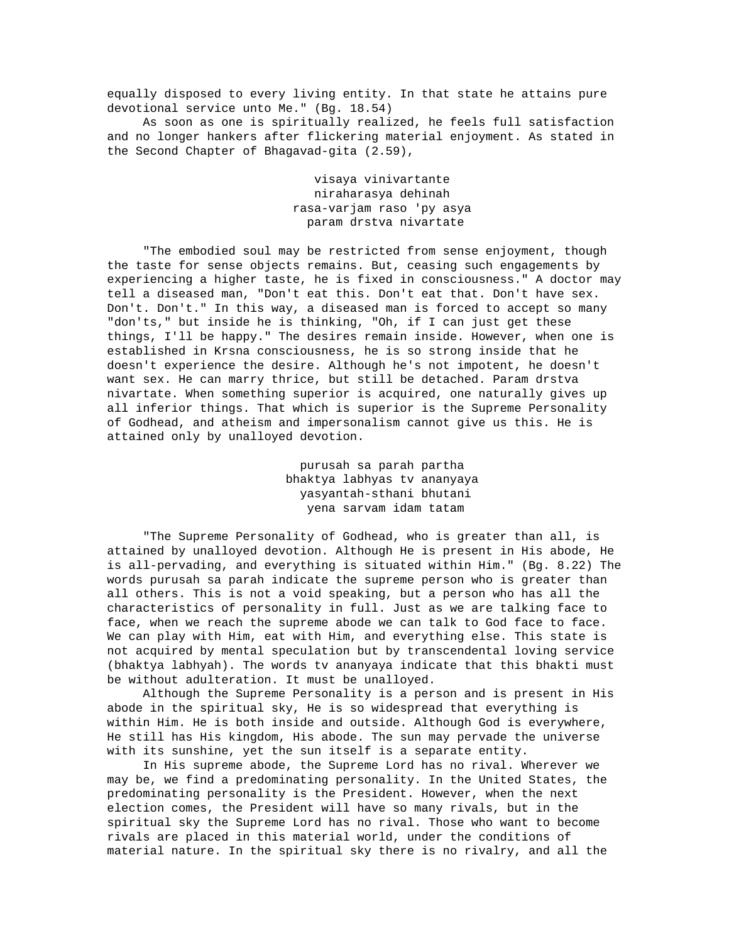equally disposed to every living entity. In that state he attains pure devotional service unto Me." (Bg. 18.54)

 As soon as one is spiritually realized, he feels full satisfaction and no longer hankers after flickering material enjoyment. As stated in the Second Chapter of Bhagavad-gita (2.59),

> visaya vinivartante niraharasya dehinah rasa-varjam raso 'py asya param drstva nivartate

 "The embodied soul may be restricted from sense enjoyment, though the taste for sense objects remains. But, ceasing such engagements by experiencing a higher taste, he is fixed in consciousness." A doctor may tell a diseased man, "Don't eat this. Don't eat that. Don't have sex. Don't. Don't." In this way, a diseased man is forced to accept so many "don'ts," but inside he is thinking, "Oh, if I can just get these things, I'll be happy." The desires remain inside. However, when one is established in Krsna consciousness, he is so strong inside that he doesn't experience the desire. Although he's not impotent, he doesn't want sex. He can marry thrice, but still be detached. Param drstva nivartate. When something superior is acquired, one naturally gives up all inferior things. That which is superior is the Supreme Personality of Godhead, and atheism and impersonalism cannot give us this. He is attained only by unalloyed devotion.

> purusah sa parah partha bhaktya labhyas tv ananyaya yasyantah-sthani bhutani yena sarvam idam tatam

 "The Supreme Personality of Godhead, who is greater than all, is attained by unalloyed devotion. Although He is present in His abode, He is all-pervading, and everything is situated within Him." (Bg. 8.22) The words purusah sa parah indicate the supreme person who is greater than all others. This is not a void speaking, but a person who has all the characteristics of personality in full. Just as we are talking face to face, when we reach the supreme abode we can talk to God face to face. We can play with Him, eat with Him, and everything else. This state is not acquired by mental speculation but by transcendental loving service (bhaktya labhyah). The words tv ananyaya indicate that this bhakti must be without adulteration. It must be unalloyed.

 Although the Supreme Personality is a person and is present in His abode in the spiritual sky, He is so widespread that everything is within Him. He is both inside and outside. Although God is everywhere, He still has His kingdom, His abode. The sun may pervade the universe with its sunshine, yet the sun itself is a separate entity.

 In His supreme abode, the Supreme Lord has no rival. Wherever we may be, we find a predominating personality. In the United States, the predominating personality is the President. However, when the next election comes, the President will have so many rivals, but in the spiritual sky the Supreme Lord has no rival. Those who want to become rivals are placed in this material world, under the conditions of material nature. In the spiritual sky there is no rivalry, and all the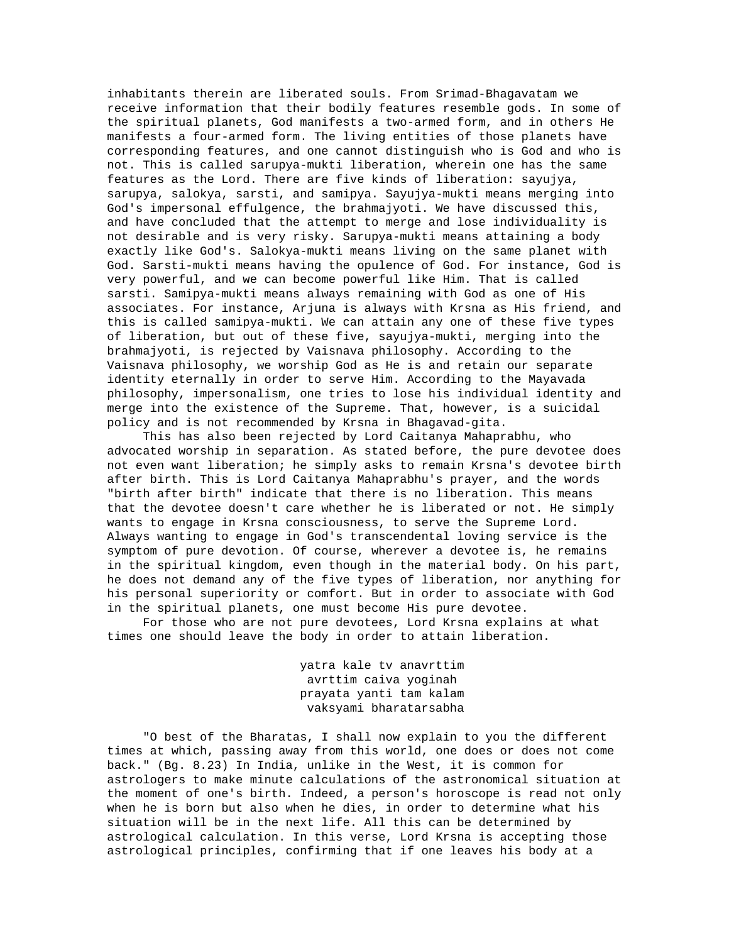inhabitants therein are liberated souls. From Srimad-Bhagavatam we receive information that their bodily features resemble gods. In some of the spiritual planets, God manifests a two-armed form, and in others He manifests a four-armed form. The living entities of those planets have corresponding features, and one cannot distinguish who is God and who is not. This is called sarupya-mukti liberation, wherein one has the same features as the Lord. There are five kinds of liberation: sayujya, sarupya, salokya, sarsti, and samipya. Sayujya-mukti means merging into God's impersonal effulgence, the brahmajyoti. We have discussed this, and have concluded that the attempt to merge and lose individuality is not desirable and is very risky. Sarupya-mukti means attaining a body exactly like God's. Salokya-mukti means living on the same planet with God. Sarsti-mukti means having the opulence of God. For instance, God is very powerful, and we can become powerful like Him. That is called sarsti. Samipya-mukti means always remaining with God as one of His associates. For instance, Arjuna is always with Krsna as His friend, and this is called samipya-mukti. We can attain any one of these five types of liberation, but out of these five, sayujya-mukti, merging into the brahmajyoti, is rejected by Vaisnava philosophy. According to the Vaisnava philosophy, we worship God as He is and retain our separate identity eternally in order to serve Him. According to the Mayavada philosophy, impersonalism, one tries to lose his individual identity and merge into the existence of the Supreme. That, however, is a suicidal policy and is not recommended by Krsna in Bhagavad-gita.

 This has also been rejected by Lord Caitanya Mahaprabhu, who advocated worship in separation. As stated before, the pure devotee does not even want liberation; he simply asks to remain Krsna's devotee birth after birth. This is Lord Caitanya Mahaprabhu's prayer, and the words "birth after birth" indicate that there is no liberation. This means that the devotee doesn't care whether he is liberated or not. He simply wants to engage in Krsna consciousness, to serve the Supreme Lord. Always wanting to engage in God's transcendental loving service is the symptom of pure devotion. Of course, wherever a devotee is, he remains in the spiritual kingdom, even though in the material body. On his part, he does not demand any of the five types of liberation, nor anything for his personal superiority or comfort. But in order to associate with God in the spiritual planets, one must become His pure devotee.

 For those who are not pure devotees, Lord Krsna explains at what times one should leave the body in order to attain liberation.

> yatra kale tv anavrttim avrttim caiva yoginah prayata yanti tam kalam vaksyami bharatarsabha

 "O best of the Bharatas, I shall now explain to you the different times at which, passing away from this world, one does or does not come back." (Bg. 8.23) In India, unlike in the West, it is common for astrologers to make minute calculations of the astronomical situation at the moment of one's birth. Indeed, a person's horoscope is read not only when he is born but also when he dies, in order to determine what his situation will be in the next life. All this can be determined by astrological calculation. In this verse, Lord Krsna is accepting those astrological principles, confirming that if one leaves his body at a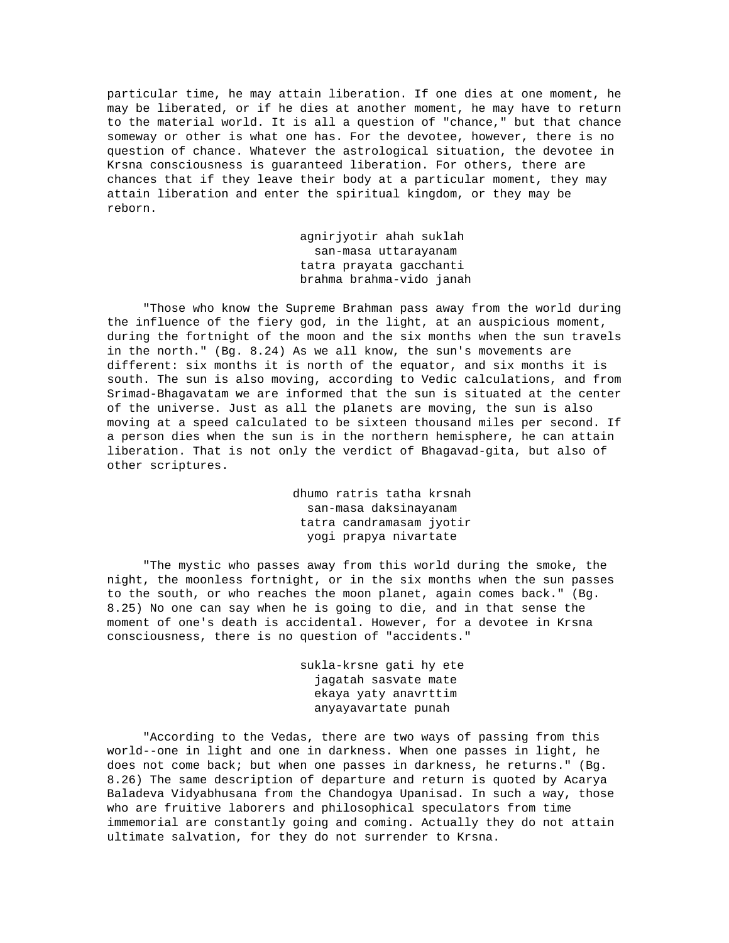particular time, he may attain liberation. If one dies at one moment, he may be liberated, or if he dies at another moment, he may have to return to the material world. It is all a question of "chance," but that chance someway or other is what one has. For the devotee, however, there is no question of chance. Whatever the astrological situation, the devotee in Krsna consciousness is guaranteed liberation. For others, there are chances that if they leave their body at a particular moment, they may attain liberation and enter the spiritual kingdom, or they may be reborn.

> agnirjyotir ahah suklah san-masa uttarayanam tatra prayata gacchanti brahma brahma-vido janah

 "Those who know the Supreme Brahman pass away from the world during the influence of the fiery god, in the light, at an auspicious moment, during the fortnight of the moon and the six months when the sun travels in the north." (Bg. 8.24) As we all know, the sun's movements are different: six months it is north of the equator, and six months it is south. The sun is also moving, according to Vedic calculations, and from Srimad-Bhagavatam we are informed that the sun is situated at the center of the universe. Just as all the planets are moving, the sun is also moving at a speed calculated to be sixteen thousand miles per second. If a person dies when the sun is in the northern hemisphere, he can attain liberation. That is not only the verdict of Bhagavad-gita, but also of other scriptures.

> dhumo ratris tatha krsnah san-masa daksinayanam tatra candramasam jyotir yogi prapya nivartate

 "The mystic who passes away from this world during the smoke, the night, the moonless fortnight, or in the six months when the sun passes to the south, or who reaches the moon planet, again comes back." (Bg. 8.25) No one can say when he is going to die, and in that sense the moment of one's death is accidental. However, for a devotee in Krsna consciousness, there is no question of "accidents."

> sukla-krsne gati hy ete jagatah sasvate mate ekaya yaty anavrttim anyayavartate punah

 "According to the Vedas, there are two ways of passing from this world--one in light and one in darkness. When one passes in light, he does not come back; but when one passes in darkness, he returns." (Bg. 8.26) The same description of departure and return is quoted by Acarya Baladeva Vidyabhusana from the Chandogya Upanisad. In such a way, those who are fruitive laborers and philosophical speculators from time immemorial are constantly going and coming. Actually they do not attain ultimate salvation, for they do not surrender to Krsna.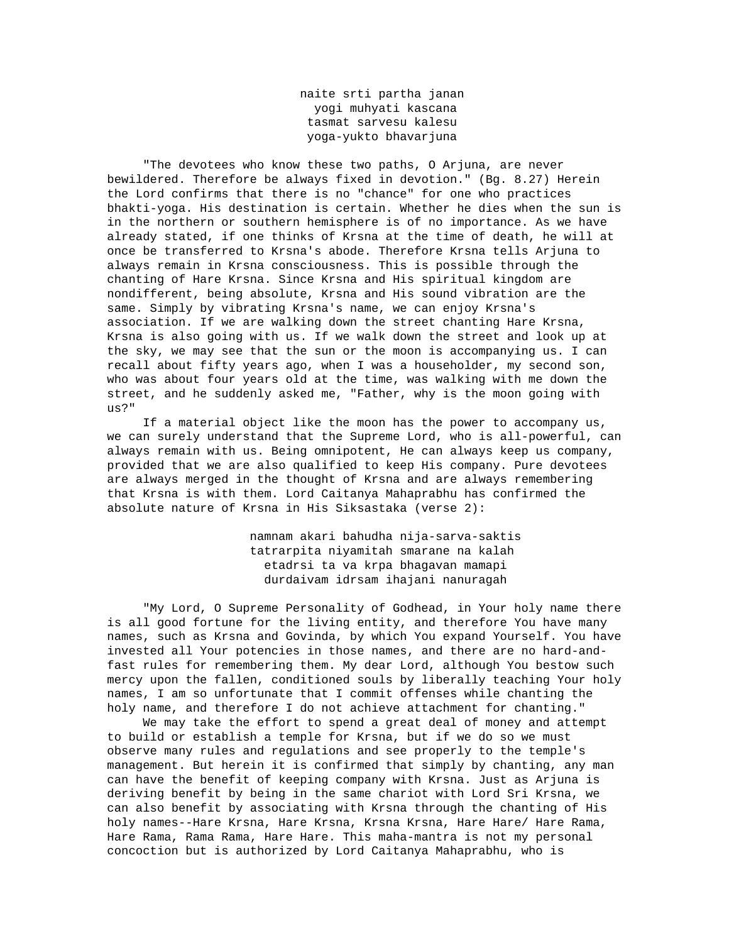naite srti partha janan yogi muhyati kascana tasmat sarvesu kalesu yoga-yukto bhavarjuna

 "The devotees who know these two paths, O Arjuna, are never bewildered. Therefore be always fixed in devotion." (Bg. 8.27) Herein the Lord confirms that there is no "chance" for one who practices bhakti-yoga. His destination is certain. Whether he dies when the sun is in the northern or southern hemisphere is of no importance. As we have already stated, if one thinks of Krsna at the time of death, he will at once be transferred to Krsna's abode. Therefore Krsna tells Arjuna to always remain in Krsna consciousness. This is possible through the chanting of Hare Krsna. Since Krsna and His spiritual kingdom are nondifferent, being absolute, Krsna and His sound vibration are the same. Simply by vibrating Krsna's name, we can enjoy Krsna's association. If we are walking down the street chanting Hare Krsna, Krsna is also going with us. If we walk down the street and look up at the sky, we may see that the sun or the moon is accompanying us. I can recall about fifty years ago, when I was a householder, my second son, who was about four years old at the time, was walking with me down the street, and he suddenly asked me, "Father, why is the moon going with us?"

 If a material object like the moon has the power to accompany us, we can surely understand that the Supreme Lord, who is all-powerful, can always remain with us. Being omnipotent, He can always keep us company, provided that we are also qualified to keep His company. Pure devotees are always merged in the thought of Krsna and are always remembering that Krsna is with them. Lord Caitanya Mahaprabhu has confirmed the absolute nature of Krsna in His Siksastaka (verse 2):

> namnam akari bahudha nija-sarva-saktis tatrarpita niyamitah smarane na kalah etadrsi ta va krpa bhagavan mamapi durdaivam idrsam ihajani nanuragah

 "My Lord, O Supreme Personality of Godhead, in Your holy name there is all good fortune for the living entity, and therefore You have many names, such as Krsna and Govinda, by which You expand Yourself. You have invested all Your potencies in those names, and there are no hard-andfast rules for remembering them. My dear Lord, although You bestow such mercy upon the fallen, conditioned souls by liberally teaching Your holy names, I am so unfortunate that I commit offenses while chanting the holy name, and therefore I do not achieve attachment for chanting."

 We may take the effort to spend a great deal of money and attempt to build or establish a temple for Krsna, but if we do so we must observe many rules and regulations and see properly to the temple's management. But herein it is confirmed that simply by chanting, any man can have the benefit of keeping company with Krsna. Just as Arjuna is deriving benefit by being in the same chariot with Lord Sri Krsna, we can also benefit by associating with Krsna through the chanting of His holy names--Hare Krsna, Hare Krsna, Krsna Krsna, Hare Hare/ Hare Rama, Hare Rama, Rama Rama, Hare Hare. This maha-mantra is not my personal concoction but is authorized by Lord Caitanya Mahaprabhu, who is